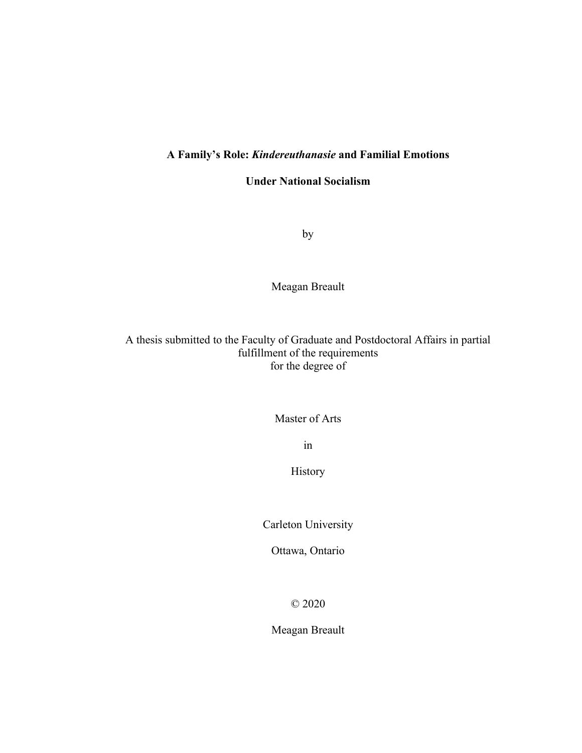# **A Family's Role:** *Kindereuthanasie* **and Familial Emotions**

**Under National Socialism**

by

Meagan Breault

A thesis submitted to the Faculty of Graduate and Postdoctoral Affairs in partial fulfillment of the requirements for the degree of

Master of Arts

in

History

Carleton University

Ottawa, Ontario

© 2020

Meagan Breault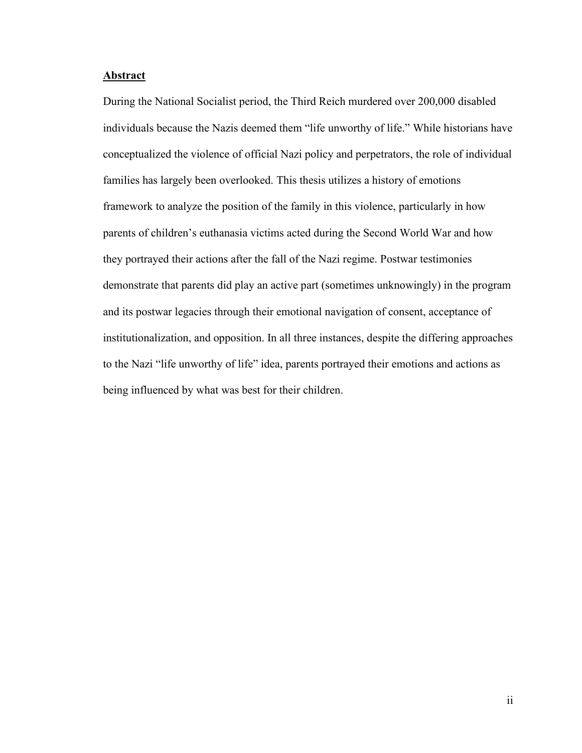# <span id="page-1-0"></span>**Abstract**

During the National Socialist period, the Third Reich murdered over 200,000 disabled individuals because the Nazis deemed them "life unworthy of life." While historians have conceptualized the violence of official Nazi policy and perpetrators, the role of individual families has largely been overlooked. This thesis utilizes a history of emotions framework to analyze the position of the family in this violence, particularly in how parents of children's euthanasia victims acted during the Second World War and how they portrayed their actions after the fall of the Nazi regime. Postwar testimonies demonstrate that parents did play an active part (sometimes unknowingly) in the program and its postwar legacies through their emotional navigation of consent, acceptance of institutionalization, and opposition. In all three instances, despite the differing approaches to the Nazi "life unworthy of life" idea, parents portrayed their emotions and actions as being influenced by what was best for their children.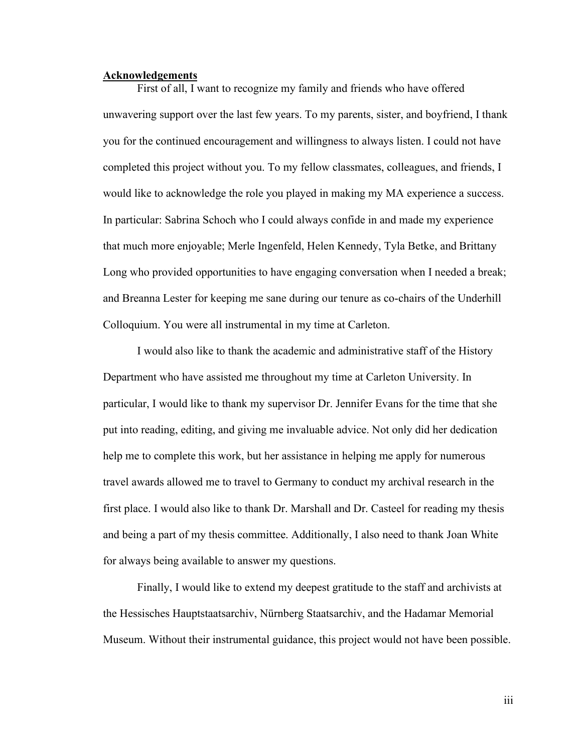#### <span id="page-2-0"></span>**Acknowledgements**

First of all, I want to recognize my family and friends who have offered unwavering support over the last few years. To my parents, sister, and boyfriend, I thank you for the continued encouragement and willingness to always listen. I could not have completed this project without you. To my fellow classmates, colleagues, and friends, I would like to acknowledge the role you played in making my MA experience a success. In particular: Sabrina Schoch who I could always confide in and made my experience that much more enjoyable; Merle Ingenfeld, Helen Kennedy, Tyla Betke, and Brittany Long who provided opportunities to have engaging conversation when I needed a break; and Breanna Lester for keeping me sane during our tenure as co-chairs of the Underhill Colloquium. You were all instrumental in my time at Carleton.

I would also like to thank the academic and administrative staff of the History Department who have assisted me throughout my time at Carleton University. In particular, I would like to thank my supervisor Dr. Jennifer Evans for the time that she put into reading, editing, and giving me invaluable advice. Not only did her dedication help me to complete this work, but her assistance in helping me apply for numerous travel awards allowed me to travel to Germany to conduct my archival research in the first place. I would also like to thank Dr. Marshall and Dr. Casteel for reading my thesis and being a part of my thesis committee. Additionally, I also need to thank Joan White for always being available to answer my questions.

Finally, I would like to extend my deepest gratitude to the staff and archivists at the Hessisches Hauptstaatsarchiv, Nürnberg Staatsarchiv, and the Hadamar Memorial Museum. Without their instrumental guidance, this project would not have been possible.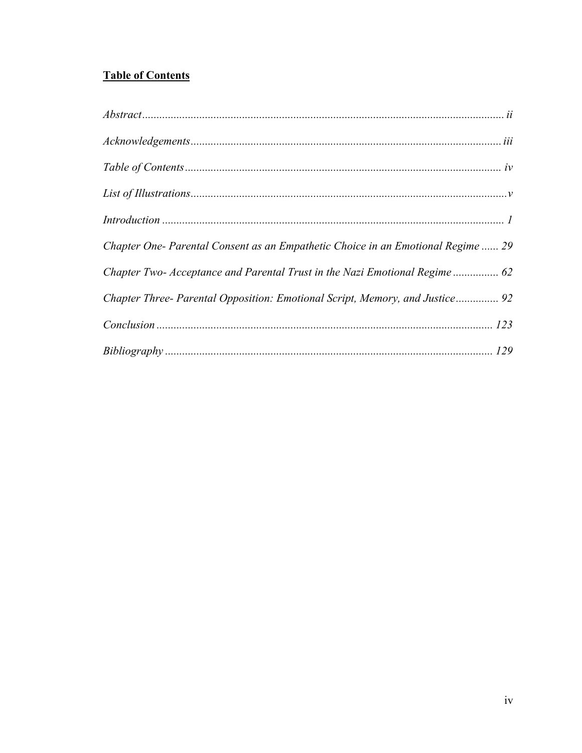# <span id="page-3-0"></span>**Table of Contents**

| Chapter One- Parental Consent as an Empathetic Choice in an Emotional Regime  29 |
|----------------------------------------------------------------------------------|
| Chapter Two- Acceptance and Parental Trust in the Nazi Emotional Regime 62       |
| Chapter Three- Parental Opposition: Emotional Script, Memory, and Justice 92     |
|                                                                                  |
|                                                                                  |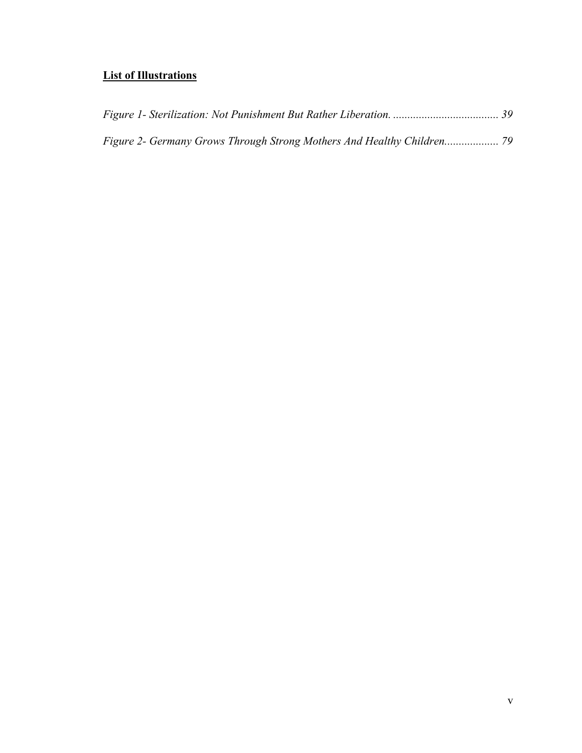# <span id="page-4-0"></span>**List of Illustrations**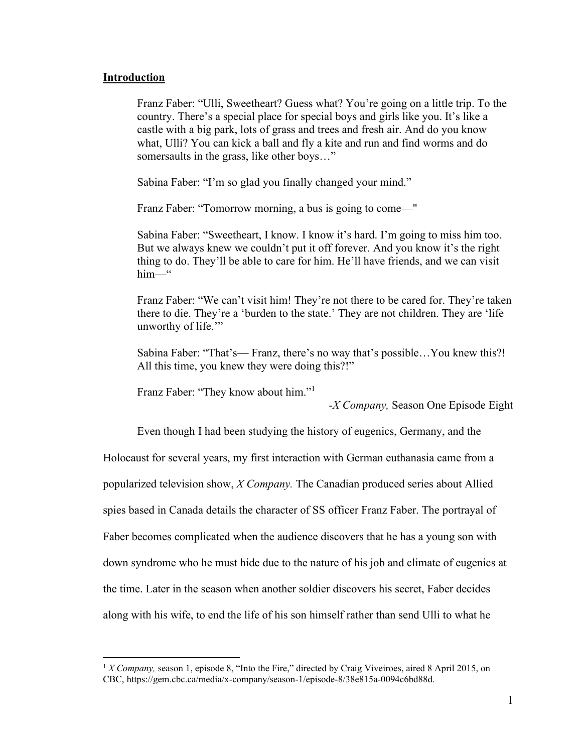# <span id="page-5-0"></span>**Introduction**

Franz Faber: "Ulli, Sweetheart? Guess what? You're going on a little trip. To the country. There's a special place for special boys and girls like you. It's like a castle with a big park, lots of grass and trees and fresh air. And do you know what, Ulli? You can kick a ball and fly a kite and run and find worms and do somersaults in the grass, like other boys..."

Sabina Faber: "I'm so glad you finally changed your mind."

Franz Faber: "Tomorrow morning, a bus is going to come—"

Sabina Faber: "Sweetheart, I know. I know it's hard. I'm going to miss him too. But we always knew we couldn't put it off forever. And you know it's the right thing to do. They'll be able to care for him. He'll have friends, and we can visit him—"

Franz Faber: "We can't visit him! They're not there to be cared for. They're taken there to die. They're a 'burden to the state.' They are not children. They are 'life unworthy of life."

Sabina Faber: "That's— Franz, there's no way that's possible…You knew this?! All this time, you knew they were doing this?!"

Franz Faber: "They know about him."<sup>1</sup>

*-X Company,* Season One Episode Eight

Even though I had been studying the history of eugenics, Germany, and the

Holocaust for several years, my first interaction with German euthanasia came from a

popularized television show, *X Company.* The Canadian produced series about Allied

spies based in Canada details the character of SS officer Franz Faber. The portrayal of

Faber becomes complicated when the audience discovers that he has a young son with

down syndrome who he must hide due to the nature of his job and climate of eugenics at

the time. Later in the season when another soldier discovers his secret, Faber decides

along with his wife, to end the life of his son himself rather than send Ulli to what he

<sup>&</sup>lt;sup>1</sup> *X Company*, season 1, episode 8, "Into the Fire," directed by Craig Viveiroes, aired 8 April 2015, on CBC, https://gem.cbc.ca/media/x-company/season-1/episode-8/38e815a-0094c6bd88d.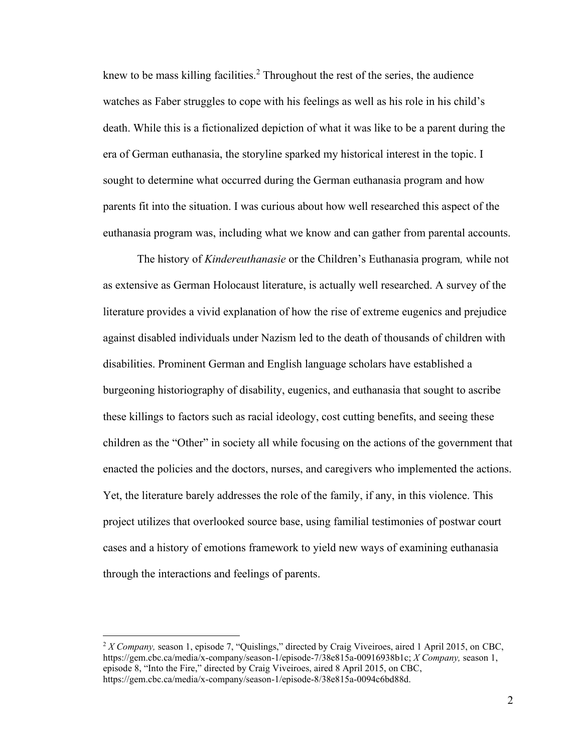knew to be mass killing facilities.<sup>2</sup> Throughout the rest of the series, the audience watches as Faber struggles to cope with his feelings as well as his role in his child's death. While this is a fictionalized depiction of what it was like to be a parent during the era of German euthanasia, the storyline sparked my historical interest in the topic. I sought to determine what occurred during the German euthanasia program and how parents fit into the situation. I was curious about how well researched this aspect of the euthanasia program was, including what we know and can gather from parental accounts.

The history of *Kindereuthanasie* or the Children's Euthanasia program*,* while not as extensive as German Holocaust literature, is actually well researched. A survey of the literature provides a vivid explanation of how the rise of extreme eugenics and prejudice against disabled individuals under Nazism led to the death of thousands of children with disabilities. Prominent German and English language scholars have established a burgeoning historiography of disability, eugenics, and euthanasia that sought to ascribe these killings to factors such as racial ideology, cost cutting benefits, and seeing these children as the "Other" in society all while focusing on the actions of the government that enacted the policies and the doctors, nurses, and caregivers who implemented the actions. Yet, the literature barely addresses the role of the family, if any, in this violence. This project utilizes that overlooked source base, using familial testimonies of postwar court cases and a history of emotions framework to yield new ways of examining euthanasia through the interactions and feelings of parents.

<sup>2</sup> *X Company,* season 1, episode 7, "Quislings," directed by Craig Viveiroes, aired 1 April 2015, on CBC, https://gem.cbc.ca/media/x-company/season-1/episode-7/38e815a-00916938b1c; *X Company,* season 1, episode 8, "Into the Fire," directed by Craig Viveiroes, aired 8 April 2015, on CBC, https://gem.cbc.ca/media/x-company/season-1/episode-8/38e815a-0094c6bd88d.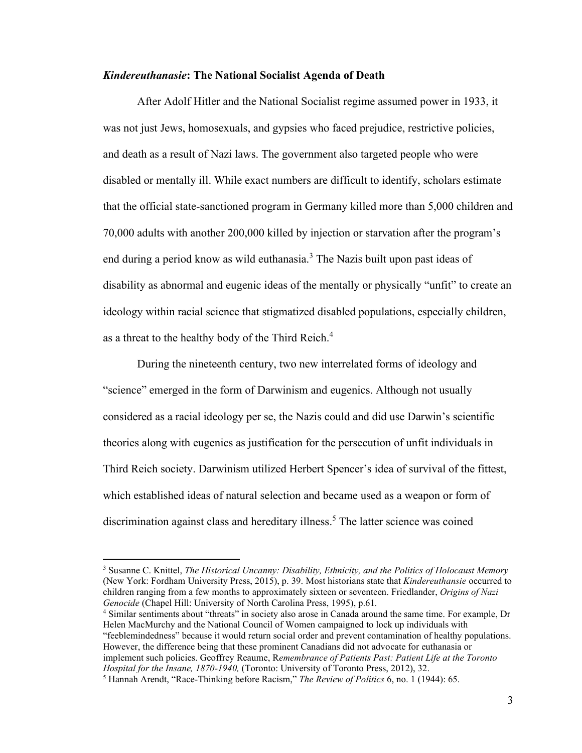### *Kindereuthanasie***: The National Socialist Agenda of Death**

After Adolf Hitler and the National Socialist regime assumed power in 1933, it was not just Jews, homosexuals, and gypsies who faced prejudice, restrictive policies, and death as a result of Nazi laws. The government also targeted people who were disabled or mentally ill. While exact numbers are difficult to identify, scholars estimate that the official state-sanctioned program in Germany killed more than 5,000 children and 70,000 adults with another 200,000 killed by injection or starvation after the program's end during a period know as wild euthanasia.<sup>3</sup> The Nazis built upon past ideas of disability as abnormal and eugenic ideas of the mentally or physically "unfit" to create an ideology within racial science that stigmatized disabled populations, especially children, as a threat to the healthy body of the Third Reich.<sup>4</sup>

During the nineteenth century, two new interrelated forms of ideology and "science" emerged in the form of Darwinism and eugenics. Although not usually considered as a racial ideology per se, the Nazis could and did use Darwin's scientific theories along with eugenics as justification for the persecution of unfit individuals in Third Reich society. Darwinism utilized Herbert Spencer's idea of survival of the fittest, which established ideas of natural selection and became used as a weapon or form of discrimination against class and hereditary illness. <sup>5</sup> The latter science was coined

<sup>4</sup> Similar sentiments about "threats" in society also arose in Canada around the same time. For example, Dr Helen MacMurchy and the National Council of Women campaigned to lock up individuals with "feeblemindedness" because it would return social order and prevent contamination of healthy populations. However, the difference being that these prominent Canadians did not advocate for euthanasia or implement such policies. Geoffrey Reaume, R*emembrance of Patients Past: Patient Life at the Toronto Hospital for the Insane, 1870-1940,* (Toronto: University of Toronto Press, 2012), 32.

<sup>3</sup> Susanne C. Knittel, *The Historical Uncanny: Disability, Ethnicity, and the Politics of Holocaust Memory* (New York: Fordham University Press, 2015), p. 39. Most historians state that *Kindereuthansie* occurred to children ranging from a few months to approximately sixteen or seventeen. Friedlander, *Origins of Nazi Genocide* (Chapel Hill: University of North Carolina Press, 1995), p.61*.*

<sup>5</sup> Hannah Arendt, "Race-Thinking before Racism," *The Review of Politics* 6, no. 1 (1944): 65.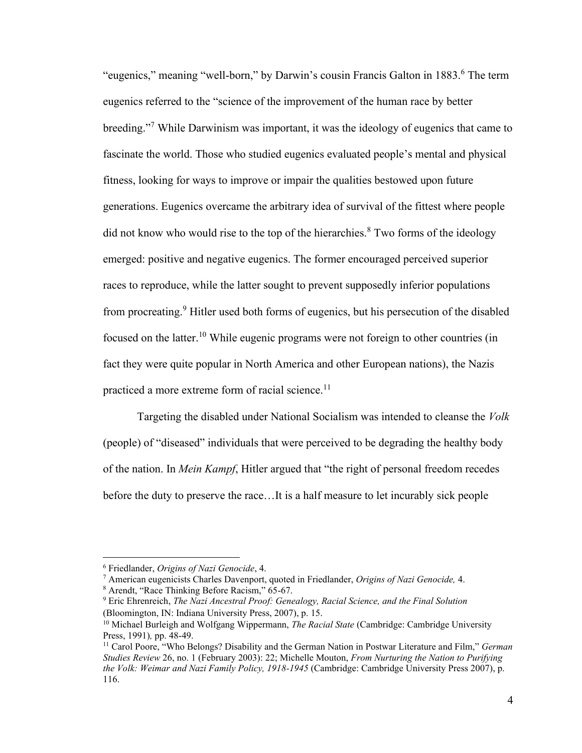"eugenics," meaning "well-born," by Darwin's cousin Francis Galton in 1883.<sup>6</sup> The term eugenics referred to the "science of the improvement of the human race by better breeding."<sup>7</sup> While Darwinism was important, it was the ideology of eugenics that came to fascinate the world. Those who studied eugenics evaluated people's mental and physical fitness, looking for ways to improve or impair the qualities bestowed upon future generations. Eugenics overcame the arbitrary idea of survival of the fittest where people did not know who would rise to the top of the hierarchies. $8$  Two forms of the ideology emerged: positive and negative eugenics. The former encouraged perceived superior races to reproduce, while the latter sought to prevent supposedly inferior populations from procreating.<sup>9</sup> Hitler used both forms of eugenics, but his persecution of the disabled focused on the latter.<sup>10</sup> While eugenic programs were not foreign to other countries (in fact they were quite popular in North America and other European nations), the Nazis practiced a more extreme form of racial science.<sup>11</sup>

Targeting the disabled under National Socialism was intended to cleanse the *Volk* (people) of "diseased" individuals that were perceived to be degrading the healthy body of the nation. In *Mein Kampf*, Hitler argued that "the right of personal freedom recedes before the duty to preserve the race…It is a half measure to let incurably sick people

<sup>6</sup> Friedlander, *Origins of Nazi Genocide*, 4.

<sup>7</sup> American eugenicists Charles Davenport, quoted in Friedlander, *Origins of Nazi Genocide,* 4.

<sup>8</sup> Arendt, "Race Thinking Before Racism," 65-67.

<sup>9</sup> Eric Ehrenreich, *The Nazi Ancestral Proof: Genealogy, Racial Science, and the Final Solution* (Bloomington, IN: Indiana University Press, 2007), p. 15.

<sup>10</sup> Michael Burleigh and Wolfgang Wippermann, *The Racial State* (Cambridge: Cambridge University Press, 1991)*,* pp. 48-49.

<sup>11</sup> Carol Poore, "Who Belongs? Disability and the German Nation in Postwar Literature and Film," *German Studies Review* 26, no. 1 (February 2003): 22; Michelle Mouton, *From Nurturing the Nation to Purifying the Volk: Weimar and Nazi Family Policy, 1918-1945* (Cambridge: Cambridge University Press 2007), p. 116.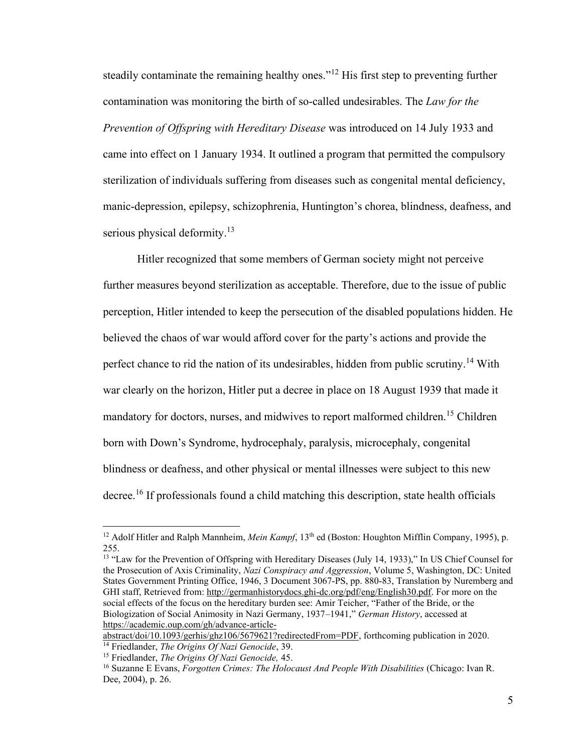steadily contaminate the remaining healthy ones."<sup>12</sup> His first step to preventing further contamination was monitoring the birth of so-called undesirables. The *Law for the Prevention of Offspring with Hereditary Disease* was introduced on 14 July 1933 and came into effect on 1 January 1934. It outlined a program that permitted the compulsory sterilization of individuals suffering from diseases such as congenital mental deficiency, manic-depression, epilepsy, schizophrenia, Huntington's chorea, blindness, deafness, and serious physical deformity.<sup>13</sup>

Hitler recognized that some members of German society might not perceive further measures beyond sterilization as acceptable. Therefore, due to the issue of public perception, Hitler intended to keep the persecution of the disabled populations hidden. He believed the chaos of war would afford cover for the party's actions and provide the perfect chance to rid the nation of its undesirables, hidden from public scrutiny.<sup>14</sup> With war clearly on the horizon, Hitler put a decree in place on 18 August 1939 that made it mandatory for doctors, nurses, and midwives to report malformed children.<sup>15</sup> Children born with Down's Syndrome, hydrocephaly, paralysis, microcephaly, congenital blindness or deafness, and other physical or mental illnesses were subject to this new decree.<sup>16</sup> If professionals found a child matching this description, state health officials

<sup>13</sup> "Law for the Prevention of Offspring with Hereditary Diseases (July 14, 1933)," In US Chief Counsel for the Prosecution of Axis Criminality, *Nazi Conspiracy and Aggression*, Volume 5, Washington, DC: United States Government Printing Office, 1946, 3 Document 3067-PS, pp. 880-83, Translation by Nuremberg and GHI staff, Retrieved from: http://germanhistorydocs.ghi-dc.org/pdf/eng/English30.pdf. For more on the social effects of the focus on the hereditary burden see: Amir Teicher, "Father of the Bride, or the Biologization of Social Animosity in Nazi Germany, 1937–1941," *German History*, accessed at [https://academic.oup.com/gh/advance-article-](https://academic.oup.com/gh/advance-article-abstract/doi/10.1093/gerhis/ghz106/5679621?redirectedFrom=PDF)

[abstract/doi/10.1093/gerhis/ghz106/5679621?redirectedFrom=PDF,](https://academic.oup.com/gh/advance-article-abstract/doi/10.1093/gerhis/ghz106/5679621?redirectedFrom=PDF) forthcoming publication in 2020. <sup>14</sup> Friedlander, *The Origins Of Nazi Genocide*, 39.

<sup>&</sup>lt;sup>12</sup> Adolf Hitler and Ralph Mannheim, *Mein Kampf*, 13<sup>th</sup> ed (Boston: Houghton Mifflin Company, 1995), p. 255.

<sup>15</sup> Friedlander, *The Origins Of Nazi Genocide,* 45.

<sup>16</sup> Suzanne E Evans, *Forgotten Crimes: The Holocaust And People With Disabilities* (Chicago: Ivan R. Dee, 2004), p. 26.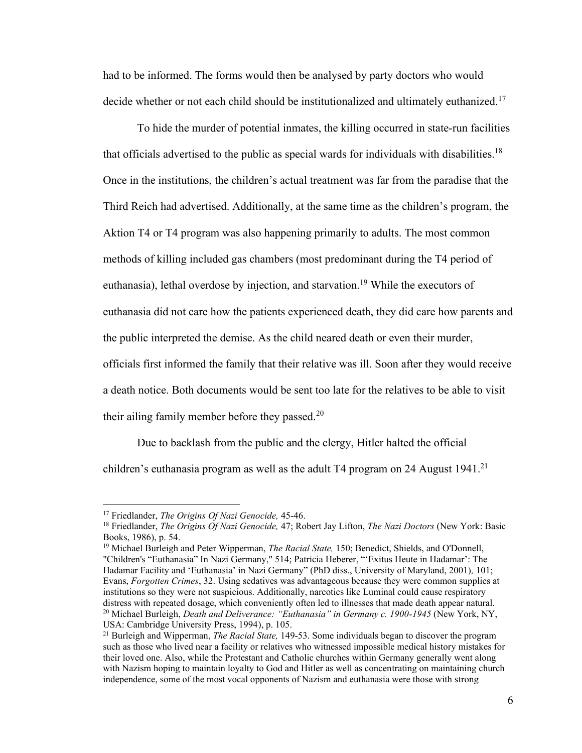had to be informed. The forms would then be analysed by party doctors who would decide whether or not each child should be institutionalized and ultimately euthanized.<sup>17</sup>

To hide the murder of potential inmates, the killing occurred in state-run facilities that officials advertised to the public as special wards for individuals with disabilities.<sup>18</sup> Once in the institutions, the children's actual treatment was far from the paradise that the Third Reich had advertised. Additionally, at the same time as the children's program, the Aktion T4 or T4 program was also happening primarily to adults. The most common methods of killing included gas chambers (most predominant during the T4 period of euthanasia), lethal overdose by injection, and starvation.<sup>19</sup> While the executors of euthanasia did not care how the patients experienced death, they did care how parents and the public interpreted the demise. As the child neared death or even their murder, officials first informed the family that their relative was ill. Soon after they would receive a death notice. Both documents would be sent too late for the relatives to be able to visit their ailing family member before they passed.<sup>20</sup>

Due to backlash from the public and the clergy, Hitler halted the official children's euthanasia program as well as the adult T4 program on 24 August 1941.<sup>21</sup>

<sup>17</sup> Friedlander, *The Origins Of Nazi Genocide,* 45-46.

<sup>18</sup> Friedlander, *The Origins Of Nazi Genocide,* 47; Robert Jay Lifton, *The Nazi Doctors* (New York: Basic Books, 1986), p. 54.

<sup>19</sup> Michael Burleigh and Peter Wipperman, *The Racial State,* 150; Benedict, Shields, and O'Donnell, "Children's "Euthanasia" In Nazi Germany," 514; Patricia Heberer, "'Exitus Heute in Hadamar': The Hadamar Facility and 'Euthanasia' in Nazi Germany" (PhD diss., University of Maryland, 2001)*,* 101; Evans, *Forgotten Crimes*, 32. Using sedatives was advantageous because they were common supplies at institutions so they were not suspicious. Additionally, narcotics like Luminal could cause respiratory distress with repeated dosage, which conveniently often led to illnesses that made death appear natural. <sup>20</sup> Michael Burleigh, *Death and Deliverance: "Euthanasia" in Germany c. 1900-1945* (New York, NY, USA: Cambridge University Press, 1994), p. 105.

<sup>21</sup> Burleigh and Wipperman, *The Racial State,* 149-53. Some individuals began to discover the program such as those who lived near a facility or relatives who witnessed impossible medical history mistakes for their loved one. Also, while the Protestant and Catholic churches within Germany generally went along with Nazism hoping to maintain loyalty to God and Hitler as well as concentrating on maintaining church independence, some of the most vocal opponents of Nazism and euthanasia were those with strong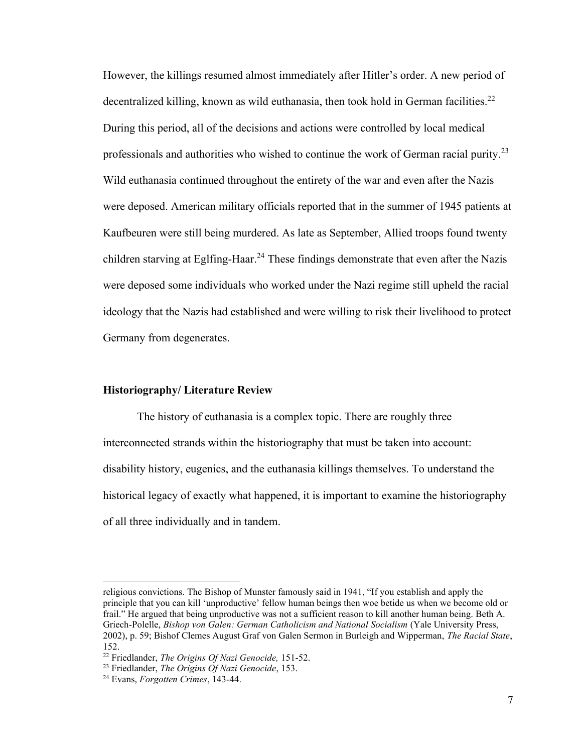However, the killings resumed almost immediately after Hitler's order. A new period of decentralized killing, known as wild euthanasia, then took hold in German facilities.<sup>22</sup> During this period, all of the decisions and actions were controlled by local medical professionals and authorities who wished to continue the work of German racial purity.<sup>23</sup> Wild euthanasia continued throughout the entirety of the war and even after the Nazis were deposed. American military officials reported that in the summer of 1945 patients at Kaufbeuren were still being murdered. As late as September, Allied troops found twenty children starving at Eglfing-Haar.<sup>24</sup> These findings demonstrate that even after the Nazis were deposed some individuals who worked under the Nazi regime still upheld the racial ideology that the Nazis had established and were willing to risk their livelihood to protect Germany from degenerates.

### **Historiography/ Literature Review**

The history of euthanasia is a complex topic. There are roughly three interconnected strands within the historiography that must be taken into account: disability history, eugenics, and the euthanasia killings themselves. To understand the historical legacy of exactly what happened, it is important to examine the historiography of all three individually and in tandem.

religious convictions. The Bishop of Munster famously said in 1941, "If you establish and apply the principle that you can kill 'unproductive' fellow human beings then woe betide us when we become old or frail." He argued that being unproductive was not a sufficient reason to kill another human being. Beth A. Griech-Polelle, *Bishop von Galen: German Catholicism and National Socialism* (Yale University Press, 2002), p. 59; Bishof Clemes August Graf von Galen Sermon in Burleigh and Wipperman, *The Racial State*, 152.

<sup>22</sup> Friedlander, *The Origins Of Nazi Genocide,* 151-52.

<sup>23</sup> Friedlander, *The Origins Of Nazi Genocide*, 153.

<sup>24</sup> Evans, *Forgotten Crimes*, 143-44.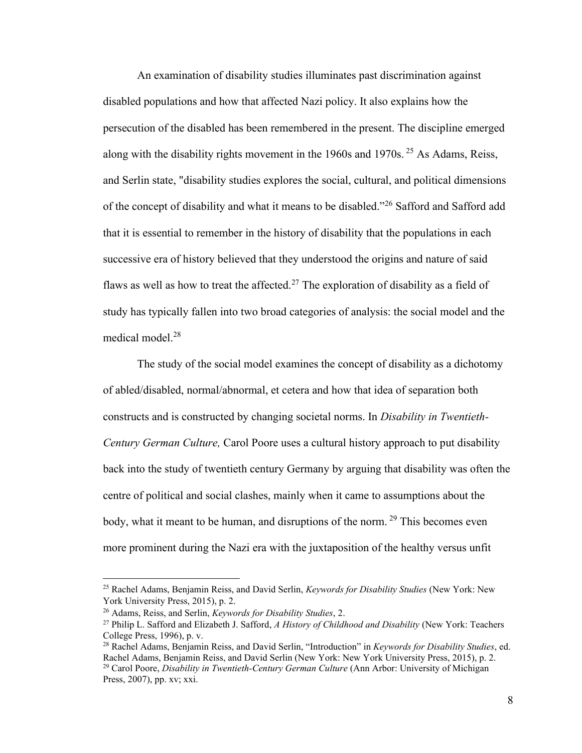An examination of disability studies illuminates past discrimination against disabled populations and how that affected Nazi policy. It also explains how the persecution of the disabled has been remembered in the present. The discipline emerged along with the disability rights movement in the 1960s and 1970s.  $25$  As Adams, Reiss, and Serlin state, "disability studies explores the social, cultural, and political dimensions of the concept of disability and what it means to be disabled."<sup>26</sup> Safford and Safford add that it is essential to remember in the history of disability that the populations in each successive era of history believed that they understood the origins and nature of said flaws as well as how to treat the affected.<sup>27</sup> The exploration of disability as a field of study has typically fallen into two broad categories of analysis: the social model and the medical model.<sup>28</sup>

The study of the social model examines the concept of disability as a dichotomy of abled/disabled, normal/abnormal, et cetera and how that idea of separation both constructs and is constructed by changing societal norms. In *Disability in Twentieth-Century German Culture,* Carol Poore uses a cultural history approach to put disability back into the study of twentieth century Germany by arguing that disability was often the centre of political and social clashes, mainly when it came to assumptions about the body, what it meant to be human, and disruptions of the norm.  $29$  This becomes even more prominent during the Nazi era with the juxtaposition of the healthy versus unfit

<sup>25</sup> Rachel Adams, Benjamin Reiss, and David Serlin, *Keywords for Disability Studies* (New York: New York University Press, 2015), p. 2.

<sup>26</sup> Adams, Reiss, and Serlin, *Keywords for Disability Studies*, 2.

<sup>27</sup> Philip L. Safford and Elizabeth J. Safford, *A History of Childhood and Disability* (New York: Teachers College Press, 1996), p. v.

<sup>28</sup> Rachel Adams, Benjamin Reiss, and David Serlin, "Introduction" in *Keywords for Disability Studies*, ed. Rachel Adams, Benjamin Reiss, and David Serlin (New York: New York University Press, 2015), p. 2. <sup>29</sup> Carol Poore, *Disability in Twentieth-Century German Culture* (Ann Arbor: University of Michigan Press, 2007), pp. xv; xxi.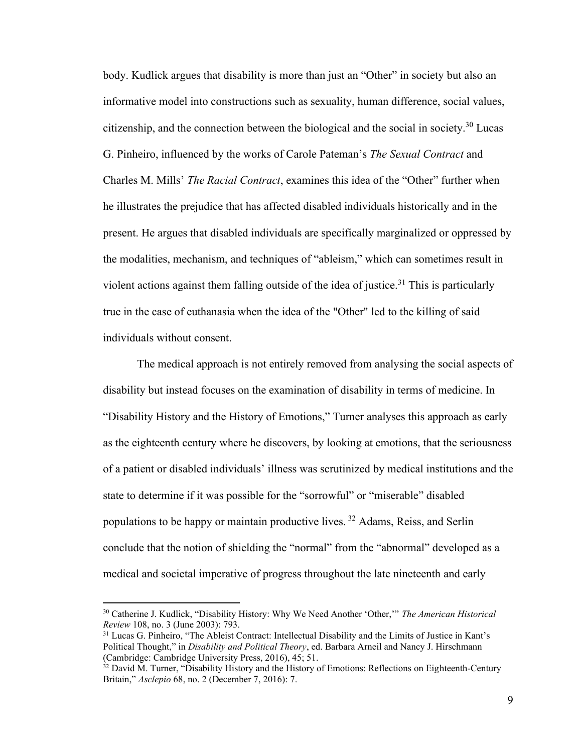body. Kudlick argues that disability is more than just an "Other" in society but also an informative model into constructions such as sexuality, human difference, social values, citizenship, and the connection between the biological and the social in society.<sup>30</sup> Lucas G. Pinheiro, influenced by the works of Carole Pateman's *The Sexual Contract* and Charles M. Mills' *The Racial Contract*, examines this idea of the "Other" further when he illustrates the prejudice that has affected disabled individuals historically and in the present. He argues that disabled individuals are specifically marginalized or oppressed by the modalities, mechanism, and techniques of "ableism," which can sometimes result in violent actions against them falling outside of the idea of justice.<sup>31</sup> This is particularly true in the case of euthanasia when the idea of the "Other" led to the killing of said individuals without consent.

The medical approach is not entirely removed from analysing the social aspects of disability but instead focuses on the examination of disability in terms of medicine. In "Disability History and the History of Emotions," Turner analyses this approach as early as the eighteenth century where he discovers, by looking at emotions, that the seriousness of a patient or disabled individuals' illness was scrutinized by medical institutions and the state to determine if it was possible for the "sorrowful" or "miserable" disabled populations to be happy or maintain productive lives. <sup>32</sup> Adams, Reiss, and Serlin conclude that the notion of shielding the "normal" from the "abnormal" developed as a medical and societal imperative of progress throughout the late nineteenth and early

<sup>30</sup> Catherine J. Kudlick, "Disability History: Why We Need Another 'Other,'" *The American Historical Review* 108, no. 3 (June 2003): 793.

<sup>&</sup>lt;sup>31</sup> Lucas G. Pinheiro, "The Ableist Contract: Intellectual Disability and the Limits of Justice in Kant's Political Thought," in *Disability and Political Theory*, ed. Barbara Arneil and Nancy J. Hirschmann (Cambridge: Cambridge University Press, 2016), 45; 51.

<sup>&</sup>lt;sup>32</sup> David M. Turner, "Disability History and the History of Emotions: Reflections on Eighteenth-Century Britain," *Asclepio* 68, no. 2 (December 7, 2016): 7.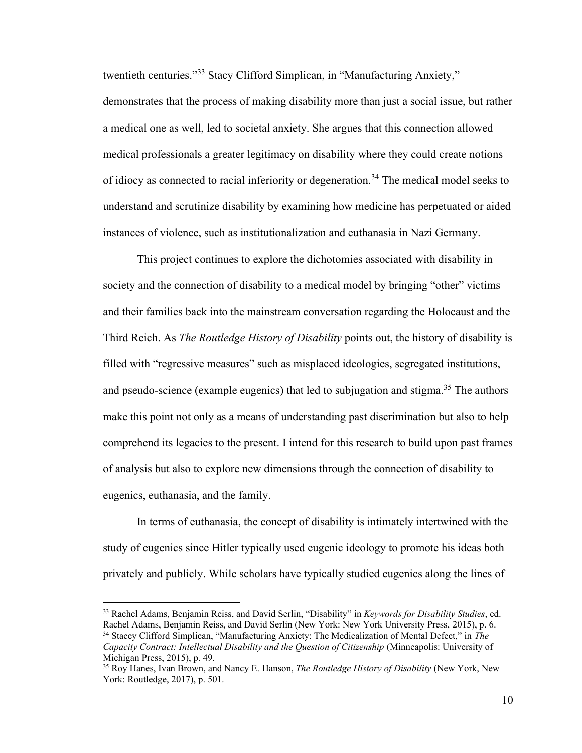twentieth centuries."<sup>33</sup> Stacy Clifford Simplican, in "Manufacturing Anxiety," demonstrates that the process of making disability more than just a social issue, but rather a medical one as well, led to societal anxiety. She argues that this connection allowed medical professionals a greater legitimacy on disability where they could create notions of idiocy as connected to racial inferiority or degeneration.<sup>34</sup> The medical model seeks to understand and scrutinize disability by examining how medicine has perpetuated or aided instances of violence, such as institutionalization and euthanasia in Nazi Germany.

This project continues to explore the dichotomies associated with disability in society and the connection of disability to a medical model by bringing "other" victims and their families back into the mainstream conversation regarding the Holocaust and the Third Reich. As *The Routledge History of Disability* points out, the history of disability is filled with "regressive measures" such as misplaced ideologies, segregated institutions, and pseudo-science (example eugenics) that led to subjugation and stigma.<sup>35</sup> The authors make this point not only as a means of understanding past discrimination but also to help comprehend its legacies to the present. I intend for this research to build upon past frames of analysis but also to explore new dimensions through the connection of disability to eugenics, euthanasia, and the family.

In terms of euthanasia, the concept of disability is intimately intertwined with the study of eugenics since Hitler typically used eugenic ideology to promote his ideas both privately and publicly. While scholars have typically studied eugenics along the lines of

<sup>33</sup> Rachel Adams, Benjamin Reiss, and David Serlin, "Disability" in *Keywords for Disability Studies*, ed. Rachel Adams, Benjamin Reiss, and David Serlin (New York: New York University Press, 2015), p. 6. <sup>34</sup> Stacey Clifford Simplican, "Manufacturing Anxiety: The Medicalization of Mental Defect," in *The Capacity Contract: Intellectual Disability and the Question of Citizenship* (Minneapolis: University of Michigan Press, 2015), p. 49.

<sup>35</sup> Roy Hanes, Ivan Brown, and Nancy E. Hanson, *The Routledge History of Disability* (New York, New York: Routledge, 2017), p. 501.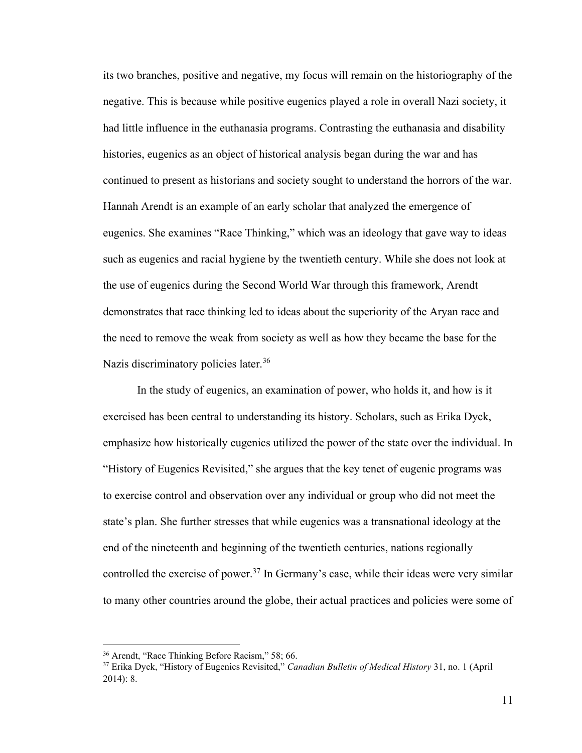its two branches, positive and negative, my focus will remain on the historiography of the negative. This is because while positive eugenics played a role in overall Nazi society, it had little influence in the euthanasia programs. Contrasting the euthanasia and disability histories, eugenics as an object of historical analysis began during the war and has continued to present as historians and society sought to understand the horrors of the war. Hannah Arendt is an example of an early scholar that analyzed the emergence of eugenics. She examines "Race Thinking," which was an ideology that gave way to ideas such as eugenics and racial hygiene by the twentieth century. While she does not look at the use of eugenics during the Second World War through this framework, Arendt demonstrates that race thinking led to ideas about the superiority of the Aryan race and the need to remove the weak from society as well as how they became the base for the Nazis discriminatory policies later.<sup>36</sup>

In the study of eugenics, an examination of power, who holds it, and how is it exercised has been central to understanding its history. Scholars, such as Erika Dyck, emphasize how historically eugenics utilized the power of the state over the individual. In "History of Eugenics Revisited," she argues that the key tenet of eugenic programs was to exercise control and observation over any individual or group who did not meet the state's plan. She further stresses that while eugenics was a transnational ideology at the end of the nineteenth and beginning of the twentieth centuries, nations regionally controlled the exercise of power.<sup>37</sup> In Germany's case, while their ideas were very similar to many other countries around the globe, their actual practices and policies were some of

<sup>36</sup> Arendt, "Race Thinking Before Racism," 58; 66.

<sup>37</sup> Erika Dyck, "History of Eugenics Revisited," *Canadian Bulletin of Medical History* 31, no. 1 (April 2014): 8.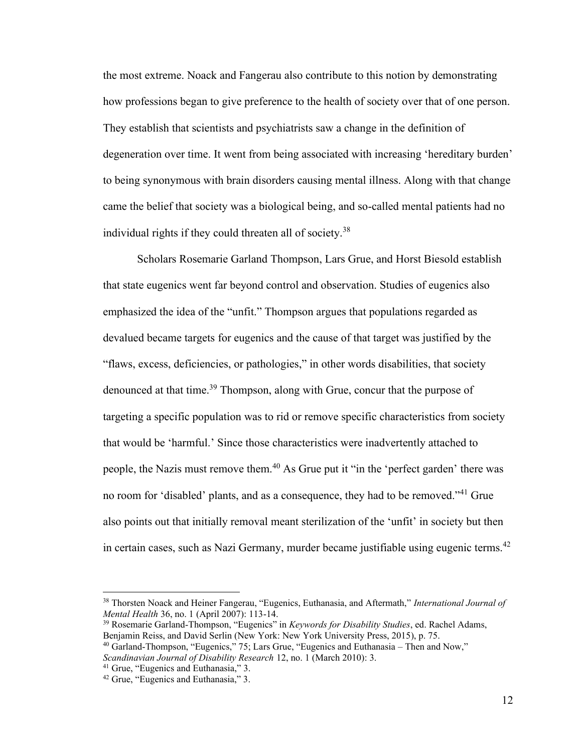the most extreme. Noack and Fangerau also contribute to this notion by demonstrating how professions began to give preference to the health of society over that of one person. They establish that scientists and psychiatrists saw a change in the definition of degeneration over time. It went from being associated with increasing 'hereditary burden' to being synonymous with brain disorders causing mental illness. Along with that change came the belief that society was a biological being, and so-called mental patients had no individual rights if they could threaten all of society.<sup>38</sup>

Scholars Rosemarie Garland Thompson, Lars Grue, and Horst Biesold establish that state eugenics went far beyond control and observation. Studies of eugenics also emphasized the idea of the "unfit." Thompson argues that populations regarded as devalued became targets for eugenics and the cause of that target was justified by the "flaws, excess, deficiencies, or pathologies," in other words disabilities, that society denounced at that time.<sup>39</sup> Thompson, along with Grue, concur that the purpose of targeting a specific population was to rid or remove specific characteristics from society that would be 'harmful.' Since those characteristics were inadvertently attached to people, the Nazis must remove them.<sup>40</sup> As Grue put it "in the 'perfect garden' there was no room for 'disabled' plants, and as a consequence, they had to be removed."<sup>41</sup> Grue also points out that initially removal meant sterilization of the 'unfit' in society but then in certain cases, such as Nazi Germany, murder became justifiable using eugenic terms.<sup>42</sup>

<sup>38</sup> Thorsten Noack and Heiner Fangerau, "Eugenics, Euthanasia, and Aftermath," *International Journal of Mental Health* 36, no. 1 (April 2007): 113-14.

<sup>39</sup> Rosemarie Garland-Thompson, "Eugenics" in *Keywords for Disability Studies*, ed. Rachel Adams, Benjamin Reiss, and David Serlin (New York: New York University Press, 2015), p. 75.

 $40$  Garland-Thompson, "Eugenics," 75; Lars Grue, "Eugenics and Euthanasia – Then and Now," *Scandinavian Journal of Disability Research* 12, no. 1 (March 2010): 3.

<sup>&</sup>lt;sup>41</sup> Grue, "Eugenics and Euthanasia," 3.

<sup>42</sup> Grue, "Eugenics and Euthanasia," 3.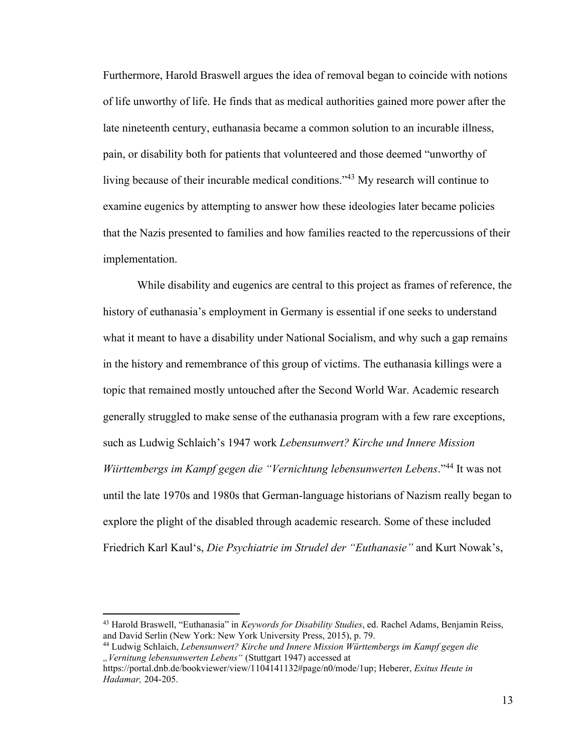Furthermore, Harold Braswell argues the idea of removal began to coincide with notions of life unworthy of life. He finds that as medical authorities gained more power after the late nineteenth century, euthanasia became a common solution to an incurable illness, pain, or disability both for patients that volunteered and those deemed "unworthy of living because of their incurable medical conditions."<sup>43</sup> My research will continue to examine eugenics by attempting to answer how these ideologies later became policies that the Nazis presented to families and how families reacted to the repercussions of their implementation.

While disability and eugenics are central to this project as frames of reference, the history of euthanasia's employment in Germany is essential if one seeks to understand what it meant to have a disability under National Socialism, and why such a gap remains in the history and remembrance of this group of victims. The euthanasia killings were a topic that remained mostly untouched after the Second World War. Academic research generally struggled to make sense of the euthanasia program with a few rare exceptions, such as Ludwig Schlaich's 1947 work *Lebensunwert? Kirche und Innere Mission Wiirttembergs im Kampf gegen die "Vernichtung lebensunwerten Lebens*." <sup>44</sup> It was not until the late 1970s and 1980s that German-language historians of Nazism really began to explore the plight of the disabled through academic research. Some of these included Friedrich Karl Kaul's, *Die Psychiatrie im Strudel der "Euthanasie"* and Kurt Nowak's,

<sup>43</sup> Harold Braswell, "Euthanasia" in *Keywords for Disability Studies*, ed. Rachel Adams, Benjamin Reiss, and David Serlin (New York: New York University Press, 2015), p. 79.

<sup>44</sup> Ludwig Schlaich, *Lebensunwert? Kirche und Innere Mission Württembergs im Kampf gegen die "Vernitung lebensunwerten Lebens"* (Stuttgart 1947) accessed at

https://portal.dnb.de/bookviewer/view/1104141132#page/n0/mode/1up; Heberer, *Exitus Heute in Hadamar,* 204-205.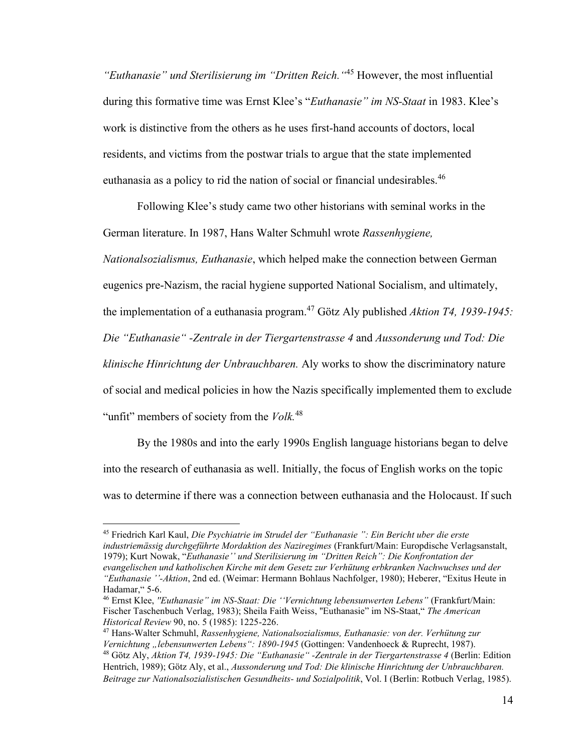*"Euthanasie" und Sterilisierung im "Dritten Reich."* <sup>45</sup> However, the most influential during this formative time was Ernst Klee's "*Euthanasie" im NS-Staat* in 1983. Klee's work is distinctive from the others as he uses first-hand accounts of doctors, local residents, and victims from the postwar trials to argue that the state implemented euthanasia as a policy to rid the nation of social or financial undesirables.<sup>46</sup>

Following Klee's study came two other historians with seminal works in the German literature. In 1987, Hans Walter Schmuhl wrote *Rassenhygiene,* 

*Nationalsozialismus, Euthanasie*, which helped make the connection between German eugenics pre-Nazism, the racial hygiene supported National Socialism, and ultimately, the implementation of a euthanasia program.<sup>47</sup> Götz Aly published *Aktion T4, 1939-1945: Die "Euthanasie" -Zentrale in der Tiergartenstrasse 4* and *Aussonderung und Tod: Die klinische Hinrichtung der Unbrauchbaren.* Aly works to show the discriminatory nature of social and medical policies in how the Nazis specifically implemented them to exclude "unfit" members of society from the *Volk.*<sup>48</sup>

By the 1980s and into the early 1990s English language historians began to delve into the research of euthanasia as well. Initially, the focus of English works on the topic was to determine if there was a connection between euthanasia and the Holocaust. If such

<sup>45</sup> Friedrich Karl Kaul, *Die Psychiatrie im Strudel der "Euthanasie ": Ein Bericht uber die erste industriemässig durchgeführte Mordaktion des Naziregimes* (Frankfurt/Main: Europdische Verlagsanstalt, 1979); Kurt Nowak, "*Euthanasie'' und Sterilisierung im "Dritten Reich": Die Konfrontation der evangelischen und katholischen Kirche mit dem Gesetz zur Verhütung erbkranken Nachwuchses und der "Euthanasie ''-Aktion*, 2nd ed. (Weimar: Hermann Bohlaus Nachfolger, 1980); Heberer, "Exitus Heute in Hadamar," 5-6.

<sup>46</sup> Ernst Klee, *''Euthanasie" im NS-Staat: Die ''Vernichtung lebensunwerten Lebens"* (Frankfurt/Main: Fischer Taschenbuch Verlag, 1983); Sheila Faith Weiss, ''Euthanasie" im NS-Staat," *The American Historical Review* 90, no. 5 (1985): 1225-226.

<sup>47</sup> Hans-Walter Schmuhl, *Rassenhygiene, Nationalsozialismus, Euthanasie: von der. Verhütung zur Vernichtung "lebensunwerten Lebens": 1890-1945* (Gottingen: Vandenhoeck & Ruprecht, 1987). <sup>48</sup> Götz Aly, *Aktion T4, 1939-1945: Die "Euthanasie" -Zentrale in der Tiergartenstrasse 4* (Berlin: Edition

Hentrich, 1989); Götz Aly, et al., *Aussonderung und Tod: Die klinische Hinrichtung der Unbrauchbaren. Beitrage zur Nationalsozialistischen Gesundheits- und Sozialpolitik*, Vol. I (Berlin: Rotbuch Verlag, 1985).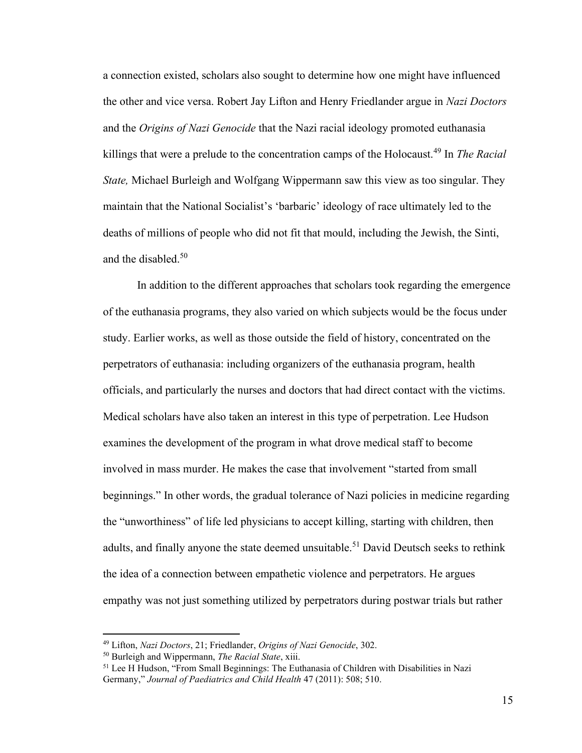a connection existed, scholars also sought to determine how one might have influenced the other and vice versa. Robert Jay Lifton and Henry Friedlander argue in *Nazi Doctors*  and the *Origins of Nazi Genocide* that the Nazi racial ideology promoted euthanasia killings that were a prelude to the concentration camps of the Holocaust.<sup>49</sup> In *The Racial State,* Michael Burleigh and Wolfgang Wippermann saw this view as too singular. They maintain that the National Socialist's 'barbaric' ideology of race ultimately led to the deaths of millions of people who did not fit that mould, including the Jewish, the Sinti, and the disabled.<sup>50</sup>

In addition to the different approaches that scholars took regarding the emergence of the euthanasia programs, they also varied on which subjects would be the focus under study. Earlier works, as well as those outside the field of history, concentrated on the perpetrators of euthanasia: including organizers of the euthanasia program, health officials, and particularly the nurses and doctors that had direct contact with the victims. Medical scholars have also taken an interest in this type of perpetration. Lee Hudson examines the development of the program in what drove medical staff to become involved in mass murder. He makes the case that involvement "started from small beginnings." In other words, the gradual tolerance of Nazi policies in medicine regarding the "unworthiness" of life led physicians to accept killing, starting with children, then adults, and finally anyone the state deemed unsuitable.<sup>51</sup> David Deutsch seeks to rethink the idea of a connection between empathetic violence and perpetrators. He argues empathy was not just something utilized by perpetrators during postwar trials but rather

<sup>49</sup> Lifton, *Nazi Doctors*, 21; Friedlander, *Origins of Nazi Genocide*, 302.

<sup>50</sup> Burleigh and Wippermann, *The Racial State*, xiii.

<sup>51</sup> Lee H Hudson, "From Small Beginnings: The Euthanasia of Children with Disabilities in Nazi Germany," *Journal of Paediatrics and Child Health* 47 (2011): 508; 510.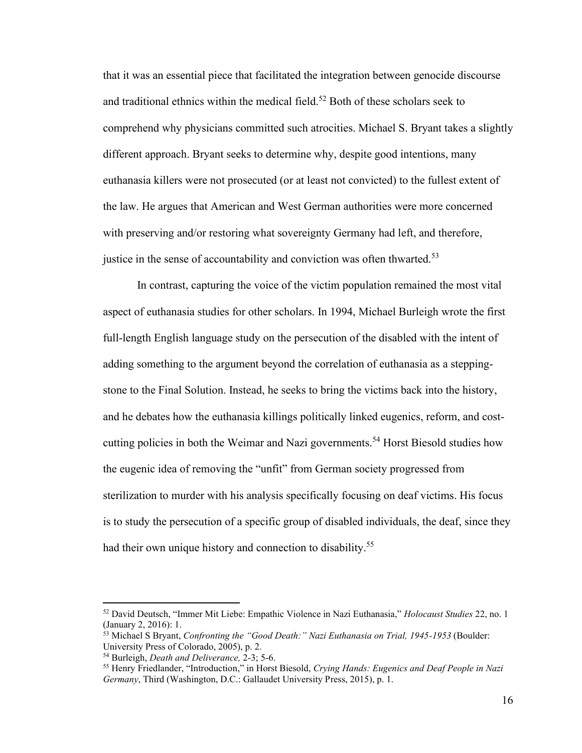that it was an essential piece that facilitated the integration between genocide discourse and traditional ethnics within the medical field.<sup>52</sup> Both of these scholars seek to comprehend why physicians committed such atrocities. Michael S. Bryant takes a slightly different approach. Bryant seeks to determine why, despite good intentions, many euthanasia killers were not prosecuted (or at least not convicted) to the fullest extent of the law. He argues that American and West German authorities were more concerned with preserving and/or restoring what sovereignty Germany had left, and therefore, justice in the sense of accountability and conviction was often thwarted.<sup>53</sup>

In contrast, capturing the voice of the victim population remained the most vital aspect of euthanasia studies for other scholars. In 1994, Michael Burleigh wrote the first full-length English language study on the persecution of the disabled with the intent of adding something to the argument beyond the correlation of euthanasia as a steppingstone to the Final Solution. Instead, he seeks to bring the victims back into the history, and he debates how the euthanasia killings politically linked eugenics, reform, and costcutting policies in both the Weimar and Nazi governments.<sup>54</sup> Horst Biesold studies how the eugenic idea of removing the "unfit" from German society progressed from sterilization to murder with his analysis specifically focusing on deaf victims. His focus is to study the persecution of a specific group of disabled individuals, the deaf, since they had their own unique history and connection to disability.<sup>55</sup>

<sup>52</sup> David Deutsch, "Immer Mit Liebe: Empathic Violence in Nazi Euthanasia," *Holocaust Studies* 22, no. 1 (January 2, 2016): 1.

<sup>53</sup> Michael S Bryant, *Confronting the "Good Death:" Nazi Euthanasia on Trial, 1945-1953* (Boulder: University Press of Colorado, 2005), p. 2.

<sup>54</sup> Burleigh, *Death and Deliverance,* 2-3; 5-6.

<sup>55</sup> Henry Friedlander, "Introduction," in Horst Biesold, *Crying Hands: Eugenics and Deaf People in Nazi Germany*, Third (Washington, D.C.: Gallaudet University Press, 2015), p. 1.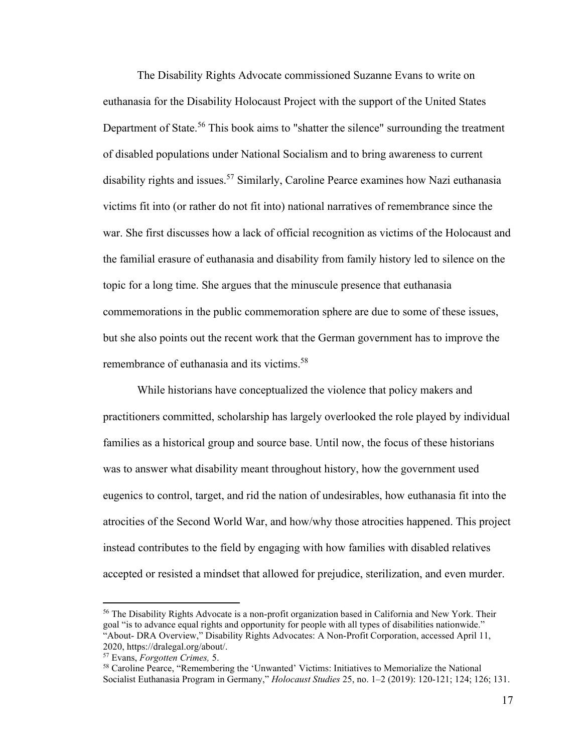The Disability Rights Advocate commissioned Suzanne Evans to write on euthanasia for the Disability Holocaust Project with the support of the United States Department of State.<sup>56</sup> This book aims to "shatter the silence" surrounding the treatment of disabled populations under National Socialism and to bring awareness to current disability rights and issues.<sup>57</sup> Similarly, Caroline Pearce examines how Nazi euthanasia victims fit into (or rather do not fit into) national narratives of remembrance since the war. She first discusses how a lack of official recognition as victims of the Holocaust and the familial erasure of euthanasia and disability from family history led to silence on the topic for a long time. She argues that the minuscule presence that euthanasia commemorations in the public commemoration sphere are due to some of these issues, but she also points out the recent work that the German government has to improve the remembrance of euthanasia and its victims.<sup>58</sup>

While historians have conceptualized the violence that policy makers and practitioners committed, scholarship has largely overlooked the role played by individual families as a historical group and source base. Until now, the focus of these historians was to answer what disability meant throughout history, how the government used eugenics to control, target, and rid the nation of undesirables, how euthanasia fit into the atrocities of the Second World War, and how/why those atrocities happened. This project instead contributes to the field by engaging with how families with disabled relatives accepted or resisted a mindset that allowed for prejudice, sterilization, and even murder.

<sup>&</sup>lt;sup>56</sup> The Disability Rights Advocate is a non-profit organization based in California and New York. Their goal "is to advance equal rights and opportunity for people with all types of disabilities nationwide." "About- DRA Overview," Disability Rights Advocates: A Non-Profit Corporation, accessed April 11, 2020, https://dralegal.org/about/.

<sup>57</sup> Evans, *Forgotten Crimes,* 5.

<sup>58</sup> Caroline Pearce, "Remembering the 'Unwanted' Victims: Initiatives to Memorialize the National Socialist Euthanasia Program in Germany," *Holocaust Studies* 25, no. 1–2 (2019): 120-121; 124; 126; 131.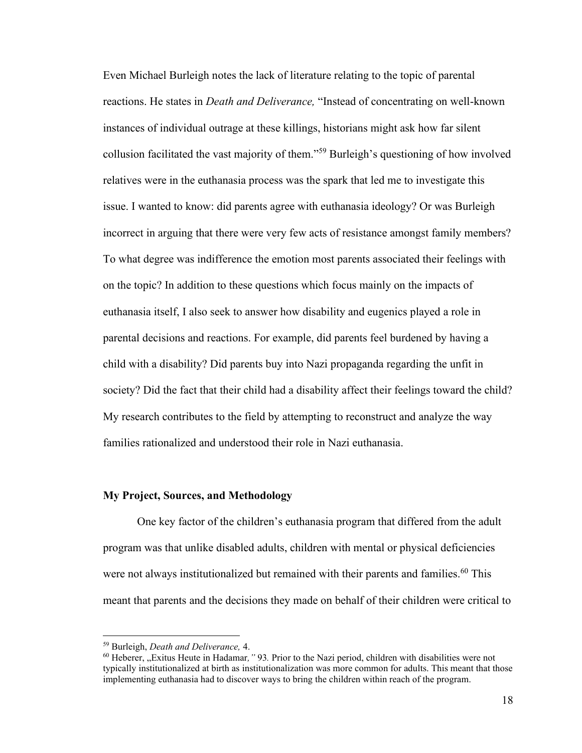Even Michael Burleigh notes the lack of literature relating to the topic of parental reactions. He states in *Death and Deliverance,* "Instead of concentrating on well-known instances of individual outrage at these killings, historians might ask how far silent collusion facilitated the vast majority of them."<sup>59</sup> Burleigh's questioning of how involved relatives were in the euthanasia process was the spark that led me to investigate this issue. I wanted to know: did parents agree with euthanasia ideology? Or was Burleigh incorrect in arguing that there were very few acts of resistance amongst family members? To what degree was indifference the emotion most parents associated their feelings with on the topic? In addition to these questions which focus mainly on the impacts of euthanasia itself, I also seek to answer how disability and eugenics played a role in parental decisions and reactions. For example, did parents feel burdened by having a child with a disability? Did parents buy into Nazi propaganda regarding the unfit in society? Did the fact that their child had a disability affect their feelings toward the child? My research contributes to the field by attempting to reconstruct and analyze the way families rationalized and understood their role in Nazi euthanasia.

#### **My Project, Sources, and Methodology**

One key factor of the children's euthanasia program that differed from the adult program was that unlike disabled adults, children with mental or physical deficiencies were not always institutionalized but remained with their parents and families.<sup>60</sup> This meant that parents and the decisions they made on behalf of their children were critical to

<sup>59</sup> Burleigh, *Death and Deliverance,* 4.

<sup>&</sup>lt;sup>60</sup> Heberer, "Exitus Heute in Hadamar," 93. Prior to the Nazi period, children with disabilities were not typically institutionalized at birth as institutionalization was more common for adults. This meant that those implementing euthanasia had to discover ways to bring the children within reach of the program.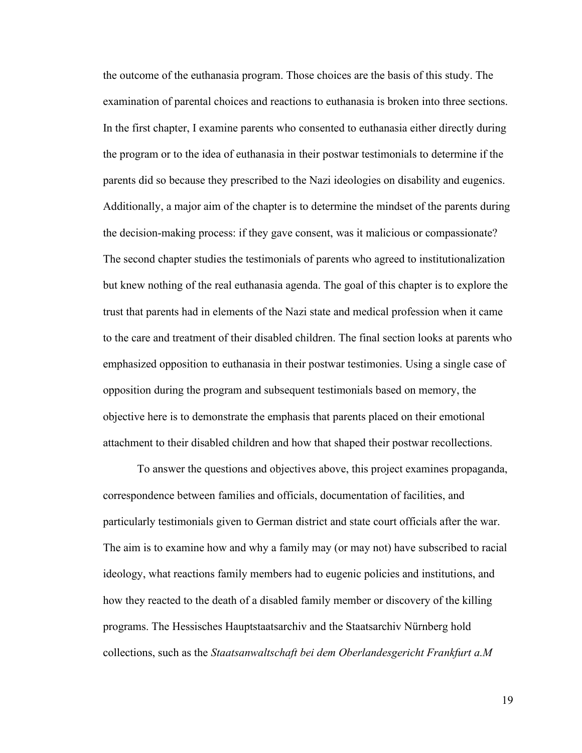the outcome of the euthanasia program. Those choices are the basis of this study. The examination of parental choices and reactions to euthanasia is broken into three sections. In the first chapter, I examine parents who consented to euthanasia either directly during the program or to the idea of euthanasia in their postwar testimonials to determine if the parents did so because they prescribed to the Nazi ideologies on disability and eugenics. Additionally, a major aim of the chapter is to determine the mindset of the parents during the decision-making process: if they gave consent, was it malicious or compassionate? The second chapter studies the testimonials of parents who agreed to institutionalization but knew nothing of the real euthanasia agenda. The goal of this chapter is to explore the trust that parents had in elements of the Nazi state and medical profession when it came to the care and treatment of their disabled children. The final section looks at parents who emphasized opposition to euthanasia in their postwar testimonies. Using a single case of opposition during the program and subsequent testimonials based on memory, the objective here is to demonstrate the emphasis that parents placed on their emotional attachment to their disabled children and how that shaped their postwar recollections.

To answer the questions and objectives above, this project examines propaganda, correspondence between families and officials, documentation of facilities, and particularly testimonials given to German district and state court officials after the war. The aim is to examine how and why a family may (or may not) have subscribed to racial ideology, what reactions family members had to eugenic policies and institutions, and how they reacted to the death of a disabled family member or discovery of the killing programs. The Hessisches Hauptstaatsarchiv and the Staatsarchiv Nürnberg hold collections, such as the *Staatsanwaltschaft bei dem Oberlandesgericht Frankfurt a.M*

19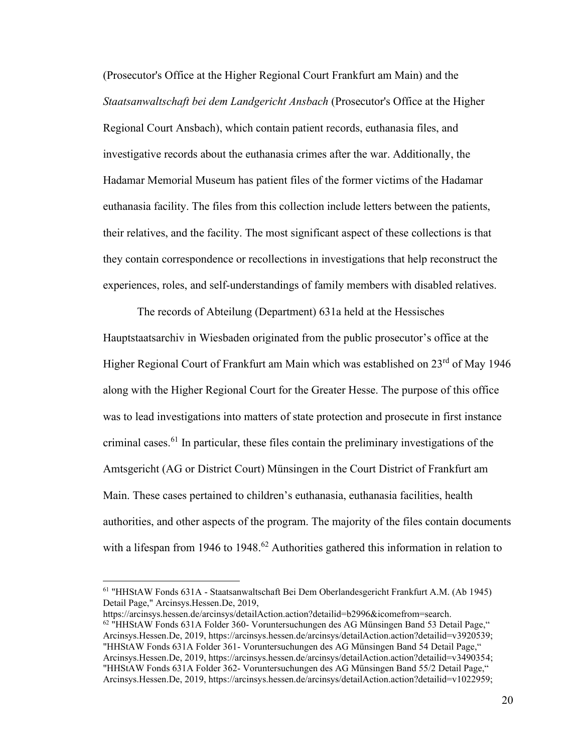(Prosecutor's Office at the Higher Regional Court Frankfurt am Main) and the *Staatsanwaltschaft bei dem Landgericht Ansbach* (Prosecutor's Office at the Higher Regional Court Ansbach), which contain patient records, euthanasia files, and investigative records about the euthanasia crimes after the war. Additionally, the Hadamar Memorial Museum has patient files of the former victims of the Hadamar euthanasia facility. The files from this collection include letters between the patients, their relatives, and the facility. The most significant aspect of these collections is that they contain correspondence or recollections in investigations that help reconstruct the experiences, roles, and self-understandings of family members with disabled relatives.

The records of Abteilung (Department) 631a held at the Hessisches Hauptstaatsarchiv in Wiesbaden originated from the public prosecutor's office at the Higher Regional Court of Frankfurt am Main which was established on  $23<sup>rd</sup>$  of May 1946 along with the Higher Regional Court for the Greater Hesse. The purpose of this office was to lead investigations into matters of state protection and prosecute in first instance criminal cases.<sup>61</sup> In particular, these files contain the preliminary investigations of the Amtsgericht (AG or District Court) Münsingen in the Court District of Frankfurt am Main. These cases pertained to children's euthanasia, euthanasia facilities, health authorities, and other aspects of the program. The majority of the files contain documents with a lifespan from 1946 to 1948.<sup>62</sup> Authorities gathered this information in relation to

<sup>61</sup> "HHStAW Fonds 631A - Staatsanwaltschaft Bei Dem Oberlandesgericht Frankfurt A.M. (Ab 1945) Detail Page," Arcinsys.Hessen.De, 2019,

https://arcinsys.hessen.de/arcinsys/detailAction.action?detailid=b2996&icomefrom=search.  $62$  "HHStAW Fonds 631A Folder 360- Voruntersuchungen des AG Münsingen Band 53 Detail Page," Arcinsys.Hessen.De, 2019, https://arcinsys.hessen.de/arcinsys/detailAction.action?detailid=v3920539; "HHStAW Fonds 631A Folder 361- Voruntersuchungen des AG Münsingen Band 54 Detail Page," Arcinsys.Hessen.De, 2019, https://arcinsys.hessen.de/arcinsys/detailAction.action?detailid=v3490354; "HHStAW Fonds 631A Folder 362- Voruntersuchungen des AG Münsingen Band 55/2 Detail Page," Arcinsys.Hessen.De, 2019, https://arcinsys.hessen.de/arcinsys/detailAction.action?detailid=v1022959;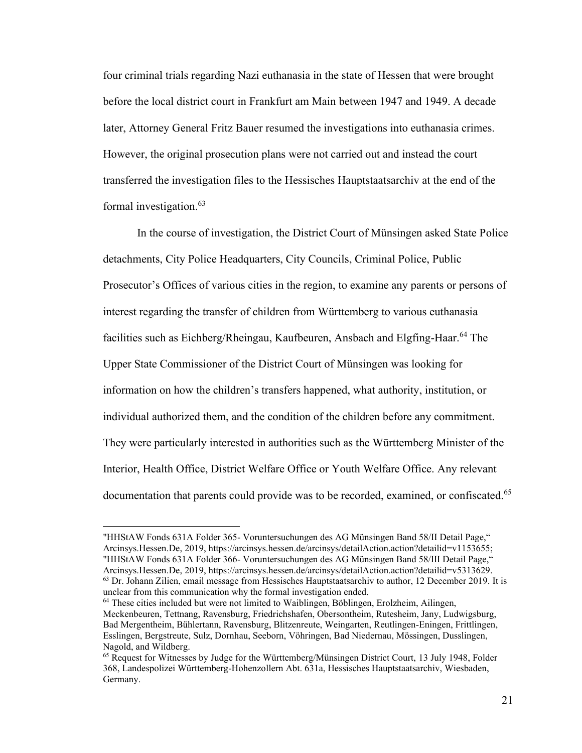four criminal trials regarding Nazi euthanasia in the state of Hessen that were brought before the local district court in Frankfurt am Main between 1947 and 1949. A decade later, Attorney General Fritz Bauer resumed the investigations into euthanasia crimes. However, the original prosecution plans were not carried out and instead the court transferred the investigation files to the Hessisches Hauptstaatsarchiv at the end of the formal investigation.<sup>63</sup>

In the course of investigation, the District Court of Münsingen asked State Police detachments, City Police Headquarters, City Councils, Criminal Police, Public Prosecutor's Offices of various cities in the region, to examine any parents or persons of interest regarding the transfer of children from Württemberg to various euthanasia facilities such as Eichberg/Rheingau, Kaufbeuren, Ansbach and Elgfing-Haar.<sup>64</sup> The Upper State Commissioner of the District Court of Münsingen was looking for information on how the children's transfers happened, what authority, institution, or individual authorized them, and the condition of the children before any commitment. They were particularly interested in authorities such as the Württemberg Minister of the Interior, Health Office, District Welfare Office or Youth Welfare Office. Any relevant documentation that parents could provide was to be recorded, examined, or confiscated.<sup>65</sup>

<sup>&</sup>quot;HHStAW Fonds 631A Folder 365- Voruntersuchungen des AG Münsingen Band 58/II Detail Page," Arcinsys.Hessen.De, 2019, https://arcinsys.hessen.de/arcinsys/detailAction.action?detailid=v1153655; "HHStAW Fonds 631A Folder 366- Voruntersuchungen des AG Münsingen Band 58/III Detail Page," Arcinsys.Hessen.De, 2019, https://arcinsys.hessen.de/arcinsys/detailAction.action?detailid=v5313629.  $63$  Dr. Johann Zilien, email message from Hessisches Hauptstaatsarchiv to author, 12 December 2019. It is

unclear from this communication why the formal investigation ended. <sup>64</sup> These cities included but were not limited to Waiblingen, Böblingen, Erolzheim, Ailingen, Meckenbeuren, Tettnang, Ravensburg, Friedrichshafen, Obersontheim, Rutesheim, Jany, Ludwigsburg, Bad Mergentheim, Bühlertann, Ravensburg, Blitzenreute, Weingarten, Reutlingen-Eningen, Frittlingen, Esslingen, Bergstreute, Sulz, Dornhau, Seeborn, Vöhringen, Bad Niedernau, Mössingen, Dusslingen,

Nagold, and Wildberg. <sup>65</sup> Request for Witnesses by Judge for the Württemberg/Münsingen District Court, 13 July 1948, Folder 368, Landespolizei Württemberg-Hohenzollern Abt. 631a, Hessisches Hauptstaatsarchiv, Wiesbaden, Germany.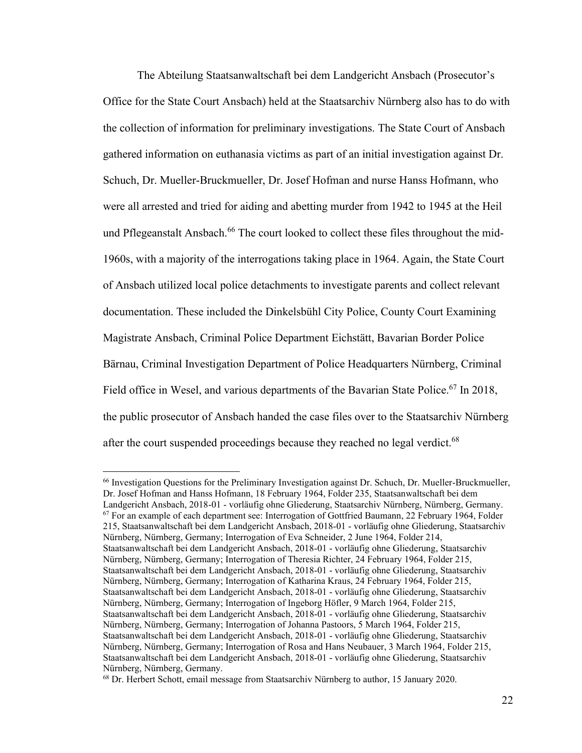The Abteilung Staatsanwaltschaft bei dem Landgericht Ansbach (Prosecutor's Office for the State Court Ansbach) held at the Staatsarchiv Nürnberg also has to do with the collection of information for preliminary investigations. The State Court of Ansbach gathered information on euthanasia victims as part of an initial investigation against Dr. Schuch, Dr. Mueller-Bruckmueller, Dr. Josef Hofman and nurse Hanss Hofmann, who were all arrested and tried for aiding and abetting murder from 1942 to 1945 at the Heil und Pflegeanstalt Ansbach.<sup>66</sup> The court looked to collect these files throughout the mid-1960s, with a majority of the interrogations taking place in 1964. Again, the State Court of Ansbach utilized local police detachments to investigate parents and collect relevant documentation. These included the Dinkelsbühl City Police, County Court Examining Magistrate Ansbach, Criminal Police Department Eichstätt, Bavarian Border Police Bärnau, Criminal Investigation Department of Police Headquarters Nürnberg, Criminal Field office in Wesel, and various departments of the Bavarian State Police.<sup>67</sup> In 2018, the public prosecutor of Ansbach handed the case files over to the Staatsarchiv Nürnberg after the court suspended proceedings because they reached no legal verdict.<sup>68</sup>

<sup>66</sup> Investigation Questions for the Preliminary Investigation against Dr. Schuch, Dr. Mueller-Bruckmueller, Dr. Josef Hofman and Hanss Hofmann, 18 February 1964, Folder 235, Staatsanwaltschaft bei dem Landgericht Ansbach, 2018-01 - vorläufig ohne Gliederung, Staatsarchiv Nürnberg, Nürnberg, Germany.  $67$  For an example of each department see: Interrogation of Gottfried Baumann, 22 February 1964, Folder 215, Staatsanwaltschaft bei dem Landgericht Ansbach, 2018-01 - vorläufig ohne Gliederung, Staatsarchiv Nürnberg, Nürnberg, Germany; Interrogation of Eva Schneider, 2 June 1964, Folder 214, Staatsanwaltschaft bei dem Landgericht Ansbach, 2018-01 - vorläufig ohne Gliederung, Staatsarchiv Nürnberg, Nürnberg, Germany; Interrogation of Theresia Richter, 24 February 1964, Folder 215, Staatsanwaltschaft bei dem Landgericht Ansbach, 2018-01 - vorläufig ohne Gliederung, Staatsarchiv Nürnberg, Nürnberg, Germany; Interrogation of Katharina Kraus, 24 February 1964, Folder 215, Staatsanwaltschaft bei dem Landgericht Ansbach, 2018-01 - vorläufig ohne Gliederung, Staatsarchiv Nürnberg, Nürnberg, Germany; Interrogation of Ingeborg Höfler, 9 March 1964, Folder 215, Staatsanwaltschaft bei dem Landgericht Ansbach, 2018-01 - vorläufig ohne Gliederung, Staatsarchiv Nürnberg, Nürnberg, Germany; Interrogation of Johanna Pastoors, 5 March 1964, Folder 215, Staatsanwaltschaft bei dem Landgericht Ansbach, 2018-01 - vorläufig ohne Gliederung, Staatsarchiv Nürnberg, Nürnberg, Germany; Interrogation of Rosa and Hans Neubauer, 3 March 1964, Folder 215, Staatsanwaltschaft bei dem Landgericht Ansbach, 2018-01 - vorläufig ohne Gliederung, Staatsarchiv Nürnberg, Nürnberg, Germany.

<sup>68</sup> Dr. Herbert Schott, email message from Staatsarchiv Nürnberg to author, 15 January 2020.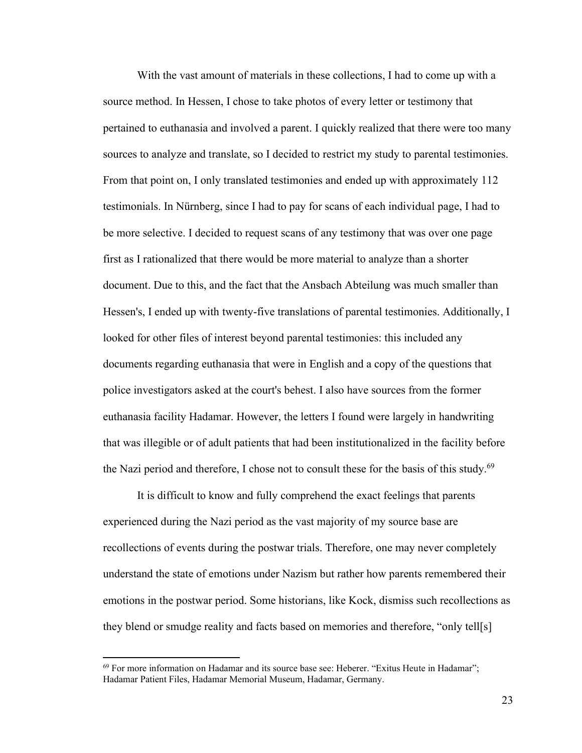With the vast amount of materials in these collections, I had to come up with a source method. In Hessen, I chose to take photos of every letter or testimony that pertained to euthanasia and involved a parent. I quickly realized that there were too many sources to analyze and translate, so I decided to restrict my study to parental testimonies. From that point on, I only translated testimonies and ended up with approximately 112 testimonials. In Nürnberg, since I had to pay for scans of each individual page, I had to be more selective. I decided to request scans of any testimony that was over one page first as I rationalized that there would be more material to analyze than a shorter document. Due to this, and the fact that the Ansbach Abteilung was much smaller than Hessen's, I ended up with twenty-five translations of parental testimonies. Additionally, I looked for other files of interest beyond parental testimonies: this included any documents regarding euthanasia that were in English and a copy of the questions that police investigators asked at the court's behest. I also have sources from the former euthanasia facility Hadamar. However, the letters I found were largely in handwriting that was illegible or of adult patients that had been institutionalized in the facility before the Nazi period and therefore, I chose not to consult these for the basis of this study. $69$ 

It is difficult to know and fully comprehend the exact feelings that parents experienced during the Nazi period as the vast majority of my source base are recollections of events during the postwar trials. Therefore, one may never completely understand the state of emotions under Nazism but rather how parents remembered their emotions in the postwar period. Some historians, like Kock, dismiss such recollections as they blend or smudge reality and facts based on memories and therefore, "only tell[s]

<sup>&</sup>lt;sup>69</sup> For more information on Hadamar and its source base see: Heberer. "Exitus Heute in Hadamar"; Hadamar Patient Files, Hadamar Memorial Museum, Hadamar, Germany.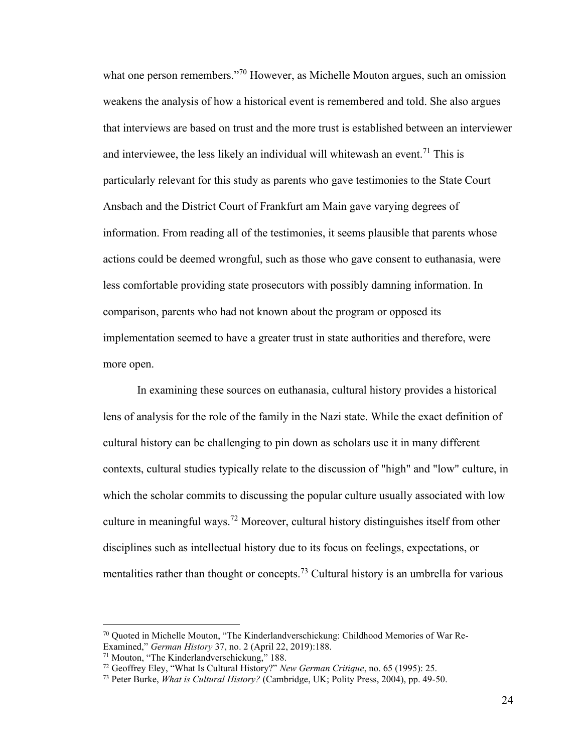what one person remembers."<sup>70</sup> However, as Michelle Mouton argues, such an omission weakens the analysis of how a historical event is remembered and told. She also argues that interviews are based on trust and the more trust is established between an interviewer and interviewee, the less likely an individual will whitewash an event.<sup>71</sup> This is particularly relevant for this study as parents who gave testimonies to the State Court Ansbach and the District Court of Frankfurt am Main gave varying degrees of information. From reading all of the testimonies, it seems plausible that parents whose actions could be deemed wrongful, such as those who gave consent to euthanasia, were less comfortable providing state prosecutors with possibly damning information. In comparison, parents who had not known about the program or opposed its implementation seemed to have a greater trust in state authorities and therefore, were more open.

In examining these sources on euthanasia, cultural history provides a historical lens of analysis for the role of the family in the Nazi state. While the exact definition of cultural history can be challenging to pin down as scholars use it in many different contexts, cultural studies typically relate to the discussion of "high" and "low" culture, in which the scholar commits to discussing the popular culture usually associated with low culture in meaningful ways.<sup>72</sup> Moreover, cultural history distinguishes itself from other disciplines such as intellectual history due to its focus on feelings, expectations, or mentalities rather than thought or concepts.<sup>73</sup> Cultural history is an umbrella for various

<sup>70</sup> Quoted in Michelle Mouton, "The Kinderlandverschickung: Childhood Memories of War Re-Examined," *German History* 37, no. 2 (April 22, 2019):188.

<sup>71</sup> Mouton, "The Kinderlandverschickung," 188.

<sup>72</sup> Geoffrey Eley, "What Is Cultural History?" *New German Critique*, no. 65 (1995): 25.

<sup>73</sup> Peter Burke, *What is Cultural History?* (Cambridge, UK; Polity Press, 2004), pp. 49-50.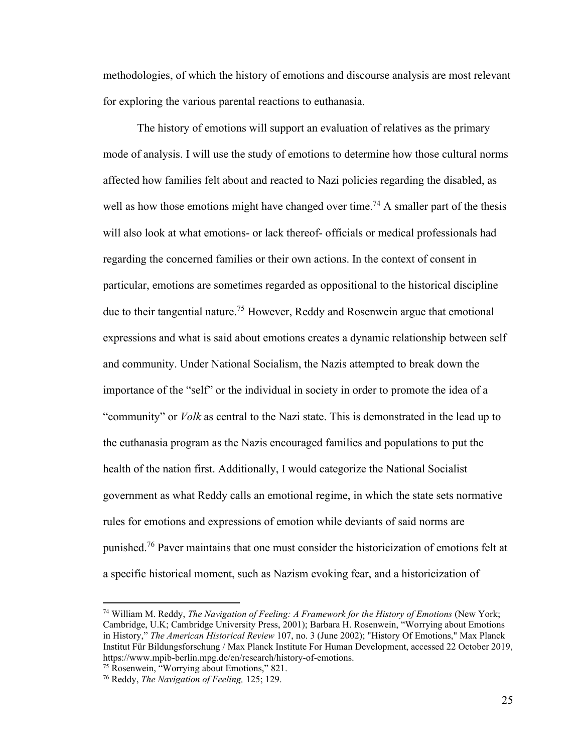methodologies, of which the history of emotions and discourse analysis are most relevant for exploring the various parental reactions to euthanasia.

The history of emotions will support an evaluation of relatives as the primary mode of analysis. I will use the study of emotions to determine how those cultural norms affected how families felt about and reacted to Nazi policies regarding the disabled, as well as how those emotions might have changed over time.<sup>74</sup> A smaller part of the thesis will also look at what emotions- or lack thereof- officials or medical professionals had regarding the concerned families or their own actions. In the context of consent in particular, emotions are sometimes regarded as oppositional to the historical discipline due to their tangential nature.<sup>75</sup> However, Reddy and Rosenwein argue that emotional expressions and what is said about emotions creates a dynamic relationship between self and community. Under National Socialism, the Nazis attempted to break down the importance of the "self" or the individual in society in order to promote the idea of a "community" or *Volk* as central to the Nazi state. This is demonstrated in the lead up to the euthanasia program as the Nazis encouraged families and populations to put the health of the nation first. Additionally, I would categorize the National Socialist government as what Reddy calls an emotional regime, in which the state sets normative rules for emotions and expressions of emotion while deviants of said norms are punished.<sup>76</sup> Paver maintains that one must consider the historicization of emotions felt at a specific historical moment, such as Nazism evoking fear, and a historicization of

<sup>75</sup> Rosenwein, "Worrying about Emotions," 821.

<sup>74</sup> William M. Reddy, *The Navigation of Feeling: A Framework for the History of Emotions* (New York; Cambridge, U.K; Cambridge University Press, 2001); Barbara H. Rosenwein, "Worrying about Emotions in History," *The American Historical Review* 107, no. 3 (June 2002); "History Of Emotions," Max Planck Institut Für Bildungsforschung / Max Planck Institute For Human Development, accessed 22 October 2019, https://www.mpib-berlin.mpg.de/en/research/history-of-emotions.

<sup>76</sup> Reddy, *The Navigation of Feeling,* 125; 129.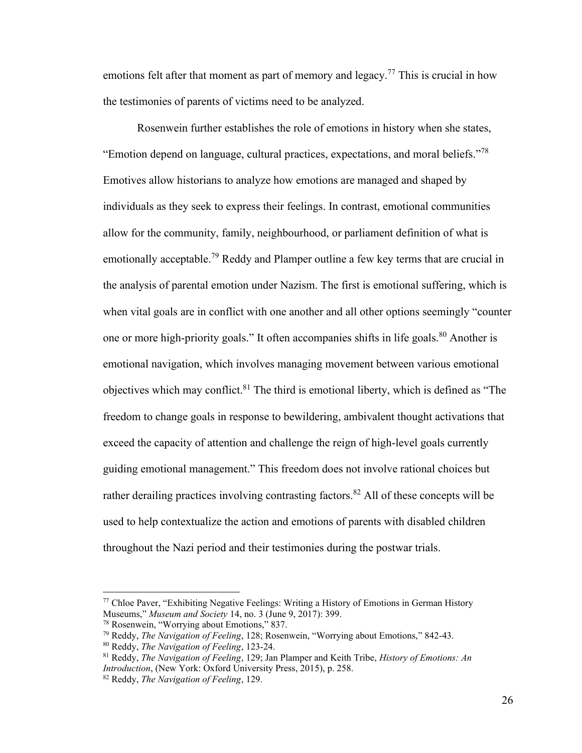emotions felt after that moment as part of memory and legacy.<sup>77</sup> This is crucial in how the testimonies of parents of victims need to be analyzed.

Rosenwein further establishes the role of emotions in history when she states, "Emotion depend on language, cultural practices, expectations, and moral beliefs."<sup>78</sup> Emotives allow historians to analyze how emotions are managed and shaped by individuals as they seek to express their feelings. In contrast, emotional communities allow for the community, family, neighbourhood, or parliament definition of what is emotionally acceptable.<sup>79</sup> Reddy and Plamper outline a few key terms that are crucial in the analysis of parental emotion under Nazism. The first is emotional suffering, which is when vital goals are in conflict with one another and all other options seemingly "counter one or more high-priority goals." It often accompanies shifts in life goals.<sup>80</sup> Another is emotional navigation, which involves managing movement between various emotional objectives which may conflict.<sup>81</sup> The third is emotional liberty, which is defined as "The freedom to change goals in response to bewildering, ambivalent thought activations that exceed the capacity of attention and challenge the reign of high-level goals currently guiding emotional management." This freedom does not involve rational choices but rather derailing practices involving contrasting factors.<sup>82</sup> All of these concepts will be used to help contextualize the action and emotions of parents with disabled children throughout the Nazi period and their testimonies during the postwar trials.

 $77$  Chloe Paver, "Exhibiting Negative Feelings: Writing a History of Emotions in German History Museums," *Museum and Society* 14, no. 3 (June 9, 2017): 399.

<sup>78</sup> Rosenwein, "Worrying about Emotions," 837.

<sup>79</sup> Reddy, *The Navigation of Feeling*, 128; Rosenwein, "Worrying about Emotions," 842-43.

<sup>80</sup> Reddy, *The Navigation of Feeling*, 123-24.

<sup>81</sup> Reddy, *The Navigation of Feeling*, 129; Jan Plamper and Keith Tribe, *History of Emotions: An Introduction*, (New York: Oxford University Press, 2015), p. 258.

<sup>82</sup> Reddy, *The Navigation of Feeling*, 129.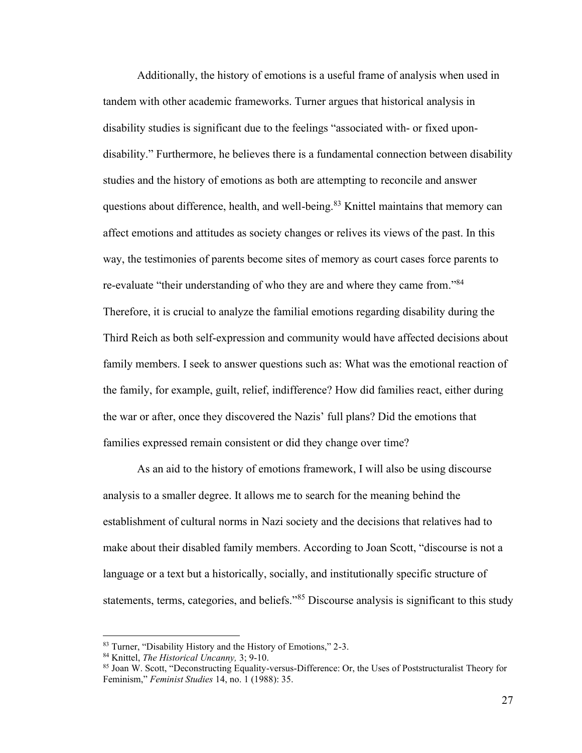Additionally, the history of emotions is a useful frame of analysis when used in tandem with other academic frameworks. Turner argues that historical analysis in disability studies is significant due to the feelings "associated with- or fixed upondisability." Furthermore, he believes there is a fundamental connection between disability studies and the history of emotions as both are attempting to reconcile and answer questions about difference, health, and well-being.<sup>83</sup> Knittel maintains that memory can affect emotions and attitudes as society changes or relives its views of the past. In this way, the testimonies of parents become sites of memory as court cases force parents to re-evaluate "their understanding of who they are and where they came from."<sup>84</sup> Therefore, it is crucial to analyze the familial emotions regarding disability during the Third Reich as both self-expression and community would have affected decisions about family members. I seek to answer questions such as: What was the emotional reaction of the family, for example, guilt, relief, indifference? How did families react, either during the war or after, once they discovered the Nazis' full plans? Did the emotions that families expressed remain consistent or did they change over time?

As an aid to the history of emotions framework, I will also be using discourse analysis to a smaller degree. It allows me to search for the meaning behind the establishment of cultural norms in Nazi society and the decisions that relatives had to make about their disabled family members. According to Joan Scott, "discourse is not a language or a text but a historically, socially, and institutionally specific structure of statements, terms, categories, and beliefs."<sup>85</sup> Discourse analysis is significant to this study

<sup>83</sup> Turner, "Disability History and the History of Emotions," 2-3.

<sup>84</sup> Knittel, *The Historical Uncanny,* 3; 9-10.

<sup>85</sup> Joan W. Scott, "Deconstructing Equality-versus-Difference: Or, the Uses of Poststructuralist Theory for Feminism," *Feminist Studies* 14, no. 1 (1988): 35.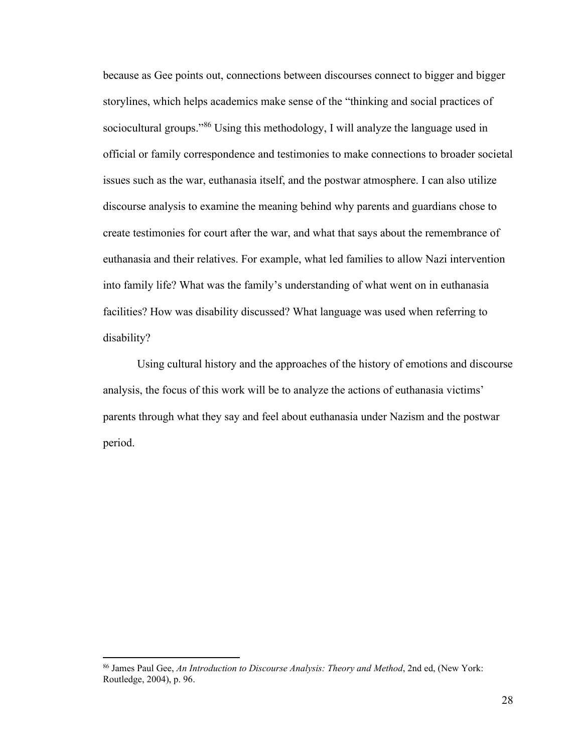because as Gee points out, connections between discourses connect to bigger and bigger storylines, which helps academics make sense of the "thinking and social practices of sociocultural groups."<sup>86</sup> Using this methodology, I will analyze the language used in official or family correspondence and testimonies to make connections to broader societal issues such as the war, euthanasia itself, and the postwar atmosphere. I can also utilize discourse analysis to examine the meaning behind why parents and guardians chose to create testimonies for court after the war, and what that says about the remembrance of euthanasia and their relatives. For example, what led families to allow Nazi intervention into family life? What was the family's understanding of what went on in euthanasia facilities? How was disability discussed? What language was used when referring to disability?

Using cultural history and the approaches of the history of emotions and discourse analysis, the focus of this work will be to analyze the actions of euthanasia victims' parents through what they say and feel about euthanasia under Nazism and the postwar period.

<sup>86</sup> James Paul Gee, *An Introduction to Discourse Analysis: Theory and Method*, 2nd ed, (New York: Routledge, 2004), p. 96.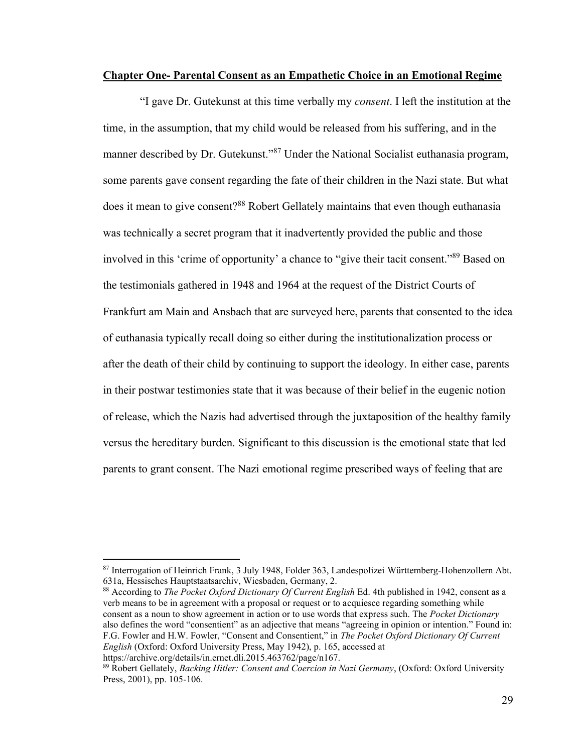### <span id="page-33-0"></span>**Chapter One- Parental Consent as an Empathetic Choice in an Emotional Regime**

"I gave Dr. Gutekunst at this time verbally my *consent*. I left the institution at the time, in the assumption, that my child would be released from his suffering, and in the manner described by Dr. Gutekunst."<sup>87</sup> Under the National Socialist euthanasia program, some parents gave consent regarding the fate of their children in the Nazi state. But what does it mean to give consent?<sup>88</sup> Robert Gellately maintains that even though euthanasia was technically a secret program that it inadvertently provided the public and those involved in this 'crime of opportunity' a chance to "give their tacit consent."<sup>89</sup> Based on the testimonials gathered in 1948 and 1964 at the request of the District Courts of Frankfurt am Main and Ansbach that are surveyed here, parents that consented to the idea of euthanasia typically recall doing so either during the institutionalization process or after the death of their child by continuing to support the ideology. In either case, parents in their postwar testimonies state that it was because of their belief in the eugenic notion of release, which the Nazis had advertised through the juxtaposition of the healthy family versus the hereditary burden. Significant to this discussion is the emotional state that led parents to grant consent. The Nazi emotional regime prescribed ways of feeling that are

<sup>88</sup> According to *The Pocket Oxford Dictionary Of Current English* Ed. 4th published in 1942, consent as a verb means to be in agreement with a proposal or request or to acquiesce regarding something while consent as a noun to show agreement in action or to use words that express such. The *Pocket Dictionary* also defines the word "consentient" as an adjective that means "agreeing in opinion or intention." Found in: F.G. Fowler and H.W. Fowler, "Consent and Consentient," in *The Pocket Oxford Dictionary Of Current English* (Oxford: Oxford University Press, May 1942), p. 165, accessed at

<sup>87</sup> Interrogation of Heinrich Frank, 3 July 1948, Folder 363, Landespolizei Württemberg-Hohenzollern Abt. 631a, Hessisches Hauptstaatsarchiv, Wiesbaden, Germany, 2.

https://archive.org/details/in.ernet.dli.2015.463762/page/n167.

<sup>89</sup> Robert Gellately, *Backing Hitler: Consent and Coercion in Nazi Germany*, (Oxford: Oxford University Press, 2001), pp. 105-106.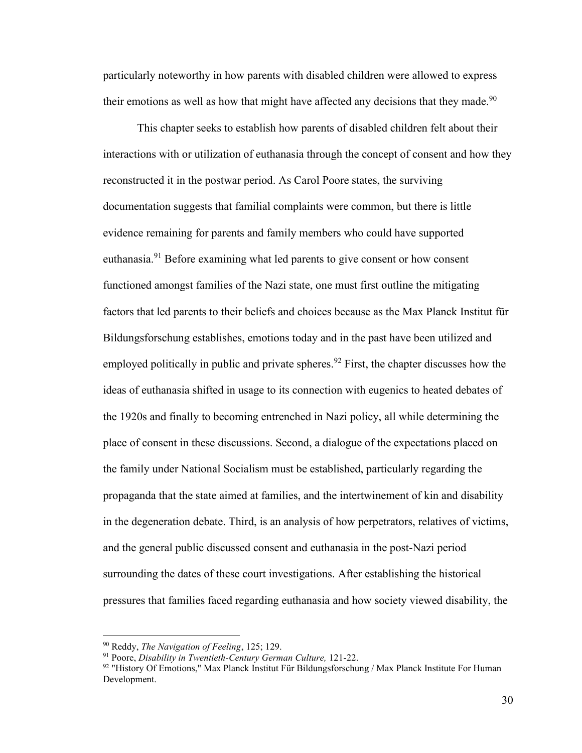particularly noteworthy in how parents with disabled children were allowed to express their emotions as well as how that might have affected any decisions that they made.<sup>90</sup>

This chapter seeks to establish how parents of disabled children felt about their interactions with or utilization of euthanasia through the concept of consent and how they reconstructed it in the postwar period. As Carol Poore states, the surviving documentation suggests that familial complaints were common, but there is little evidence remaining for parents and family members who could have supported euthanasia.<sup>91</sup> Before examining what led parents to give consent or how consent functioned amongst families of the Nazi state, one must first outline the mitigating factors that led parents to their beliefs and choices because as the Max Planck Institut für Bildungsforschung establishes, emotions today and in the past have been utilized and employed politically in public and private spheres.<sup>92</sup> First, the chapter discusses how the ideas of euthanasia shifted in usage to its connection with eugenics to heated debates of the 1920s and finally to becoming entrenched in Nazi policy, all while determining the place of consent in these discussions. Second, a dialogue of the expectations placed on the family under National Socialism must be established, particularly regarding the propaganda that the state aimed at families, and the intertwinement of kin and disability in the degeneration debate. Third, is an analysis of how perpetrators, relatives of victims, and the general public discussed consent and euthanasia in the post-Nazi period surrounding the dates of these court investigations. After establishing the historical pressures that families faced regarding euthanasia and how society viewed disability, the

<sup>90</sup> Reddy, *The Navigation of Feeling*, 125; 129.

<sup>91</sup> Poore, *Disability in Twentieth-Century German Culture,* 121-22.

 $92$  "History Of Emotions," Max Planck Institut Für Bildungsforschung / Max Planck Institute For Human Development.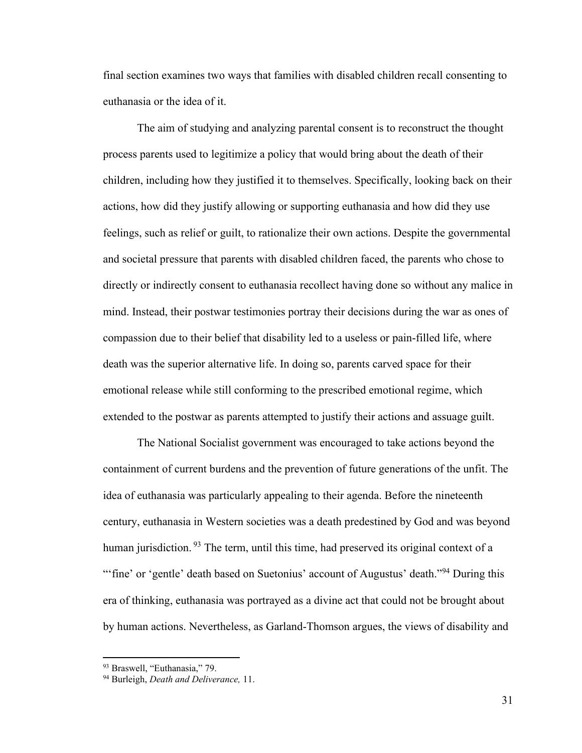final section examines two ways that families with disabled children recall consenting to euthanasia or the idea of it.

The aim of studying and analyzing parental consent is to reconstruct the thought process parents used to legitimize a policy that would bring about the death of their children, including how they justified it to themselves. Specifically, looking back on their actions, how did they justify allowing or supporting euthanasia and how did they use feelings, such as relief or guilt, to rationalize their own actions. Despite the governmental and societal pressure that parents with disabled children faced, the parents who chose to directly or indirectly consent to euthanasia recollect having done so without any malice in mind. Instead, their postwar testimonies portray their decisions during the war as ones of compassion due to their belief that disability led to a useless or pain-filled life, where death was the superior alternative life. In doing so, parents carved space for their emotional release while still conforming to the prescribed emotional regime, which extended to the postwar as parents attempted to justify their actions and assuage guilt.

The National Socialist government was encouraged to take actions beyond the containment of current burdens and the prevention of future generations of the unfit. The idea of euthanasia was particularly appealing to their agenda. Before the nineteenth century, euthanasia in Western societies was a death predestined by God and was beyond human jurisdiction. <sup>93</sup> The term, until this time, had preserved its original context of a "'fine' or 'gentle' death based on Suetonius' account of Augustus' death."<sup>94</sup> During this era of thinking, euthanasia was portrayed as a divine act that could not be brought about by human actions. Nevertheless, as Garland-Thomson argues, the views of disability and

<sup>93</sup> Braswell, "Euthanasia," 79.

<sup>94</sup> Burleigh, *Death and Deliverance,* 11.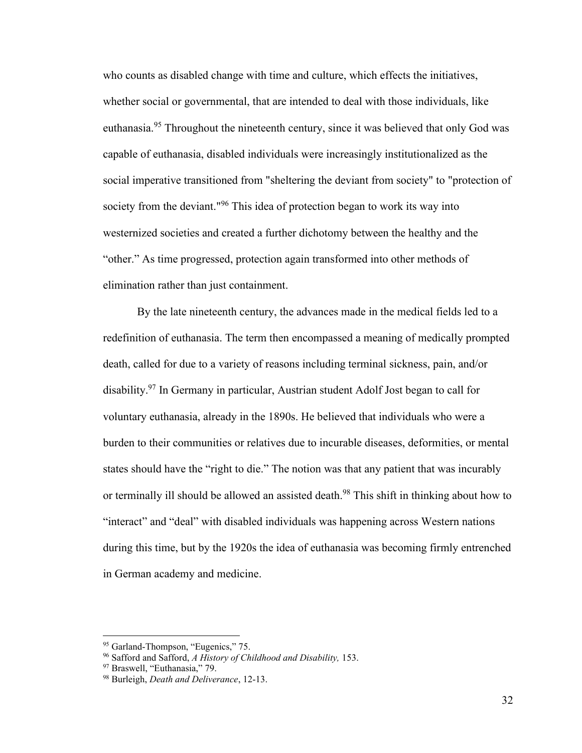who counts as disabled change with time and culture, which effects the initiatives, whether social or governmental, that are intended to deal with those individuals, like euthanasia.<sup>95</sup> Throughout the nineteenth century, since it was believed that only God was capable of euthanasia, disabled individuals were increasingly institutionalized as the social imperative transitioned from "sheltering the deviant from society" to "protection of society from the deviant."<sup>96</sup> This idea of protection began to work its way into westernized societies and created a further dichotomy between the healthy and the "other." As time progressed, protection again transformed into other methods of elimination rather than just containment.

By the late nineteenth century, the advances made in the medical fields led to a redefinition of euthanasia. The term then encompassed a meaning of medically prompted death, called for due to a variety of reasons including terminal sickness, pain, and/or disability.<sup>97</sup> In Germany in particular, Austrian student Adolf Jost began to call for voluntary euthanasia, already in the 1890s. He believed that individuals who were a burden to their communities or relatives due to incurable diseases, deformities, or mental states should have the "right to die." The notion was that any patient that was incurably or terminally ill should be allowed an assisted death.<sup>98</sup> This shift in thinking about how to "interact" and "deal" with disabled individuals was happening across Western nations during this time, but by the 1920s the idea of euthanasia was becoming firmly entrenched in German academy and medicine.

<sup>&</sup>lt;sup>95</sup> Garland-Thompson, "Eugenics," 75.

<sup>96</sup> Safford and Safford, *A History of Childhood and Disability,* 153.

<sup>97</sup> Braswell, "Euthanasia," 79.

<sup>98</sup> Burleigh, *Death and Deliverance*, 12-13.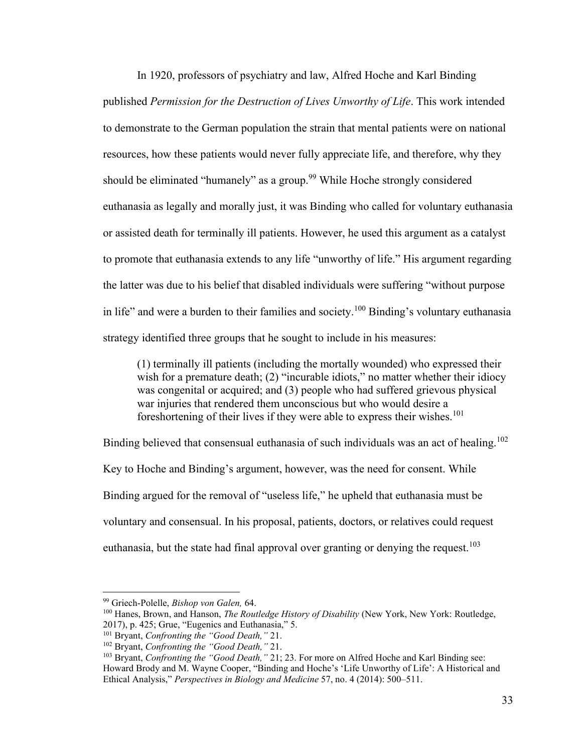In 1920, professors of psychiatry and law, Alfred Hoche and Karl Binding published *Permission for the Destruction of Lives Unworthy of Life*. This work intended to demonstrate to the German population the strain that mental patients were on national resources, how these patients would never fully appreciate life, and therefore, why they should be eliminated "humanely" as a group.<sup>99</sup> While Hoche strongly considered euthanasia as legally and morally just, it was Binding who called for voluntary euthanasia or assisted death for terminally ill patients. However, he used this argument as a catalyst to promote that euthanasia extends to any life "unworthy of life." His argument regarding the latter was due to his belief that disabled individuals were suffering "without purpose in life" and were a burden to their families and society.<sup>100</sup> Binding's voluntary euthanasia strategy identified three groups that he sought to include in his measures:

(1) terminally ill patients (including the mortally wounded) who expressed their wish for a premature death; (2) "incurable idiots," no matter whether their idiocy was congenital or acquired; and (3) people who had suffered grievous physical war injuries that rendered them unconscious but who would desire a foreshortening of their lives if they were able to express their wishes.<sup>101</sup>

Binding believed that consensual euthanasia of such individuals was an act of healing.<sup>102</sup> Key to Hoche and Binding's argument, however, was the need for consent. While Binding argued for the removal of "useless life," he upheld that euthanasia must be voluntary and consensual. In his proposal, patients, doctors, or relatives could request euthanasia, but the state had final approval over granting or denying the request.<sup>103</sup>

<sup>99</sup> Griech-Polelle, *Bishop von Galen,* 64.

<sup>100</sup> Hanes, Brown, and Hanson, *The Routledge History of Disability* (New York, New York: Routledge, 2017), p. 425; Grue, "Eugenics and Euthanasia," 5.

<sup>101</sup> Bryant, *Confronting the "Good Death,"* 21.

<sup>102</sup> Bryant, *Confronting the "Good Death,"* 21.

<sup>&</sup>lt;sup>103</sup> Bryant, *Confronting the "Good Death*," 21; 23. For more on Alfred Hoche and Karl Binding see: Howard Brody and M. Wayne Cooper, "Binding and Hoche's 'Life Unworthy of Life': A Historical and Ethical Analysis," *Perspectives in Biology and Medicine* 57, no. 4 (2014): 500–511.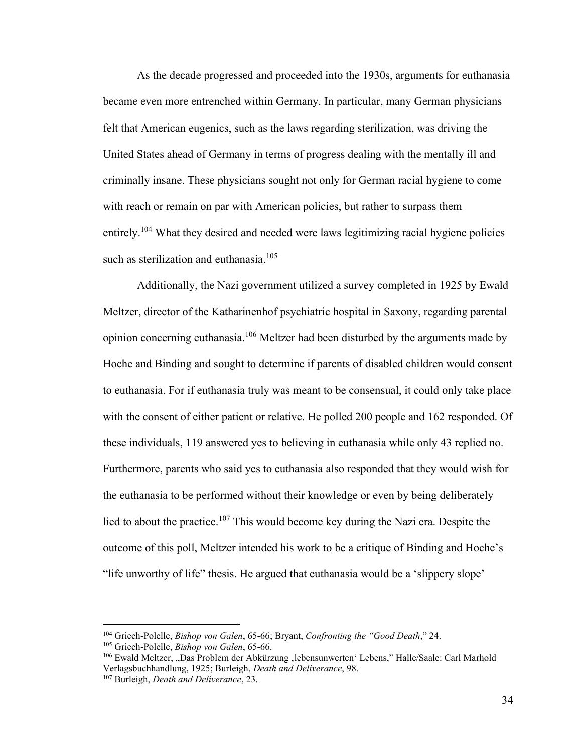As the decade progressed and proceeded into the 1930s, arguments for euthanasia became even more entrenched within Germany. In particular, many German physicians felt that American eugenics, such as the laws regarding sterilization, was driving the United States ahead of Germany in terms of progress dealing with the mentally ill and criminally insane. These physicians sought not only for German racial hygiene to come with reach or remain on par with American policies, but rather to surpass them entirely.<sup>104</sup> What they desired and needed were laws legitimizing racial hygiene policies such as sterilization and euthanasia.<sup>105</sup>

Additionally, the Nazi government utilized a survey completed in 1925 by Ewald Meltzer, director of the Katharinenhof psychiatric hospital in Saxony, regarding parental opinion concerning euthanasia.<sup>106</sup> Meltzer had been disturbed by the arguments made by Hoche and Binding and sought to determine if parents of disabled children would consent to euthanasia. For if euthanasia truly was meant to be consensual, it could only take place with the consent of either patient or relative. He polled 200 people and 162 responded. Of these individuals, 119 answered yes to believing in euthanasia while only 43 replied no. Furthermore, parents who said yes to euthanasia also responded that they would wish for the euthanasia to be performed without their knowledge or even by being deliberately lied to about the practice.<sup>107</sup> This would become key during the Nazi era. Despite the outcome of this poll, Meltzer intended his work to be a critique of Binding and Hoche's "life unworthy of life" thesis. He argued that euthanasia would be a 'slippery slope'

<sup>104</sup> Griech-Polelle, *Bishop von Galen*, 65-66; Bryant, *Confronting the "Good Death*," 24.

<sup>105</sup> Griech-Polelle, *Bishop von Galen*, 65-66.

<sup>106</sup> Ewald Meltzer, "Das Problem der Abkürzung ,lebensunwerten' Lebens," Halle/Saale: Carl Marhold Verlagsbuchhandlung, 1925; Burleigh, *Death and Deliverance*, 98.

<sup>107</sup> Burleigh, *Death and Deliverance*, 23.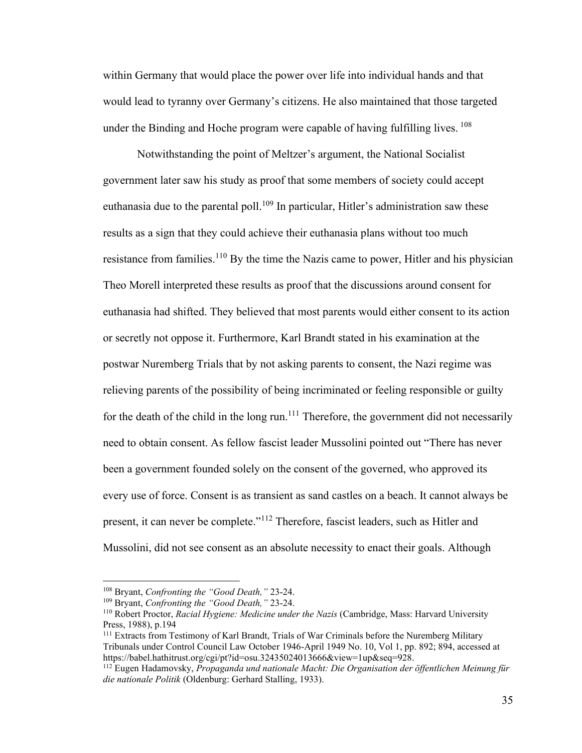within Germany that would place the power over life into individual hands and that would lead to tyranny over Germany's citizens. He also maintained that those targeted under the Binding and Hoche program were capable of having fulfilling lives. <sup>108</sup>

Notwithstanding the point of Meltzer's argument, the National Socialist government later saw his study as proof that some members of society could accept euthanasia due to the parental poll.<sup>109</sup> In particular, Hitler's administration saw these results as a sign that they could achieve their euthanasia plans without too much resistance from families.<sup>110</sup> By the time the Nazis came to power, Hitler and his physician Theo Morell interpreted these results as proof that the discussions around consent for euthanasia had shifted. They believed that most parents would either consent to its action or secretly not oppose it. Furthermore, Karl Brandt stated in his examination at the postwar Nuremberg Trials that by not asking parents to consent, the Nazi regime was relieving parents of the possibility of being incriminated or feeling responsible or guilty for the death of the child in the long run.<sup>111</sup> Therefore, the government did not necessarily need to obtain consent. As fellow fascist leader Mussolini pointed out "There has never been a government founded solely on the consent of the governed, who approved its every use of force. Consent is as transient as sand castles on a beach. It cannot always be present, it can never be complete."<sup>112</sup> Therefore, fascist leaders, such as Hitler and Mussolini, did not see consent as an absolute necessity to enact their goals. Although

<sup>108</sup> Bryant, *Confronting the "Good Death,"* 23-24.

<sup>109</sup> Bryant, *Confronting the "Good Death,"* 23-24.

<sup>110</sup> Robert Proctor, *Racial Hygiene: Medicine under the Nazis* (Cambridge, Mass: Harvard University Press, 1988), p.194

<sup>111</sup> Extracts from Testimony of Karl Brandt, Trials of War Criminals before the Nuremberg Military Tribunals under Control Council Law October 1946-April 1949 No. 10, Vol 1, pp. 892; 894, accessed at https://babel.hathitrust.org/cgi/pt?id=osu.32435024013666&view=1up&seq=928.

<sup>112</sup> Eugen Hadamovsky, *Propaganda und nationale Macht: Die Organisation der öffentlichen Meinung für die nationale Politik* (Oldenburg: Gerhard Stalling, 1933).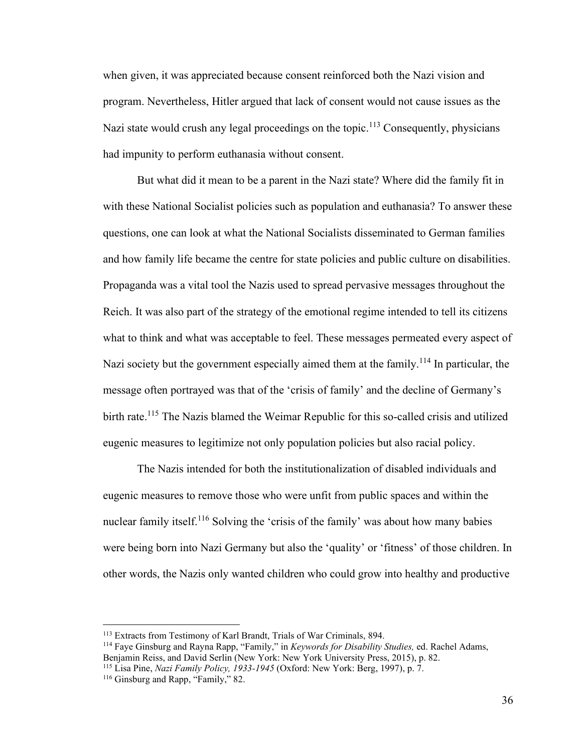when given, it was appreciated because consent reinforced both the Nazi vision and program. Nevertheless, Hitler argued that lack of consent would not cause issues as the Nazi state would crush any legal proceedings on the topic.<sup>113</sup> Consequently, physicians had impunity to perform euthanasia without consent.

But what did it mean to be a parent in the Nazi state? Where did the family fit in with these National Socialist policies such as population and euthanasia? To answer these questions, one can look at what the National Socialists disseminated to German families and how family life became the centre for state policies and public culture on disabilities. Propaganda was a vital tool the Nazis used to spread pervasive messages throughout the Reich. It was also part of the strategy of the emotional regime intended to tell its citizens what to think and what was acceptable to feel. These messages permeated every aspect of Nazi society but the government especially aimed them at the family.<sup>114</sup> In particular, the message often portrayed was that of the 'crisis of family' and the decline of Germany's birth rate.<sup>115</sup> The Nazis blamed the Weimar Republic for this so-called crisis and utilized eugenic measures to legitimize not only population policies but also racial policy.

The Nazis intended for both the institutionalization of disabled individuals and eugenic measures to remove those who were unfit from public spaces and within the nuclear family itself.<sup>116</sup> Solving the 'crisis of the family' was about how many babies were being born into Nazi Germany but also the 'quality' or 'fitness' of those children. In other words, the Nazis only wanted children who could grow into healthy and productive

<sup>113</sup> Extracts from Testimony of Karl Brandt, Trials of War Criminals, 894.

<sup>114</sup> Faye Ginsburg and Rayna Rapp, "Family," in *Keywords for Disability Studies,* ed. Rachel Adams, Benjamin Reiss, and David Serlin (New York: New York University Press, 2015), p. 82.

<sup>115</sup> Lisa Pine, *Nazi Family Policy, 1933-1945* (Oxford: New York: Berg, 1997), p. 7.

<sup>&</sup>lt;sup>116</sup> Ginsburg and Rapp, "Family," 82.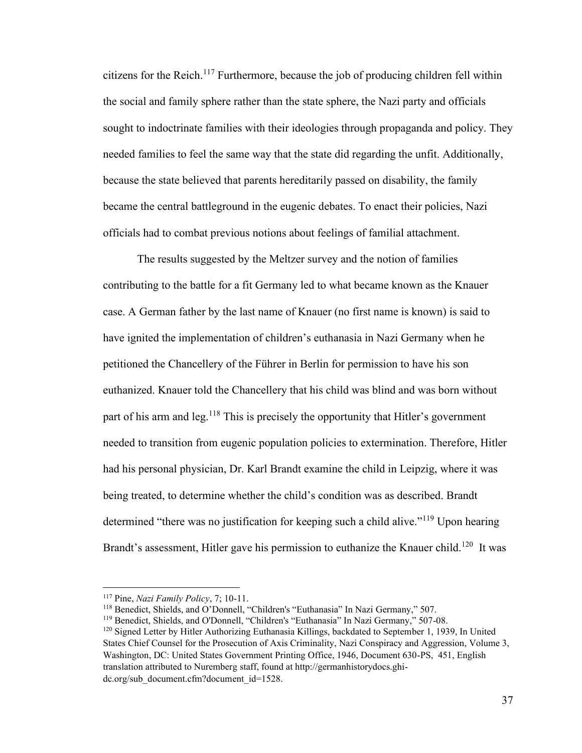citizens for the Reich.<sup>117</sup> Furthermore, because the job of producing children fell within the social and family sphere rather than the state sphere, the Nazi party and officials sought to indoctrinate families with their ideologies through propaganda and policy. They needed families to feel the same way that the state did regarding the unfit. Additionally, because the state believed that parents hereditarily passed on disability, the family became the central battleground in the eugenic debates. To enact their policies, Nazi officials had to combat previous notions about feelings of familial attachment.

The results suggested by the Meltzer survey and the notion of families contributing to the battle for a fit Germany led to what became known as the Knauer case. A German father by the last name of Knauer (no first name is known) is said to have ignited the implementation of children's euthanasia in Nazi Germany when he petitioned the Chancellery of the Führer in Berlin for permission to have his son euthanized. Knauer told the Chancellery that his child was blind and was born without part of his arm and leg.<sup>118</sup> This is precisely the opportunity that Hitler's government needed to transition from eugenic population policies to extermination. Therefore, Hitler had his personal physician, Dr. Karl Brandt examine the child in Leipzig, where it was being treated, to determine whether the child's condition was as described. Brandt determined "there was no justification for keeping such a child alive."<sup>119</sup> Upon hearing Brandt's assessment, Hitler gave his permission to euthanize the Knauer child.<sup>120</sup> It was

<sup>117</sup> Pine, *Nazi Family Policy*, 7; 10-11.

<sup>&</sup>lt;sup>118</sup> Benedict, Shields, and O'Donnell, "Children's "Euthanasia" In Nazi Germany," 507.

<sup>119</sup> Benedict, Shields, and O'Donnell, "Children's "Euthanasia" In Nazi Germany," 507-08.

<sup>120</sup> Signed Letter by Hitler Authorizing Euthanasia Killings, backdated to September 1, 1939, In United States Chief Counsel for the Prosecution of Axis Criminality, Nazi Conspiracy and Aggression, Volume 3, Washington, DC: United States Government Printing Office, 1946, Document 630-PS, 451, English translation attributed to Nuremberg staff, found at http://germanhistorydocs.ghidc.org/sub\_document.cfm?document\_id=1528.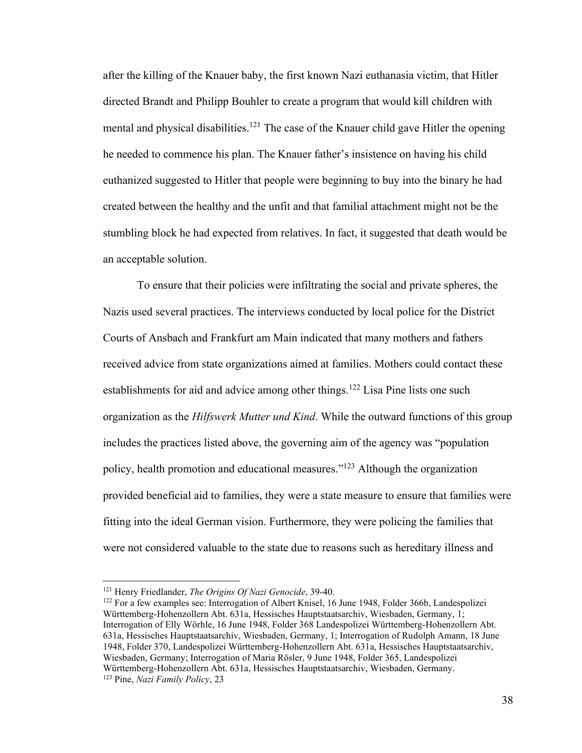after the killing of the Knauer baby, the first known Nazi euthanasia victim, that Hitler directed Brandt and Philipp Bouhler to create a program that would kill children with mental and physical disabilities.<sup>121</sup> The case of the Knauer child gave Hitler the opening he needed to commence his plan. The Knauer father's insistence on having his child euthanized suggested to Hitler that people were beginning to buy into the binary he had created between the healthy and the unfit and that familial attachment might not be the stumbling block he had expected from relatives. In fact, it suggested that death would be an acceptable solution.

To ensure that their policies were infiltrating the social and private spheres, the Nazis used several practices. The interviews conducted by local police for the District Courts of Ansbach and Frankfurt am Main indicated that many mothers and fathers received advice from state organizations aimed at families. Mothers could contact these establishments for aid and advice among other things.<sup>122</sup> Lisa Pine lists one such organization as the *Hilfswerk Mutter und Kind*. While the outward functions of this group includes the practices listed above, the governing aim of the agency was "population policy, health promotion and educational measures." <sup>123</sup> Although the organization provided beneficial aid to families, they were a state measure to ensure that families were fitting into the ideal German vision. Furthermore, they were policing the families that were not considered valuable to the state due to reasons such as hereditary illness and

<sup>121</sup> Henry Friedlander, *The Origins Of Nazi Genocide*, 39-40.

<sup>&</sup>lt;sup>122</sup> For a few examples see: Interrogation of Albert Knisel, 16 June 1948, Folder 366b, Landespolizei Württemberg-Hohenzollern Abt. 631a, Hessisches Hauptstaatsarchiv, Wiesbaden, Germany, 1; Interrogation of Elly Wörhle, 16 June 1948, Folder 368 Landespolizei Württemberg-Hohenzollern Abt. 631a, Hessisches Hauptstaatsarchiv, Wiesbaden, Germany, 1; Interrogation of Rudolph Amann, 18 June 1948, Folder 370, Landespolizei Württemberg-Hohenzollern Abt. 631a, Hessisches Hauptstaatsarchiv, Wiesbaden, Germany; Interrogation of Maria Rösler, 9 June 1948, Folder 365, Landespolizei Württemberg-Hohenzollern Abt. 631a, Hessisches Hauptstaatsarchiv, Wiesbaden, Germany. <sup>123</sup> Pine, *Nazi Family Policy*, 23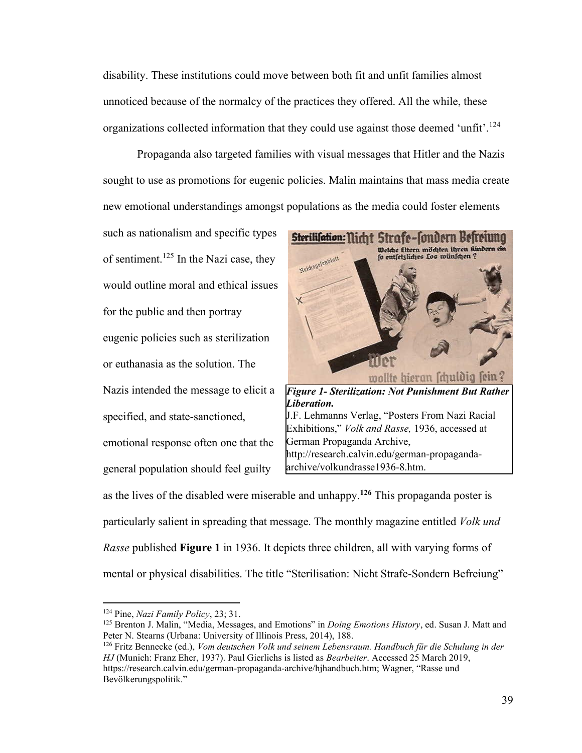disability. These institutions could move between both fit and unfit families almost unnoticed because of the normalcy of the practices they offered. All the while, these organizations collected information that they could use against those deemed 'unfit'.<sup>124</sup>

Propaganda also targeted families with visual messages that Hitler and the Nazis sought to use as promotions for eugenic policies. Malin maintains that mass media create new emotional understandings amongst populations as the media could foster elements

such as nationalism and specific types of sentiment.<sup>125</sup> In the Nazi case, they would outline moral and ethical issues for the public and then portray eugenic policies such as sterilization or euthanasia as the solution. The Nazis intended the message to elicit a specified, and state-sanctioned, emotional response often one that the general population should feel guilty



as the lives of the disabled were miserable and unhappy.**<sup>126</sup>** This propaganda poster is particularly salient in spreading that message. The monthly magazine entitled *Volk und Rasse* published **Figure 1** in 1936. It depicts three children, all with varying forms of mental or physical disabilities. The title "Sterilisation: Nicht Strafe-Sondern Befreiung"

<sup>124</sup> Pine, *Nazi Family Policy*, 23; 31.

<sup>125</sup> Brenton J. Malin, "Media, Messages, and Emotions" in *Doing Emotions History*, ed. Susan J. Matt and Peter N. Stearns (Urbana: University of Illinois Press, 2014), 188.

<sup>126</sup> Fritz Bennecke (ed.), *Vom deutschen Volk und seinem Lebensraum. Handbuch für die Schulung in der HJ* (Munich: Franz Eher, 1937). Paul Gierlichs is listed as *Bearbeiter*. Accessed 25 March 2019, https://research.calvin.edu/german-propaganda-archive/hjhandbuch.htm; Wagner, "Rasse und Bevölkerungspolitik."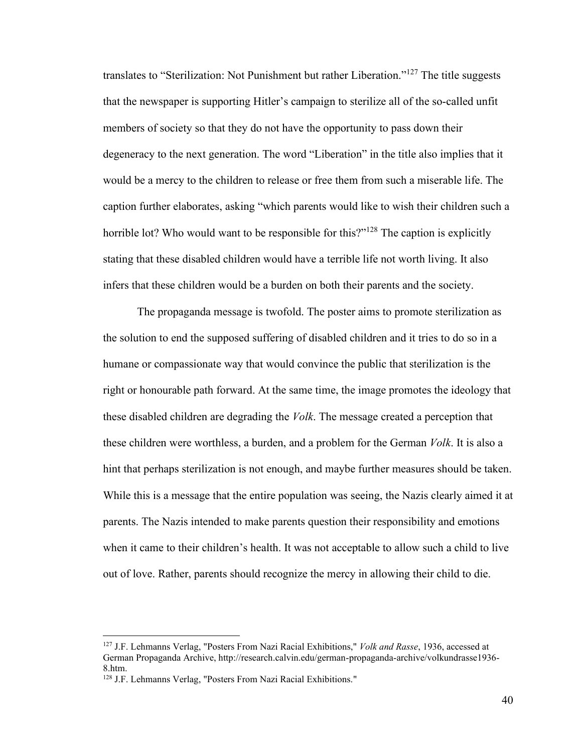translates to "Sterilization: Not Punishment but rather Liberation."<sup>127</sup> The title suggests that the newspaper is supporting Hitler's campaign to sterilize all of the so-called unfit members of society so that they do not have the opportunity to pass down their degeneracy to the next generation. The word "Liberation" in the title also implies that it would be a mercy to the children to release or free them from such a miserable life. The caption further elaborates, asking "which parents would like to wish their children such a horrible lot? Who would want to be responsible for this?"<sup>128</sup> The caption is explicitly stating that these disabled children would have a terrible life not worth living. It also infers that these children would be a burden on both their parents and the society.

The propaganda message is twofold. The poster aims to promote sterilization as the solution to end the supposed suffering of disabled children and it tries to do so in a humane or compassionate way that would convince the public that sterilization is the right or honourable path forward. At the same time, the image promotes the ideology that these disabled children are degrading the *Volk*. The message created a perception that these children were worthless, a burden, and a problem for the German *Volk*. It is also a hint that perhaps sterilization is not enough, and maybe further measures should be taken. While this is a message that the entire population was seeing, the Nazis clearly aimed it at parents. The Nazis intended to make parents question their responsibility and emotions when it came to their children's health. It was not acceptable to allow such a child to live out of love. Rather, parents should recognize the mercy in allowing their child to die.

<sup>127</sup> J.F. Lehmanns Verlag, "Posters From Nazi Racial Exhibitions," *Volk and Rasse*, 1936, accessed at German Propaganda Archive, http://research.calvin.edu/german-propaganda-archive/volkundrasse1936- 8.htm.

<sup>128</sup> J.F. Lehmanns Verlag, "Posters From Nazi Racial Exhibitions."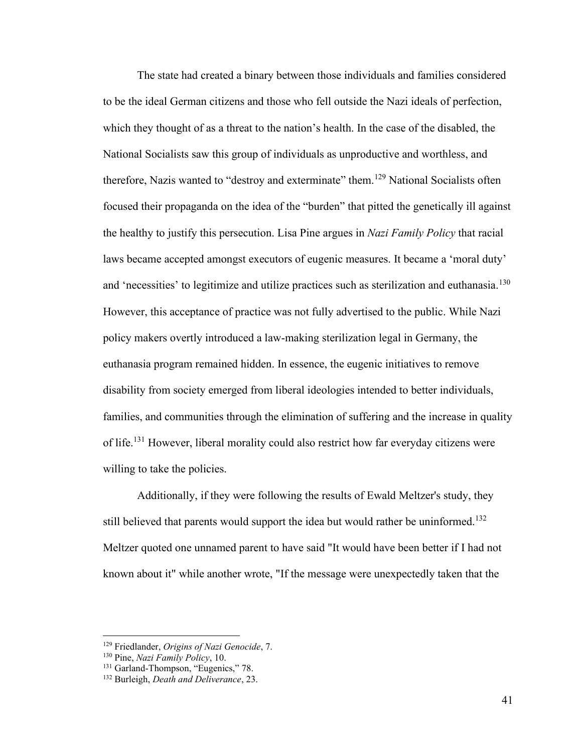The state had created a binary between those individuals and families considered to be the ideal German citizens and those who fell outside the Nazi ideals of perfection, which they thought of as a threat to the nation's health. In the case of the disabled, the National Socialists saw this group of individuals as unproductive and worthless, and therefore, Nazis wanted to "destroy and exterminate" them.<sup>129</sup> National Socialists often focused their propaganda on the idea of the "burden" that pitted the genetically ill against the healthy to justify this persecution. Lisa Pine argues in *Nazi Family Policy* that racial laws became accepted amongst executors of eugenic measures. It became a 'moral duty' and 'necessities' to legitimize and utilize practices such as sterilization and euthanasia.<sup>130</sup> However, this acceptance of practice was not fully advertised to the public. While Nazi policy makers overtly introduced a law-making sterilization legal in Germany, the euthanasia program remained hidden. In essence, the eugenic initiatives to remove disability from society emerged from liberal ideologies intended to better individuals, families, and communities through the elimination of suffering and the increase in quality of life.<sup>131</sup> However, liberal morality could also restrict how far everyday citizens were willing to take the policies.

Additionally, if they were following the results of Ewald Meltzer's study, they still believed that parents would support the idea but would rather be uninformed.<sup>132</sup> Meltzer quoted one unnamed parent to have said "It would have been better if I had not known about it" while another wrote, "If the message were unexpectedly taken that the

<sup>129</sup> Friedlander, *Origins of Nazi Genocide*, 7.

<sup>130</sup> Pine, *Nazi Family Policy*, 10.

<sup>&</sup>lt;sup>131</sup> Garland-Thompson, "Eugenics," 78.

<sup>132</sup> Burleigh, *Death and Deliverance*, 23.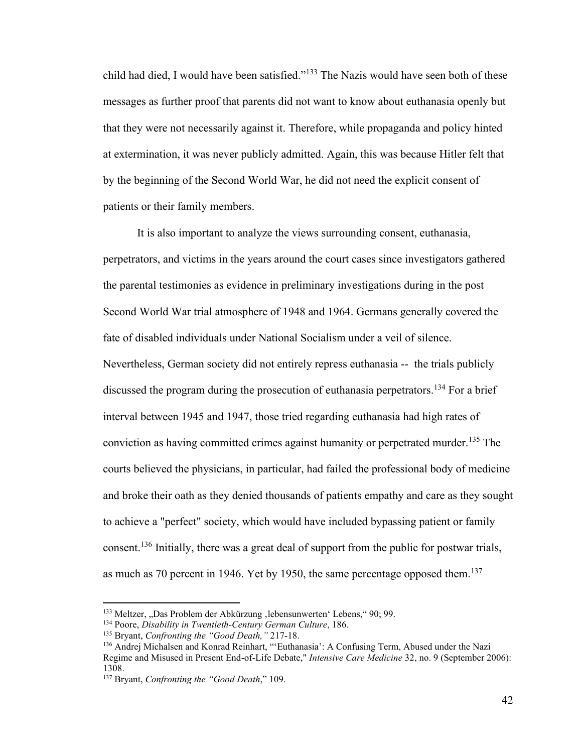child had died, I would have been satisfied."<sup>133</sup> The Nazis would have seen both of these messages as further proof that parents did not want to know about euthanasia openly but that they were not necessarily against it. Therefore, while propaganda and policy hinted at extermination, it was never publicly admitted. Again, this was because Hitler felt that by the beginning of the Second World War, he did not need the explicit consent of patients or their family members.

It is also important to analyze the views surrounding consent, euthanasia, perpetrators, and victims in the years around the court cases since investigators gathered the parental testimonies as evidence in preliminary investigations during in the post Second World War trial atmosphere of 1948 and 1964. Germans generally covered the fate of disabled individuals under National Socialism under a veil of silence. Nevertheless, German society did not entirely repress euthanasia -- the trials publicly discussed the program during the prosecution of euthanasia perpetrators.<sup>134</sup> For a brief interval between 1945 and 1947, those tried regarding euthanasia had high rates of conviction as having committed crimes against humanity or perpetrated murder.<sup>135</sup> The courts believed the physicians, in particular, had failed the professional body of medicine and broke their oath as they denied thousands of patients empathy and care as they sought to achieve a "perfect" society, which would have included bypassing patient or family consent.<sup>136</sup> Initially, there was a great deal of support from the public for postwar trials, as much as 70 percent in 1946. Yet by 1950, the same percentage opposed them.<sup>137</sup>

<sup>&</sup>lt;sup>133</sup> Meltzer, "Das Problem der Abkürzung , lebensunwerten' Lebens," 90; 99.

<sup>134</sup> Poore, *Disability in Twentieth-Century German Culture*, 186.

<sup>135</sup> Bryant, *Confronting the "Good Death,"* 217-18.

<sup>136</sup> Andrej Michalsen and Konrad Reinhart, "'Euthanasia': A Confusing Term, Abused under the Nazi Regime and Misused in Present End-of-Life Debate," *Intensive Care Medicine* 32, no. 9 (September 2006): 1308.

<sup>137</sup> Bryant, *Confronting the "Good Death*," 109.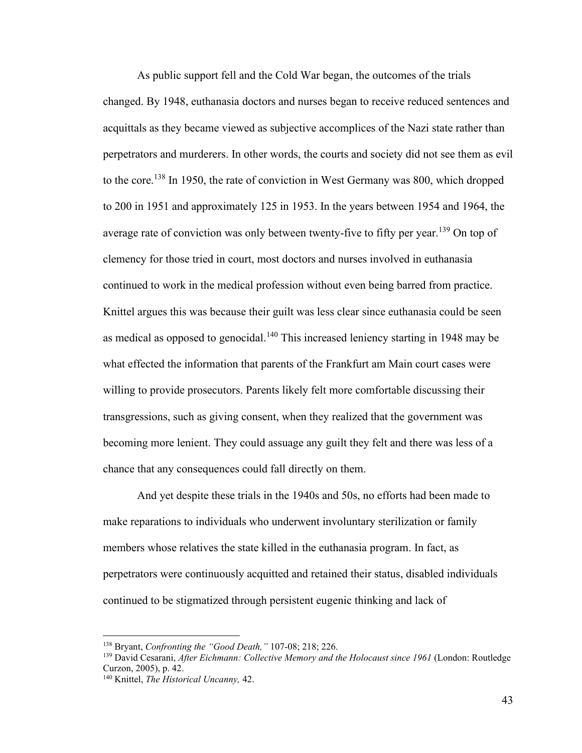As public support fell and the Cold War began, the outcomes of the trials changed. By 1948, euthanasia doctors and nurses began to receive reduced sentences and acquittals as they became viewed as subjective accomplices of the Nazi state rather than perpetrators and murderers. In other words, the courts and society did not see them as evil to the core.<sup>138</sup> In 1950, the rate of conviction in West Germany was 800, which dropped to 200 in 1951 and approximately 125 in 1953. In the years between 1954 and 1964, the average rate of conviction was only between twenty-five to fifty per year.<sup>139</sup> On top of clemency for those tried in court, most doctors and nurses involved in euthanasia continued to work in the medical profession without even being barred from practice. Knittel argues this was because their guilt was less clear since euthanasia could be seen as medical as opposed to genocidal.<sup>140</sup> This increased leniency starting in 1948 may be what effected the information that parents of the Frankfurt am Main court cases were willing to provide prosecutors. Parents likely felt more comfortable discussing their transgressions, such as giving consent, when they realized that the government was becoming more lenient. They could assuage any guilt they felt and there was less of a chance that any consequences could fall directly on them.

And yet despite these trials in the 1940s and 50s, no efforts had been made to make reparations to individuals who underwent involuntary sterilization or family members whose relatives the state killed in the euthanasia program. In fact, as perpetrators were continuously acquitted and retained their status, disabled individuals continued to be stigmatized through persistent eugenic thinking and lack of

<sup>138</sup> Bryant, *Confronting the "Good Death,"* 107-08; 218; 226.

<sup>139</sup> David Cesarani, *After Eichmann: Collective Memory and the Holocaust since 1961* (London: Routledge Curzon, 2005), p. 42.

<sup>140</sup> Knittel, *The Historical Uncanny,* 42.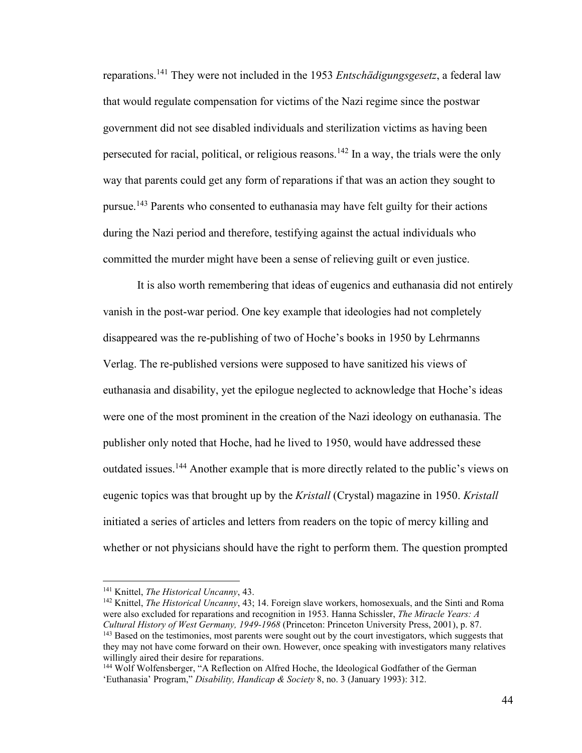reparations.<sup>141</sup> They were not included in the 1953 *Entschädigungsgesetz*, a federal law that would regulate compensation for victims of the Nazi regime since the postwar government did not see disabled individuals and sterilization victims as having been persecuted for racial, political, or religious reasons.<sup>142</sup> In a way, the trials were the only way that parents could get any form of reparations if that was an action they sought to pursue.<sup>143</sup> Parents who consented to euthanasia may have felt guilty for their actions during the Nazi period and therefore, testifying against the actual individuals who committed the murder might have been a sense of relieving guilt or even justice.

It is also worth remembering that ideas of eugenics and euthanasia did not entirely vanish in the post-war period. One key example that ideologies had not completely disappeared was the re-publishing of two of Hoche's books in 1950 by Lehrmanns Verlag. The re-published versions were supposed to have sanitized his views of euthanasia and disability, yet the epilogue neglected to acknowledge that Hoche's ideas were one of the most prominent in the creation of the Nazi ideology on euthanasia. The publisher only noted that Hoche, had he lived to 1950, would have addressed these outdated issues.<sup>144</sup> Another example that is more directly related to the public's views on eugenic topics was that brought up by the *Kristall* (Crystal) magazine in 1950. *Kristall*  initiated a series of articles and letters from readers on the topic of mercy killing and whether or not physicians should have the right to perform them. The question prompted

<sup>141</sup> Knittel, *The Historical Uncanny*, 43.

<sup>142</sup> Knittel, *The Historical Uncanny*, 43; 14. Foreign slave workers, homosexuals, and the Sinti and Roma were also excluded for reparations and recognition in 1953. Hanna Schissler, *The Miracle Years: A Cultural History of West Germany, 1949-1968* (Princeton: Princeton University Press, 2001), p. 87. <sup>143</sup> Based on the testimonies, most parents were sought out by the court investigators, which suggests that they may not have come forward on their own. However, once speaking with investigators many relatives willingly aired their desire for reparations.

<sup>&</sup>lt;sup>144</sup> Wolf Wolfensberger, "A Reflection on Alfred Hoche, the Ideological Godfather of the German 'Euthanasia' Program," *Disability, Handicap & Society* 8, no. 3 (January 1993): 312.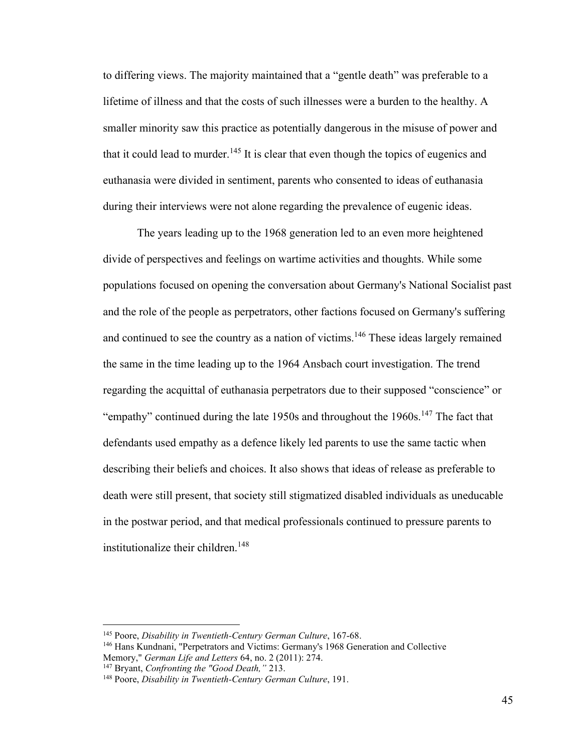to differing views. The majority maintained that a "gentle death" was preferable to a lifetime of illness and that the costs of such illnesses were a burden to the healthy. A smaller minority saw this practice as potentially dangerous in the misuse of power and that it could lead to murder.<sup>145</sup> It is clear that even though the topics of eugenics and euthanasia were divided in sentiment, parents who consented to ideas of euthanasia during their interviews were not alone regarding the prevalence of eugenic ideas.

The years leading up to the 1968 generation led to an even more heightened divide of perspectives and feelings on wartime activities and thoughts. While some populations focused on opening the conversation about Germany's National Socialist past and the role of the people as perpetrators, other factions focused on Germany's suffering and continued to see the country as a nation of victims.<sup>146</sup> These ideas largely remained the same in the time leading up to the 1964 Ansbach court investigation. The trend regarding the acquittal of euthanasia perpetrators due to their supposed "conscience" or "empathy" continued during the late 1950s and throughout the 1960s.<sup>147</sup> The fact that defendants used empathy as a defence likely led parents to use the same tactic when describing their beliefs and choices. It also shows that ideas of release as preferable to death were still present, that society still stigmatized disabled individuals as uneducable in the postwar period, and that medical professionals continued to pressure parents to institutionalize their children.<sup>148</sup>

<sup>145</sup> Poore, *Disability in Twentieth-Century German Culture*, 167-68.

<sup>146</sup> Hans Kundnani, "Perpetrators and Victims: Germany's 1968 Generation and Collective Memory," *German Life and Letters* 64, no. 2 (2011): 274.

<sup>147</sup> Bryant, *Confronting the "Good Death,"* 213.

<sup>148</sup> Poore, *Disability in Twentieth-Century German Culture*, 191.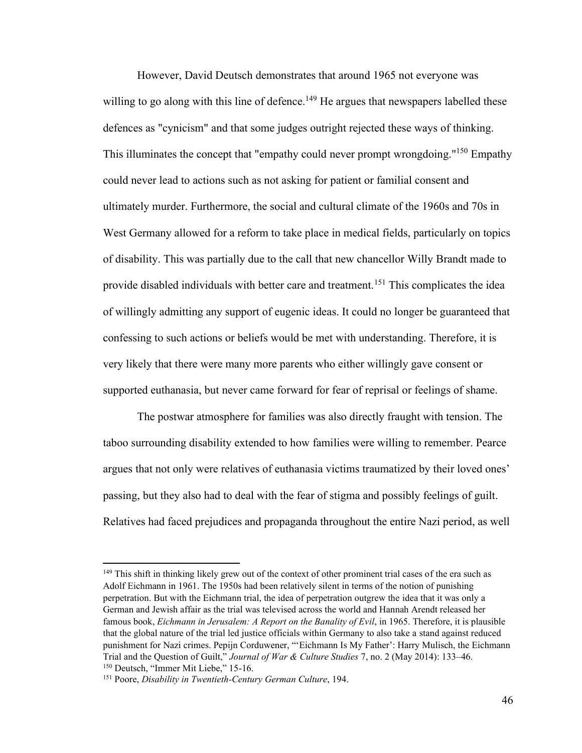However, David Deutsch demonstrates that around 1965 not everyone was willing to go along with this line of defence.<sup>149</sup> He argues that newspapers labelled these defences as "cynicism" and that some judges outright rejected these ways of thinking. This illuminates the concept that "empathy could never prompt wrongdoing."<sup>150</sup> Empathy could never lead to actions such as not asking for patient or familial consent and ultimately murder. Furthermore, the social and cultural climate of the 1960s and 70s in West Germany allowed for a reform to take place in medical fields, particularly on topics of disability. This was partially due to the call that new chancellor Willy Brandt made to provide disabled individuals with better care and treatment.<sup>151</sup> This complicates the idea of willingly admitting any support of eugenic ideas. It could no longer be guaranteed that confessing to such actions or beliefs would be met with understanding. Therefore, it is very likely that there were many more parents who either willingly gave consent or supported euthanasia, but never came forward for fear of reprisal or feelings of shame.

The postwar atmosphere for families was also directly fraught with tension. The taboo surrounding disability extended to how families were willing to remember. Pearce argues that not only were relatives of euthanasia victims traumatized by their loved ones' passing, but they also had to deal with the fear of stigma and possibly feelings of guilt. Relatives had faced prejudices and propaganda throughout the entire Nazi period, as well

<sup>&</sup>lt;sup>149</sup> This shift in thinking likely grew out of the context of other prominent trial cases of the era such as Adolf Eichmann in 1961. The 1950s had been relatively silent in terms of the notion of punishing perpetration. But with the Eichmann trial, the idea of perpetration outgrew the idea that it was only a German and Jewish affair as the trial was televised across the world and Hannah Arendt released her famous book, *Eichmann in Jerusalem: A Report on the Banality of Evil*, in 1965. Therefore, it is plausible that the global nature of the trial led justice officials within Germany to also take a stand against reduced punishment for Nazi crimes. Pepijn Corduwener, "'Eichmann Is My Father': Harry Mulisch, the Eichmann Trial and the Question of Guilt," *Journal of War & Culture Studies* 7, no. 2 (May 2014): 133–46. <sup>150</sup> Deutsch, "Immer Mit Liebe," 15-16.

<sup>151</sup> Poore, *Disability in Twentieth-Century German Culture*, 194.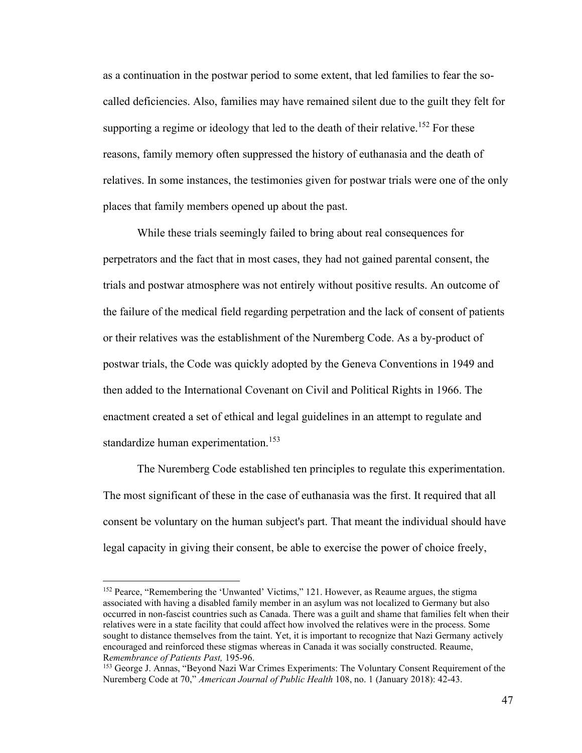as a continuation in the postwar period to some extent, that led families to fear the socalled deficiencies. Also, families may have remained silent due to the guilt they felt for supporting a regime or ideology that led to the death of their relative.<sup>152</sup> For these reasons, family memory often suppressed the history of euthanasia and the death of relatives. In some instances, the testimonies given for postwar trials were one of the only places that family members opened up about the past.

While these trials seemingly failed to bring about real consequences for perpetrators and the fact that in most cases, they had not gained parental consent, the trials and postwar atmosphere was not entirely without positive results. An outcome of the failure of the medical field regarding perpetration and the lack of consent of patients or their relatives was the establishment of the Nuremberg Code. As a by-product of postwar trials, the Code was quickly adopted by the Geneva Conventions in 1949 and then added to the International Covenant on Civil and Political Rights in 1966. The enactment created a set of ethical and legal guidelines in an attempt to regulate and standardize human experimentation.<sup>153</sup>

The Nuremberg Code established ten principles to regulate this experimentation. The most significant of these in the case of euthanasia was the first. It required that all consent be voluntary on the human subject's part. That meant the individual should have legal capacity in giving their consent, be able to exercise the power of choice freely,

<sup>&</sup>lt;sup>152</sup> Pearce, "Remembering the 'Unwanted' Victims," 121. However, as Reaume argues, the stigma associated with having a disabled family member in an asylum was not localized to Germany but also occurred in non-fascist countries such as Canada. There was a guilt and shame that families felt when their relatives were in a state facility that could affect how involved the relatives were in the process. Some sought to distance themselves from the taint. Yet, it is important to recognize that Nazi Germany actively encouraged and reinforced these stigmas whereas in Canada it was socially constructed. Reaume, R*emembrance of Patients Past,* 195-96.

<sup>153</sup> George J. Annas, "Beyond Nazi War Crimes Experiments: The Voluntary Consent Requirement of the Nuremberg Code at 70," *American Journal of Public Health* 108, no. 1 (January 2018): 42-43.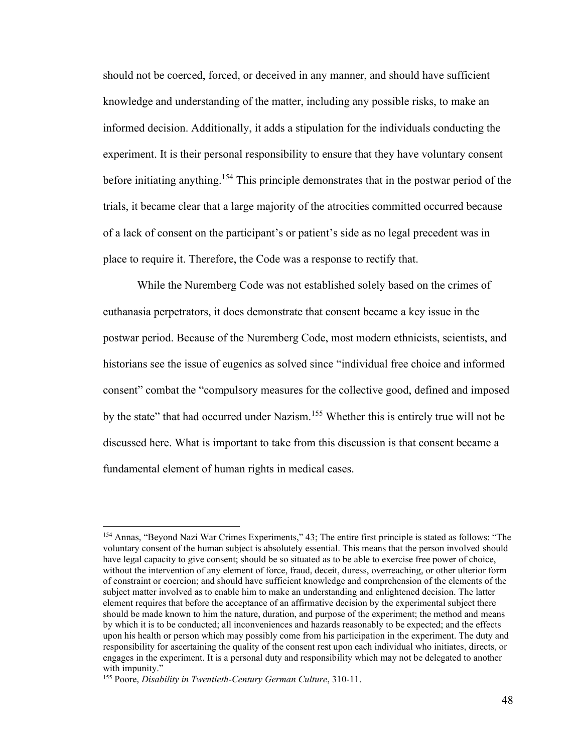should not be coerced, forced, or deceived in any manner, and should have sufficient knowledge and understanding of the matter, including any possible risks, to make an informed decision. Additionally, it adds a stipulation for the individuals conducting the experiment. It is their personal responsibility to ensure that they have voluntary consent before initiating anything.<sup>154</sup> This principle demonstrates that in the postwar period of the trials, it became clear that a large majority of the atrocities committed occurred because of a lack of consent on the participant's or patient's side as no legal precedent was in place to require it. Therefore, the Code was a response to rectify that.

While the Nuremberg Code was not established solely based on the crimes of euthanasia perpetrators, it does demonstrate that consent became a key issue in the postwar period. Because of the Nuremberg Code, most modern ethnicists, scientists, and historians see the issue of eugenics as solved since "individual free choice and informed consent" combat the "compulsory measures for the collective good, defined and imposed by the state" that had occurred under Nazism.<sup>155</sup> Whether this is entirely true will not be discussed here. What is important to take from this discussion is that consent became a fundamental element of human rights in medical cases.

<sup>154</sup> Annas, "Beyond Nazi War Crimes Experiments," 43; The entire first principle is stated as follows: "The voluntary consent of the human subject is absolutely essential. This means that the person involved should have legal capacity to give consent; should be so situated as to be able to exercise free power of choice, without the intervention of any element of force, fraud, deceit, duress, overreaching, or other ulterior form of constraint or coercion; and should have sufficient knowledge and comprehension of the elements of the subject matter involved as to enable him to make an understanding and enlightened decision. The latter element requires that before the acceptance of an affirmative decision by the experimental subject there should be made known to him the nature, duration, and purpose of the experiment; the method and means by which it is to be conducted; all inconveniences and hazards reasonably to be expected; and the effects upon his health or person which may possibly come from his participation in the experiment. The duty and responsibility for ascertaining the quality of the consent rest upon each individual who initiates, directs, or engages in the experiment. It is a personal duty and responsibility which may not be delegated to another with impunity."

<sup>155</sup> Poore, *Disability in Twentieth-Century German Culture*, 310-11.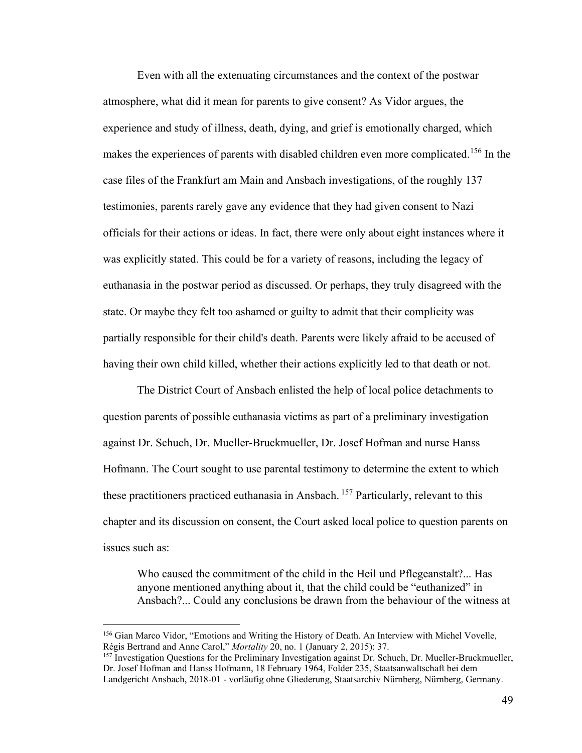Even with all the extenuating circumstances and the context of the postwar atmosphere, what did it mean for parents to give consent? As Vidor argues, the experience and study of illness, death, dying, and grief is emotionally charged, which makes the experiences of parents with disabled children even more complicated.<sup>156</sup> In the case files of the Frankfurt am Main and Ansbach investigations, of the roughly 137 testimonies, parents rarely gave any evidence that they had given consent to Nazi officials for their actions or ideas. In fact, there were only about eight instances where it was explicitly stated. This could be for a variety of reasons, including the legacy of euthanasia in the postwar period as discussed. Or perhaps, they truly disagreed with the state. Or maybe they felt too ashamed or guilty to admit that their complicity was partially responsible for their child's death. Parents were likely afraid to be accused of having their own child killed, whether their actions explicitly led to that death or not.

The District Court of Ansbach enlisted the help of local police detachments to question parents of possible euthanasia victims as part of a preliminary investigation against Dr. Schuch, Dr. Mueller-Bruckmueller, Dr. Josef Hofman and nurse Hanss Hofmann. The Court sought to use parental testimony to determine the extent to which these practitioners practiced euthanasia in Ansbach.<sup>157</sup> Particularly, relevant to this chapter and its discussion on consent, the Court asked local police to question parents on issues such as:

Who caused the commitment of the child in the Heil und Pflegeanstalt?... Has anyone mentioned anything about it, that the child could be "euthanized" in Ansbach?... Could any conclusions be drawn from the behaviour of the witness at

<sup>156</sup> Gian Marco Vidor, "Emotions and Writing the History of Death. An Interview with Michel Vovelle, Régis Bertrand and Anne Carol," *Mortality* 20, no. 1 (January 2, 2015): 37.

<sup>157</sup> Investigation Questions for the Preliminary Investigation against Dr. Schuch, Dr. Mueller-Bruckmueller, Dr. Josef Hofman and Hanss Hofmann, 18 February 1964, Folder 235, Staatsanwaltschaft bei dem Landgericht Ansbach, 2018-01 - vorläufig ohne Gliederung, Staatsarchiv Nürnberg, Nürnberg, Germany.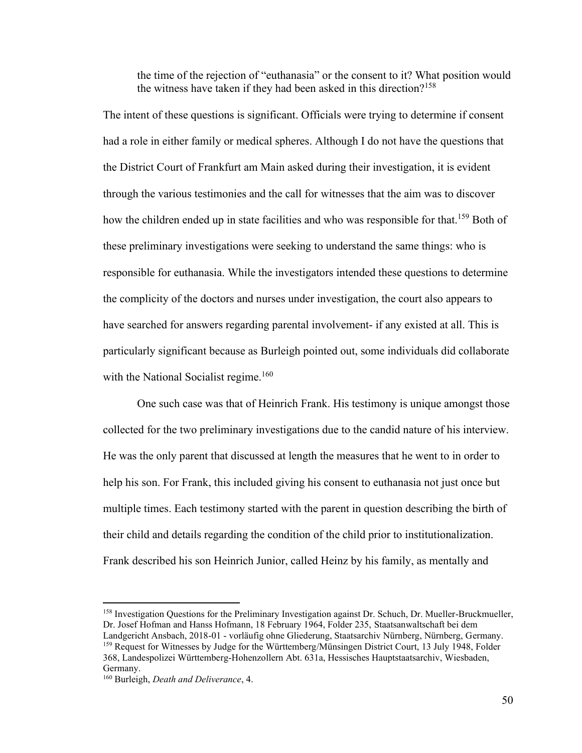the time of the rejection of "euthanasia" or the consent to it? What position would the witness have taken if they had been asked in this direction?<sup>158</sup>

The intent of these questions is significant. Officials were trying to determine if consent had a role in either family or medical spheres. Although I do not have the questions that the District Court of Frankfurt am Main asked during their investigation, it is evident through the various testimonies and the call for witnesses that the aim was to discover how the children ended up in state facilities and who was responsible for that.<sup>159</sup> Both of these preliminary investigations were seeking to understand the same things: who is responsible for euthanasia. While the investigators intended these questions to determine the complicity of the doctors and nurses under investigation, the court also appears to have searched for answers regarding parental involvement- if any existed at all. This is particularly significant because as Burleigh pointed out, some individuals did collaborate with the National Socialist regime.<sup>160</sup>

One such case was that of Heinrich Frank. His testimony is unique amongst those collected for the two preliminary investigations due to the candid nature of his interview. He was the only parent that discussed at length the measures that he went to in order to help his son. For Frank, this included giving his consent to euthanasia not just once but multiple times. Each testimony started with the parent in question describing the birth of their child and details regarding the condition of the child prior to institutionalization. Frank described his son Heinrich Junior, called Heinz by his family, as mentally and

<sup>158</sup> Investigation Questions for the Preliminary Investigation against Dr. Schuch, Dr. Mueller-Bruckmueller, Dr. Josef Hofman and Hanss Hofmann, 18 February 1964, Folder 235, Staatsanwaltschaft bei dem Landgericht Ansbach, 2018-01 - vorläufig ohne Gliederung, Staatsarchiv Nürnberg, Nürnberg, Germany. <sup>159</sup> Request for Witnesses by Judge for the Württemberg/Münsingen District Court, 13 July 1948, Folder 368, Landespolizei Württemberg-Hohenzollern Abt. 631a, Hessisches Hauptstaatsarchiv, Wiesbaden, Germany.

<sup>160</sup> Burleigh, *Death and Deliverance*, 4.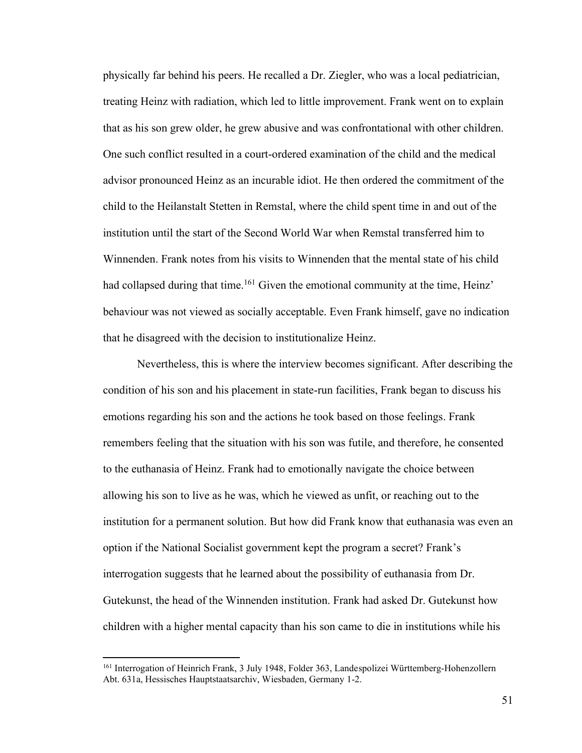physically far behind his peers. He recalled a Dr. Ziegler, who was a local pediatrician, treating Heinz with radiation, which led to little improvement. Frank went on to explain that as his son grew older, he grew abusive and was confrontational with other children. One such conflict resulted in a court-ordered examination of the child and the medical advisor pronounced Heinz as an incurable idiot. He then ordered the commitment of the child to the Heilanstalt Stetten in Remstal, where the child spent time in and out of the institution until the start of the Second World War when Remstal transferred him to Winnenden. Frank notes from his visits to Winnenden that the mental state of his child had collapsed during that time.<sup>161</sup> Given the emotional community at the time, Heinz' behaviour was not viewed as socially acceptable. Even Frank himself, gave no indication that he disagreed with the decision to institutionalize Heinz.

Nevertheless, this is where the interview becomes significant. After describing the condition of his son and his placement in state-run facilities, Frank began to discuss his emotions regarding his son and the actions he took based on those feelings. Frank remembers feeling that the situation with his son was futile, and therefore, he consented to the euthanasia of Heinz. Frank had to emotionally navigate the choice between allowing his son to live as he was, which he viewed as unfit, or reaching out to the institution for a permanent solution. But how did Frank know that euthanasia was even an option if the National Socialist government kept the program a secret? Frank's interrogation suggests that he learned about the possibility of euthanasia from Dr. Gutekunst, the head of the Winnenden institution. Frank had asked Dr. Gutekunst how children with a higher mental capacity than his son came to die in institutions while his

<sup>&</sup>lt;sup>161</sup> Interrogation of Heinrich Frank, 3 July 1948, Folder 363, Landespolizei Württemberg-Hohenzollern Abt. 631a, Hessisches Hauptstaatsarchiv, Wiesbaden, Germany 1-2.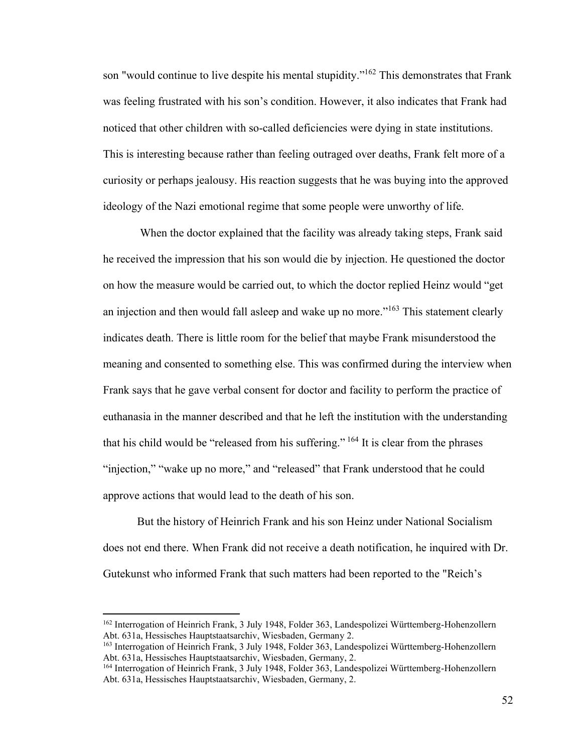son "would continue to live despite his mental stupidity."<sup>162</sup> This demonstrates that Frank was feeling frustrated with his son's condition. However, it also indicates that Frank had noticed that other children with so-called deficiencies were dying in state institutions. This is interesting because rather than feeling outraged over deaths, Frank felt more of a curiosity or perhaps jealousy. His reaction suggests that he was buying into the approved ideology of the Nazi emotional regime that some people were unworthy of life.

When the doctor explained that the facility was already taking steps, Frank said he received the impression that his son would die by injection. He questioned the doctor on how the measure would be carried out, to which the doctor replied Heinz would "get an injection and then would fall asleep and wake up no more."<sup>163</sup> This statement clearly indicates death. There is little room for the belief that maybe Frank misunderstood the meaning and consented to something else. This was confirmed during the interview when Frank says that he gave verbal consent for doctor and facility to perform the practice of euthanasia in the manner described and that he left the institution with the understanding that his child would be "released from his suffering."  $^{164}$  It is clear from the phrases "injection," "wake up no more," and "released" that Frank understood that he could approve actions that would lead to the death of his son.

But the history of Heinrich Frank and his son Heinz under National Socialism does not end there. When Frank did not receive a death notification, he inquired with Dr. Gutekunst who informed Frank that such matters had been reported to the "Reich's

<sup>&</sup>lt;sup>162</sup> Interrogation of Heinrich Frank, 3 July 1948, Folder 363, Landespolizei Württemberg-Hohenzollern Abt. 631a, Hessisches Hauptstaatsarchiv, Wiesbaden, Germany 2.

<sup>163</sup> Interrogation of Heinrich Frank, 3 July 1948, Folder 363, Landespolizei Württemberg-Hohenzollern Abt. 631a, Hessisches Hauptstaatsarchiv, Wiesbaden, Germany, 2.

<sup>164</sup> Interrogation of Heinrich Frank, 3 July 1948, Folder 363, Landespolizei Württemberg-Hohenzollern Abt. 631a, Hessisches Hauptstaatsarchiv, Wiesbaden, Germany, 2.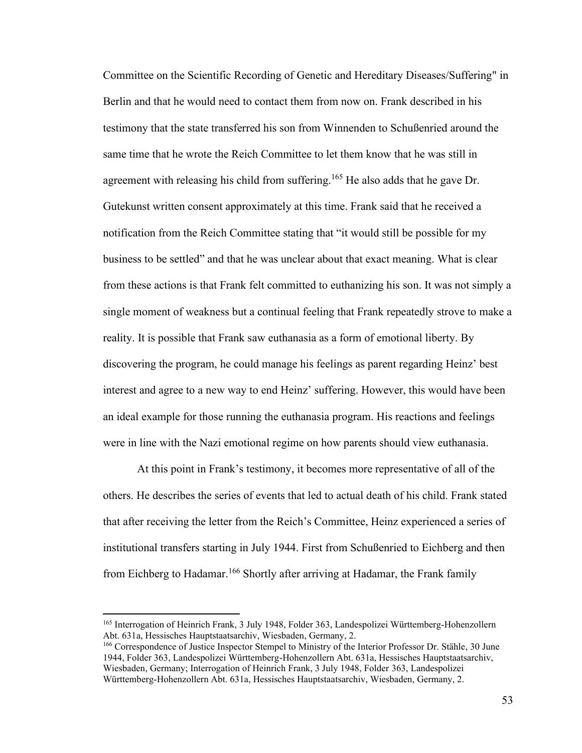Committee on the Scientific Recording of Genetic and Hereditary Diseases/Suffering" in Berlin and that he would need to contact them from now on. Frank described in his testimony that the state transferred his son from Winnenden to Schußenried around the same time that he wrote the Reich Committee to let them know that he was still in agreement with releasing his child from suffering.<sup>165</sup> He also adds that he gave Dr. Gutekunst written consent approximately at this time. Frank said that he received a notification from the Reich Committee stating that "it would still be possible for my business to be settled" and that he was unclear about that exact meaning. What is clear from these actions is that Frank felt committed to euthanizing his son. It was not simply a single moment of weakness but a continual feeling that Frank repeatedly strove to make a reality. It is possible that Frank saw euthanasia as a form of emotional liberty. By discovering the program, he could manage his feelings as parent regarding Heinz' best interest and agree to a new way to end Heinz' suffering. However, this would have been an ideal example for those running the euthanasia program. His reactions and feelings were in line with the Nazi emotional regime on how parents should view euthanasia.

At this point in Frank's testimony, it becomes more representative of all of the others. He describes the series of events that led to actual death of his child. Frank stated that after receiving the letter from the Reich's Committee, Heinz experienced a series of institutional transfers starting in July 1944. First from Schußenried to Eichberg and then from Eichberg to Hadamar.<sup>166</sup> Shortly after arriving at Hadamar, the Frank family

<sup>&</sup>lt;sup>165</sup> Interrogation of Heinrich Frank, 3 July 1948, Folder 363, Landespolizei Württemberg-Hohenzollern Abt. 631a, Hessisches Hauptstaatsarchiv, Wiesbaden, Germany, 2.

<sup>&</sup>lt;sup>166</sup> Correspondence of Justice Inspector Stempel to Ministry of the Interior Professor Dr. Stähle, 30 June 1944, Folder 363, Landespolizei Württemberg-Hohenzollern Abt. 631a, Hessisches Hauptstaatsarchiv, Wiesbaden, Germany; Interrogation of Heinrich Frank, 3 July 1948, Folder 363, Landespolizei Württemberg-Hohenzollern Abt. 631a, Hessisches Hauptstaatsarchiv, Wiesbaden, Germany, 2.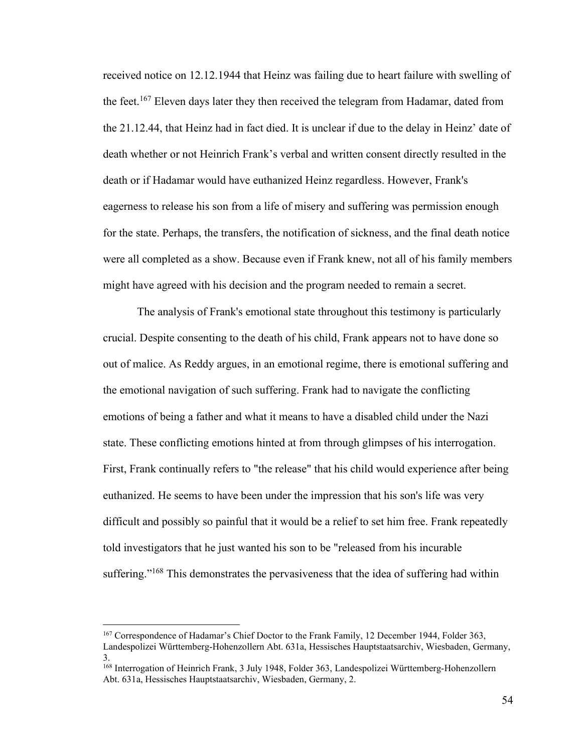received notice on 12.12.1944 that Heinz was failing due to heart failure with swelling of the feet.<sup>167</sup> Eleven days later they then received the telegram from Hadamar, dated from the 21.12.44, that Heinz had in fact died. It is unclear if due to the delay in Heinz' date of death whether or not Heinrich Frank's verbal and written consent directly resulted in the death or if Hadamar would have euthanized Heinz regardless. However, Frank's eagerness to release his son from a life of misery and suffering was permission enough for the state. Perhaps, the transfers, the notification of sickness, and the final death notice were all completed as a show. Because even if Frank knew, not all of his family members might have agreed with his decision and the program needed to remain a secret.

The analysis of Frank's emotional state throughout this testimony is particularly crucial. Despite consenting to the death of his child, Frank appears not to have done so out of malice. As Reddy argues, in an emotional regime, there is emotional suffering and the emotional navigation of such suffering. Frank had to navigate the conflicting emotions of being a father and what it means to have a disabled child under the Nazi state. These conflicting emotions hinted at from through glimpses of his interrogation. First, Frank continually refers to "the release" that his child would experience after being euthanized. He seems to have been under the impression that his son's life was very difficult and possibly so painful that it would be a relief to set him free. Frank repeatedly told investigators that he just wanted his son to be "released from his incurable suffering."<sup>168</sup> This demonstrates the pervasiveness that the idea of suffering had within

<sup>167</sup> Correspondence of Hadamar's Chief Doctor to the Frank Family, 12 December 1944, Folder 363, Landespolizei Württemberg-Hohenzollern Abt. 631a, Hessisches Hauptstaatsarchiv, Wiesbaden, Germany, 3.

<sup>&</sup>lt;sup>168</sup> Interrogation of Heinrich Frank, 3 July 1948, Folder 363, Landespolizei Württemberg-Hohenzollern Abt. 631a, Hessisches Hauptstaatsarchiv, Wiesbaden, Germany, 2.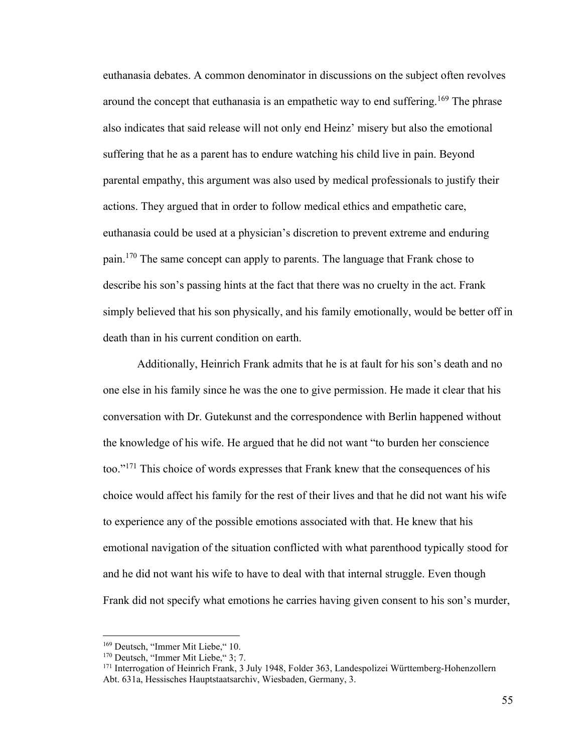euthanasia debates. A common denominator in discussions on the subject often revolves around the concept that euthanasia is an empathetic way to end suffering.<sup>169</sup> The phrase also indicates that said release will not only end Heinz' misery but also the emotional suffering that he as a parent has to endure watching his child live in pain. Beyond parental empathy, this argument was also used by medical professionals to justify their actions. They argued that in order to follow medical ethics and empathetic care, euthanasia could be used at a physician's discretion to prevent extreme and enduring pain.<sup>170</sup> The same concept can apply to parents. The language that Frank chose to describe his son's passing hints at the fact that there was no cruelty in the act. Frank simply believed that his son physically, and his family emotionally, would be better off in death than in his current condition on earth.

Additionally, Heinrich Frank admits that he is at fault for his son's death and no one else in his family since he was the one to give permission. He made it clear that his conversation with Dr. Gutekunst and the correspondence with Berlin happened without the knowledge of his wife. He argued that he did not want "to burden her conscience too."<sup>171</sup> This choice of words expresses that Frank knew that the consequences of his choice would affect his family for the rest of their lives and that he did not want his wife to experience any of the possible emotions associated with that. He knew that his emotional navigation of the situation conflicted with what parenthood typically stood for and he did not want his wife to have to deal with that internal struggle. Even though Frank did not specify what emotions he carries having given consent to his son's murder,

<sup>&</sup>lt;sup>169</sup> Deutsch, "Immer Mit Liebe," 10.

<sup>&</sup>lt;sup>170</sup> Deutsch, "Immer Mit Liebe," 3; 7.

<sup>&</sup>lt;sup>171</sup> Interrogation of Heinrich Frank, 3 July 1948, Folder 363, Landespolizei Württemberg-Hohenzollern Abt. 631a, Hessisches Hauptstaatsarchiv, Wiesbaden, Germany, 3.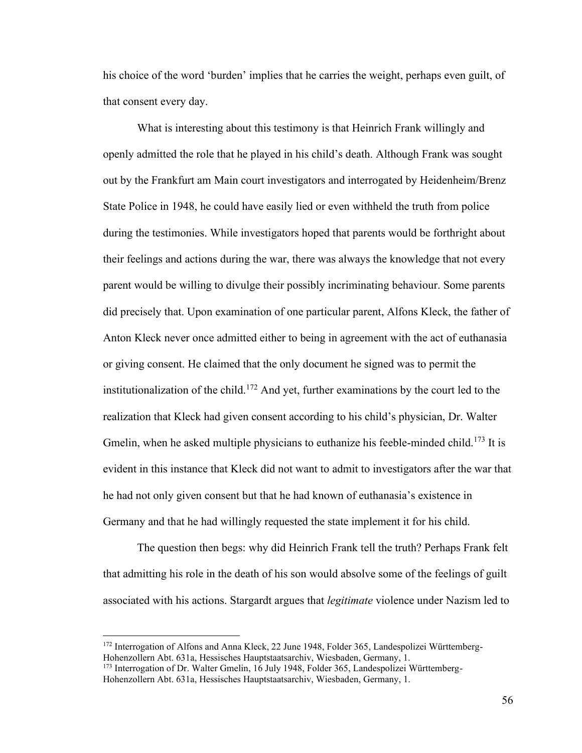his choice of the word 'burden' implies that he carries the weight, perhaps even guilt, of that consent every day.

What is interesting about this testimony is that Heinrich Frank willingly and openly admitted the role that he played in his child's death. Although Frank was sought out by the Frankfurt am Main court investigators and interrogated by Heidenheim/Brenz State Police in 1948, he could have easily lied or even withheld the truth from police during the testimonies. While investigators hoped that parents would be forthright about their feelings and actions during the war, there was always the knowledge that not every parent would be willing to divulge their possibly incriminating behaviour. Some parents did precisely that. Upon examination of one particular parent, Alfons Kleck, the father of Anton Kleck never once admitted either to being in agreement with the act of euthanasia or giving consent. He claimed that the only document he signed was to permit the institutionalization of the child.<sup>172</sup> And yet, further examinations by the court led to the realization that Kleck had given consent according to his child's physician, Dr. Walter Gmelin, when he asked multiple physicians to euthanize his feeble-minded child.<sup>173</sup> It is evident in this instance that Kleck did not want to admit to investigators after the war that he had not only given consent but that he had known of euthanasia's existence in Germany and that he had willingly requested the state implement it for his child.

The question then begs: why did Heinrich Frank tell the truth? Perhaps Frank felt that admitting his role in the death of his son would absolve some of the feelings of guilt associated with his actions. Stargardt argues that *legitimate* violence under Nazism led to

<sup>172</sup> Interrogation of Alfons and Anna Kleck, 22 June 1948, Folder 365, Landespolizei Württemberg-Hohenzollern Abt. 631a, Hessisches Hauptstaatsarchiv, Wiesbaden, Germany, 1.

<sup>173</sup> Interrogation of Dr. Walter Gmelin, 16 July 1948, Folder 365, Landespolizei Württemberg-Hohenzollern Abt. 631a, Hessisches Hauptstaatsarchiv, Wiesbaden, Germany, 1.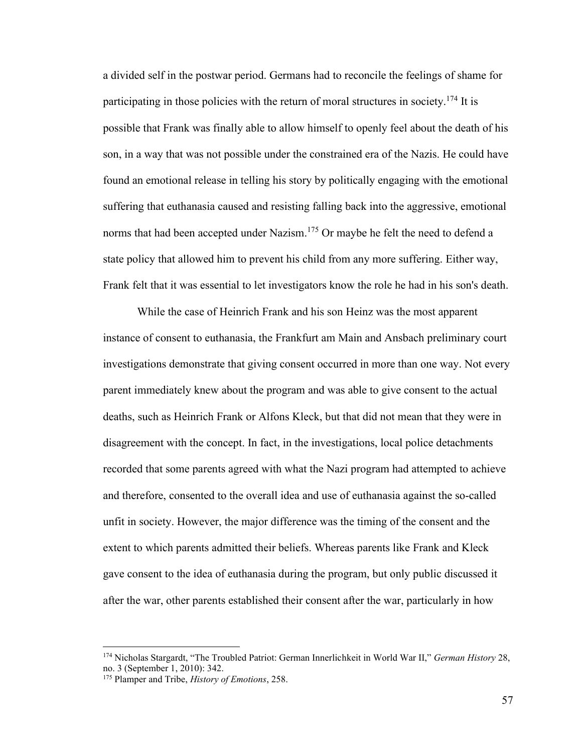a divided self in the postwar period. Germans had to reconcile the feelings of shame for participating in those policies with the return of moral structures in society.<sup>174</sup> It is possible that Frank was finally able to allow himself to openly feel about the death of his son, in a way that was not possible under the constrained era of the Nazis. He could have found an emotional release in telling his story by politically engaging with the emotional suffering that euthanasia caused and resisting falling back into the aggressive, emotional norms that had been accepted under Nazism.<sup>175</sup> Or maybe he felt the need to defend a state policy that allowed him to prevent his child from any more suffering. Either way, Frank felt that it was essential to let investigators know the role he had in his son's death.

While the case of Heinrich Frank and his son Heinz was the most apparent instance of consent to euthanasia, the Frankfurt am Main and Ansbach preliminary court investigations demonstrate that giving consent occurred in more than one way. Not every parent immediately knew about the program and was able to give consent to the actual deaths, such as Heinrich Frank or Alfons Kleck, but that did not mean that they were in disagreement with the concept. In fact, in the investigations, local police detachments recorded that some parents agreed with what the Nazi program had attempted to achieve and therefore, consented to the overall idea and use of euthanasia against the so-called unfit in society. However, the major difference was the timing of the consent and the extent to which parents admitted their beliefs. Whereas parents like Frank and Kleck gave consent to the idea of euthanasia during the program, but only public discussed it after the war, other parents established their consent after the war, particularly in how

<sup>174</sup> Nicholas Stargardt, "The Troubled Patriot: German Innerlichkeit in World War II," *German History* 28, no. 3 (September 1, 2010): 342.

<sup>175</sup> Plamper and Tribe, *History of Emotions*, 258.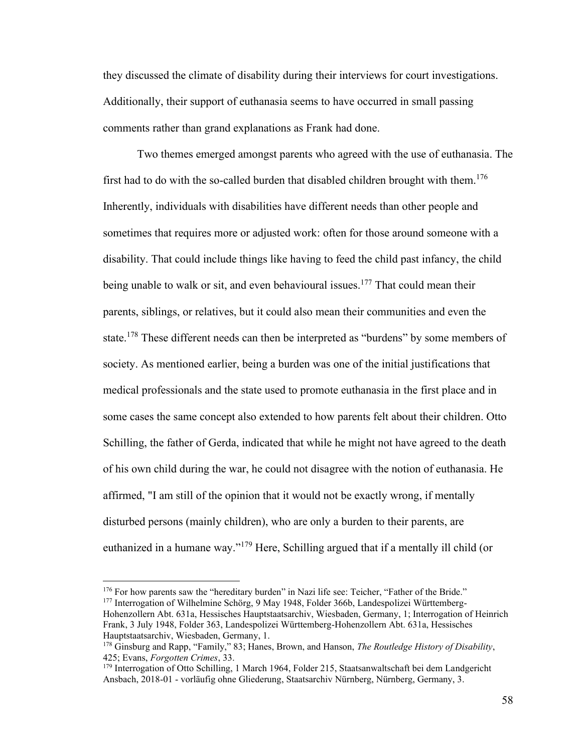they discussed the climate of disability during their interviews for court investigations. Additionally, their support of euthanasia seems to have occurred in small passing comments rather than grand explanations as Frank had done.

Two themes emerged amongst parents who agreed with the use of euthanasia. The first had to do with the so-called burden that disabled children brought with them.<sup>176</sup> Inherently, individuals with disabilities have different needs than other people and sometimes that requires more or adjusted work: often for those around someone with a disability. That could include things like having to feed the child past infancy, the child being unable to walk or sit, and even behavioural issues.<sup>177</sup> That could mean their parents, siblings, or relatives, but it could also mean their communities and even the state.<sup>178</sup> These different needs can then be interpreted as "burdens" by some members of society. As mentioned earlier, being a burden was one of the initial justifications that medical professionals and the state used to promote euthanasia in the first place and in some cases the same concept also extended to how parents felt about their children. Otto Schilling, the father of Gerda, indicated that while he might not have agreed to the death of his own child during the war, he could not disagree with the notion of euthanasia. He affirmed, "I am still of the opinion that it would not be exactly wrong, if mentally disturbed persons (mainly children), who are only a burden to their parents, are euthanized in a humane way."<sup>179</sup> Here, Schilling argued that if a mentally ill child (or

<sup>&</sup>lt;sup>176</sup> For how parents saw the "hereditary burden" in Nazi life see: Teicher, "Father of the Bride." <sup>177</sup> Interrogation of Wilhelmine Schörg, 9 May 1948, Folder 366b, Landespolizei Württemberg-

Hohenzollern Abt. 631a, Hessisches Hauptstaatsarchiv, Wiesbaden, Germany, 1; Interrogation of Heinrich Frank, 3 July 1948, Folder 363, Landespolizei Württemberg-Hohenzollern Abt. 631a, Hessisches Hauptstaatsarchiv, Wiesbaden, Germany, 1.

<sup>178</sup> Ginsburg and Rapp, "Family," 83; Hanes, Brown, and Hanson, *The Routledge History of Disability*, 425; Evans, *Forgotten Crimes*, 33.

<sup>179</sup> Interrogation of Otto Schilling, 1 March 1964, Folder 215, Staatsanwaltschaft bei dem Landgericht Ansbach, 2018-01 - vorläufig ohne Gliederung, Staatsarchiv Nürnberg, Nürnberg, Germany, 3.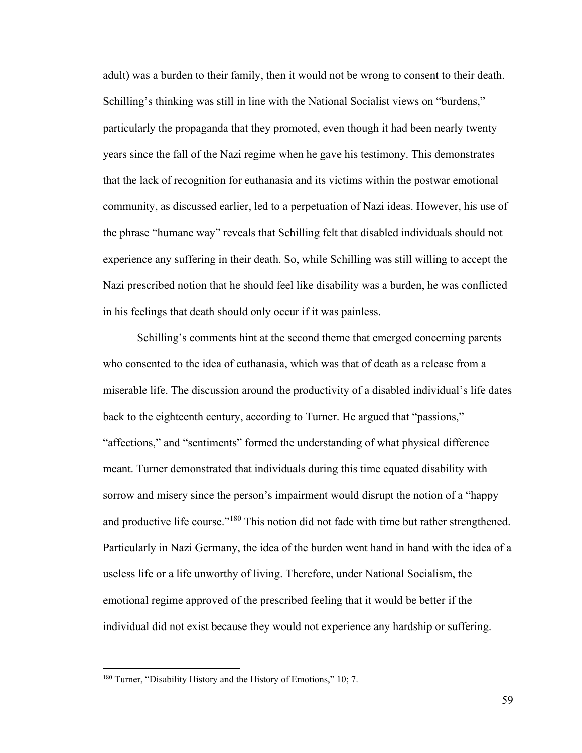adult) was a burden to their family, then it would not be wrong to consent to their death. Schilling's thinking was still in line with the National Socialist views on "burdens," particularly the propaganda that they promoted, even though it had been nearly twenty years since the fall of the Nazi regime when he gave his testimony. This demonstrates that the lack of recognition for euthanasia and its victims within the postwar emotional community, as discussed earlier, led to a perpetuation of Nazi ideas. However, his use of the phrase "humane way" reveals that Schilling felt that disabled individuals should not experience any suffering in their death. So, while Schilling was still willing to accept the Nazi prescribed notion that he should feel like disability was a burden, he was conflicted in his feelings that death should only occur if it was painless.

Schilling's comments hint at the second theme that emerged concerning parents who consented to the idea of euthanasia, which was that of death as a release from a miserable life. The discussion around the productivity of a disabled individual's life dates back to the eighteenth century, according to Turner. He argued that "passions," "affections," and "sentiments" formed the understanding of what physical difference meant. Turner demonstrated that individuals during this time equated disability with sorrow and misery since the person's impairment would disrupt the notion of a "happy and productive life course."<sup>180</sup> This notion did not fade with time but rather strengthened. Particularly in Nazi Germany, the idea of the burden went hand in hand with the idea of a useless life or a life unworthy of living. Therefore, under National Socialism, the emotional regime approved of the prescribed feeling that it would be better if the individual did not exist because they would not experience any hardship or suffering.

<sup>&</sup>lt;sup>180</sup> Turner, "Disability History and the History of Emotions," 10; 7.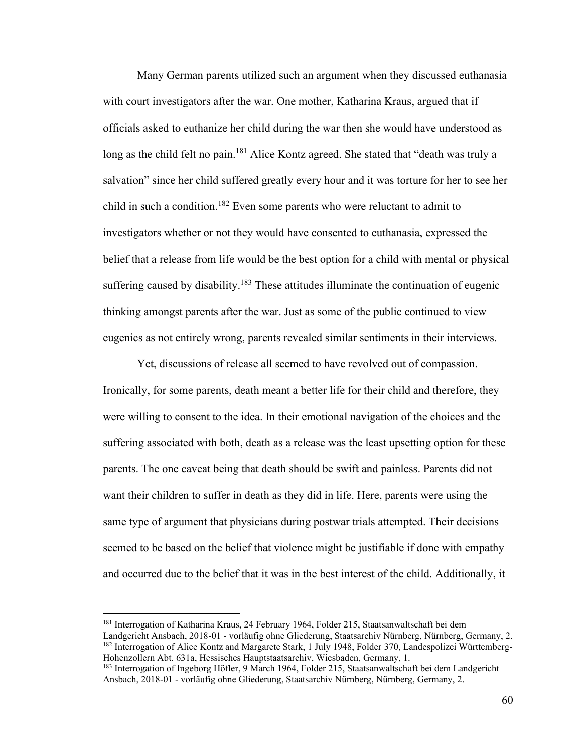Many German parents utilized such an argument when they discussed euthanasia with court investigators after the war. One mother, Katharina Kraus, argued that if officials asked to euthanize her child during the war then she would have understood as long as the child felt no pain.<sup>181</sup> Alice Kontz agreed. She stated that "death was truly a salvation" since her child suffered greatly every hour and it was torture for her to see her child in such a condition.<sup>182</sup> Even some parents who were reluctant to admit to investigators whether or not they would have consented to euthanasia, expressed the belief that a release from life would be the best option for a child with mental or physical suffering caused by disability.<sup>183</sup> These attitudes illuminate the continuation of eugenic thinking amongst parents after the war. Just as some of the public continued to view eugenics as not entirely wrong, parents revealed similar sentiments in their interviews.

Yet, discussions of release all seemed to have revolved out of compassion. Ironically, for some parents, death meant a better life for their child and therefore, they were willing to consent to the idea. In their emotional navigation of the choices and the suffering associated with both, death as a release was the least upsetting option for these parents. The one caveat being that death should be swift and painless. Parents did not want their children to suffer in death as they did in life. Here, parents were using the same type of argument that physicians during postwar trials attempted. Their decisions seemed to be based on the belief that violence might be justifiable if done with empathy and occurred due to the belief that it was in the best interest of the child. Additionally, it

<sup>181</sup> Interrogation of Katharina Kraus, 24 February 1964, Folder 215, Staatsanwaltschaft bei dem

Landgericht Ansbach, 2018-01 - vorläufig ohne Gliederung, Staatsarchiv Nürnberg, Nürnberg, Germany, 2. <sup>182</sup> Interrogation of Alice Kontz and Margarete Stark, 1 July 1948, Folder 370, Landespolizei Württemberg-Hohenzollern Abt. 631a, Hessisches Hauptstaatsarchiv, Wiesbaden, Germany, 1.

<sup>183</sup> Interrogation of Ingeborg Höfler, 9 March 1964, Folder 215, Staatsanwaltschaft bei dem Landgericht Ansbach, 2018-01 - vorläufig ohne Gliederung, Staatsarchiv Nürnberg, Nürnberg, Germany, 2.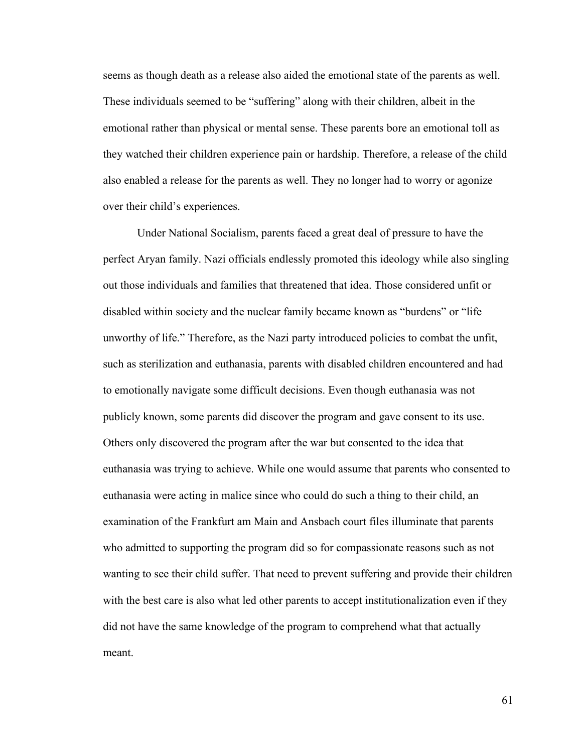seems as though death as a release also aided the emotional state of the parents as well. These individuals seemed to be "suffering" along with their children, albeit in the emotional rather than physical or mental sense. These parents bore an emotional toll as they watched their children experience pain or hardship. Therefore, a release of the child also enabled a release for the parents as well. They no longer had to worry or agonize over their child's experiences.

Under National Socialism, parents faced a great deal of pressure to have the perfect Aryan family. Nazi officials endlessly promoted this ideology while also singling out those individuals and families that threatened that idea. Those considered unfit or disabled within society and the nuclear family became known as "burdens" or "life unworthy of life." Therefore, as the Nazi party introduced policies to combat the unfit, such as sterilization and euthanasia, parents with disabled children encountered and had to emotionally navigate some difficult decisions. Even though euthanasia was not publicly known, some parents did discover the program and gave consent to its use. Others only discovered the program after the war but consented to the idea that euthanasia was trying to achieve. While one would assume that parents who consented to euthanasia were acting in malice since who could do such a thing to their child, an examination of the Frankfurt am Main and Ansbach court files illuminate that parents who admitted to supporting the program did so for compassionate reasons such as not wanting to see their child suffer. That need to prevent suffering and provide their children with the best care is also what led other parents to accept institutionalization even if they did not have the same knowledge of the program to comprehend what that actually meant.

61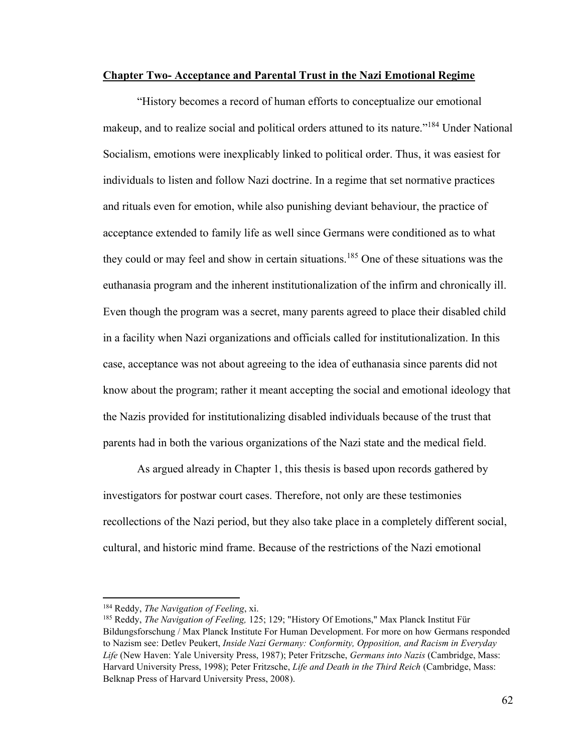## **Chapter Two- Acceptance and Parental Trust in the Nazi Emotional Regime**

"History becomes a record of human efforts to conceptualize our emotional makeup, and to realize social and political orders attuned to its nature."<sup>184</sup> Under National Socialism, emotions were inexplicably linked to political order. Thus, it was easiest for individuals to listen and follow Nazi doctrine. In a regime that set normative practices and rituals even for emotion, while also punishing deviant behaviour, the practice of acceptance extended to family life as well since Germans were conditioned as to what they could or may feel and show in certain situations.<sup>185</sup> One of these situations was the euthanasia program and the inherent institutionalization of the infirm and chronically ill. Even though the program was a secret, many parents agreed to place their disabled child in a facility when Nazi organizations and officials called for institutionalization. In this case, acceptance was not about agreeing to the idea of euthanasia since parents did not know about the program; rather it meant accepting the social and emotional ideology that the Nazis provided for institutionalizing disabled individuals because of the trust that parents had in both the various organizations of the Nazi state and the medical field.

As argued already in Chapter 1, this thesis is based upon records gathered by investigators for postwar court cases. Therefore, not only are these testimonies recollections of the Nazi period, but they also take place in a completely different social, cultural, and historic mind frame. Because of the restrictions of the Nazi emotional

<sup>184</sup> Reddy, *The Navigation of Feeling*, xi.

<sup>185</sup> Reddy, *The Navigation of Feeling,* 125; 129; "History Of Emotions," Max Planck Institut Für Bildungsforschung / Max Planck Institute For Human Development. For more on how Germans responded to Nazism see: Detlev Peukert, *Inside Nazi Germany: Conformity, Opposition, and Racism in Everyday Life* (New Haven: Yale University Press, 1987); Peter Fritzsche, *Germans into Nazis* (Cambridge, Mass: Harvard University Press, 1998); Peter Fritzsche, *Life and Death in the Third Reich* (Cambridge, Mass: Belknap Press of Harvard University Press, 2008).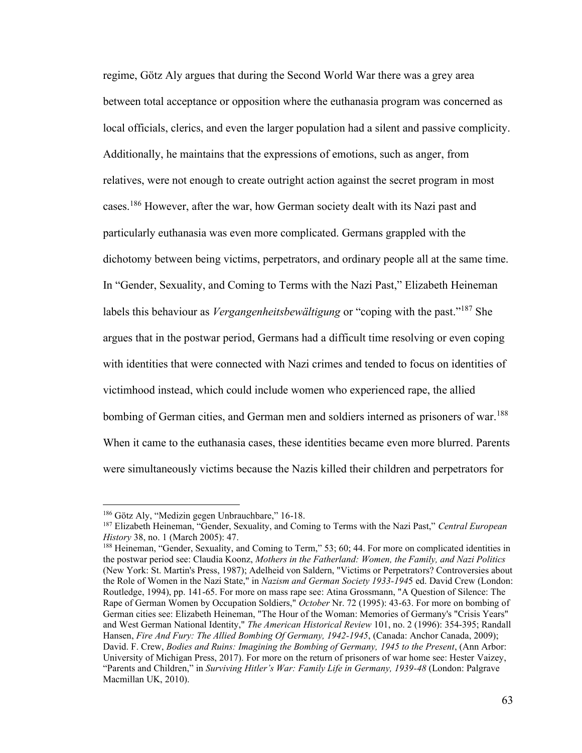regime, Götz Aly argues that during the Second World War there was a grey area between total acceptance or opposition where the euthanasia program was concerned as local officials, clerics, and even the larger population had a silent and passive complicity. Additionally, he maintains that the expressions of emotions, such as anger, from relatives, were not enough to create outright action against the secret program in most cases.<sup>186</sup> However, after the war, how German society dealt with its Nazi past and particularly euthanasia was even more complicated. Germans grappled with the dichotomy between being victims, perpetrators, and ordinary people all at the same time. In "Gender, Sexuality, and Coming to Terms with the Nazi Past," Elizabeth Heineman labels this behaviour as *Vergangenheitsbewältigung* or "coping with the past."<sup>187</sup> She argues that in the postwar period, Germans had a difficult time resolving or even coping with identities that were connected with Nazi crimes and tended to focus on identities of victimhood instead, which could include women who experienced rape, the allied bombing of German cities, and German men and soldiers interned as prisoners of war.<sup>188</sup> When it came to the euthanasia cases, these identities became even more blurred. Parents were simultaneously victims because the Nazis killed their children and perpetrators for

<sup>&</sup>lt;sup>186</sup> Götz Aly, "Medizin gegen Unbrauchbare," 16-18.

<sup>187</sup> Elizabeth Heineman, "Gender, Sexuality, and Coming to Terms with the Nazi Past," *Central European History* 38, no. 1 (March 2005): 47.

<sup>188</sup> Heineman, "Gender, Sexuality, and Coming to Term," 53; 60; 44. For more on complicated identities in the postwar period see: Claudia Koonz, *Mothers in the Fatherland: Women, the Family, and Nazi Politics* (New York: St. Martin's Press, 1987); Adelheid von Saldern, "Victims or Perpetrators? Controversies about the Role of Women in the Nazi State," in *Nazism and German Society 1933-194*5 ed. David Crew (London: Routledge, 1994), pp. 141-65. For more on mass rape see: Atina Grossmann, "A Question of Silence: The Rape of German Women by Occupation Soldiers," *October* Nr. 72 (1995): 43-63. For more on bombing of German cities see: Elizabeth Heineman, "The Hour of the Woman: Memories of Germany's "Crisis Years" and West German National Identity," *The American Historical Review* 101, no. 2 (1996): 354-395; Randall Hansen, *Fire And Fury: The Allied Bombing Of Germany, 1942-1945*, (Canada: Anchor Canada, 2009); David. F. Crew, *Bodies and Ruins: Imagining the Bombing of Germany, 1945 to the Present*, (Ann Arbor: University of Michigan Press, 2017). For more on the return of prisoners of war home see: Hester Vaizey, "Parents and Children," in *Surviving Hitler's War: Family Life in Germany, 1939-48* (London: Palgrave Macmillan UK, 2010).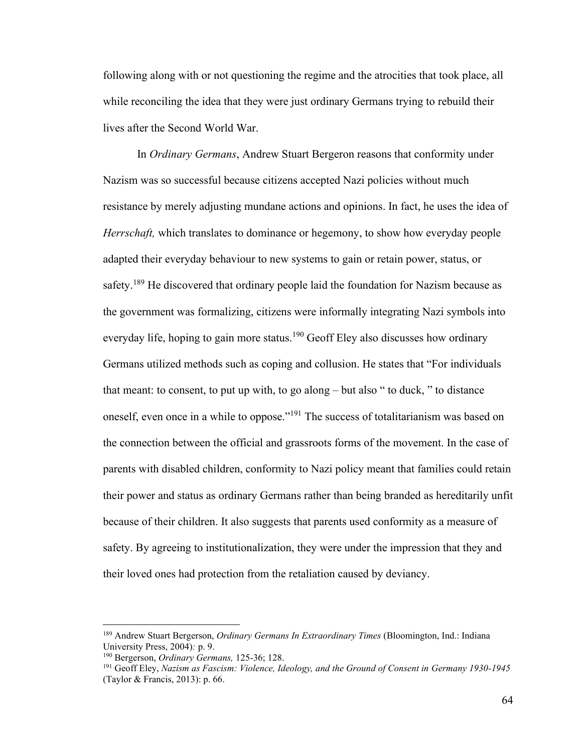following along with or not questioning the regime and the atrocities that took place, all while reconciling the idea that they were just ordinary Germans trying to rebuild their lives after the Second World War.

In *Ordinary Germans*, Andrew Stuart Bergeron reasons that conformity under Nazism was so successful because citizens accepted Nazi policies without much resistance by merely adjusting mundane actions and opinions. In fact, he uses the idea of *Herrschaft,* which translates to dominance or hegemony, to show how everyday people adapted their everyday behaviour to new systems to gain or retain power, status, or safety.<sup>189</sup> He discovered that ordinary people laid the foundation for Nazism because as the government was formalizing, citizens were informally integrating Nazi symbols into everyday life, hoping to gain more status.<sup>190</sup> Geoff Eley also discusses how ordinary Germans utilized methods such as coping and collusion. He states that "For individuals that meant: to consent, to put up with, to go along – but also " to duck, " to distance oneself, even once in a while to oppose."<sup>191</sup> The success of totalitarianism was based on the connection between the official and grassroots forms of the movement. In the case of parents with disabled children, conformity to Nazi policy meant that families could retain their power and status as ordinary Germans rather than being branded as hereditarily unfit because of their children. It also suggests that parents used conformity as a measure of safety. By agreeing to institutionalization, they were under the impression that they and their loved ones had protection from the retaliation caused by deviancy.

<sup>189</sup> Andrew Stuart Bergerson, *Ordinary Germans In Extraordinary Times* (Bloomington, Ind.: Indiana University Press, 2004)*:* p. 9.

<sup>190</sup> Bergerson, *Ordinary Germans,* 125-36; 128.

<sup>191</sup> Geoff Eley, *Nazism as Fascism: Violence, Ideology, and the Ground of Consent in Germany 1930-1945* (Taylor & Francis, 2013): p. 66.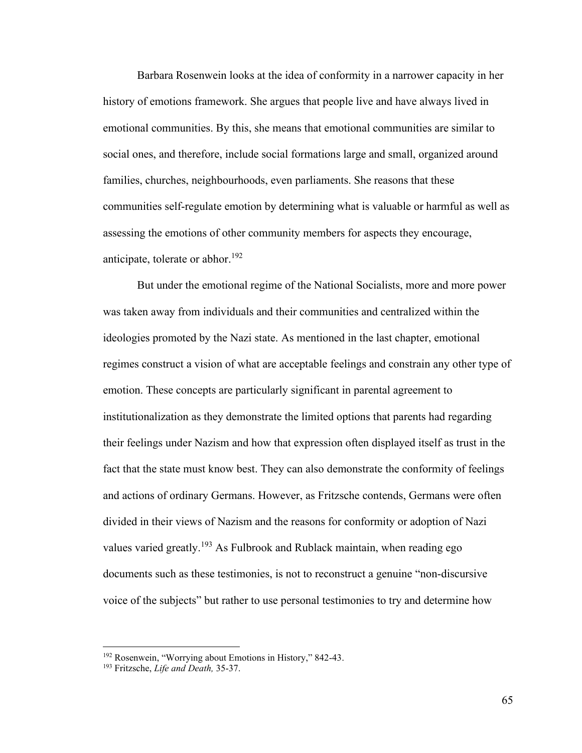Barbara Rosenwein looks at the idea of conformity in a narrower capacity in her history of emotions framework. She argues that people live and have always lived in emotional communities. By this, she means that emotional communities are similar to social ones, and therefore, include social formations large and small, organized around families, churches, neighbourhoods, even parliaments. She reasons that these communities self-regulate emotion by determining what is valuable or harmful as well as assessing the emotions of other community members for aspects they encourage, anticipate, tolerate or abhor.<sup>192</sup>

But under the emotional regime of the National Socialists, more and more power was taken away from individuals and their communities and centralized within the ideologies promoted by the Nazi state. As mentioned in the last chapter, emotional regimes construct a vision of what are acceptable feelings and constrain any other type of emotion. These concepts are particularly significant in parental agreement to institutionalization as they demonstrate the limited options that parents had regarding their feelings under Nazism and how that expression often displayed itself as trust in the fact that the state must know best. They can also demonstrate the conformity of feelings and actions of ordinary Germans. However, as Fritzsche contends, Germans were often divided in their views of Nazism and the reasons for conformity or adoption of Nazi values varied greatly.<sup>193</sup> As Fulbrook and Rublack maintain, when reading ego documents such as these testimonies, is not to reconstruct a genuine "non-discursive voice of the subjects" but rather to use personal testimonies to try and determine how

<sup>&</sup>lt;sup>192</sup> Rosenwein, "Worrying about Emotions in History," 842-43.

<sup>193</sup> Fritzsche, *Life and Death,* 35-37.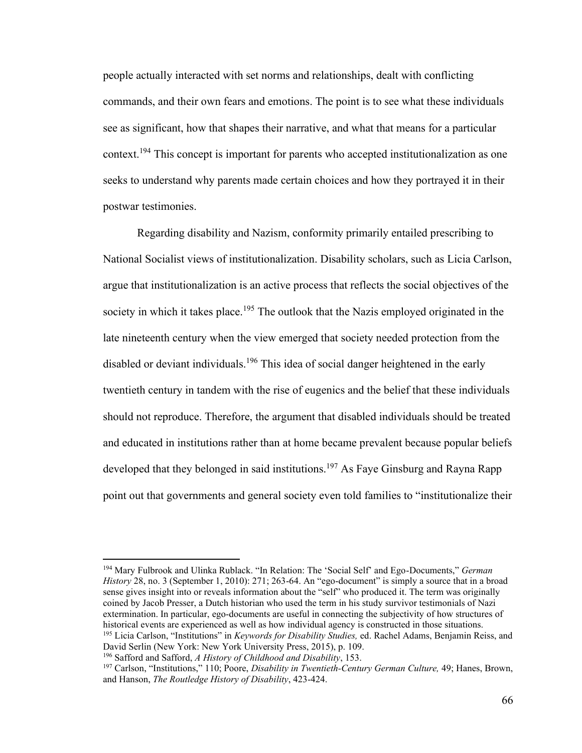people actually interacted with set norms and relationships, dealt with conflicting commands, and their own fears and emotions. The point is to see what these individuals see as significant, how that shapes their narrative, and what that means for a particular context.<sup>194</sup> This concept is important for parents who accepted institutionalization as one seeks to understand why parents made certain choices and how they portrayed it in their postwar testimonies.

Regarding disability and Nazism, conformity primarily entailed prescribing to National Socialist views of institutionalization. Disability scholars, such as Licia Carlson, argue that institutionalization is an active process that reflects the social objectives of the society in which it takes place.<sup>195</sup> The outlook that the Nazis employed originated in the late nineteenth century when the view emerged that society needed protection from the disabled or deviant individuals.<sup>196</sup> This idea of social danger heightened in the early twentieth century in tandem with the rise of eugenics and the belief that these individuals should not reproduce. Therefore, the argument that disabled individuals should be treated and educated in institutions rather than at home became prevalent because popular beliefs developed that they belonged in said institutions.<sup>197</sup> As Faye Ginsburg and Rayna Rapp point out that governments and general society even told families to "institutionalize their

<sup>194</sup> Mary Fulbrook and Ulinka Rublack. "In Relation: The 'Social Self' and Ego-Documents," *German History* 28, no. 3 (September 1, 2010): 271; 263-64. An "ego-document" is simply a source that in a broad sense gives insight into or reveals information about the "self" who produced it. The term was originally coined by Jacob Presser, a Dutch historian who used the term in his study survivor testimonials of Nazi extermination. In particular, ego-documents are useful in connecting the subjectivity of how structures of historical events are experienced as well as how individual agency is constructed in those situations.

<sup>195</sup> Licia Carlson, "Institutions" in *Keywords for Disability Studies,* ed. Rachel Adams, Benjamin Reiss, and David Serlin (New York: New York University Press, 2015), p. 109.

<sup>196</sup> Safford and Safford, *A History of Childhood and Disability*, 153.

<sup>197</sup> Carlson, "Institutions," 110; Poore, *Disability in Twentieth-Century German Culture,* 49; Hanes, Brown, and Hanson, *The Routledge History of Disability*, 423-424.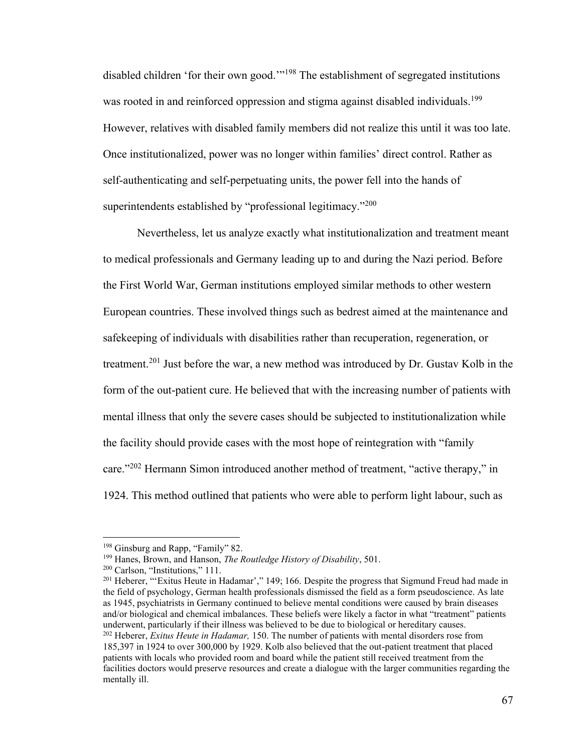disabled children 'for their own good."<sup>198</sup> The establishment of segregated institutions was rooted in and reinforced oppression and stigma against disabled individuals.<sup>199</sup> However, relatives with disabled family members did not realize this until it was too late. Once institutionalized, power was no longer within families' direct control. Rather as self-authenticating and self-perpetuating units, the power fell into the hands of superintendents established by "professional legitimacy."<sup>200</sup>

Nevertheless, let us analyze exactly what institutionalization and treatment meant to medical professionals and Germany leading up to and during the Nazi period. Before the First World War, German institutions employed similar methods to other western European countries. These involved things such as bedrest aimed at the maintenance and safekeeping of individuals with disabilities rather than recuperation, regeneration, or treatment.<sup>201</sup> Just before the war, a new method was introduced by Dr. Gustav Kolb in the form of the out-patient cure. He believed that with the increasing number of patients with mental illness that only the severe cases should be subjected to institutionalization while the facility should provide cases with the most hope of reintegration with "family care."<sup>202</sup> Hermann Simon introduced another method of treatment, "active therapy," in 1924. This method outlined that patients who were able to perform light labour, such as

<sup>&</sup>lt;sup>198</sup> Ginsburg and Rapp, "Family" 82.

<sup>199</sup> Hanes, Brown, and Hanson, *The Routledge History of Disability*, 501.

<sup>200</sup> Carlson, "Institutions," 111.

<sup>&</sup>lt;sup>201</sup> Heberer, "'Exitus Heute in Hadamar'," 149; 166. Despite the progress that Sigmund Freud had made in the field of psychology, German health professionals dismissed the field as a form pseudoscience. As late as 1945, psychiatrists in Germany continued to believe mental conditions were caused by brain diseases and/or biological and chemical imbalances. These beliefs were likely a factor in what "treatment" patients underwent, particularly if their illness was believed to be due to biological or hereditary causes.

<sup>202</sup> Heberer, *Exitus Heute in Hadamar,* 150. The number of patients with mental disorders rose from 185,397 in 1924 to over 300,000 by 1929. Kolb also believed that the out-patient treatment that placed patients with locals who provided room and board while the patient still received treatment from the facilities doctors would preserve resources and create a dialogue with the larger communities regarding the mentally ill.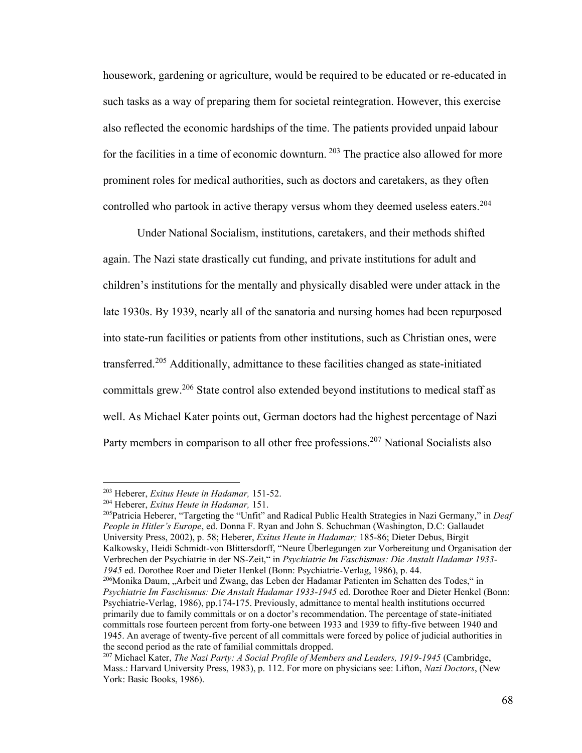housework, gardening or agriculture, would be required to be educated or re-educated in such tasks as a way of preparing them for societal reintegration. However, this exercise also reflected the economic hardships of the time. The patients provided unpaid labour for the facilities in a time of economic downturn.  $203$  The practice also allowed for more prominent roles for medical authorities, such as doctors and caretakers, as they often controlled who partook in active therapy versus whom they deemed useless eaters.<sup>204</sup>

Under National Socialism, institutions, caretakers, and their methods shifted again. The Nazi state drastically cut funding, and private institutions for adult and children's institutions for the mentally and physically disabled were under attack in the late 1930s. By 1939, nearly all of the sanatoria and nursing homes had been repurposed into state-run facilities or patients from other institutions, such as Christian ones, were transferred.<sup>205</sup> Additionally, admittance to these facilities changed as state-initiated committals grew.<sup>206</sup> State control also extended beyond institutions to medical staff as well. As Michael Kater points out, German doctors had the highest percentage of Nazi Party members in comparison to all other free professions.<sup>207</sup> National Socialists also

<sup>203</sup> Heberer, *Exitus Heute in Hadamar,* 151-52.

<sup>204</sup> Heberer, *Exitus Heute in Hadamar,* 151.

<sup>205</sup>Patricia Heberer, "Targeting the "Unfit" and Radical Public Health Strategies in Nazi Germany," in *Deaf People in Hitler's Europe*, ed. Donna F. Ryan and John S. Schuchman (Washington, D.C: Gallaudet University Press, 2002), p. 58; Heberer, *Exitus Heute in Hadamar;* 185-86; Dieter Debus, Birgit Kalkowsky, Heidi Schmidt-von Blittersdorff, "Neure Überlegungen zur Vorbereitung und Organisation der Verbrechen der Psychiatrie in der NS-Zeit," in *Psychiatrie Im Faschismus: Die Anstalt Hadamar 1933- 1945* ed. Dorothee Roer and Dieter Henkel (Bonn: Psychiatrie-Verlag, 1986), p. 44.

 $^{206}$ Monika Daum, "Arbeit und Zwang, das Leben der Hadamar Patienten im Schatten des Todes," in *Psychiatrie Im Faschismus: Die Anstalt Hadamar 1933-1945* ed. Dorothee Roer and Dieter Henkel (Bonn: Psychiatrie-Verlag, 1986), pp.174-175. Previously, admittance to mental health institutions occurred primarily due to family committals or on a doctor's recommendation. The percentage of state-initiated committals rose fourteen percent from forty-one between 1933 and 1939 to fifty-five between 1940 and 1945. An average of twenty-five percent of all committals were forced by police of judicial authorities in the second period as the rate of familial committals dropped.

<sup>207</sup> Michael Kater, *The Nazi Party: A Social Profile of Members and Leaders, 1919-1945* (Cambridge, Mass.: Harvard University Press, 1983), p. 112. For more on physicians see: Lifton, *Nazi Doctors*, (New York: Basic Books, 1986).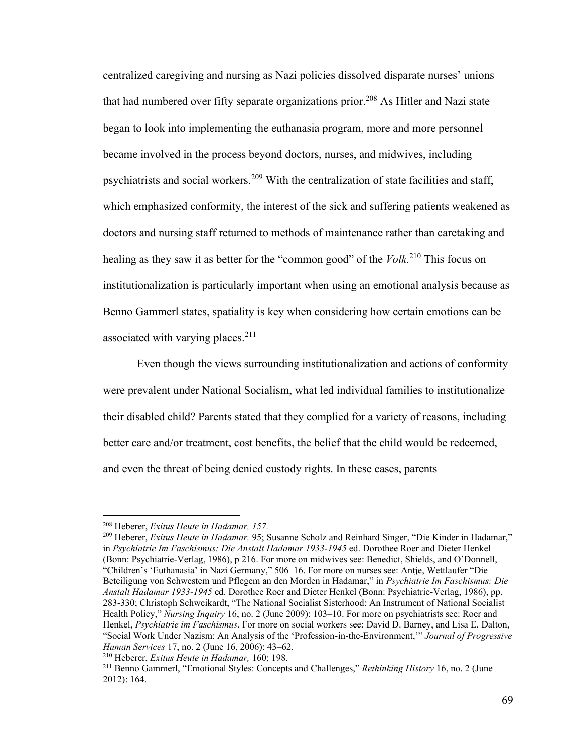centralized caregiving and nursing as Nazi policies dissolved disparate nurses' unions that had numbered over fifty separate organizations prior.<sup>208</sup> As Hitler and Nazi state began to look into implementing the euthanasia program, more and more personnel became involved in the process beyond doctors, nurses, and midwives, including psychiatrists and social workers.<sup>209</sup> With the centralization of state facilities and staff, which emphasized conformity, the interest of the sick and suffering patients weakened as doctors and nursing staff returned to methods of maintenance rather than caretaking and healing as they saw it as better for the "common good" of the *Volk.*<sup>210</sup> This focus on institutionalization is particularly important when using an emotional analysis because as Benno Gammerl states, spatiality is key when considering how certain emotions can be associated with varying places. $211$ 

Even though the views surrounding institutionalization and actions of conformity were prevalent under National Socialism, what led individual families to institutionalize their disabled child? Parents stated that they complied for a variety of reasons, including better care and/or treatment, cost benefits, the belief that the child would be redeemed, and even the threat of being denied custody rights. In these cases, parents

<sup>208</sup> Heberer, *Exitus Heute in Hadamar, 157.*

<sup>209</sup> Heberer, *Exitus Heute in Hadamar,* 95; Susanne Scholz and Reinhard Singer, "Die Kinder in Hadamar," in *Psychiatrie Im Faschismus: Die Anstalt Hadamar 1933-1945* ed. Dorothee Roer and Dieter Henkel (Bonn: Psychiatrie-Verlag, 1986), p 216. For more on midwives see: Benedict, Shields, and O'Donnell, "Children's 'Euthanasia' in Nazi Germany," 506–16. For more on nurses see: Antje, Wettlaufer "Die Beteiligung von Schwestem und Pflegem an den Morden in Hadamar," in *Psychiatrie Im Faschismus: Die Anstalt Hadamar 1933-1945* ed. Dorothee Roer and Dieter Henkel (Bonn: Psychiatrie-Verlag, 1986), pp. 283-330; Christoph Schweikardt, "The National Socialist Sisterhood: An Instrument of National Socialist Health Policy," *Nursing Inquiry* 16, no. 2 (June 2009): 103–10. For more on psychiatrists see: Roer and Henkel, *Psychiatrie im Faschismus*. For more on social workers see: David D. Barney, and Lisa E. Dalton, "Social Work Under Nazism: An Analysis of the 'Profession-in-the-Environment,'" *Journal of Progressive Human Services* 17, no. 2 (June 16, 2006): 43–62.

<sup>210</sup> Heberer, *Exitus Heute in Hadamar,* 160; 198.

<sup>211</sup> Benno Gammerl, "Emotional Styles: Concepts and Challenges," *Rethinking History* 16, no. 2 (June 2012): 164.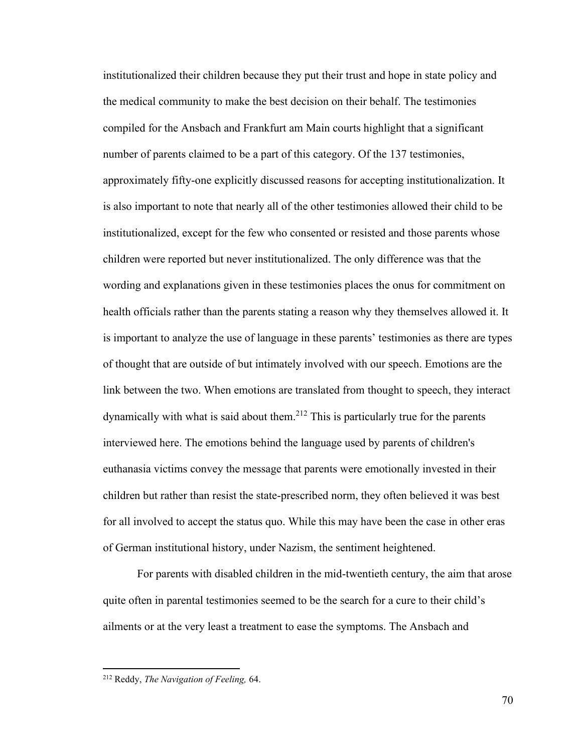institutionalized their children because they put their trust and hope in state policy and the medical community to make the best decision on their behalf. The testimonies compiled for the Ansbach and Frankfurt am Main courts highlight that a significant number of parents claimed to be a part of this category. Of the 137 testimonies, approximately fifty-one explicitly discussed reasons for accepting institutionalization. It is also important to note that nearly all of the other testimonies allowed their child to be institutionalized, except for the few who consented or resisted and those parents whose children were reported but never institutionalized. The only difference was that the wording and explanations given in these testimonies places the onus for commitment on health officials rather than the parents stating a reason why they themselves allowed it. It is important to analyze the use of language in these parents' testimonies as there are types of thought that are outside of but intimately involved with our speech. Emotions are the link between the two. When emotions are translated from thought to speech, they interact dynamically with what is said about them.<sup>212</sup> This is particularly true for the parents interviewed here. The emotions behind the language used by parents of children's euthanasia victims convey the message that parents were emotionally invested in their children but rather than resist the state-prescribed norm, they often believed it was best for all involved to accept the status quo. While this may have been the case in other eras of German institutional history, under Nazism, the sentiment heightened.

For parents with disabled children in the mid-twentieth century, the aim that arose quite often in parental testimonies seemed to be the search for a cure to their child's ailments or at the very least a treatment to ease the symptoms. The Ansbach and

<sup>212</sup> Reddy, *The Navigation of Feeling,* 64.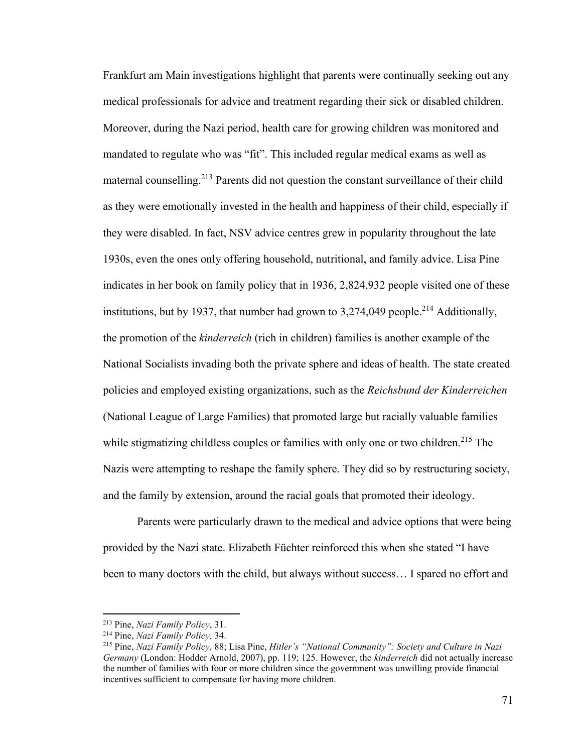Frankfurt am Main investigations highlight that parents were continually seeking out any medical professionals for advice and treatment regarding their sick or disabled children. Moreover, during the Nazi period, health care for growing children was monitored and mandated to regulate who was "fit". This included regular medical exams as well as maternal counselling.<sup>213</sup> Parents did not question the constant surveillance of their child as they were emotionally invested in the health and happiness of their child, especially if they were disabled. In fact, NSV advice centres grew in popularity throughout the late 1930s, even the ones only offering household, nutritional, and family advice. Lisa Pine indicates in her book on family policy that in 1936, 2,824,932 people visited one of these institutions, but by 1937, that number had grown to  $3,274,049$  people.<sup>214</sup> Additionally, the promotion of the *kinderreich* (rich in children) families is another example of the National Socialists invading both the private sphere and ideas of health. The state created policies and employed existing organizations, such as the *Reichsbund der Kinderreichen*  (National League of Large Families) that promoted large but racially valuable families while stigmatizing childless couples or families with only one or two children.<sup>215</sup> The Nazis were attempting to reshape the family sphere. They did so by restructuring society, and the family by extension, around the racial goals that promoted their ideology.

Parents were particularly drawn to the medical and advice options that were being provided by the Nazi state. Elizabeth Füchter reinforced this when she stated "I have been to many doctors with the child, but always without success… I spared no effort and

<sup>213</sup> Pine, *Nazi Family Policy*, 31.

<sup>214</sup> Pine, *Nazi Family Policy,* 34.

<sup>215</sup> Pine, *Nazi Family Policy,* 88; Lisa Pine, *Hitler's "National Community": Society and Culture in Nazi Germany* (London: Hodder Arnold, 2007), pp. 119; 125. However, the *kinderreich* did not actually increase the number of families with four or more children since the government was unwilling provide financial incentives sufficient to compensate for having more children.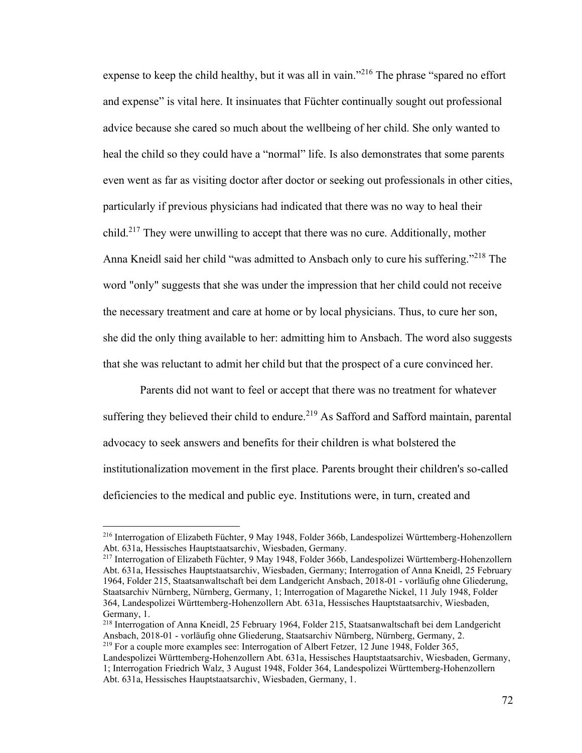expense to keep the child healthy, but it was all in vain."<sup>216</sup> The phrase "spared no effort and expense" is vital here. It insinuates that Füchter continually sought out professional advice because she cared so much about the wellbeing of her child. She only wanted to heal the child so they could have a "normal" life. Is also demonstrates that some parents even went as far as visiting doctor after doctor or seeking out professionals in other cities, particularly if previous physicians had indicated that there was no way to heal their child.<sup>217</sup> They were unwilling to accept that there was no cure. Additionally, mother Anna Kneidl said her child "was admitted to Ansbach only to cure his suffering."<sup>218</sup> The word "only" suggests that she was under the impression that her child could not receive the necessary treatment and care at home or by local physicians. Thus, to cure her son, she did the only thing available to her: admitting him to Ansbach. The word also suggests that she was reluctant to admit her child but that the prospect of a cure convinced her.

Parents did not want to feel or accept that there was no treatment for whatever suffering they believed their child to endure.<sup>219</sup> As Safford and Safford maintain, parental advocacy to seek answers and benefits for their children is what bolstered the institutionalization movement in the first place. Parents brought their children's so-called deficiencies to the medical and public eye. Institutions were, in turn, created and

<sup>216</sup> Interrogation of Elizabeth Füchter, 9 May 1948, Folder 366b, Landespolizei Württemberg-Hohenzollern Abt. 631a, Hessisches Hauptstaatsarchiv, Wiesbaden, Germany.

<sup>217</sup> Interrogation of Elizabeth Füchter, 9 May 1948, Folder 366b, Landespolizei Württemberg-Hohenzollern Abt. 631a, Hessisches Hauptstaatsarchiv, Wiesbaden, Germany; Interrogation of Anna Kneidl, 25 February 1964, Folder 215, Staatsanwaltschaft bei dem Landgericht Ansbach, 2018-01 - vorläufig ohne Gliederung, Staatsarchiv Nürnberg, Nürnberg, Germany, 1; Interrogation of Magarethe Nickel, 11 July 1948, Folder 364, Landespolizei Württemberg-Hohenzollern Abt. 631a, Hessisches Hauptstaatsarchiv, Wiesbaden, Germany, 1.

<sup>218</sup> Interrogation of Anna Kneidl, 25 February 1964, Folder 215, Staatsanwaltschaft bei dem Landgericht Ansbach, 2018-01 - vorläufig ohne Gliederung, Staatsarchiv Nürnberg, Nürnberg, Germany, 2. <sup>219</sup> For a couple more examples see: Interrogation of Albert Fetzer, 12 June 1948, Folder  $365$ ,

Landespolizei Württemberg-Hohenzollern Abt. 631a, Hessisches Hauptstaatsarchiv, Wiesbaden, Germany, 1; Interrogation Friedrich Walz, 3 August 1948, Folder 364, Landespolizei Württemberg-Hohenzollern Abt. 631a, Hessisches Hauptstaatsarchiv, Wiesbaden, Germany, 1.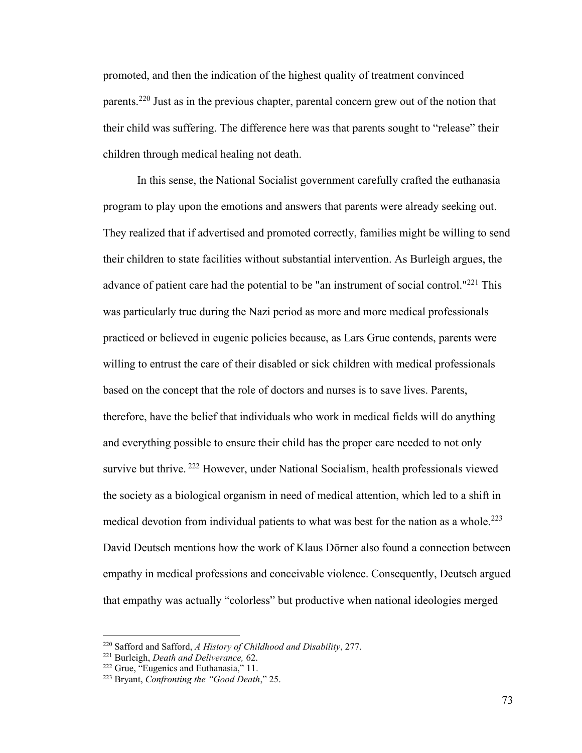promoted, and then the indication of the highest quality of treatment convinced parents.<sup>220</sup> Just as in the previous chapter, parental concern grew out of the notion that their child was suffering. The difference here was that parents sought to "release" their children through medical healing not death.

In this sense, the National Socialist government carefully crafted the euthanasia program to play upon the emotions and answers that parents were already seeking out. They realized that if advertised and promoted correctly, families might be willing to send their children to state facilities without substantial intervention. As Burleigh argues, the advance of patient care had the potential to be "an instrument of social control."<sup>221</sup> This was particularly true during the Nazi period as more and more medical professionals practiced or believed in eugenic policies because, as Lars Grue contends, parents were willing to entrust the care of their disabled or sick children with medical professionals based on the concept that the role of doctors and nurses is to save lives. Parents, therefore, have the belief that individuals who work in medical fields will do anything and everything possible to ensure their child has the proper care needed to not only survive but thrive. <sup>222</sup> However, under National Socialism, health professionals viewed the society as a biological organism in need of medical attention, which led to a shift in medical devotion from individual patients to what was best for the nation as a whole.<sup>223</sup> David Deutsch mentions how the work of Klaus Dörner also found a connection between empathy in medical professions and conceivable violence. Consequently, Deutsch argued that empathy was actually "colorless" but productive when national ideologies merged

<sup>220</sup> Safford and Safford, *A History of Childhood and Disability*, 277.

<sup>221</sup> Burleigh, *Death and Deliverance,* 62.

<sup>222</sup> Grue, "Eugenics and Euthanasia," 11.

<sup>223</sup> Bryant, *Confronting the "Good Death*," 25.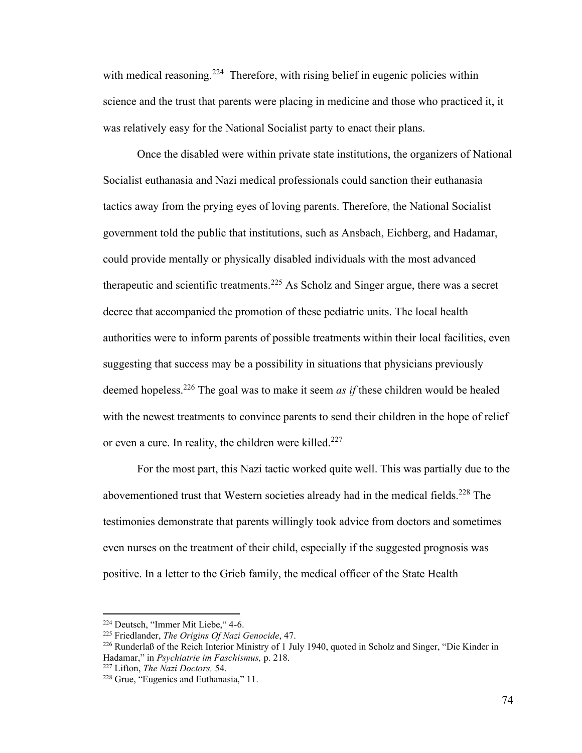with medical reasoning.<sup>224</sup> Therefore, with rising belief in eugenic policies within science and the trust that parents were placing in medicine and those who practiced it, it was relatively easy for the National Socialist party to enact their plans.

Once the disabled were within private state institutions, the organizers of National Socialist euthanasia and Nazi medical professionals could sanction their euthanasia tactics away from the prying eyes of loving parents. Therefore, the National Socialist government told the public that institutions, such as Ansbach, Eichberg, and Hadamar, could provide mentally or physically disabled individuals with the most advanced therapeutic and scientific treatments.<sup>225</sup> As Scholz and Singer argue, there was a secret decree that accompanied the promotion of these pediatric units. The local health authorities were to inform parents of possible treatments within their local facilities, even suggesting that success may be a possibility in situations that physicians previously deemed hopeless.<sup>226</sup> The goal was to make it seem *as if* these children would be healed with the newest treatments to convince parents to send their children in the hope of relief or even a cure. In reality, the children were killed.<sup>227</sup>

For the most part, this Nazi tactic worked quite well. This was partially due to the abovementioned trust that Western societies already had in the medical fields.<sup>228</sup> The testimonies demonstrate that parents willingly took advice from doctors and sometimes even nurses on the treatment of their child, especially if the suggested prognosis was positive. In a letter to the Grieb family, the medical officer of the State Health

<sup>224</sup> Deutsch, "Immer Mit Liebe," 4-6.

<sup>225</sup> Friedlander, *The Origins Of Nazi Genocide*, 47.

<sup>226</sup> Runderlaß of the Reich Interior Ministry of 1 July 1940, quoted in Scholz and Singer, "Die Kinder in Hadamar," in *Psychiatrie im Faschismus,* p. 218.

<sup>227</sup> Lifton, *The Nazi Doctors,* 54.

<sup>&</sup>lt;sup>228</sup> Grue, "Eugenics and Euthanasia," 11.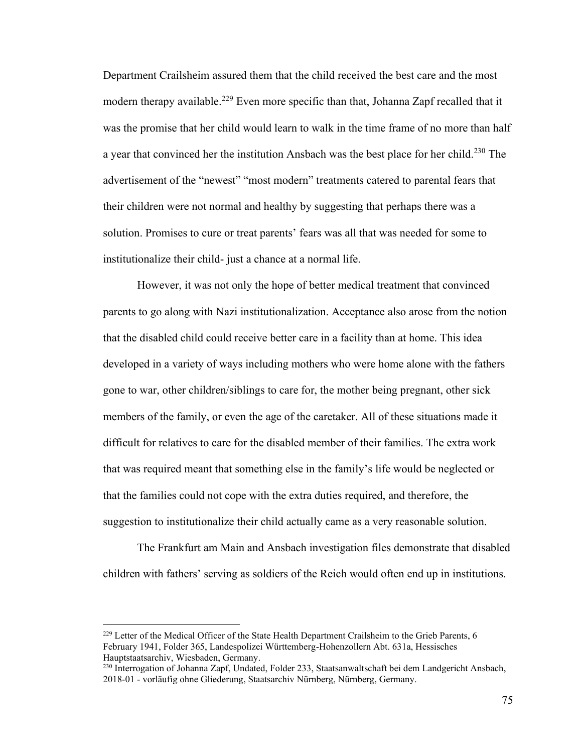Department Crailsheim assured them that the child received the best care and the most modern therapy available.<sup>229</sup> Even more specific than that, Johanna Zapf recalled that it was the promise that her child would learn to walk in the time frame of no more than half a year that convinced her the institution Ansbach was the best place for her child.<sup>230</sup> The advertisement of the "newest" "most modern" treatments catered to parental fears that their children were not normal and healthy by suggesting that perhaps there was a solution. Promises to cure or treat parents' fears was all that was needed for some to institutionalize their child- just a chance at a normal life.

However, it was not only the hope of better medical treatment that convinced parents to go along with Nazi institutionalization. Acceptance also arose from the notion that the disabled child could receive better care in a facility than at home. This idea developed in a variety of ways including mothers who were home alone with the fathers gone to war, other children/siblings to care for, the mother being pregnant, other sick members of the family, or even the age of the caretaker. All of these situations made it difficult for relatives to care for the disabled member of their families. The extra work that was required meant that something else in the family's life would be neglected or that the families could not cope with the extra duties required, and therefore, the suggestion to institutionalize their child actually came as a very reasonable solution.

The Frankfurt am Main and Ansbach investigation files demonstrate that disabled children with fathers' serving as soldiers of the Reich would often end up in institutions.

 $229$  Letter of the Medical Officer of the State Health Department Crailsheim to the Grieb Parents, 6 February 1941, Folder 365, Landespolizei Württemberg-Hohenzollern Abt. 631a, Hessisches Hauptstaatsarchiv, Wiesbaden, Germany.

<sup>230</sup> Interrogation of Johanna Zapf, Undated, Folder 233, Staatsanwaltschaft bei dem Landgericht Ansbach, 2018-01 - vorläufig ohne Gliederung, Staatsarchiv Nürnberg, Nürnberg, Germany.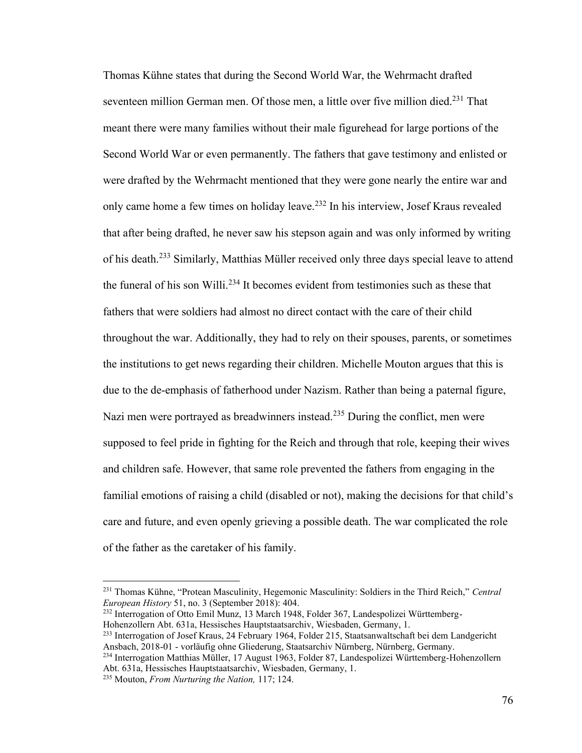Thomas Kühne states that during the Second World War, the Wehrmacht drafted seventeen million German men. Of those men, a little over five million died.<sup>231</sup> That meant there were many families without their male figurehead for large portions of the Second World War or even permanently. The fathers that gave testimony and enlisted or were drafted by the Wehrmacht mentioned that they were gone nearly the entire war and only came home a few times on holiday leave.<sup>232</sup> In his interview, Josef Kraus revealed that after being drafted, he never saw his stepson again and was only informed by writing of his death.<sup>233</sup> Similarly, Matthias Müller received only three days special leave to attend the funeral of his son Willi.<sup>234</sup> It becomes evident from testimonies such as these that fathers that were soldiers had almost no direct contact with the care of their child throughout the war. Additionally, they had to rely on their spouses, parents, or sometimes the institutions to get news regarding their children. Michelle Mouton argues that this is due to the de-emphasis of fatherhood under Nazism. Rather than being a paternal figure, Nazi men were portrayed as breadwinners instead.<sup>235</sup> During the conflict, men were supposed to feel pride in fighting for the Reich and through that role, keeping their wives and children safe. However, that same role prevented the fathers from engaging in the familial emotions of raising a child (disabled or not), making the decisions for that child's care and future, and even openly grieving a possible death. The war complicated the role of the father as the caretaker of his family.

<sup>231</sup> Thomas Kühne, "Protean Masculinity, Hegemonic Masculinity: Soldiers in the Third Reich," *Central European History* 51, no. 3 (September 2018): 404.

<sup>232</sup> Interrogation of Otto Emil Munz, 13 March 1948, Folder 367, Landespolizei Württemberg-Hohenzollern Abt. 631a, Hessisches Hauptstaatsarchiv, Wiesbaden, Germany, 1.

<sup>233</sup> Interrogation of Josef Kraus, 24 February 1964, Folder 215, Staatsanwaltschaft bei dem Landgericht Ansbach, 2018-01 - vorläufig ohne Gliederung, Staatsarchiv Nürnberg, Nürnberg, Germany.

<sup>234</sup> Interrogation Matthias Müller, 17 August 1963, Folder 87, Landespolizei Württemberg-Hohenzollern Abt. 631a, Hessisches Hauptstaatsarchiv, Wiesbaden, Germany, 1.

<sup>235</sup> Mouton, *From Nurturing the Nation,* 117; 124.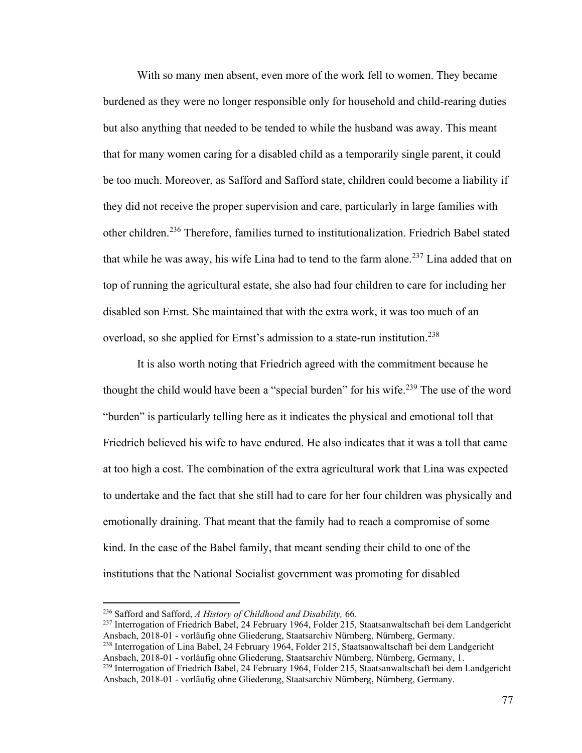With so many men absent, even more of the work fell to women. They became burdened as they were no longer responsible only for household and child-rearing duties but also anything that needed to be tended to while the husband was away. This meant that for many women caring for a disabled child as a temporarily single parent, it could be too much. Moreover, as Safford and Safford state, children could become a liability if they did not receive the proper supervision and care, particularly in large families with other children.<sup>236</sup> Therefore, families turned to institutionalization. Friedrich Babel stated that while he was away, his wife Lina had to tend to the farm alone.<sup>237</sup> Lina added that on top of running the agricultural estate, she also had four children to care for including her disabled son Ernst. She maintained that with the extra work, it was too much of an overload, so she applied for Ernst's admission to a state-run institution.<sup>238</sup>

It is also worth noting that Friedrich agreed with the commitment because he thought the child would have been a "special burden" for his wife.<sup>239</sup> The use of the word "burden" is particularly telling here as it indicates the physical and emotional toll that Friedrich believed his wife to have endured. He also indicates that it was a toll that came at too high a cost. The combination of the extra agricultural work that Lina was expected to undertake and the fact that she still had to care for her four children was physically and emotionally draining. That meant that the family had to reach a compromise of some kind. In the case of the Babel family, that meant sending their child to one of the institutions that the National Socialist government was promoting for disabled

<sup>236</sup> Safford and Safford, *A History of Childhood and Disability,* 66.

<sup>237</sup> Interrogation of Friedrich Babel, 24 February 1964, Folder 215, Staatsanwaltschaft bei dem Landgericht Ansbach, 2018-01 - vorläufig ohne Gliederung, Staatsarchiv Nürnberg, Nürnberg, Germany.

<sup>238</sup> Interrogation of Lina Babel, 24 February 1964, Folder 215, Staatsanwaltschaft bei dem Landgericht Ansbach, 2018-01 - vorläufig ohne Gliederung, Staatsarchiv Nürnberg, Nürnberg, Germany, 1.

<sup>&</sup>lt;sup>239</sup> Interrogation of Friedrich Babel, 24 February 1964, Folder 215, Staatsanwaltschaft bei dem Landgericht Ansbach, 2018-01 - vorläufig ohne Gliederung, Staatsarchiv Nürnberg, Nürnberg, Germany.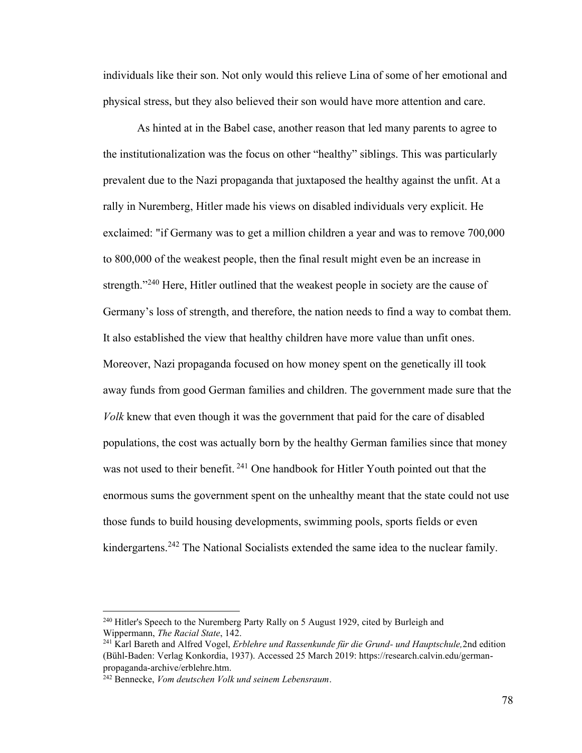individuals like their son. Not only would this relieve Lina of some of her emotional and physical stress, but they also believed their son would have more attention and care.

As hinted at in the Babel case, another reason that led many parents to agree to the institutionalization was the focus on other "healthy" siblings. This was particularly prevalent due to the Nazi propaganda that juxtaposed the healthy against the unfit. At a rally in Nuremberg, Hitler made his views on disabled individuals very explicit. He exclaimed: "if Germany was to get a million children a year and was to remove 700,000 to 800,000 of the weakest people, then the final result might even be an increase in strength."<sup>240</sup> Here, Hitler outlined that the weakest people in society are the cause of Germany's loss of strength, and therefore, the nation needs to find a way to combat them. It also established the view that healthy children have more value than unfit ones. Moreover, Nazi propaganda focused on how money spent on the genetically ill took away funds from good German families and children. The government made sure that the *Volk* knew that even though it was the government that paid for the care of disabled populations, the cost was actually born by the healthy German families since that money was not used to their benefit.<sup>241</sup> One handbook for Hitler Youth pointed out that the enormous sums the government spent on the unhealthy meant that the state could not use those funds to build housing developments, swimming pools, sports fields or even kindergartens.<sup>242</sup> The National Socialists extended the same idea to the nuclear family.

<sup>&</sup>lt;sup>240</sup> Hitler's Speech to the Nuremberg Party Rally on 5 August 1929, cited by Burleigh and Wippermann, *The Racial State*, 142.

<sup>241</sup> Karl Bareth and Alfred Vogel, *Erblehre und Rassenkunde für die Grund- und Hauptschule,*2nd edition (Bühl-Baden: Verlag Konkordia, 1937). Accessed 25 March 2019: https://research.calvin.edu/germanpropaganda-archive/erblehre.htm.

<sup>242</sup> Bennecke, *Vom deutschen Volk und seinem Lebensraum*.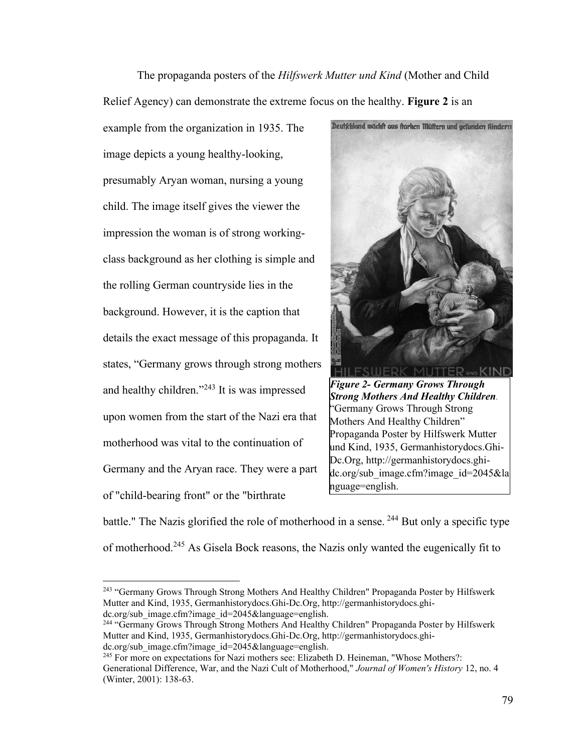The propaganda posters of the *Hilfswerk Mutter und Kind* (Mother and Child Relief Agency) can demonstrate the extreme focus on the healthy. **Figure 2** is an

example from the organization in 1935. The image depicts a young healthy-looking, presumably Aryan woman, nursing a young child. The image itself gives the viewer the impression the woman is of strong workingclass background as her clothing is simple and the rolling German countryside lies in the background. However, it is the caption that details the exact message of this propaganda. It states, "Germany grows through strong mothers and healthy children."<sup>243</sup> It is was impressed upon women from the start of the Nazi era that motherhood was vital to the continuation of Germany and the Aryan race. They were a part of "child-bearing front" or the "birthrate



*Figure 2- Germany Grows Through Strong Mothers And Healthy Children.* "Germany Grows Through Strong Mothers And Healthy Children" Propaganda Poster by Hilfswerk Mutter und Kind, 1935, Germanhistorydocs.Ghi-Dc.Org, http://germanhistorydocs.ghidc.org/sub\_image.cfm?image\_id=2045&la nguage=english.

battle." The Nazis glorified the role of motherhood in a sense. <sup>244</sup> But only a specific type of motherhood.<sup>245</sup> As Gisela Bock reasons, the Nazis only wanted the eugenically fit to

<sup>&</sup>lt;sup>243</sup> "Germany Grows Through Strong Mothers And Healthy Children" Propaganda Poster by Hilfswerk Mutter and Kind, 1935, Germanhistorydocs.Ghi-Dc.Org, http://germanhistorydocs.ghidc.org/sub\_image.cfm?image\_id=2045&language=english.

<sup>244</sup> "Germany Grows Through Strong Mothers And Healthy Children" Propaganda Poster by Hilfswerk Mutter and Kind, 1935, Germanhistorydocs.Ghi-Dc.Org, http://germanhistorydocs.ghidc.org/sub\_image.cfm?image\_id=2045&language=english.

<sup>245</sup> For more on expectations for Nazi mothers see: Elizabeth D. Heineman, "Whose Mothers?: Generational Difference, War, and the Nazi Cult of Motherhood," *Journal of Women's History* 12, no. 4 (Winter, 2001): 138-63.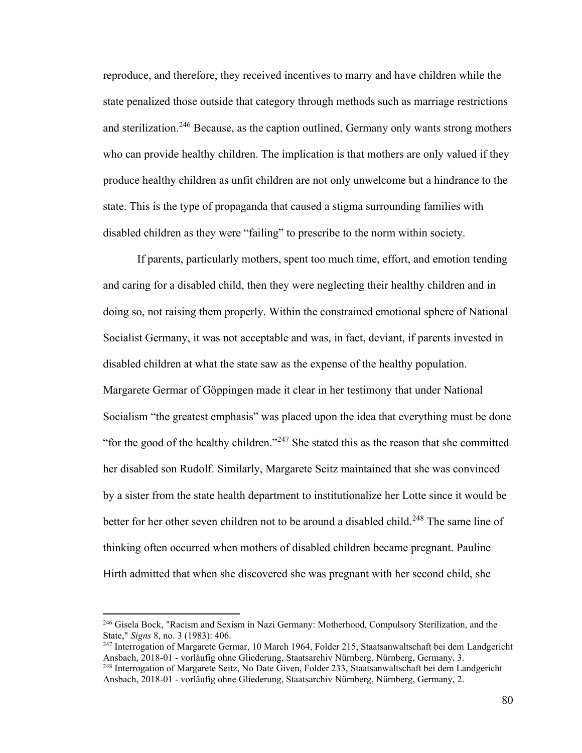reproduce, and therefore, they received incentives to marry and have children while the state penalized those outside that category through methods such as marriage restrictions and sterilization.<sup>246</sup> Because, as the caption outlined, Germany only wants strong mothers who can provide healthy children. The implication is that mothers are only valued if they produce healthy children as unfit children are not only unwelcome but a hindrance to the state. This is the type of propaganda that caused a stigma surrounding families with disabled children as they were "failing" to prescribe to the norm within society.

If parents, particularly mothers, spent too much time, effort, and emotion tending and caring for a disabled child, then they were neglecting their healthy children and in doing so, not raising them properly. Within the constrained emotional sphere of National Socialist Germany, it was not acceptable and was, in fact, deviant, if parents invested in disabled children at what the state saw as the expense of the healthy population. Margarete Germar of Göppingen made it clear in her testimony that under National Socialism "the greatest emphasis" was placed upon the idea that everything must be done "for the good of the healthy children."<sup>247</sup> She stated this as the reason that she committed her disabled son Rudolf. Similarly, Margarete Seitz maintained that she was convinced by a sister from the state health department to institutionalize her Lotte since it would be better for her other seven children not to be around a disabled child.<sup>248</sup> The same line of thinking often occurred when mothers of disabled children became pregnant. Pauline Hirth admitted that when she discovered she was pregnant with her second child, she

<sup>&</sup>lt;sup>246</sup> Gisela Bock, "Racism and Sexism in Nazi Germany: Motherhood, Compulsory Sterilization, and the State," *Signs* 8, no. 3 (1983): 406.

<sup>247</sup> Interrogation of Margarete Germar, 10 March 1964, Folder 215, Staatsanwaltschaft bei dem Landgericht Ansbach, 2018-01 - vorläufig ohne Gliederung, Staatsarchiv Nürnberg, Nürnberg, Germany, 3. <sup>248</sup> Interrogation of Margarete Seitz, No Date Given, Folder 233, Staatsanwaltschaft bei dem Landgericht Ansbach, 2018-01 - vorläufig ohne Gliederung, Staatsarchiv Nürnberg, Nürnberg, Germany, 2.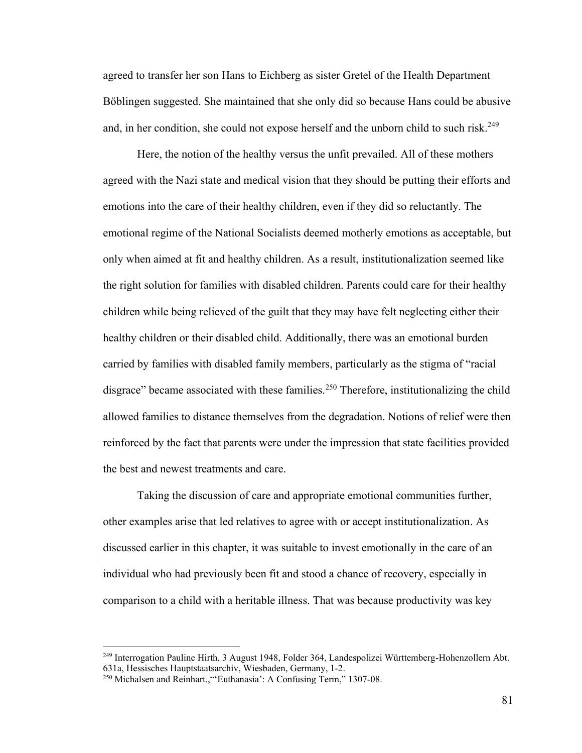agreed to transfer her son Hans to Eichberg as sister Gretel of the Health Department Böblingen suggested. She maintained that she only did so because Hans could be abusive and, in her condition, she could not expose herself and the unborn child to such risk.<sup>249</sup>

Here, the notion of the healthy versus the unfit prevailed. All of these mothers agreed with the Nazi state and medical vision that they should be putting their efforts and emotions into the care of their healthy children, even if they did so reluctantly. The emotional regime of the National Socialists deemed motherly emotions as acceptable, but only when aimed at fit and healthy children. As a result, institutionalization seemed like the right solution for families with disabled children. Parents could care for their healthy children while being relieved of the guilt that they may have felt neglecting either their healthy children or their disabled child. Additionally, there was an emotional burden carried by families with disabled family members, particularly as the stigma of "racial disgrace" became associated with these families.<sup>250</sup> Therefore, institutionalizing the child allowed families to distance themselves from the degradation. Notions of relief were then reinforced by the fact that parents were under the impression that state facilities provided the best and newest treatments and care.

Taking the discussion of care and appropriate emotional communities further, other examples arise that led relatives to agree with or accept institutionalization. As discussed earlier in this chapter, it was suitable to invest emotionally in the care of an individual who had previously been fit and stood a chance of recovery, especially in comparison to a child with a heritable illness. That was because productivity was key

<sup>249</sup> Interrogation Pauline Hirth, 3 August 1948, Folder 364, Landespolizei Württemberg-Hohenzollern Abt. 631a, Hessisches Hauptstaatsarchiv, Wiesbaden, Germany, 1-2.

<sup>250</sup> Michalsen and Reinhart.,"'Euthanasia': A Confusing Term," 1307-08.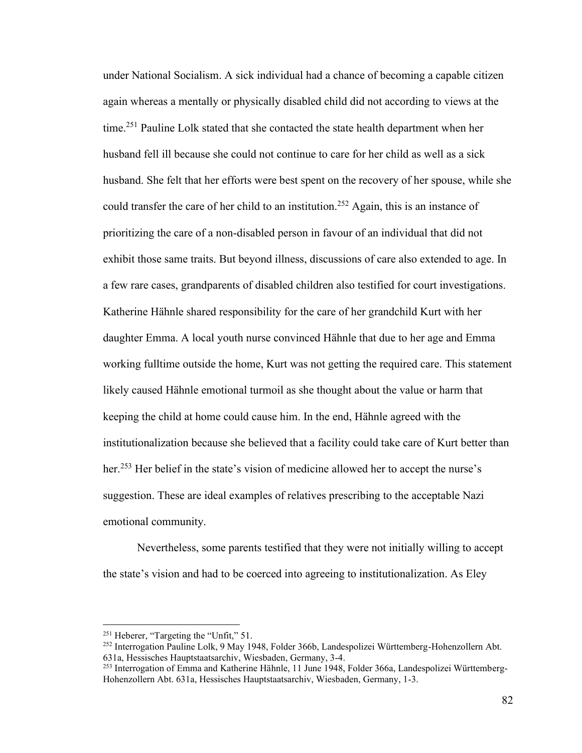under National Socialism. A sick individual had a chance of becoming a capable citizen again whereas a mentally or physically disabled child did not according to views at the time.<sup>251</sup> Pauline Lolk stated that she contacted the state health department when her husband fell ill because she could not continue to care for her child as well as a sick husband. She felt that her efforts were best spent on the recovery of her spouse, while she could transfer the care of her child to an institution.<sup>252</sup> Again, this is an instance of prioritizing the care of a non-disabled person in favour of an individual that did not exhibit those same traits. But beyond illness, discussions of care also extended to age. In a few rare cases, grandparents of disabled children also testified for court investigations. Katherine Hähnle shared responsibility for the care of her grandchild Kurt with her daughter Emma. A local youth nurse convinced Hähnle that due to her age and Emma working fulltime outside the home, Kurt was not getting the required care. This statement likely caused Hähnle emotional turmoil as she thought about the value or harm that keeping the child at home could cause him. In the end, Hähnle agreed with the institutionalization because she believed that a facility could take care of Kurt better than her.<sup>253</sup> Her belief in the state's vision of medicine allowed her to accept the nurse's suggestion. These are ideal examples of relatives prescribing to the acceptable Nazi emotional community.

Nevertheless, some parents testified that they were not initially willing to accept the state's vision and had to be coerced into agreeing to institutionalization. As Eley

<sup>252</sup> Interrogation Pauline Lolk, 9 May 1948, Folder 366b, Landespolizei Württemberg-Hohenzollern Abt. 631a, Hessisches Hauptstaatsarchiv, Wiesbaden, Germany, 3-4.

<sup>251</sup> Heberer, "Targeting the "Unfit," 51.

<sup>253</sup> Interrogation of Emma and Katherine Hähnle, 11 June 1948, Folder 366a, Landespolizei Württemberg-Hohenzollern Abt. 631a, Hessisches Hauptstaatsarchiv, Wiesbaden, Germany, 1-3.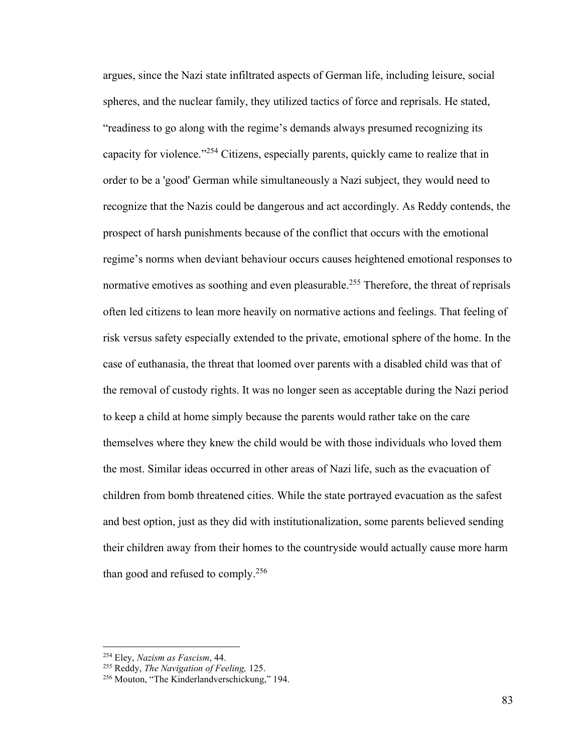argues, since the Nazi state infiltrated aspects of German life, including leisure, social spheres, and the nuclear family, they utilized tactics of force and reprisals. He stated, "readiness to go along with the regime's demands always presumed recognizing its capacity for violence."<sup>254</sup> Citizens, especially parents, quickly came to realize that in order to be a 'good' German while simultaneously a Nazi subject, they would need to recognize that the Nazis could be dangerous and act accordingly. As Reddy contends, the prospect of harsh punishments because of the conflict that occurs with the emotional regime's norms when deviant behaviour occurs causes heightened emotional responses to normative emotives as soothing and even pleasurable.<sup>255</sup> Therefore, the threat of reprisals often led citizens to lean more heavily on normative actions and feelings. That feeling of risk versus safety especially extended to the private, emotional sphere of the home. In the case of euthanasia, the threat that loomed over parents with a disabled child was that of the removal of custody rights. It was no longer seen as acceptable during the Nazi period to keep a child at home simply because the parents would rather take on the care themselves where they knew the child would be with those individuals who loved them the most. Similar ideas occurred in other areas of Nazi life, such as the evacuation of children from bomb threatened cities. While the state portrayed evacuation as the safest and best option, just as they did with institutionalization, some parents believed sending their children away from their homes to the countryside would actually cause more harm than good and refused to comply.<sup>256</sup>

<sup>254</sup> Eley, *Nazism as Fascism*, 44.

<sup>255</sup> Reddy, *The Navigation of Feeling,* 125.

<sup>256</sup> Mouton, "The Kinderlandverschickung," 194.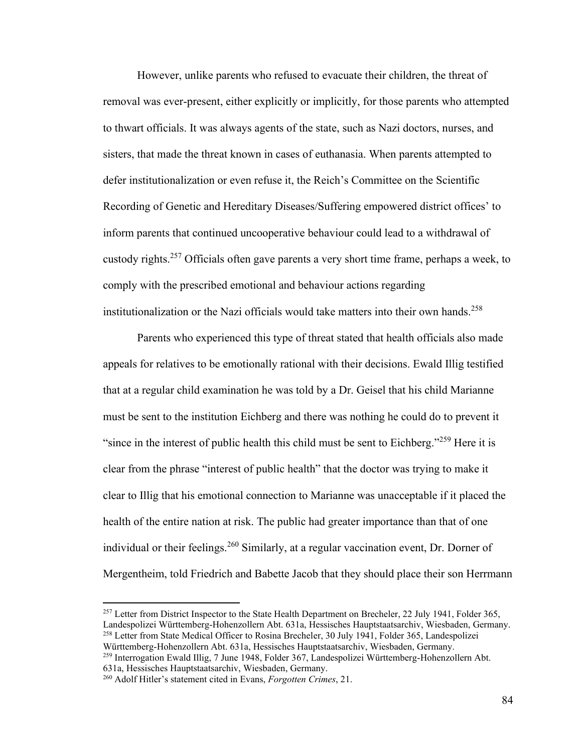However, unlike parents who refused to evacuate their children, the threat of removal was ever-present, either explicitly or implicitly, for those parents who attempted to thwart officials. It was always agents of the state, such as Nazi doctors, nurses, and sisters, that made the threat known in cases of euthanasia. When parents attempted to defer institutionalization or even refuse it, the Reich's Committee on the Scientific Recording of Genetic and Hereditary Diseases/Suffering empowered district offices' to inform parents that continued uncooperative behaviour could lead to a withdrawal of custody rights.<sup>257</sup> Officials often gave parents a very short time frame, perhaps a week, to comply with the prescribed emotional and behaviour actions regarding institutionalization or the Nazi officials would take matters into their own hands.<sup>258</sup>

Parents who experienced this type of threat stated that health officials also made appeals for relatives to be emotionally rational with their decisions. Ewald Illig testified that at a regular child examination he was told by a Dr. Geisel that his child Marianne must be sent to the institution Eichberg and there was nothing he could do to prevent it "since in the interest of public health this child must be sent to Eichberg." $259$  Here it is clear from the phrase "interest of public health" that the doctor was trying to make it clear to Illig that his emotional connection to Marianne was unacceptable if it placed the health of the entire nation at risk. The public had greater importance than that of one individual or their feelings.<sup>260</sup> Similarly, at a regular vaccination event, Dr. Dorner of Mergentheim, told Friedrich and Babette Jacob that they should place their son Herrmann

 $257$  Letter from District Inspector to the State Health Department on Brecheler, 22 July 1941, Folder 365, Landespolizei Württemberg-Hohenzollern Abt. 631a, Hessisches Hauptstaatsarchiv, Wiesbaden, Germany.

<sup>&</sup>lt;sup>258</sup> Letter from State Medical Officer to Rosina Brecheler, 30 July 1941, Folder 365, Landespolizei Württemberg-Hohenzollern Abt. 631a, Hessisches Hauptstaatsarchiv, Wiesbaden, Germany.

<sup>259</sup> Interrogation Ewald Illig, 7 June 1948, Folder 367, Landespolizei Württemberg-Hohenzollern Abt. 631a, Hessisches Hauptstaatsarchiv, Wiesbaden, Germany.

<sup>260</sup> Adolf Hitler's statement cited in Evans, *Forgotten Crimes*, 21.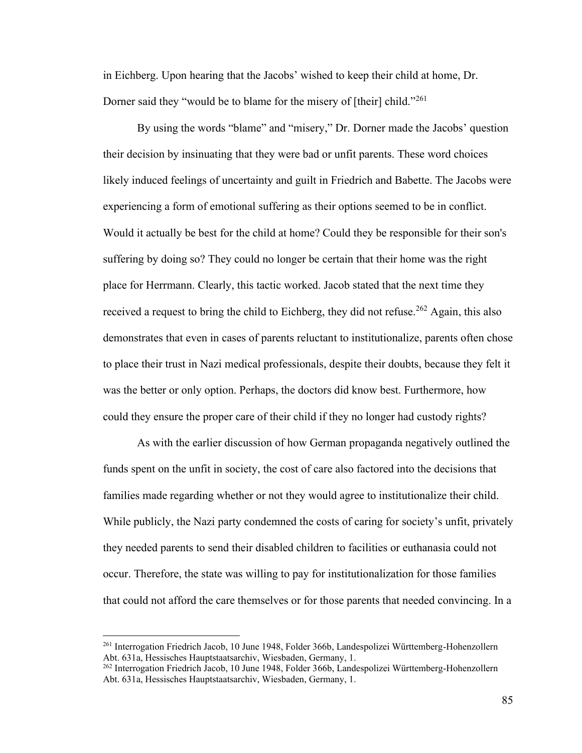in Eichberg. Upon hearing that the Jacobs' wished to keep their child at home, Dr. Dorner said they "would be to blame for the misery of [their] child."<sup>261</sup>

By using the words "blame" and "misery," Dr. Dorner made the Jacobs' question their decision by insinuating that they were bad or unfit parents. These word choices likely induced feelings of uncertainty and guilt in Friedrich and Babette. The Jacobs were experiencing a form of emotional suffering as their options seemed to be in conflict. Would it actually be best for the child at home? Could they be responsible for their son's suffering by doing so? They could no longer be certain that their home was the right place for Herrmann. Clearly, this tactic worked. Jacob stated that the next time they received a request to bring the child to Eichberg, they did not refuse.<sup>262</sup> Again, this also demonstrates that even in cases of parents reluctant to institutionalize, parents often chose to place their trust in Nazi medical professionals, despite their doubts, because they felt it was the better or only option. Perhaps, the doctors did know best. Furthermore, how could they ensure the proper care of their child if they no longer had custody rights?

As with the earlier discussion of how German propaganda negatively outlined the funds spent on the unfit in society, the cost of care also factored into the decisions that families made regarding whether or not they would agree to institutionalize their child. While publicly, the Nazi party condemned the costs of caring for society's unfit, privately they needed parents to send their disabled children to facilities or euthanasia could not occur. Therefore, the state was willing to pay for institutionalization for those families that could not afford the care themselves or for those parents that needed convincing. In a

<sup>261</sup> Interrogation Friedrich Jacob, 10 June 1948, Folder 366b, Landespolizei Württemberg-Hohenzollern Abt. 631a, Hessisches Hauptstaatsarchiv, Wiesbaden, Germany, 1.

<sup>262</sup> Interrogation Friedrich Jacob, 10 June 1948, Folder 366b, Landespolizei Württemberg-Hohenzollern Abt. 631a, Hessisches Hauptstaatsarchiv, Wiesbaden, Germany, 1.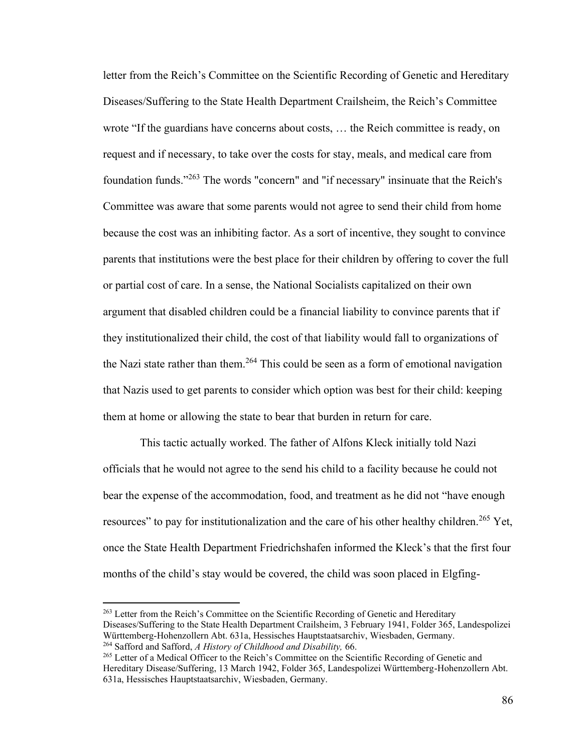letter from the Reich's Committee on the Scientific Recording of Genetic and Hereditary Diseases/Suffering to the State Health Department Crailsheim, the Reich's Committee wrote "If the guardians have concerns about costs, … the Reich committee is ready, on request and if necessary, to take over the costs for stay, meals, and medical care from foundation funds."<sup>263</sup> The words "concern" and "if necessary" insinuate that the Reich's Committee was aware that some parents would not agree to send their child from home because the cost was an inhibiting factor. As a sort of incentive, they sought to convince parents that institutions were the best place for their children by offering to cover the full or partial cost of care. In a sense, the National Socialists capitalized on their own argument that disabled children could be a financial liability to convince parents that if they institutionalized their child, the cost of that liability would fall to organizations of the Nazi state rather than them.<sup>264</sup> This could be seen as a form of emotional navigation that Nazis used to get parents to consider which option was best for their child: keeping them at home or allowing the state to bear that burden in return for care.

This tactic actually worked. The father of Alfons Kleck initially told Nazi officials that he would not agree to the send his child to a facility because he could not bear the expense of the accommodation, food, and treatment as he did not "have enough resources" to pay for institutionalization and the care of his other healthy children.<sup>265</sup> Yet, once the State Health Department Friedrichshafen informed the Kleck's that the first four months of the child's stay would be covered, the child was soon placed in Elgfing-

<sup>263</sup> Letter from the Reich's Committee on the Scientific Recording of Genetic and Hereditary Diseases/Suffering to the State Health Department Crailsheim, 3 February 1941, Folder 365, Landespolizei Württemberg-Hohenzollern Abt. 631a, Hessisches Hauptstaatsarchiv, Wiesbaden, Germany. <sup>264</sup> Safford and Safford, *A History of Childhood and Disability,* 66.

<sup>&</sup>lt;sup>265</sup> Letter of a Medical Officer to the Reich's Committee on the Scientific Recording of Genetic and Hereditary Disease/Suffering, 13 March 1942, Folder 365, Landespolizei Württemberg-Hohenzollern Abt. 631a, Hessisches Hauptstaatsarchiv, Wiesbaden, Germany.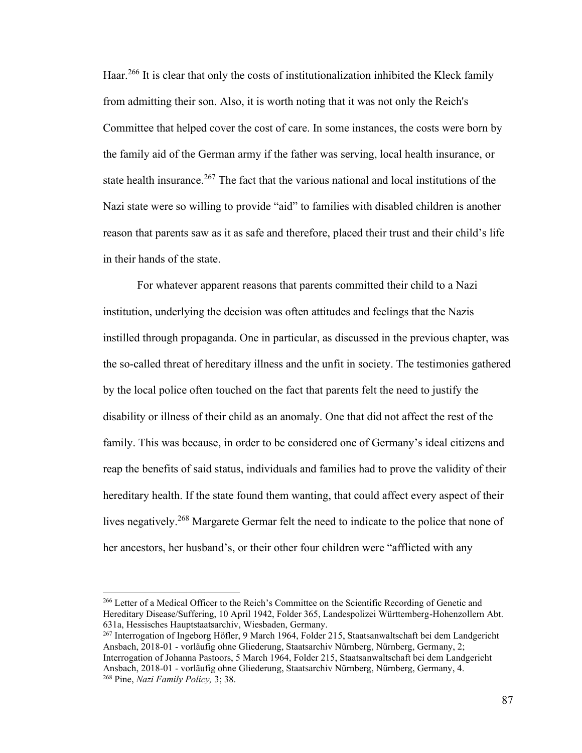Haar.<sup>266</sup> It is clear that only the costs of institutionalization inhibited the Kleck family from admitting their son. Also, it is worth noting that it was not only the Reich's Committee that helped cover the cost of care. In some instances, the costs were born by the family aid of the German army if the father was serving, local health insurance, or state health insurance.<sup>267</sup> The fact that the various national and local institutions of the Nazi state were so willing to provide "aid" to families with disabled children is another reason that parents saw as it as safe and therefore, placed their trust and their child's life in their hands of the state.

For whatever apparent reasons that parents committed their child to a Nazi institution, underlying the decision was often attitudes and feelings that the Nazis instilled through propaganda. One in particular, as discussed in the previous chapter, was the so-called threat of hereditary illness and the unfit in society. The testimonies gathered by the local police often touched on the fact that parents felt the need to justify the disability or illness of their child as an anomaly. One that did not affect the rest of the family. This was because, in order to be considered one of Germany's ideal citizens and reap the benefits of said status, individuals and families had to prove the validity of their hereditary health. If the state found them wanting, that could affect every aspect of their lives negatively.<sup>268</sup> Margarete Germar felt the need to indicate to the police that none of her ancestors, her husband's, or their other four children were "afflicted with any

<sup>266</sup> Letter of a Medical Officer to the Reich's Committee on the Scientific Recording of Genetic and Hereditary Disease/Suffering, 10 April 1942, Folder 365, Landespolizei Württemberg-Hohenzollern Abt. 631a, Hessisches Hauptstaatsarchiv, Wiesbaden, Germany.

<sup>267</sup> Interrogation of Ingeborg Höfler, 9 March 1964, Folder 215, Staatsanwaltschaft bei dem Landgericht Ansbach, 2018-01 - vorläufig ohne Gliederung, Staatsarchiv Nürnberg, Nürnberg, Germany, 2; Interrogation of Johanna Pastoors, 5 March 1964, Folder 215, Staatsanwaltschaft bei dem Landgericht Ansbach, 2018-01 - vorläufig ohne Gliederung, Staatsarchiv Nürnberg, Nürnberg, Germany, 4. <sup>268</sup> Pine, *Nazi Family Policy,* 3; 38.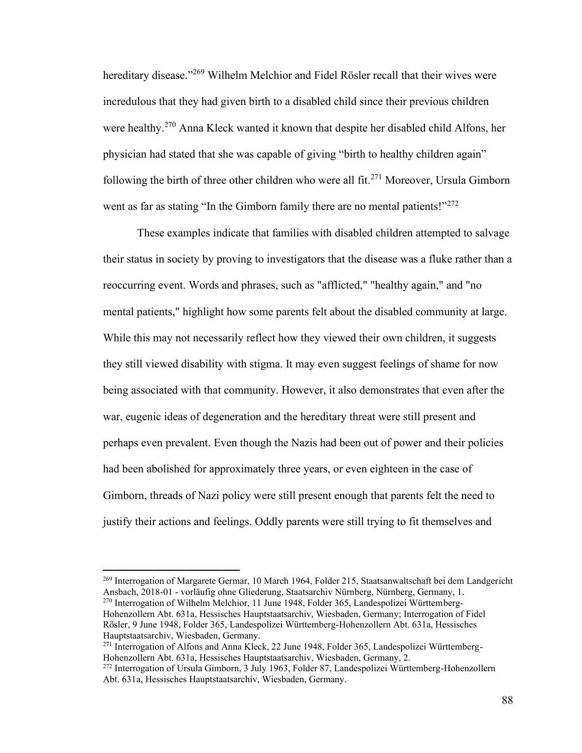hereditary disease."<sup>269</sup> Wilhelm Melchior and Fidel Rösler recall that their wives were incredulous that they had given birth to a disabled child since their previous children were healthy.<sup>270</sup> Anna Kleck wanted it known that despite her disabled child Alfons, her physician had stated that she was capable of giving "birth to healthy children again" following the birth of three other children who were all fit.<sup>271</sup> Moreover, Ursula Gimborn went as far as stating "In the Gimborn family there are no mental patients!"<sup>272</sup>

These examples indicate that families with disabled children attempted to salvage their status in society by proving to investigators that the disease was a fluke rather than a reoccurring event. Words and phrases, such as "afflicted," "healthy again," and "no mental patients," highlight how some parents felt about the disabled community at large. While this may not necessarily reflect how they viewed their own children, it suggests they still viewed disability with stigma. It may even suggest feelings of shame for now being associated with that community. However, it also demonstrates that even after the war, eugenic ideas of degeneration and the hereditary threat were still present and perhaps even prevalent. Even though the Nazis had been out of power and their policies had been abolished for approximately three years, or even eighteen in the case of Gimborn, threads of Nazi policy were still present enough that parents felt the need to justify their actions and feelings. Oddly parents were still trying to fit themselves and

<sup>&</sup>lt;sup>269</sup> Interrogation of Margarete Germar, 10 March 1964, Folder 215, Staatsanwaltschaft bei dem Landgericht Ansbach, 2018-01 - vorläufig ohne Gliederung, Staatsarchiv Nürnberg, Nürnberg, Germany, 1. <sup>270</sup> Interrogation of Wilhelm Melchior, 11 June 1948, Folder 365, Landespolizei Württemberg-Hohenzollern Abt. 631a, Hessisches Hauptstaatsarchiv, Wiesbaden, Germany; Interrogation of Fidel Rösler, 9 June 1948, Folder 365, Landespolizei Württemberg-Hohenzollern Abt. 631a, Hessisches

Hauptstaatsarchiv, Wiesbaden, Germany. <sup>271</sup> Interrogation of Alfons and Anna Kleck, 22 June 1948, Folder 365, Landespolizei Württemberg-

Hohenzollern Abt. 631a, Hessisches Hauptstaatsarchiv, Wiesbaden, Germany, 2.

<sup>272</sup> Interrogation of Ursula Gimborn, 3 July 1963, Folder 87, Landespolizei Württemberg-Hohenzollern Abt. 631a, Hessisches Hauptstaatsarchiv, Wiesbaden, Germany.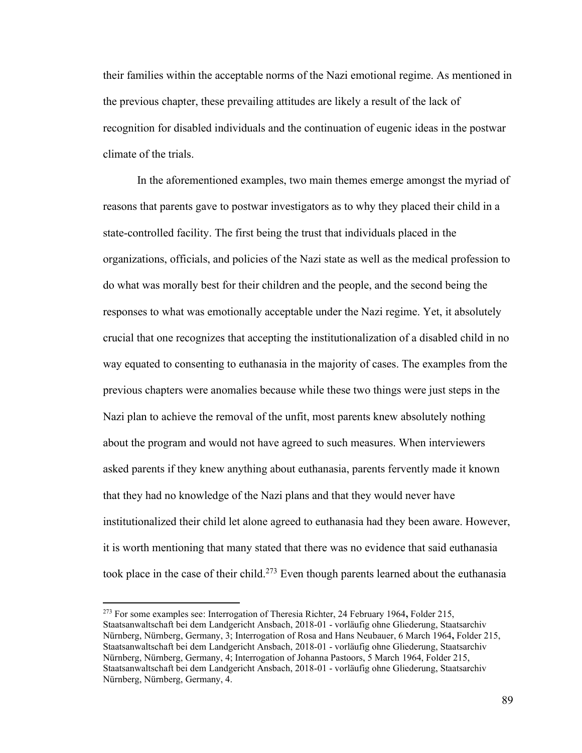their families within the acceptable norms of the Nazi emotional regime. As mentioned in the previous chapter, these prevailing attitudes are likely a result of the lack of recognition for disabled individuals and the continuation of eugenic ideas in the postwar climate of the trials.

In the aforementioned examples, two main themes emerge amongst the myriad of reasons that parents gave to postwar investigators as to why they placed their child in a state-controlled facility. The first being the trust that individuals placed in the organizations, officials, and policies of the Nazi state as well as the medical profession to do what was morally best for their children and the people, and the second being the responses to what was emotionally acceptable under the Nazi regime. Yet, it absolutely crucial that one recognizes that accepting the institutionalization of a disabled child in no way equated to consenting to euthanasia in the majority of cases. The examples from the previous chapters were anomalies because while these two things were just steps in the Nazi plan to achieve the removal of the unfit, most parents knew absolutely nothing about the program and would not have agreed to such measures. When interviewers asked parents if they knew anything about euthanasia, parents fervently made it known that they had no knowledge of the Nazi plans and that they would never have institutionalized their child let alone agreed to euthanasia had they been aware. However, it is worth mentioning that many stated that there was no evidence that said euthanasia took place in the case of their child.<sup>273</sup> Even though parents learned about the euthanasia

<sup>273</sup> For some examples see: Interrogation of Theresia Richter, 24 February 1964**,** Folder 215, Staatsanwaltschaft bei dem Landgericht Ansbach, 2018-01 - vorläufig ohne Gliederung, Staatsarchiv Nürnberg, Nürnberg, Germany, 3; Interrogation of Rosa and Hans Neubauer, 6 March 1964**,** Folder 215, Staatsanwaltschaft bei dem Landgericht Ansbach, 2018-01 - vorläufig ohne Gliederung, Staatsarchiv Nürnberg, Nürnberg, Germany, 4; Interrogation of Johanna Pastoors, 5 March 1964, Folder 215, Staatsanwaltschaft bei dem Landgericht Ansbach, 2018-01 - vorläufig ohne Gliederung, Staatsarchiv Nürnberg, Nürnberg, Germany, 4.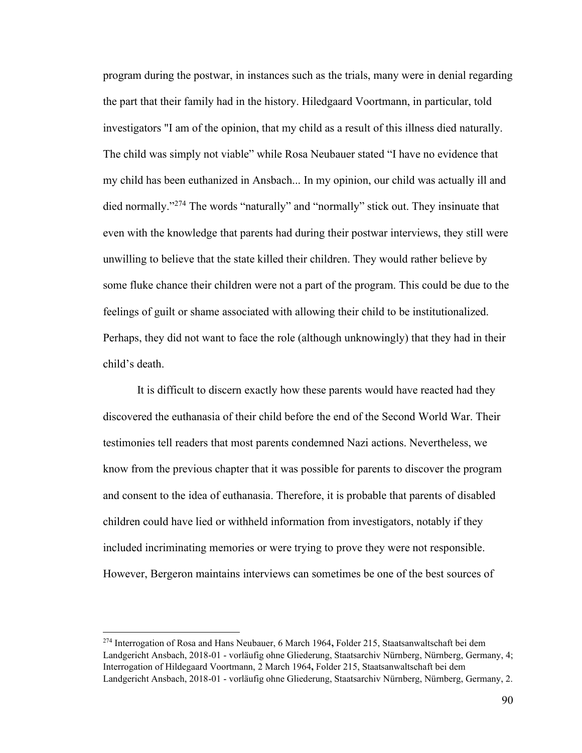program during the postwar, in instances such as the trials, many were in denial regarding the part that their family had in the history. Hiledgaard Voortmann, in particular, told investigators "I am of the opinion, that my child as a result of this illness died naturally. The child was simply not viable" while Rosa Neubauer stated "I have no evidence that my child has been euthanized in Ansbach... In my opinion, our child was actually ill and died normally."<sup>274</sup> The words "naturally" and "normally" stick out. They insinuate that even with the knowledge that parents had during their postwar interviews, they still were unwilling to believe that the state killed their children. They would rather believe by some fluke chance their children were not a part of the program. This could be due to the feelings of guilt or shame associated with allowing their child to be institutionalized. Perhaps, they did not want to face the role (although unknowingly) that they had in their child's death.

It is difficult to discern exactly how these parents would have reacted had they discovered the euthanasia of their child before the end of the Second World War. Their testimonies tell readers that most parents condemned Nazi actions. Nevertheless, we know from the previous chapter that it was possible for parents to discover the program and consent to the idea of euthanasia. Therefore, it is probable that parents of disabled children could have lied or withheld information from investigators, notably if they included incriminating memories or were trying to prove they were not responsible. However, Bergeron maintains interviews can sometimes be one of the best sources of

<sup>274</sup> Interrogation of Rosa and Hans Neubauer, 6 March 1964**,** Folder 215, Staatsanwaltschaft bei dem Landgericht Ansbach, 2018-01 - vorläufig ohne Gliederung, Staatsarchiv Nürnberg, Nürnberg, Germany, 4; Interrogation of Hildegaard Voortmann, 2 March 1964**,** Folder 215, Staatsanwaltschaft bei dem Landgericht Ansbach, 2018-01 - vorläufig ohne Gliederung, Staatsarchiv Nürnberg, Nürnberg, Germany, 2.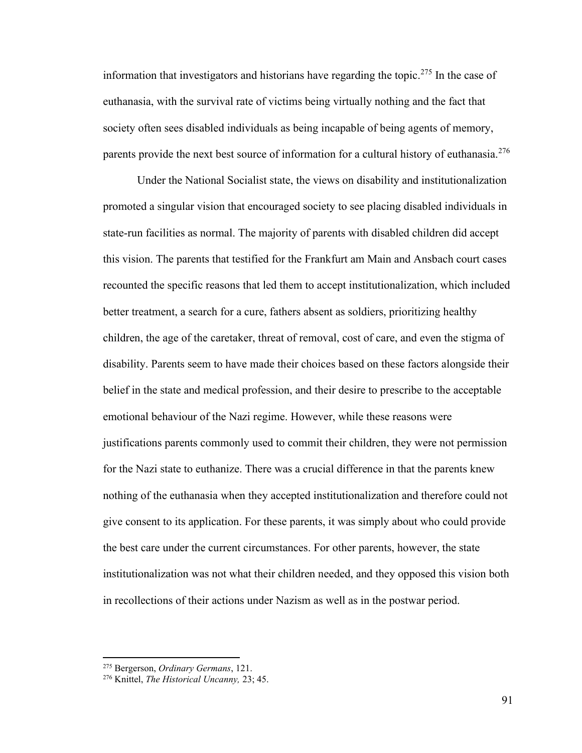information that investigators and historians have regarding the topic.<sup>275</sup> In the case of euthanasia, with the survival rate of victims being virtually nothing and the fact that society often sees disabled individuals as being incapable of being agents of memory, parents provide the next best source of information for a cultural history of euthanasia.<sup>276</sup>

Under the National Socialist state, the views on disability and institutionalization promoted a singular vision that encouraged society to see placing disabled individuals in state-run facilities as normal. The majority of parents with disabled children did accept this vision. The parents that testified for the Frankfurt am Main and Ansbach court cases recounted the specific reasons that led them to accept institutionalization, which included better treatment, a search for a cure, fathers absent as soldiers, prioritizing healthy children, the age of the caretaker, threat of removal, cost of care, and even the stigma of disability. Parents seem to have made their choices based on these factors alongside their belief in the state and medical profession, and their desire to prescribe to the acceptable emotional behaviour of the Nazi regime. However, while these reasons were justifications parents commonly used to commit their children, they were not permission for the Nazi state to euthanize. There was a crucial difference in that the parents knew nothing of the euthanasia when they accepted institutionalization and therefore could not give consent to its application. For these parents, it was simply about who could provide the best care under the current circumstances. For other parents, however, the state institutionalization was not what their children needed, and they opposed this vision both in recollections of their actions under Nazism as well as in the postwar period.

<sup>275</sup> Bergerson, *Ordinary Germans*, 121.

<sup>276</sup> Knittel, *The Historical Uncanny,* 23; 45.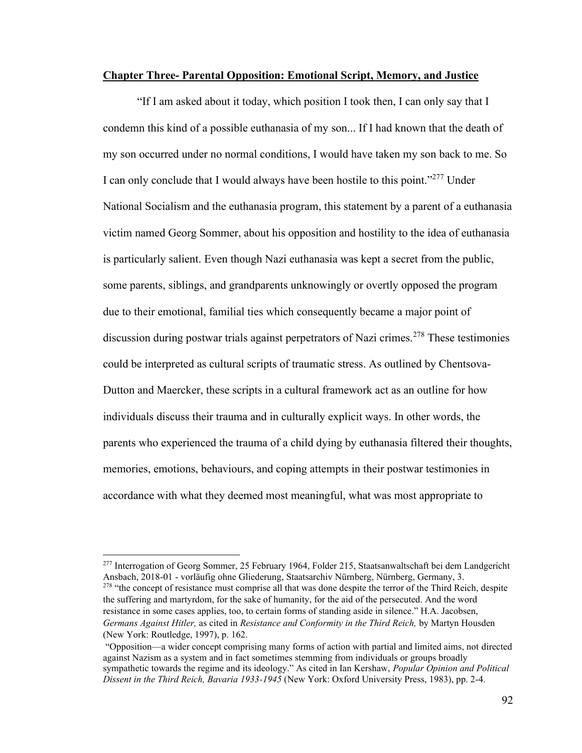## **Chapter Three- Parental Opposition: Emotional Script, Memory, and Justice**

"If I am asked about it today, which position I took then, I can only say that I condemn this kind of a possible euthanasia of my son... If I had known that the death of my son occurred under no normal conditions, I would have taken my son back to me. So I can only conclude that I would always have been hostile to this point."<sup>277</sup> Under National Socialism and the euthanasia program, this statement by a parent of a euthanasia victim named Georg Sommer, about his opposition and hostility to the idea of euthanasia is particularly salient. Even though Nazi euthanasia was kept a secret from the public, some parents, siblings, and grandparents unknowingly or overtly opposed the program due to their emotional, familial ties which consequently became a major point of discussion during postwar trials against perpetrators of Nazi crimes.<sup>278</sup> These testimonies could be interpreted as cultural scripts of traumatic stress. As outlined by Chentsova-Dutton and Maercker, these scripts in a cultural framework act as an outline for how individuals discuss their trauma and in culturally explicit ways. In other words, the parents who experienced the trauma of a child dying by euthanasia filtered their thoughts, memories, emotions, behaviours, and coping attempts in their postwar testimonies in accordance with what they deemed most meaningful, what was most appropriate to

<sup>277</sup> Interrogation of Georg Sommer, 25 February 1964, Folder 215, Staatsanwaltschaft bei dem Landgericht Ansbach, 2018-01 - vorläufig ohne Gliederung, Staatsarchiv Nürnberg, Nürnberg, Germany, 3. <sup>278</sup> "the concept of resistance must comprise all that was done despite the terror of the Third Reich, despite the suffering and martyrdom, for the sake of humanity, for the aid of the persecuted. And the word resistance in some cases applies, too, to certain forms of standing aside in silence." H.A. Jacobsen, *Germans Against Hitler,* as cited in *Resistance and Conformity in the Third Reich,* by Martyn Housden (New York: Routledge, 1997), p. 162.

<sup>&</sup>quot;Opposition—a wider concept comprising many forms of action with partial and limited aims, not directed against Nazism as a system and in fact sometimes stemming from individuals or groups broadly sympathetic towards the regime and its ideology." As cited in Ian Kershaw, *Popular Opinion and Political Dissent in the Third Reich, Bavaria 1933-1945* (New York: Oxford University Press, 1983), pp. 2-4.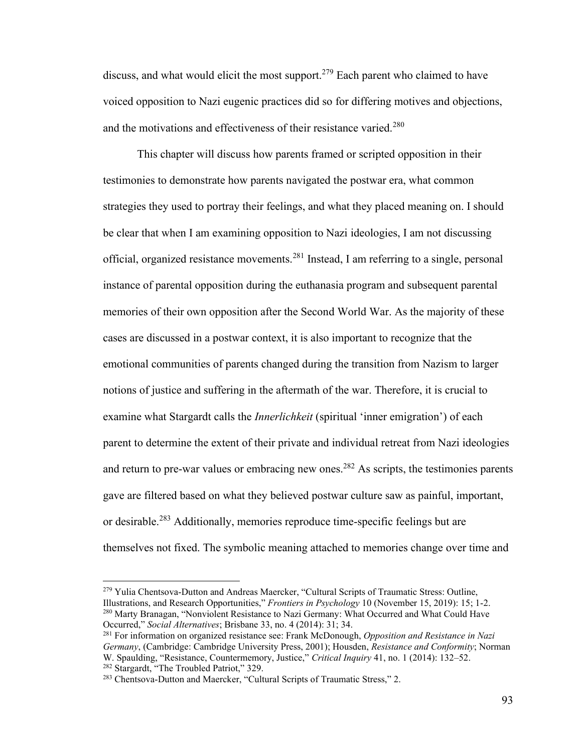discuss, and what would elicit the most support.<sup>279</sup> Each parent who claimed to have voiced opposition to Nazi eugenic practices did so for differing motives and objections, and the motivations and effectiveness of their resistance varied.<sup>280</sup>

This chapter will discuss how parents framed or scripted opposition in their testimonies to demonstrate how parents navigated the postwar era, what common strategies they used to portray their feelings, and what they placed meaning on. I should be clear that when I am examining opposition to Nazi ideologies, I am not discussing official, organized resistance movements.<sup>281</sup> Instead, I am referring to a single, personal instance of parental opposition during the euthanasia program and subsequent parental memories of their own opposition after the Second World War. As the majority of these cases are discussed in a postwar context, it is also important to recognize that the emotional communities of parents changed during the transition from Nazism to larger notions of justice and suffering in the aftermath of the war. Therefore, it is crucial to examine what Stargardt calls the *Innerlichkeit* (spiritual 'inner emigration') of each parent to determine the extent of their private and individual retreat from Nazi ideologies and return to pre-war values or embracing new ones.<sup>282</sup> As scripts, the testimonies parents gave are filtered based on what they believed postwar culture saw as painful, important, or desirable.<sup>283</sup> Additionally, memories reproduce time-specific feelings but are themselves not fixed. The symbolic meaning attached to memories change over time and

<sup>279</sup> Yulia Chentsova-Dutton and Andreas Maercker, "Cultural Scripts of Traumatic Stress: Outline, Illustrations, and Research Opportunities," *Frontiers in Psychology* 10 (November 15, 2019): 15; 1-2. <sup>280</sup> Marty Branagan, "Nonviolent Resistance to Nazi Germany: What Occurred and What Could Have Occurred," *Social Alternatives*; Brisbane 33, no. 4 (2014): 31; 34.

<sup>281</sup> For information on organized resistance see: Frank McDonough, *Opposition and Resistance in Nazi Germany*, (Cambridge: Cambridge University Press, 2001); Housden, *Resistance and Conformity*; Norman W. Spaulding, "Resistance, Countermemory, Justice," *Critical Inquiry* 41, no. 1 (2014): 132–52. <sup>282</sup> Stargardt, "The Troubled Patriot," 329.

<sup>&</sup>lt;sup>283</sup> Chentsova-Dutton and Maercker, "Cultural Scripts of Traumatic Stress," 2.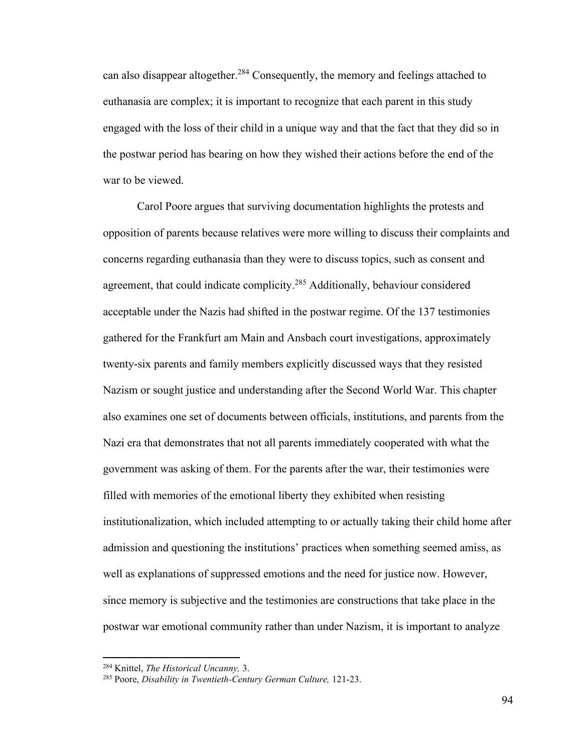can also disappear altogether.<sup>284</sup> Consequently, the memory and feelings attached to euthanasia are complex; it is important to recognize that each parent in this study engaged with the loss of their child in a unique way and that the fact that they did so in the postwar period has bearing on how they wished their actions before the end of the war to be viewed.

Carol Poore argues that surviving documentation highlights the protests and opposition of parents because relatives were more willing to discuss their complaints and concerns regarding euthanasia than they were to discuss topics, such as consent and agreement, that could indicate complicity.<sup>285</sup> Additionally, behaviour considered acceptable under the Nazis had shifted in the postwar regime. Of the 137 testimonies gathered for the Frankfurt am Main and Ansbach court investigations, approximately twenty-six parents and family members explicitly discussed ways that they resisted Nazism or sought justice and understanding after the Second World War. This chapter also examines one set of documents between officials, institutions, and parents from the Nazi era that demonstrates that not all parents immediately cooperated with what the government was asking of them. For the parents after the war, their testimonies were filled with memories of the emotional liberty they exhibited when resisting institutionalization, which included attempting to or actually taking their child home after admission and questioning the institutions' practices when something seemed amiss, as well as explanations of suppressed emotions and the need for justice now. However, since memory is subjective and the testimonies are constructions that take place in the postwar war emotional community rather than under Nazism, it is important to analyze

<sup>284</sup> Knittel, *The Historical Uncanny,* 3.

<sup>285</sup> Poore, *Disability in Twentieth-Century German Culture,* 121-23.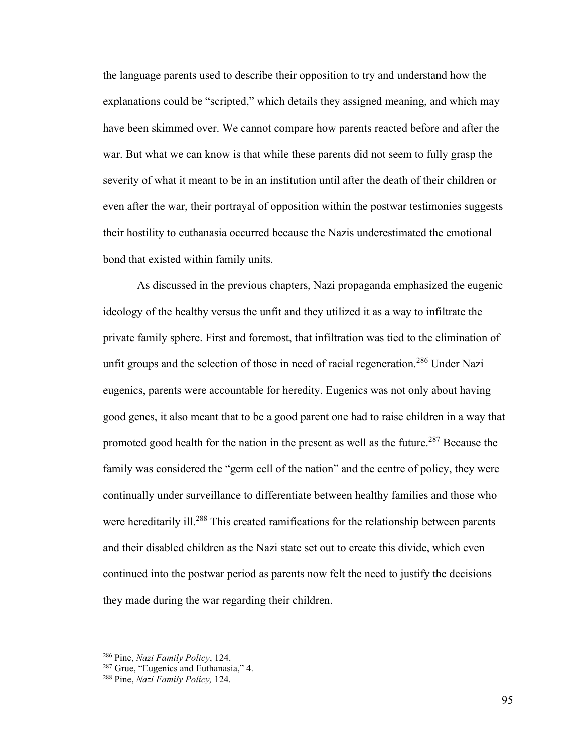the language parents used to describe their opposition to try and understand how the explanations could be "scripted," which details they assigned meaning, and which may have been skimmed over. We cannot compare how parents reacted before and after the war. But what we can know is that while these parents did not seem to fully grasp the severity of what it meant to be in an institution until after the death of their children or even after the war, their portrayal of opposition within the postwar testimonies suggests their hostility to euthanasia occurred because the Nazis underestimated the emotional bond that existed within family units.

As discussed in the previous chapters, Nazi propaganda emphasized the eugenic ideology of the healthy versus the unfit and they utilized it as a way to infiltrate the private family sphere. First and foremost, that infiltration was tied to the elimination of unfit groups and the selection of those in need of racial regeneration.<sup>286</sup> Under Nazi eugenics, parents were accountable for heredity. Eugenics was not only about having good genes, it also meant that to be a good parent one had to raise children in a way that promoted good health for the nation in the present as well as the future.<sup>287</sup> Because the family was considered the "germ cell of the nation" and the centre of policy, they were continually under surveillance to differentiate between healthy families and those who were hereditarily ill.<sup>288</sup> This created ramifications for the relationship between parents and their disabled children as the Nazi state set out to create this divide, which even continued into the postwar period as parents now felt the need to justify the decisions they made during the war regarding their children.

<sup>286</sup> Pine, *Nazi Family Policy*, 124.

<sup>287</sup> Grue, "Eugenics and Euthanasia," 4.

<sup>288</sup> Pine, *Nazi Family Policy,* 124.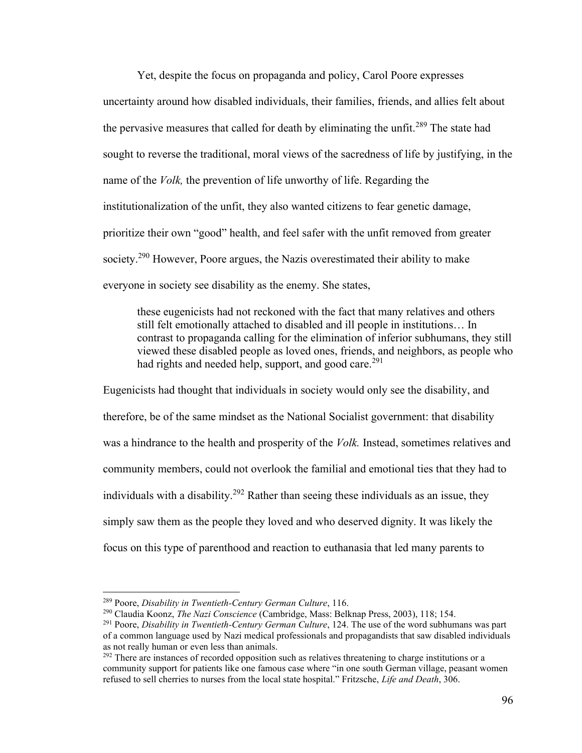Yet, despite the focus on propaganda and policy, Carol Poore expresses uncertainty around how disabled individuals, their families, friends, and allies felt about the pervasive measures that called for death by eliminating the unfit.<sup>289</sup> The state had sought to reverse the traditional, moral views of the sacredness of life by justifying, in the name of the *Volk,* the prevention of life unworthy of life. Regarding the institutionalization of the unfit, they also wanted citizens to fear genetic damage, prioritize their own "good" health, and feel safer with the unfit removed from greater society.<sup>290</sup> However, Poore argues, the Nazis overestimated their ability to make everyone in society see disability as the enemy. She states,

these eugenicists had not reckoned with the fact that many relatives and others still felt emotionally attached to disabled and ill people in institutions… In contrast to propaganda calling for the elimination of inferior subhumans, they still viewed these disabled people as loved ones, friends, and neighbors, as people who had rights and needed help, support, and good care.<sup>291</sup>

Eugenicists had thought that individuals in society would only see the disability, and therefore, be of the same mindset as the National Socialist government: that disability was a hindrance to the health and prosperity of the *Volk.* Instead, sometimes relatives and community members, could not overlook the familial and emotional ties that they had to individuals with a disability.<sup>292</sup> Rather than seeing these individuals as an issue, they simply saw them as the people they loved and who deserved dignity. It was likely the focus on this type of parenthood and reaction to euthanasia that led many parents to

<sup>289</sup> Poore, *Disability in Twentieth-Century German Culture*, 116.

<sup>290</sup> Claudia Koonz, *The Nazi Conscience* (Cambridge, Mass: Belknap Press, 2003), 118; 154.

<sup>291</sup> Poore, *Disability in Twentieth-Century German Culture*, 124. The use of the word subhumans was part of a common language used by Nazi medical professionals and propagandists that saw disabled individuals as not really human or even less than animals.

<sup>&</sup>lt;sup>292</sup> There are instances of recorded opposition such as relatives threatening to charge institutions or a community support for patients like one famous case where "in one south German village, peasant women refused to sell cherries to nurses from the local state hospital." Fritzsche, *Life and Death*, 306.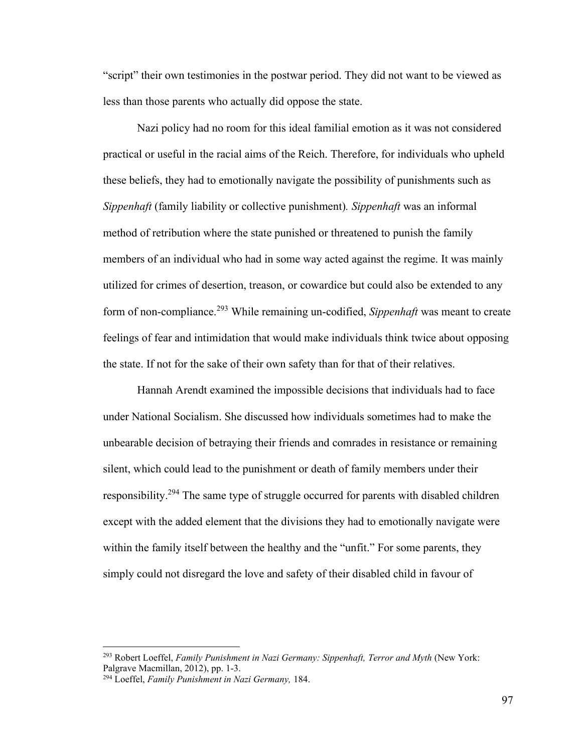"script" their own testimonies in the postwar period. They did not want to be viewed as less than those parents who actually did oppose the state.

Nazi policy had no room for this ideal familial emotion as it was not considered practical or useful in the racial aims of the Reich. Therefore, for individuals who upheld these beliefs, they had to emotionally navigate the possibility of punishments such as *Sippenhaft* (family liability or collective punishment)*. Sippenhaft* was an informal method of retribution where the state punished or threatened to punish the family members of an individual who had in some way acted against the regime. It was mainly utilized for crimes of desertion, treason, or cowardice but could also be extended to any form of non-compliance.<sup>293</sup> While remaining un-codified, *Sippenhaft* was meant to create feelings of fear and intimidation that would make individuals think twice about opposing the state. If not for the sake of their own safety than for that of their relatives.

Hannah Arendt examined the impossible decisions that individuals had to face under National Socialism. She discussed how individuals sometimes had to make the unbearable decision of betraying their friends and comrades in resistance or remaining silent, which could lead to the punishment or death of family members under their responsibility.<sup>294</sup> The same type of struggle occurred for parents with disabled children except with the added element that the divisions they had to emotionally navigate were within the family itself between the healthy and the "unfit." For some parents, they simply could not disregard the love and safety of their disabled child in favour of

<sup>293</sup> Robert Loeffel, *Family Punishment in Nazi Germany: Sippenhaft, Terror and Myth* (New York: Palgrave Macmillan, 2012), pp. 1-3.

<sup>294</sup> Loeffel, *Family Punishment in Nazi Germany,* 184.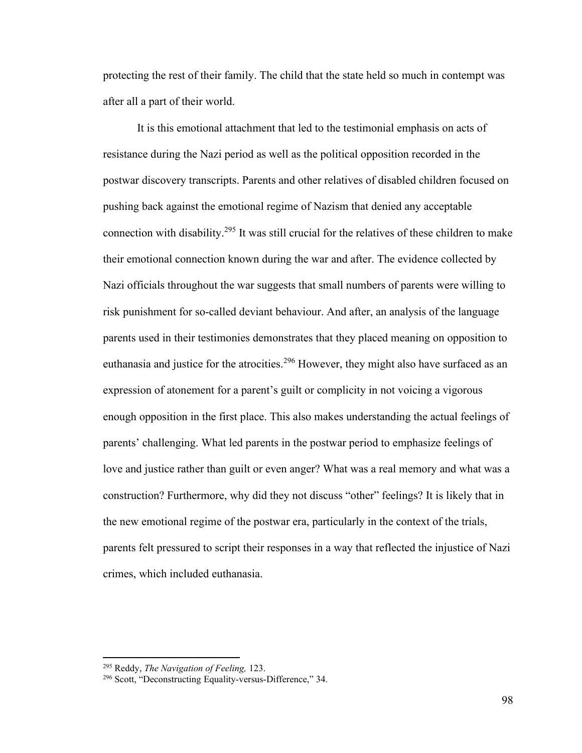protecting the rest of their family. The child that the state held so much in contempt was after all a part of their world.

It is this emotional attachment that led to the testimonial emphasis on acts of resistance during the Nazi period as well as the political opposition recorded in the postwar discovery transcripts. Parents and other relatives of disabled children focused on pushing back against the emotional regime of Nazism that denied any acceptable connection with disability.<sup>295</sup> It was still crucial for the relatives of these children to make their emotional connection known during the war and after. The evidence collected by Nazi officials throughout the war suggests that small numbers of parents were willing to risk punishment for so-called deviant behaviour. And after, an analysis of the language parents used in their testimonies demonstrates that they placed meaning on opposition to euthanasia and justice for the atrocities.<sup>296</sup> However, they might also have surfaced as an expression of atonement for a parent's guilt or complicity in not voicing a vigorous enough opposition in the first place. This also makes understanding the actual feelings of parents' challenging. What led parents in the postwar period to emphasize feelings of love and justice rather than guilt or even anger? What was a real memory and what was a construction? Furthermore, why did they not discuss "other" feelings? It is likely that in the new emotional regime of the postwar era, particularly in the context of the trials, parents felt pressured to script their responses in a way that reflected the injustice of Nazi crimes, which included euthanasia.

<sup>295</sup> Reddy, *The Navigation of Feeling,* 123.

<sup>296</sup> Scott, "Deconstructing Equality-versus-Difference," 34.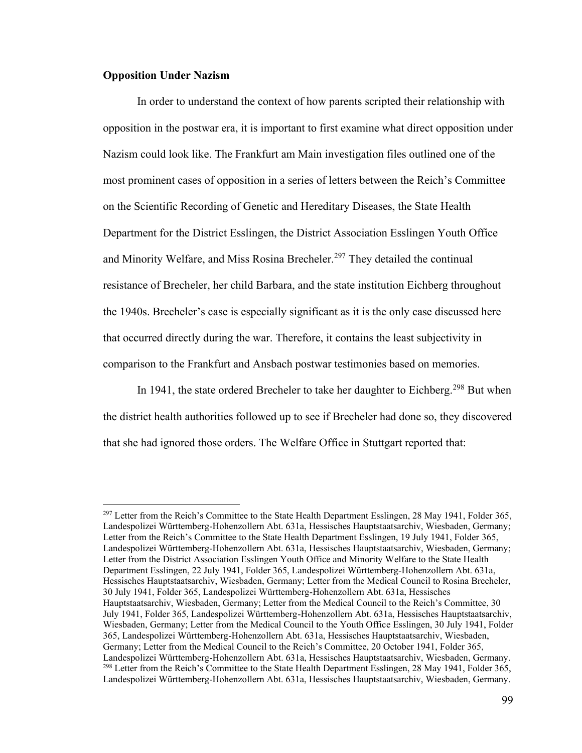## **Opposition Under Nazism**

In order to understand the context of how parents scripted their relationship with opposition in the postwar era, it is important to first examine what direct opposition under Nazism could look like. The Frankfurt am Main investigation files outlined one of the most prominent cases of opposition in a series of letters between the Reich's Committee on the Scientific Recording of Genetic and Hereditary Diseases, the State Health Department for the District Esslingen, the District Association Esslingen Youth Office and Minority Welfare, and Miss Rosina Brecheler.<sup>297</sup> They detailed the continual resistance of Brecheler, her child Barbara, and the state institution Eichberg throughout the 1940s. Brecheler's case is especially significant as it is the only case discussed here that occurred directly during the war. Therefore, it contains the least subjectivity in comparison to the Frankfurt and Ansbach postwar testimonies based on memories.

In 1941, the state ordered Brecheler to take her daughter to Eichberg.<sup>298</sup> But when the district health authorities followed up to see if Brecheler had done so, they discovered that she had ignored those orders. The Welfare Office in Stuttgart reported that:

 $^{297}$  Letter from the Reich's Committee to the State Health Department Esslingen, 28 May 1941, Folder 365, Landespolizei Württemberg-Hohenzollern Abt. 631a, Hessisches Hauptstaatsarchiv, Wiesbaden, Germany; Letter from the Reich's Committee to the State Health Department Esslingen, 19 July 1941, Folder 365, Landespolizei Württemberg-Hohenzollern Abt. 631a, Hessisches Hauptstaatsarchiv, Wiesbaden, Germany; Letter from the District Association Esslingen Youth Office and Minority Welfare to the State Health Department Esslingen, 22 July 1941, Folder 365, Landespolizei Württemberg-Hohenzollern Abt. 631a, Hessisches Hauptstaatsarchiv, Wiesbaden, Germany; Letter from the Medical Council to Rosina Brecheler, 30 July 1941, Folder 365, Landespolizei Württemberg-Hohenzollern Abt. 631a, Hessisches Hauptstaatsarchiv, Wiesbaden, Germany; Letter from the Medical Council to the Reich's Committee, 30 July 1941, Folder 365, Landespolizei Württemberg-Hohenzollern Abt. 631a, Hessisches Hauptstaatsarchiv, Wiesbaden, Germany; Letter from the Medical Council to the Youth Office Esslingen, 30 July 1941, Folder 365, Landespolizei Württemberg-Hohenzollern Abt. 631a, Hessisches Hauptstaatsarchiv, Wiesbaden, Germany; Letter from the Medical Council to the Reich's Committee, 20 October 1941, Folder 365, Landespolizei Württemberg-Hohenzollern Abt. 631a, Hessisches Hauptstaatsarchiv, Wiesbaden, Germany. <sup>298</sup> Letter from the Reich's Committee to the State Health Department Esslingen, 28 May 1941, Folder 365, Landespolizei Württemberg-Hohenzollern Abt. 631a, Hessisches Hauptstaatsarchiv, Wiesbaden, Germany.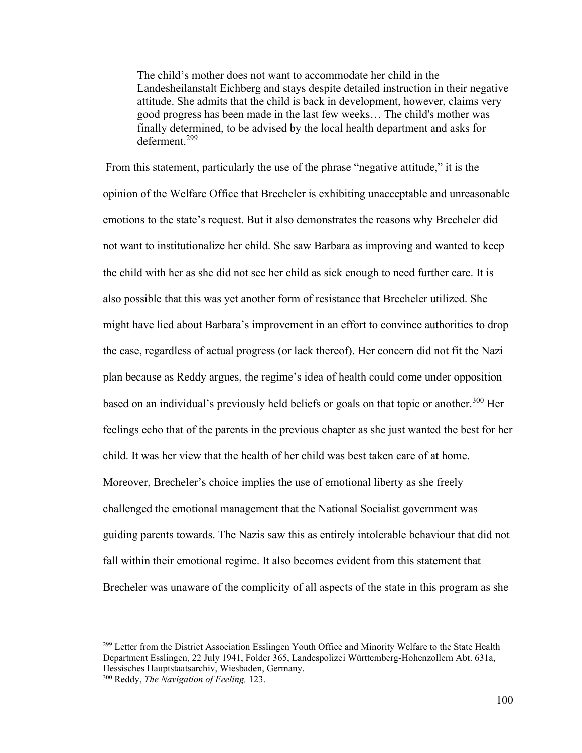The child's mother does not want to accommodate her child in the Landesheilanstalt Eichberg and stays despite detailed instruction in their negative attitude. She admits that the child is back in development, however, claims very good progress has been made in the last few weeks… The child's mother was finally determined, to be advised by the local health department and asks for deferment.<sup>299</sup>

From this statement, particularly the use of the phrase "negative attitude," it is the opinion of the Welfare Office that Brecheler is exhibiting unacceptable and unreasonable emotions to the state's request. But it also demonstrates the reasons why Brecheler did not want to institutionalize her child. She saw Barbara as improving and wanted to keep the child with her as she did not see her child as sick enough to need further care. It is also possible that this was yet another form of resistance that Brecheler utilized. She might have lied about Barbara's improvement in an effort to convince authorities to drop the case, regardless of actual progress (or lack thereof). Her concern did not fit the Nazi plan because as Reddy argues, the regime's idea of health could come under opposition based on an individual's previously held beliefs or goals on that topic or another.<sup>300</sup> Her feelings echo that of the parents in the previous chapter as she just wanted the best for her child. It was her view that the health of her child was best taken care of at home. Moreover, Brecheler's choice implies the use of emotional liberty as she freely challenged the emotional management that the National Socialist government was guiding parents towards. The Nazis saw this as entirely intolerable behaviour that did not fall within their emotional regime. It also becomes evident from this statement that Brecheler was unaware of the complicity of all aspects of the state in this program as she

<sup>&</sup>lt;sup>299</sup> Letter from the District Association Esslingen Youth Office and Minority Welfare to the State Health Department Esslingen, 22 July 1941, Folder 365, Landespolizei Württemberg-Hohenzollern Abt. 631a, Hessisches Hauptstaatsarchiv, Wiesbaden, Germany.

<sup>300</sup> Reddy, *The Navigation of Feeling,* 123.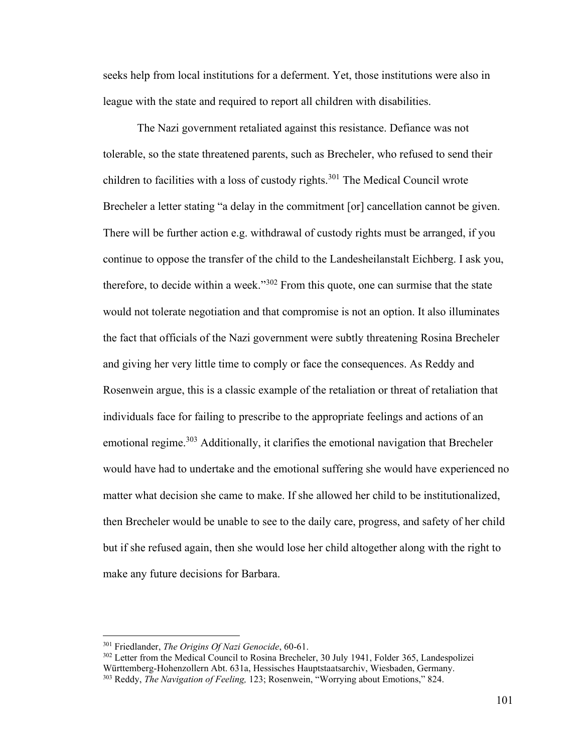seeks help from local institutions for a deferment. Yet, those institutions were also in league with the state and required to report all children with disabilities.

The Nazi government retaliated against this resistance. Defiance was not tolerable, so the state threatened parents, such as Brecheler, who refused to send their children to facilities with a loss of custody rights.<sup>301</sup> The Medical Council wrote Brecheler a letter stating "a delay in the commitment [or] cancellation cannot be given. There will be further action e.g. withdrawal of custody rights must be arranged, if you continue to oppose the transfer of the child to the Landesheilanstalt Eichberg. I ask you, therefore, to decide within a week."<sup>302</sup> From this quote, one can surmise that the state would not tolerate negotiation and that compromise is not an option. It also illuminates the fact that officials of the Nazi government were subtly threatening Rosina Brecheler and giving her very little time to comply or face the consequences. As Reddy and Rosenwein argue, this is a classic example of the retaliation or threat of retaliation that individuals face for failing to prescribe to the appropriate feelings and actions of an emotional regime.<sup>303</sup> Additionally, it clarifies the emotional navigation that Brecheler would have had to undertake and the emotional suffering she would have experienced no matter what decision she came to make. If she allowed her child to be institutionalized, then Brecheler would be unable to see to the daily care, progress, and safety of her child but if she refused again, then she would lose her child altogether along with the right to make any future decisions for Barbara.

<sup>301</sup> Friedlander, *The Origins Of Nazi Genocide*, 60-61.

<sup>&</sup>lt;sup>302</sup> Letter from the Medical Council to Rosina Brecheler, 30 July 1941, Folder 365, Landespolizei Württemberg-Hohenzollern Abt. 631a, Hessisches Hauptstaatsarchiv, Wiesbaden, Germany.

<sup>303</sup> Reddy, *The Navigation of Feeling,* 123; Rosenwein, "Worrying about Emotions," 824.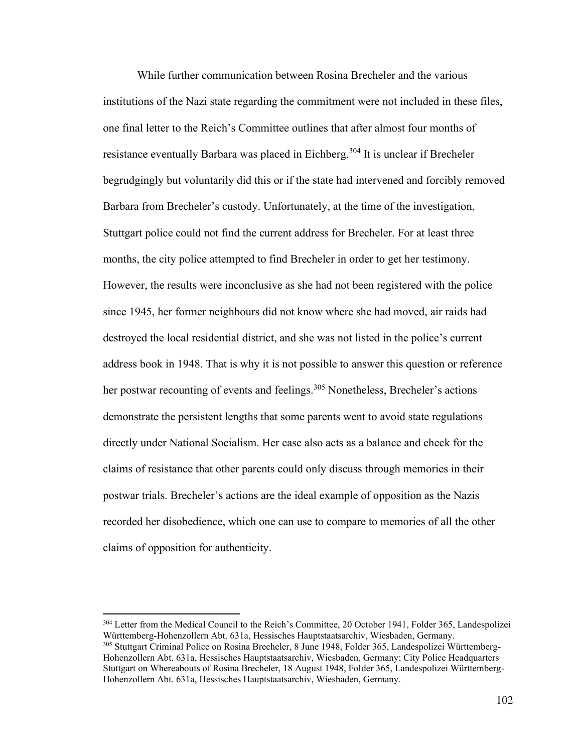While further communication between Rosina Brecheler and the various institutions of the Nazi state regarding the commitment were not included in these files, one final letter to the Reich's Committee outlines that after almost four months of resistance eventually Barbara was placed in Eichberg.<sup>304</sup> It is unclear if Brecheler begrudgingly but voluntarily did this or if the state had intervened and forcibly removed Barbara from Brecheler's custody. Unfortunately, at the time of the investigation, Stuttgart police could not find the current address for Brecheler. For at least three months, the city police attempted to find Brecheler in order to get her testimony. However, the results were inconclusive as she had not been registered with the police since 1945, her former neighbours did not know where she had moved, air raids had destroyed the local residential district, and she was not listed in the police's current address book in 1948. That is why it is not possible to answer this question or reference her postwar recounting of events and feelings.<sup>305</sup> Nonetheless, Brecheler's actions demonstrate the persistent lengths that some parents went to avoid state regulations directly under National Socialism. Her case also acts as a balance and check for the claims of resistance that other parents could only discuss through memories in their postwar trials. Brecheler's actions are the ideal example of opposition as the Nazis recorded her disobedience, which one can use to compare to memories of all the other claims of opposition for authenticity.

<sup>304</sup> Letter from the Medical Council to the Reich's Committee, 20 October 1941, Folder 365, Landespolizei Württemberg-Hohenzollern Abt. 631a, Hessisches Hauptstaatsarchiv, Wiesbaden, Germany. <sup>305</sup> Stuttgart Criminal Police on Rosina Brecheler, 8 June 1948, Folder 365, Landespolizei Württemberg-Hohenzollern Abt. 631a, Hessisches Hauptstaatsarchiv, Wiesbaden, Germany; City Police Headquarters Stuttgart on Whereabouts of Rosina Brecheler, 18 August 1948, Folder 365, Landespolizei Württemberg-Hohenzollern Abt. 631a, Hessisches Hauptstaatsarchiv, Wiesbaden, Germany.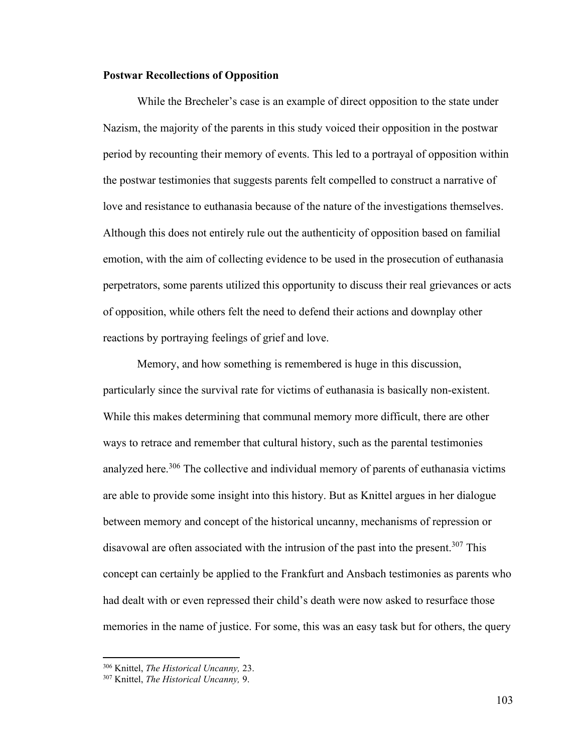## **Postwar Recollections of Opposition**

While the Brecheler's case is an example of direct opposition to the state under Nazism, the majority of the parents in this study voiced their opposition in the postwar period by recounting their memory of events. This led to a portrayal of opposition within the postwar testimonies that suggests parents felt compelled to construct a narrative of love and resistance to euthanasia because of the nature of the investigations themselves. Although this does not entirely rule out the authenticity of opposition based on familial emotion, with the aim of collecting evidence to be used in the prosecution of euthanasia perpetrators, some parents utilized this opportunity to discuss their real grievances or acts of opposition, while others felt the need to defend their actions and downplay other reactions by portraying feelings of grief and love.

Memory, and how something is remembered is huge in this discussion, particularly since the survival rate for victims of euthanasia is basically non-existent. While this makes determining that communal memory more difficult, there are other ways to retrace and remember that cultural history, such as the parental testimonies analyzed here.<sup>306</sup> The collective and individual memory of parents of euthanasia victims are able to provide some insight into this history. But as Knittel argues in her dialogue between memory and concept of the historical uncanny, mechanisms of repression or disavowal are often associated with the intrusion of the past into the present.<sup>307</sup> This concept can certainly be applied to the Frankfurt and Ansbach testimonies as parents who had dealt with or even repressed their child's death were now asked to resurface those memories in the name of justice. For some, this was an easy task but for others, the query

<sup>306</sup> Knittel, *The Historical Uncanny,* 23.

<sup>307</sup> Knittel, *The Historical Uncanny,* 9.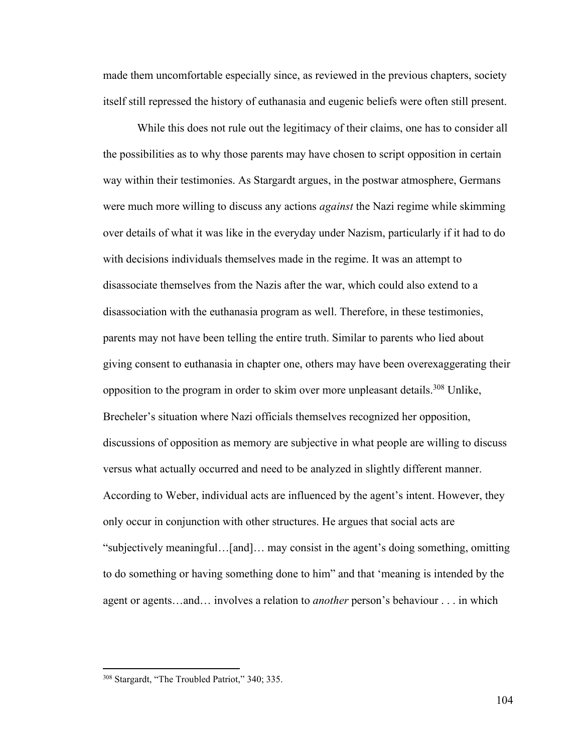made them uncomfortable especially since, as reviewed in the previous chapters, society itself still repressed the history of euthanasia and eugenic beliefs were often still present.

While this does not rule out the legitimacy of their claims, one has to consider all the possibilities as to why those parents may have chosen to script opposition in certain way within their testimonies. As Stargardt argues, in the postwar atmosphere, Germans were much more willing to discuss any actions *against* the Nazi regime while skimming over details of what it was like in the everyday under Nazism, particularly if it had to do with decisions individuals themselves made in the regime. It was an attempt to disassociate themselves from the Nazis after the war, which could also extend to a disassociation with the euthanasia program as well. Therefore, in these testimonies, parents may not have been telling the entire truth. Similar to parents who lied about giving consent to euthanasia in chapter one, others may have been overexaggerating their opposition to the program in order to skim over more unpleasant details.<sup>308</sup> Unlike, Brecheler's situation where Nazi officials themselves recognized her opposition, discussions of opposition as memory are subjective in what people are willing to discuss versus what actually occurred and need to be analyzed in slightly different manner. According to Weber, individual acts are influenced by the agent's intent. However, they only occur in conjunction with other structures. He argues that social acts are "subjectively meaningful…[and]… may consist in the agent's doing something, omitting to do something or having something done to him" and that 'meaning is intended by the agent or agents…and… involves a relation to *another* person's behaviour . . . in which

<sup>308</sup> Stargardt, "The Troubled Patriot," 340; 335.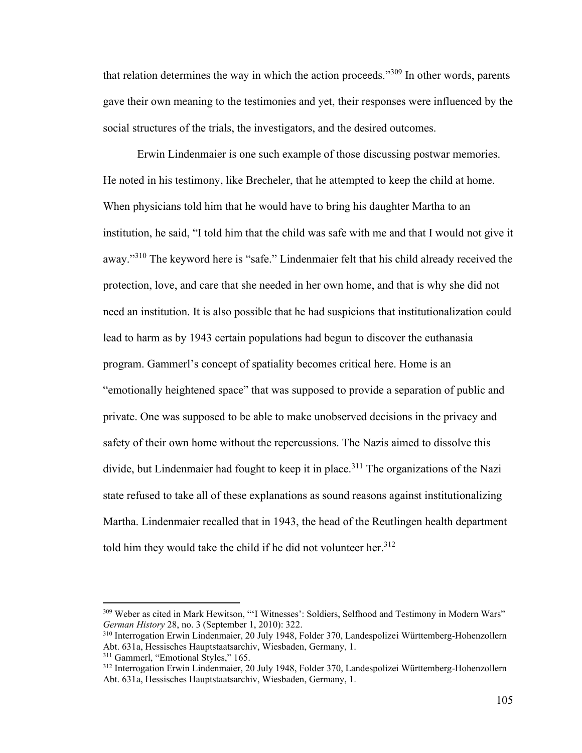that relation determines the way in which the action proceeds."<sup>309</sup> In other words, parents gave their own meaning to the testimonies and yet, their responses were influenced by the social structures of the trials, the investigators, and the desired outcomes.

Erwin Lindenmaier is one such example of those discussing postwar memories. He noted in his testimony, like Brecheler, that he attempted to keep the child at home. When physicians told him that he would have to bring his daughter Martha to an institution, he said, "I told him that the child was safe with me and that I would not give it away."<sup>310</sup> The keyword here is "safe." Lindenmaier felt that his child already received the protection, love, and care that she needed in her own home, and that is why she did not need an institution. It is also possible that he had suspicions that institutionalization could lead to harm as by 1943 certain populations had begun to discover the euthanasia program. Gammerl's concept of spatiality becomes critical here. Home is an "emotionally heightened space" that was supposed to provide a separation of public and private. One was supposed to be able to make unobserved decisions in the privacy and safety of their own home without the repercussions. The Nazis aimed to dissolve this divide, but Lindenmaier had fought to keep it in place.<sup>311</sup> The organizations of the Nazi state refused to take all of these explanations as sound reasons against institutionalizing Martha. Lindenmaier recalled that in 1943, the head of the Reutlingen health department told him they would take the child if he did not volunteer her.<sup>312</sup>

<sup>309</sup> Weber as cited in Mark Hewitson, "'I Witnesses': Soldiers, Selfhood and Testimony in Modern Wars" *German History* 28, no. 3 (September 1, 2010): 322.

<sup>310</sup> Interrogation Erwin Lindenmaier, 20 July 1948, Folder 370, Landespolizei Württemberg-Hohenzollern Abt. 631a, Hessisches Hauptstaatsarchiv, Wiesbaden, Germany, 1.

<sup>311</sup> Gammerl, "Emotional Styles," 165.

<sup>312</sup> Interrogation Erwin Lindenmaier, 20 July 1948, Folder 370, Landespolizei Württemberg-Hohenzollern Abt. 631a, Hessisches Hauptstaatsarchiv, Wiesbaden, Germany, 1.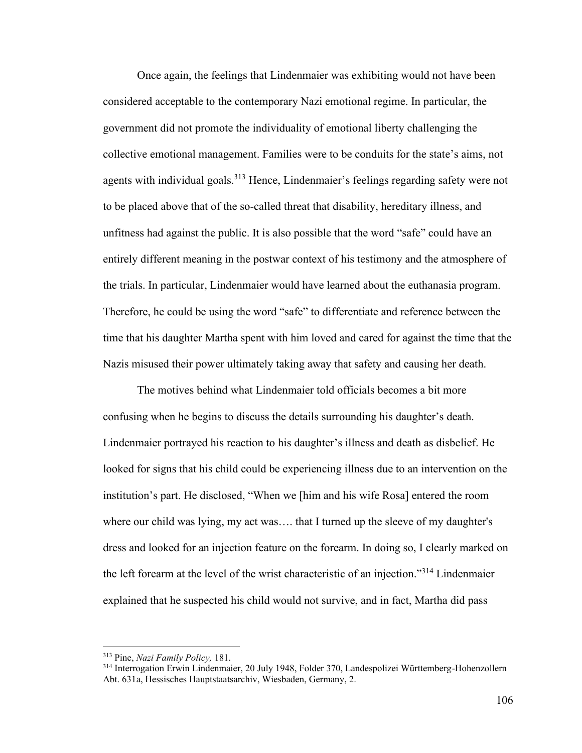Once again, the feelings that Lindenmaier was exhibiting would not have been considered acceptable to the contemporary Nazi emotional regime. In particular, the government did not promote the individuality of emotional liberty challenging the collective emotional management. Families were to be conduits for the state's aims, not agents with individual goals.<sup>313</sup> Hence, Lindenmaier's feelings regarding safety were not to be placed above that of the so-called threat that disability, hereditary illness, and unfitness had against the public. It is also possible that the word "safe" could have an entirely different meaning in the postwar context of his testimony and the atmosphere of the trials. In particular, Lindenmaier would have learned about the euthanasia program. Therefore, he could be using the word "safe" to differentiate and reference between the time that his daughter Martha spent with him loved and cared for against the time that the Nazis misused their power ultimately taking away that safety and causing her death.

The motives behind what Lindenmaier told officials becomes a bit more confusing when he begins to discuss the details surrounding his daughter's death. Lindenmaier portrayed his reaction to his daughter's illness and death as disbelief. He looked for signs that his child could be experiencing illness due to an intervention on the institution's part. He disclosed, "When we [him and his wife Rosa] entered the room where our child was lying, my act was…. that I turned up the sleeve of my daughter's dress and looked for an injection feature on the forearm. In doing so, I clearly marked on the left forearm at the level of the wrist characteristic of an injection."<sup>314</sup> Lindenmaier explained that he suspected his child would not survive, and in fact, Martha did pass

<sup>313</sup> Pine, *Nazi Family Policy,* 181.

<sup>314</sup> Interrogation Erwin Lindenmaier, 20 July 1948, Folder 370, Landespolizei Württemberg-Hohenzollern Abt. 631a, Hessisches Hauptstaatsarchiv, Wiesbaden, Germany, 2.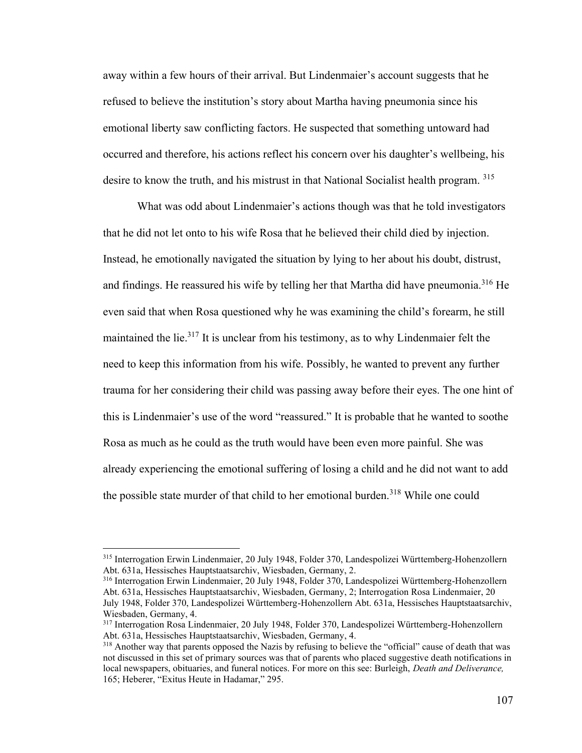away within a few hours of their arrival. But Lindenmaier's account suggests that he refused to believe the institution's story about Martha having pneumonia since his emotional liberty saw conflicting factors. He suspected that something untoward had occurred and therefore, his actions reflect his concern over his daughter's wellbeing, his desire to know the truth, and his mistrust in that National Socialist health program. 315

What was odd about Lindenmaier's actions though was that he told investigators that he did not let onto to his wife Rosa that he believed their child died by injection. Instead, he emotionally navigated the situation by lying to her about his doubt, distrust, and findings. He reassured his wife by telling her that Martha did have pneumonia.<sup>316</sup> He even said that when Rosa questioned why he was examining the child's forearm, he still maintained the lie.<sup>317</sup> It is unclear from his testimony, as to why Lindenmaier felt the need to keep this information from his wife. Possibly, he wanted to prevent any further trauma for her considering their child was passing away before their eyes. The one hint of this is Lindenmaier's use of the word "reassured." It is probable that he wanted to soothe Rosa as much as he could as the truth would have been even more painful. She was already experiencing the emotional suffering of losing a child and he did not want to add the possible state murder of that child to her emotional burden.<sup>318</sup> While one could

<sup>315</sup> Interrogation Erwin Lindenmaier, 20 July 1948, Folder 370, Landespolizei Württemberg-Hohenzollern Abt. 631a, Hessisches Hauptstaatsarchiv, Wiesbaden, Germany, 2.

<sup>316</sup> Interrogation Erwin Lindenmaier, 20 July 1948, Folder 370, Landespolizei Württemberg-Hohenzollern Abt. 631a, Hessisches Hauptstaatsarchiv, Wiesbaden, Germany, 2; Interrogation Rosa Lindenmaier, 20 July 1948, Folder 370, Landespolizei Württemberg-Hohenzollern Abt. 631a, Hessisches Hauptstaatsarchiv, Wiesbaden, Germany, 4.

<sup>317</sup> Interrogation Rosa Lindenmaier, 20 July 1948, Folder 370, Landespolizei Württemberg-Hohenzollern Abt. 631a, Hessisches Hauptstaatsarchiv, Wiesbaden, Germany, 4.

<sup>&</sup>lt;sup>318</sup> Another way that parents opposed the Nazis by refusing to believe the "official" cause of death that was not discussed in this set of primary sources was that of parents who placed suggestive death notifications in local newspapers, obituaries, and funeral notices. For more on this see: Burleigh, *Death and Deliverance,*  165; Heberer, "Exitus Heute in Hadamar," 295.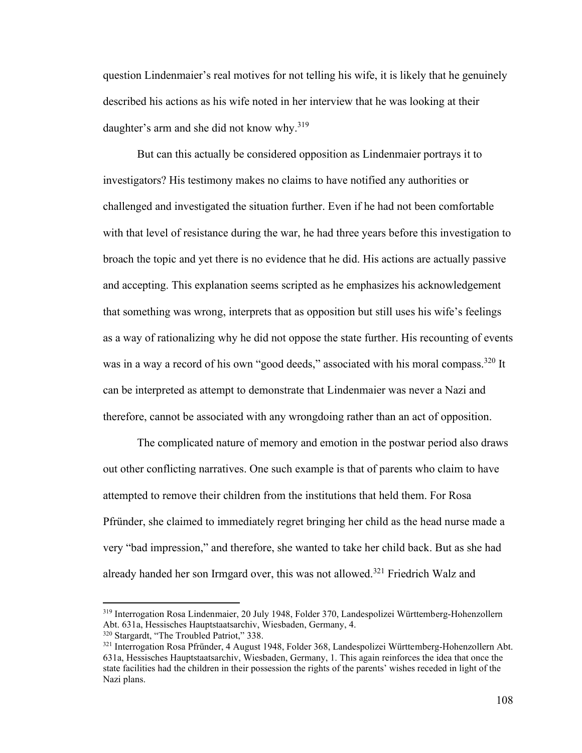question Lindenmaier's real motives for not telling his wife, it is likely that he genuinely described his actions as his wife noted in her interview that he was looking at their daughter's arm and she did not know why. $319$ 

But can this actually be considered opposition as Lindenmaier portrays it to investigators? His testimony makes no claims to have notified any authorities or challenged and investigated the situation further. Even if he had not been comfortable with that level of resistance during the war, he had three years before this investigation to broach the topic and yet there is no evidence that he did. His actions are actually passive and accepting. This explanation seems scripted as he emphasizes his acknowledgement that something was wrong, interprets that as opposition but still uses his wife's feelings as a way of rationalizing why he did not oppose the state further. His recounting of events was in a way a record of his own "good deeds," associated with his moral compass.<sup>320</sup> It can be interpreted as attempt to demonstrate that Lindenmaier was never a Nazi and therefore, cannot be associated with any wrongdoing rather than an act of opposition.

The complicated nature of memory and emotion in the postwar period also draws out other conflicting narratives. One such example is that of parents who claim to have attempted to remove their children from the institutions that held them. For Rosa Pfründer, she claimed to immediately regret bringing her child as the head nurse made a very "bad impression," and therefore, she wanted to take her child back. But as she had already handed her son Irmgard over, this was not allowed.<sup>321</sup> Friedrich Walz and

<sup>319</sup> Interrogation Rosa Lindenmaier, 20 July 1948, Folder 370, Landespolizei Württemberg-Hohenzollern Abt. 631a, Hessisches Hauptstaatsarchiv, Wiesbaden, Germany, 4.

<sup>320</sup> Stargardt, "The Troubled Patriot," 338.

<sup>321</sup> Interrogation Rosa Pfründer, 4 August 1948, Folder 368, Landespolizei Württemberg-Hohenzollern Abt. 631a, Hessisches Hauptstaatsarchiv, Wiesbaden, Germany, 1. This again reinforces the idea that once the state facilities had the children in their possession the rights of the parents' wishes receded in light of the Nazi plans.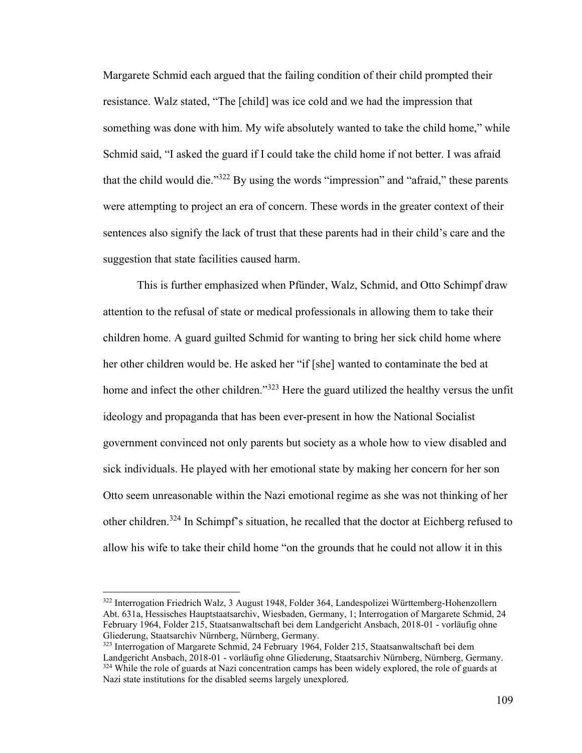Margarete Schmid each argued that the failing condition of their child prompted their resistance. Walz stated, "The [child] was ice cold and we had the impression that something was done with him. My wife absolutely wanted to take the child home," while Schmid said, "I asked the guard if I could take the child home if not better. I was afraid that the child would die."<sup>322</sup> By using the words "impression" and "afraid," these parents were attempting to project an era of concern. These words in the greater context of their sentences also signify the lack of trust that these parents had in their child's care and the suggestion that state facilities caused harm.

This is further emphasized when Pfünder, Walz, Schmid, and Otto Schimpf draw attention to the refusal of state or medical professionals in allowing them to take their children home. A guard guilted Schmid for wanting to bring her sick child home where her other children would be. He asked her "if [she] wanted to contaminate the bed at home and infect the other children."<sup>323</sup> Here the guard utilized the healthy versus the unfit ideology and propaganda that has been ever-present in how the National Socialist government convinced not only parents but society as a whole how to view disabled and sick individuals. He played with her emotional state by making her concern for her son Otto seem unreasonable within the Nazi emotional regime as she was not thinking of her other children.<sup>324</sup> In Schimpf's situation, he recalled that the doctor at Eichberg refused to allow his wife to take their child home "on the grounds that he could not allow it in this

<sup>322</sup> Interrogation Friedrich Walz, 3 August 1948, Folder 364, Landespolizei Württemberg-Hohenzollern Abt. 631a, Hessisches Hauptstaatsarchiv, Wiesbaden, Germany, 1; Interrogation of Margarete Schmid, 24 February 1964, Folder 215, Staatsanwaltschaft bei dem Landgericht Ansbach, 2018-01 - vorläufig ohne Gliederung, Staatsarchiv Nürnberg, Nürnberg, Germany.

<sup>&</sup>lt;sup>323</sup> Interrogation of Margarete Schmid, 24 February 1964, Folder 215, Staatsanwaltschaft bei dem Landgericht Ansbach, 2018-01 - vorläufig ohne Gliederung, Staatsarchiv Nürnberg, Nürnberg, Germany. <sup>324</sup> While the role of guards at Nazi concentration camps has been widely explored, the role of guards at Nazi state institutions for the disabled seems largely unexplored.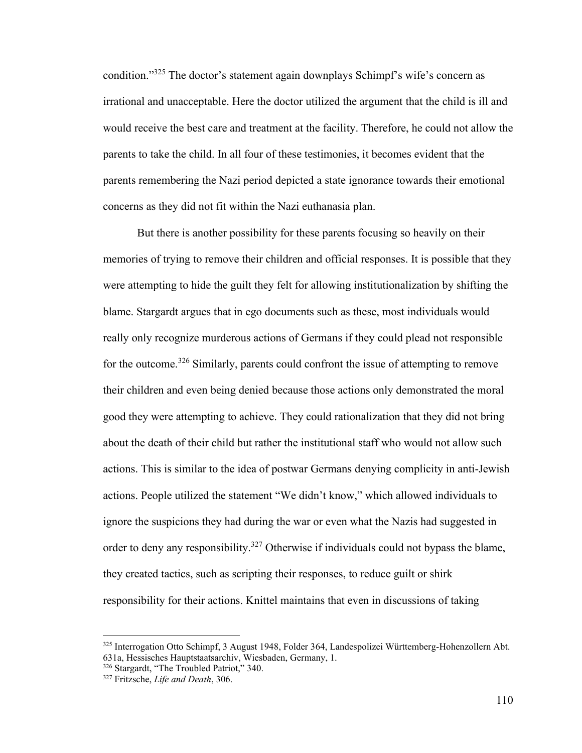condition."<sup>325</sup> The doctor's statement again downplays Schimpf's wife's concern as irrational and unacceptable. Here the doctor utilized the argument that the child is ill and would receive the best care and treatment at the facility. Therefore, he could not allow the parents to take the child. In all four of these testimonies, it becomes evident that the parents remembering the Nazi period depicted a state ignorance towards their emotional concerns as they did not fit within the Nazi euthanasia plan.

But there is another possibility for these parents focusing so heavily on their memories of trying to remove their children and official responses. It is possible that they were attempting to hide the guilt they felt for allowing institutionalization by shifting the blame. Stargardt argues that in ego documents such as these, most individuals would really only recognize murderous actions of Germans if they could plead not responsible for the outcome.<sup>326</sup> Similarly, parents could confront the issue of attempting to remove their children and even being denied because those actions only demonstrated the moral good they were attempting to achieve. They could rationalization that they did not bring about the death of their child but rather the institutional staff who would not allow such actions. This is similar to the idea of postwar Germans denying complicity in anti-Jewish actions. People utilized the statement "We didn't know," which allowed individuals to ignore the suspicions they had during the war or even what the Nazis had suggested in order to deny any responsibility.<sup>327</sup> Otherwise if individuals could not bypass the blame, they created tactics, such as scripting their responses, to reduce guilt or shirk responsibility for their actions. Knittel maintains that even in discussions of taking

<sup>325</sup> Interrogation Otto Schimpf, 3 August 1948, Folder 364, Landespolizei Württemberg-Hohenzollern Abt. 631a, Hessisches Hauptstaatsarchiv, Wiesbaden, Germany, 1.

<sup>326</sup> Stargardt, "The Troubled Patriot," 340.

<sup>327</sup> Fritzsche, *Life and Death*, 306.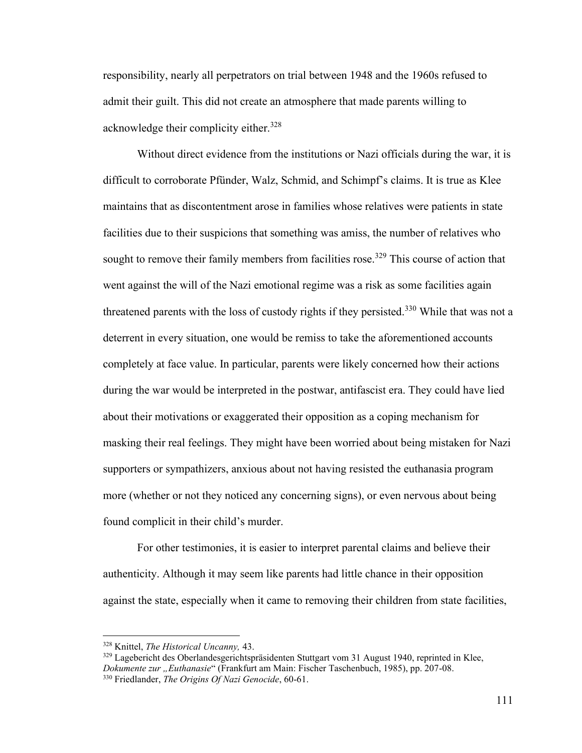responsibility, nearly all perpetrators on trial between 1948 and the 1960s refused to admit their guilt. This did not create an atmosphere that made parents willing to acknowledge their complicity either.<sup>328</sup>

Without direct evidence from the institutions or Nazi officials during the war, it is difficult to corroborate Pfünder, Walz, Schmid, and Schimpf's claims. It is true as Klee maintains that as discontentment arose in families whose relatives were patients in state facilities due to their suspicions that something was amiss, the number of relatives who sought to remove their family members from facilities rose.<sup>329</sup> This course of action that went against the will of the Nazi emotional regime was a risk as some facilities again threatened parents with the loss of custody rights if they persisted.<sup>330</sup> While that was not a deterrent in every situation, one would be remiss to take the aforementioned accounts completely at face value. In particular, parents were likely concerned how their actions during the war would be interpreted in the postwar, antifascist era. They could have lied about their motivations or exaggerated their opposition as a coping mechanism for masking their real feelings. They might have been worried about being mistaken for Nazi supporters or sympathizers, anxious about not having resisted the euthanasia program more (whether or not they noticed any concerning signs), or even nervous about being found complicit in their child's murder.

For other testimonies, it is easier to interpret parental claims and believe their authenticity. Although it may seem like parents had little chance in their opposition against the state, especially when it came to removing their children from state facilities,

<sup>328</sup> Knittel, *The Historical Uncanny,* 43.

<sup>&</sup>lt;sup>329</sup> Lagebericht des Oberlandesgerichtspräsidenten Stuttgart vom 31 August 1940, reprinted in Klee, *Dokumente zur "Euthanasie*" (Frankfurt am Main: Fischer Taschenbuch, 1985), pp. 207-08. <sup>330</sup> Friedlander, *The Origins Of Nazi Genocide*, 60-61.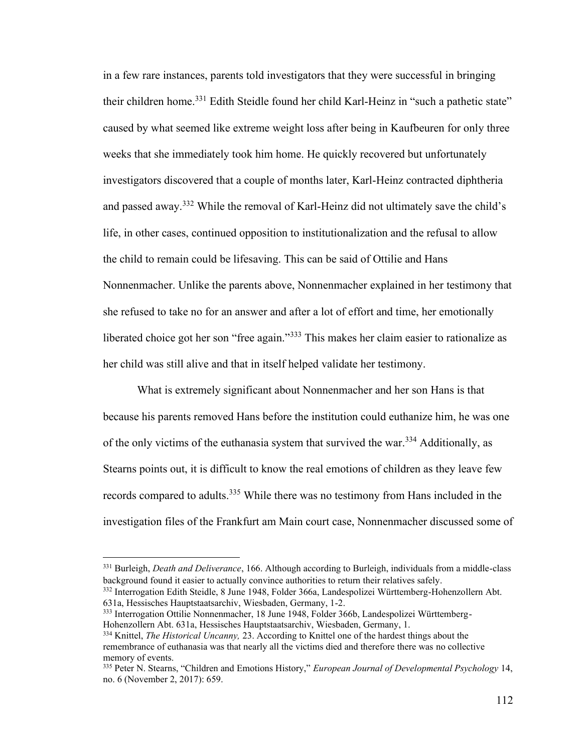in a few rare instances, parents told investigators that they were successful in bringing their children home.<sup>331</sup> Edith Steidle found her child Karl-Heinz in "such a pathetic state" caused by what seemed like extreme weight loss after being in Kaufbeuren for only three weeks that she immediately took him home. He quickly recovered but unfortunately investigators discovered that a couple of months later, Karl-Heinz contracted diphtheria and passed away.<sup>332</sup> While the removal of Karl-Heinz did not ultimately save the child's life, in other cases, continued opposition to institutionalization and the refusal to allow the child to remain could be lifesaving. This can be said of Ottilie and Hans Nonnenmacher. Unlike the parents above, Nonnenmacher explained in her testimony that she refused to take no for an answer and after a lot of effort and time, her emotionally liberated choice got her son "free again."<sup>333</sup> This makes her claim easier to rationalize as her child was still alive and that in itself helped validate her testimony.

What is extremely significant about Nonnenmacher and her son Hans is that because his parents removed Hans before the institution could euthanize him, he was one of the only victims of the euthanasia system that survived the war.<sup>334</sup> Additionally, as Stearns points out, it is difficult to know the real emotions of children as they leave few records compared to adults.<sup>335</sup> While there was no testimony from Hans included in the investigation files of the Frankfurt am Main court case, Nonnenmacher discussed some of

<sup>331</sup> Burleigh, *Death and Deliverance*, 166. Although according to Burleigh, individuals from a middle-class background found it easier to actually convince authorities to return their relatives safely.

<sup>332</sup> Interrogation Edith Steidle, 8 June 1948, Folder 366a, Landespolizei Württemberg-Hohenzollern Abt. 631a, Hessisches Hauptstaatsarchiv, Wiesbaden, Germany, 1-2.

<sup>333</sup> Interrogation Ottilie Nonnenmacher, 18 June 1948, Folder 366b, Landespolizei Württemberg-Hohenzollern Abt. 631a, Hessisches Hauptstaatsarchiv, Wiesbaden, Germany, 1.

<sup>334</sup> Knittel, *The Historical Uncanny,* 23. According to Knittel one of the hardest things about the remembrance of euthanasia was that nearly all the victims died and therefore there was no collective memory of events.

<sup>335</sup> Peter N. Stearns, "Children and Emotions History," *European Journal of Developmental Psychology* 14, no. 6 (November 2, 2017): 659.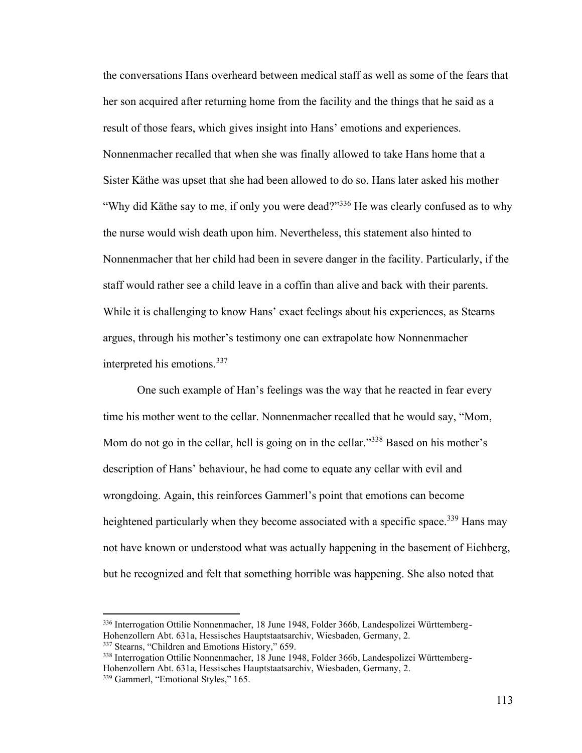the conversations Hans overheard between medical staff as well as some of the fears that her son acquired after returning home from the facility and the things that he said as a result of those fears, which gives insight into Hans' emotions and experiences. Nonnenmacher recalled that when she was finally allowed to take Hans home that a Sister Käthe was upset that she had been allowed to do so. Hans later asked his mother "Why did Käthe say to me, if only you were dead?"<sup>336</sup> He was clearly confused as to why the nurse would wish death upon him. Nevertheless, this statement also hinted to Nonnenmacher that her child had been in severe danger in the facility. Particularly, if the staff would rather see a child leave in a coffin than alive and back with their parents. While it is challenging to know Hans' exact feelings about his experiences, as Stearns argues, through his mother's testimony one can extrapolate how Nonnenmacher interpreted his emotions.<sup>337</sup>

One such example of Han's feelings was the way that he reacted in fear every time his mother went to the cellar. Nonnenmacher recalled that he would say, "Mom, Mom do not go in the cellar, hell is going on in the cellar."<sup>338</sup> Based on his mother's description of Hans' behaviour, he had come to equate any cellar with evil and wrongdoing. Again, this reinforces Gammerl's point that emotions can become heightened particularly when they become associated with a specific space.<sup>339</sup> Hans may not have known or understood what was actually happening in the basement of Eichberg, but he recognized and felt that something horrible was happening. She also noted that

<sup>336</sup> Interrogation Ottilie Nonnenmacher, 18 June 1948, Folder 366b, Landespolizei Württemberg-Hohenzollern Abt. 631a, Hessisches Hauptstaatsarchiv, Wiesbaden, Germany, 2.

<sup>&</sup>lt;sup>337</sup> Stearns, "Children and Emotions History," 659.

<sup>338</sup> Interrogation Ottilie Nonnenmacher, 18 June 1948, Folder 366b, Landespolizei Württemberg-Hohenzollern Abt. 631a, Hessisches Hauptstaatsarchiv, Wiesbaden, Germany, 2. <sup>339</sup> Gammerl, "Emotional Styles," 165.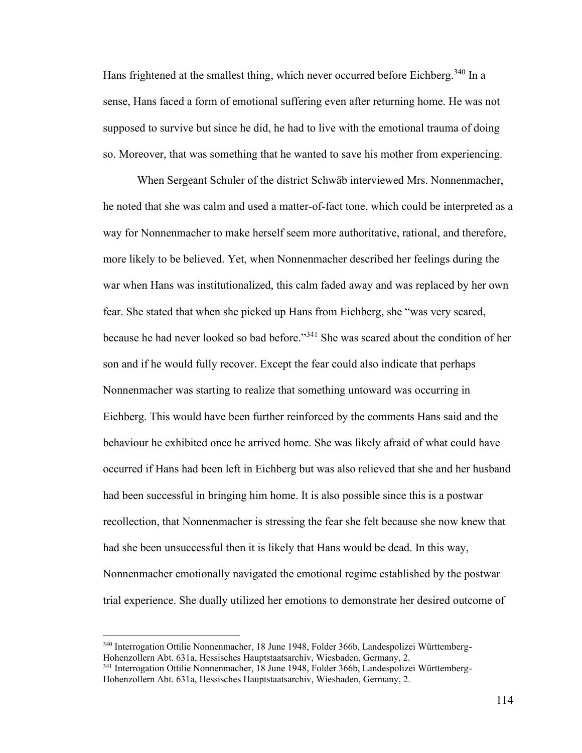Hans frightened at the smallest thing, which never occurred before Eichberg.<sup>340</sup> In a sense, Hans faced a form of emotional suffering even after returning home. He was not supposed to survive but since he did, he had to live with the emotional trauma of doing so. Moreover, that was something that he wanted to save his mother from experiencing.

When Sergeant Schuler of the district Schwäb interviewed Mrs. Nonnenmacher, he noted that she was calm and used a matter-of-fact tone, which could be interpreted as a way for Nonnenmacher to make herself seem more authoritative, rational, and therefore, more likely to be believed. Yet, when Nonnenmacher described her feelings during the war when Hans was institutionalized, this calm faded away and was replaced by her own fear. She stated that when she picked up Hans from Eichberg, she "was very scared, because he had never looked so bad before."<sup>341</sup> She was scared about the condition of her son and if he would fully recover. Except the fear could also indicate that perhaps Nonnenmacher was starting to realize that something untoward was occurring in Eichberg. This would have been further reinforced by the comments Hans said and the behaviour he exhibited once he arrived home. She was likely afraid of what could have occurred if Hans had been left in Eichberg but was also relieved that she and her husband had been successful in bringing him home. It is also possible since this is a postwar recollection, that Nonnenmacher is stressing the fear she felt because she now knew that had she been unsuccessful then it is likely that Hans would be dead. In this way, Nonnenmacher emotionally navigated the emotional regime established by the postwar trial experience. She dually utilized her emotions to demonstrate her desired outcome of

<sup>340</sup> Interrogation Ottilie Nonnenmacher, 18 June 1948, Folder 366b, Landespolizei Württemberg-Hohenzollern Abt. 631a, Hessisches Hauptstaatsarchiv, Wiesbaden, Germany, 2.

<sup>341</sup> Interrogation Ottilie Nonnenmacher, 18 June 1948, Folder 366b, Landespolizei Württemberg-Hohenzollern Abt. 631a, Hessisches Hauptstaatsarchiv, Wiesbaden, Germany, 2.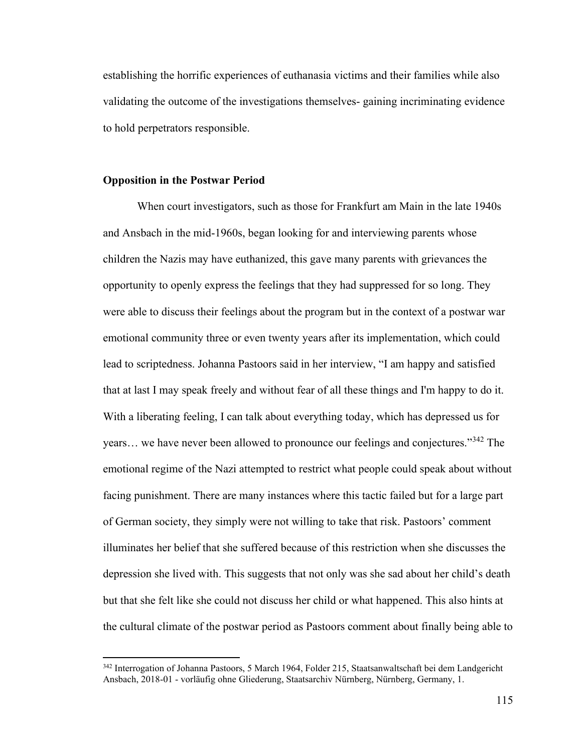establishing the horrific experiences of euthanasia victims and their families while also validating the outcome of the investigations themselves- gaining incriminating evidence to hold perpetrators responsible.

#### **Opposition in the Postwar Period**

When court investigators, such as those for Frankfurt am Main in the late 1940s and Ansbach in the mid-1960s, began looking for and interviewing parents whose children the Nazis may have euthanized, this gave many parents with grievances the opportunity to openly express the feelings that they had suppressed for so long. They were able to discuss their feelings about the program but in the context of a postwar war emotional community three or even twenty years after its implementation, which could lead to scriptedness. Johanna Pastoors said in her interview, "I am happy and satisfied that at last I may speak freely and without fear of all these things and I'm happy to do it. With a liberating feeling, I can talk about everything today, which has depressed us for years... we have never been allowed to pronounce our feelings and conjectures."<sup>342</sup> The emotional regime of the Nazi attempted to restrict what people could speak about without facing punishment. There are many instances where this tactic failed but for a large part of German society, they simply were not willing to take that risk. Pastoors' comment illuminates her belief that she suffered because of this restriction when she discusses the depression she lived with. This suggests that not only was she sad about her child's death but that she felt like she could not discuss her child or what happened. This also hints at the cultural climate of the postwar period as Pastoors comment about finally being able to

<sup>342</sup> Interrogation of Johanna Pastoors, 5 March 1964, Folder 215, Staatsanwaltschaft bei dem Landgericht Ansbach, 2018-01 - vorläufig ohne Gliederung, Staatsarchiv Nürnberg, Nürnberg, Germany, 1.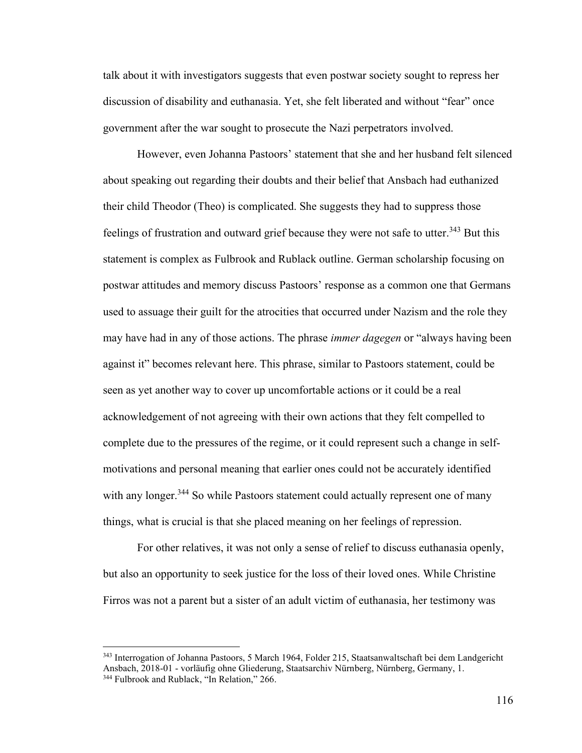talk about it with investigators suggests that even postwar society sought to repress her discussion of disability and euthanasia. Yet, she felt liberated and without "fear" once government after the war sought to prosecute the Nazi perpetrators involved.

However, even Johanna Pastoors' statement that she and her husband felt silenced about speaking out regarding their doubts and their belief that Ansbach had euthanized their child Theodor (Theo) is complicated. She suggests they had to suppress those feelings of frustration and outward grief because they were not safe to utter.<sup>343</sup> But this statement is complex as Fulbrook and Rublack outline. German scholarship focusing on postwar attitudes and memory discuss Pastoors' response as a common one that Germans used to assuage their guilt for the atrocities that occurred under Nazism and the role they may have had in any of those actions. The phrase *immer dagegen* or "always having been against it" becomes relevant here. This phrase, similar to Pastoors statement, could be seen as yet another way to cover up uncomfortable actions or it could be a real acknowledgement of not agreeing with their own actions that they felt compelled to complete due to the pressures of the regime, or it could represent such a change in selfmotivations and personal meaning that earlier ones could not be accurately identified with any longer.<sup>344</sup> So while Pastoors statement could actually represent one of many things, what is crucial is that she placed meaning on her feelings of repression.

For other relatives, it was not only a sense of relief to discuss euthanasia openly, but also an opportunity to seek justice for the loss of their loved ones. While Christine Firros was not a parent but a sister of an adult victim of euthanasia, her testimony was

<sup>343</sup> Interrogation of Johanna Pastoors, 5 March 1964, Folder 215, Staatsanwaltschaft bei dem Landgericht Ansbach, 2018-01 - vorläufig ohne Gliederung, Staatsarchiv Nürnberg, Nürnberg, Germany, 1. <sup>344</sup> Fulbrook and Rublack, "In Relation," 266.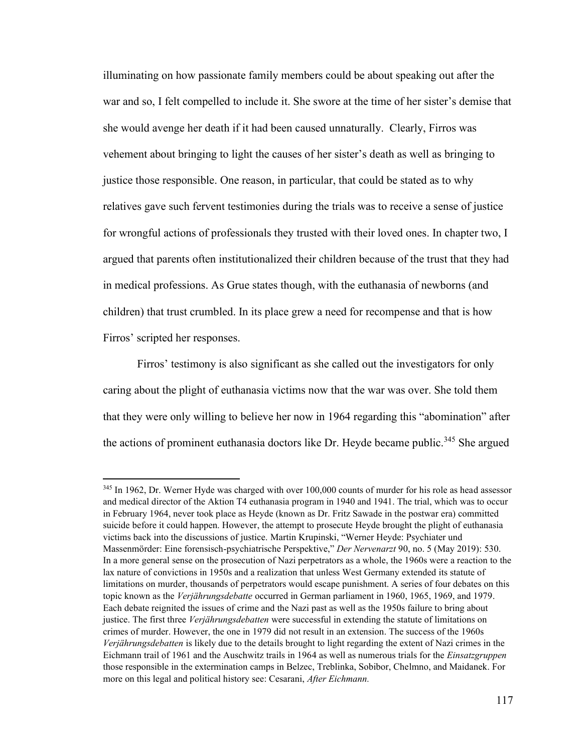illuminating on how passionate family members could be about speaking out after the war and so, I felt compelled to include it. She swore at the time of her sister's demise that she would avenge her death if it had been caused unnaturally. Clearly, Firros was vehement about bringing to light the causes of her sister's death as well as bringing to justice those responsible. One reason, in particular, that could be stated as to why relatives gave such fervent testimonies during the trials was to receive a sense of justice for wrongful actions of professionals they trusted with their loved ones. In chapter two, I argued that parents often institutionalized their children because of the trust that they had in medical professions. As Grue states though, with the euthanasia of newborns (and children) that trust crumbled. In its place grew a need for recompense and that is how Firros' scripted her responses.

Firros' testimony is also significant as she called out the investigators for only caring about the plight of euthanasia victims now that the war was over. She told them that they were only willing to believe her now in 1964 regarding this "abomination" after the actions of prominent euthanasia doctors like Dr. Heyde became public.<sup>345</sup> She argued

<sup>&</sup>lt;sup>345</sup> In 1962, Dr. Werner Hyde was charged with over 100,000 counts of murder for his role as head assessor and medical director of the Aktion T4 euthanasia program in 1940 and 1941. The trial, which was to occur in February 1964, never took place as Heyde (known as Dr. Fritz Sawade in the postwar era) committed suicide before it could happen. However, the attempt to prosecute Heyde brought the plight of euthanasia victims back into the discussions of justice. Martin Krupinski, "Werner Heyde: Psychiater und Massenmörder: Eine forensisch-psychiatrische Perspektive," *Der Nervenarzt* 90, no. 5 (May 2019): 530. In a more general sense on the prosecution of Nazi perpetrators as a whole, the 1960s were a reaction to the lax nature of convictions in 1950s and a realization that unless West Germany extended its statute of limitations on murder, thousands of perpetrators would escape punishment. A series of four debates on this topic known as the *Verjährungsdebatte* occurred in German parliament in 1960, 1965, 1969, and 1979. Each debate reignited the issues of crime and the Nazi past as well as the 1950s failure to bring about justice. The first three *Verjährungsdebatten* were successful in extending the statute of limitations on crimes of murder. However, the one in 1979 did not result in an extension. The success of the 1960s *Verjährungsdebatten* is likely due to the details brought to light regarding the extent of Nazi crimes in the Eichmann trail of 1961 and the Auschwitz trails in 1964 as well as numerous trials for the *Einsatzgruppen*  those responsible in the extermination camps in Belzec, Treblinka, Sobibor, Chelmno, and Maidanek. For more on this legal and political history see: Cesarani, *After Eichmann.*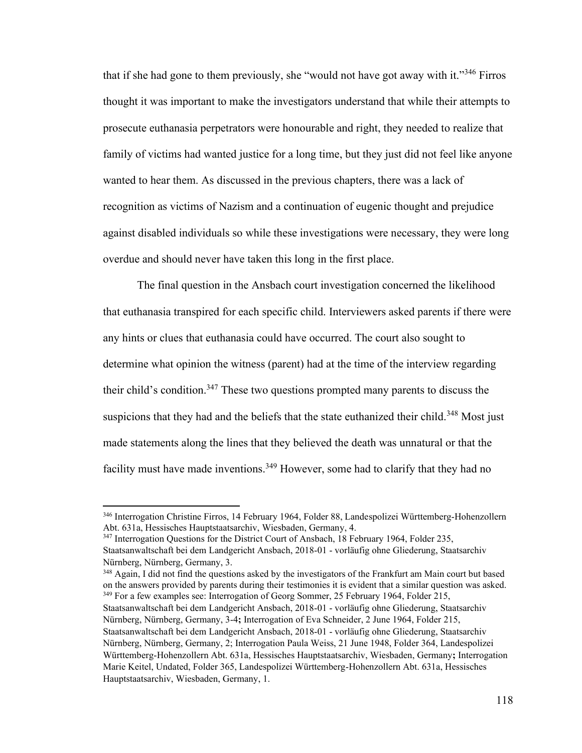that if she had gone to them previously, she "would not have got away with it."<sup>346</sup> Firros thought it was important to make the investigators understand that while their attempts to prosecute euthanasia perpetrators were honourable and right, they needed to realize that family of victims had wanted justice for a long time, but they just did not feel like anyone wanted to hear them. As discussed in the previous chapters, there was a lack of recognition as victims of Nazism and a continuation of eugenic thought and prejudice against disabled individuals so while these investigations were necessary, they were long overdue and should never have taken this long in the first place.

The final question in the Ansbach court investigation concerned the likelihood that euthanasia transpired for each specific child. Interviewers asked parents if there were any hints or clues that euthanasia could have occurred. The court also sought to determine what opinion the witness (parent) had at the time of the interview regarding their child's condition.<sup>347</sup> These two questions prompted many parents to discuss the suspicions that they had and the beliefs that the state euthanized their child.<sup>348</sup> Most just made statements along the lines that they believed the death was unnatural or that the facility must have made inventions.<sup>349</sup> However, some had to clarify that they had no

<sup>348</sup> Again, I did not find the questions asked by the investigators of the Frankfurt am Main court but based on the answers provided by parents during their testimonies it is evident that a similar question was asked. <sup>349</sup> For a few examples see: Interrogation of Georg Sommer, 25 February 1964, Folder 215,

<sup>346</sup> Interrogation Christine Firros, 14 February 1964, Folder 88, Landespolizei Württemberg-Hohenzollern Abt. 631a, Hessisches Hauptstaatsarchiv, Wiesbaden, Germany, 4.

<sup>&</sup>lt;sup>347</sup> Interrogation Questions for the District Court of Ansbach, 18 February 1964, Folder 235, Staatsanwaltschaft bei dem Landgericht Ansbach, 2018-01 - vorläufig ohne Gliederung, Staatsarchiv Nürnberg, Nürnberg, Germany, 3.

Staatsanwaltschaft bei dem Landgericht Ansbach, 2018-01 - vorläufig ohne Gliederung, Staatsarchiv Nürnberg, Nürnberg, Germany, 3-4**;** Interrogation of Eva Schneider, 2 June 1964, Folder 215, Staatsanwaltschaft bei dem Landgericht Ansbach, 2018-01 - vorläufig ohne Gliederung, Staatsarchiv Nürnberg, Nürnberg, Germany, 2; Interrogation Paula Weiss, 21 June 1948, Folder 364, Landespolizei Württemberg-Hohenzollern Abt. 631a, Hessisches Hauptstaatsarchiv, Wiesbaden, Germany**;** Interrogation Marie Keitel, Undated, Folder 365, Landespolizei Württemberg-Hohenzollern Abt. 631a, Hessisches Hauptstaatsarchiv, Wiesbaden, Germany, 1.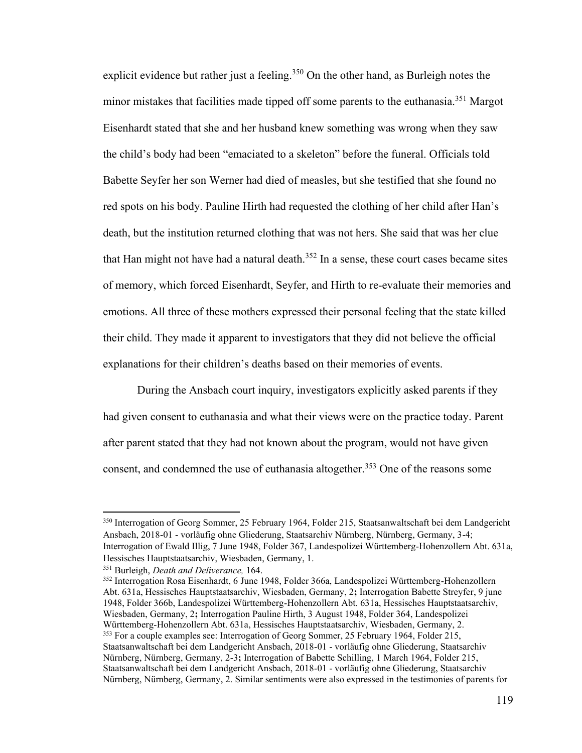explicit evidence but rather just a feeling.<sup>350</sup> On the other hand, as Burleigh notes the minor mistakes that facilities made tipped off some parents to the euthanasia.<sup>351</sup> Margot Eisenhardt stated that she and her husband knew something was wrong when they saw the child's body had been "emaciated to a skeleton" before the funeral. Officials told Babette Seyfer her son Werner had died of measles, but she testified that she found no red spots on his body. Pauline Hirth had requested the clothing of her child after Han's death, but the institution returned clothing that was not hers. She said that was her clue that Han might not have had a natural death. $352$  In a sense, these court cases became sites of memory, which forced Eisenhardt, Seyfer, and Hirth to re-evaluate their memories and emotions. All three of these mothers expressed their personal feeling that the state killed their child. They made it apparent to investigators that they did not believe the official explanations for their children's deaths based on their memories of events.

During the Ansbach court inquiry, investigators explicitly asked parents if they had given consent to euthanasia and what their views were on the practice today. Parent after parent stated that they had not known about the program, would not have given consent, and condemned the use of euthanasia altogether.<sup>353</sup> One of the reasons some

<sup>352</sup> Interrogation Rosa Eisenhardt, 6 June 1948, Folder 366a, Landespolizei Württemberg-Hohenzollern Abt. 631a, Hessisches Hauptstaatsarchiv, Wiesbaden, Germany, 2**;** Interrogation Babette Streyfer, 9 june 1948, Folder 366b, Landespolizei Württemberg-Hohenzollern Abt. 631a, Hessisches Hauptstaatsarchiv, Wiesbaden, Germany, 2**;** Interrogation Pauline Hirth, 3 August 1948, Folder 364, Landespolizei Württemberg-Hohenzollern Abt. 631a, Hessisches Hauptstaatsarchiv, Wiesbaden, Germany, 2. <sup>353</sup> For a couple examples see: Interrogation of Georg Sommer, 25 February 1964, Folder 215, Staatsanwaltschaft bei dem Landgericht Ansbach, 2018-01 - vorläufig ohne Gliederung, Staatsarchiv Nürnberg, Nürnberg, Germany, 2-3**;** Interrogation of Babette Schilling, 1 March 1964, Folder 215, Staatsanwaltschaft bei dem Landgericht Ansbach, 2018-01 - vorläufig ohne Gliederung, Staatsarchiv Nürnberg, Nürnberg, Germany, 2. Similar sentiments were also expressed in the testimonies of parents for

<sup>350</sup> Interrogation of Georg Sommer, 25 February 1964, Folder 215, Staatsanwaltschaft bei dem Landgericht Ansbach, 2018-01 - vorläufig ohne Gliederung, Staatsarchiv Nürnberg, Nürnberg, Germany, 3-4; Interrogation of Ewald Illig, 7 June 1948, Folder 367, Landespolizei Württemberg-Hohenzollern Abt. 631a, Hessisches Hauptstaatsarchiv, Wiesbaden, Germany, 1.

<sup>351</sup> Burleigh, *Death and Deliverance,* 164.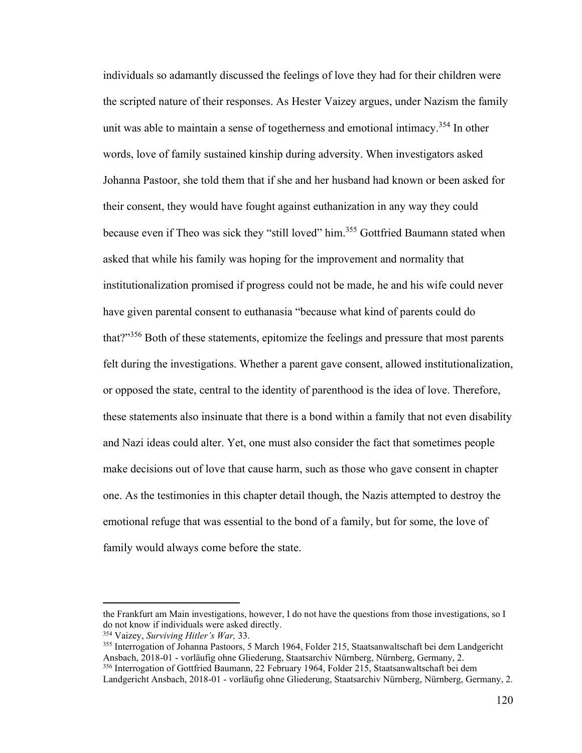individuals so adamantly discussed the feelings of love they had for their children were the scripted nature of their responses. As Hester Vaizey argues, under Nazism the family unit was able to maintain a sense of togetherness and emotional intimacy.<sup>354</sup> In other words, love of family sustained kinship during adversity. When investigators asked Johanna Pastoor, she told them that if she and her husband had known or been asked for their consent, they would have fought against euthanization in any way they could because even if Theo was sick they "still loved" him.<sup>355</sup> Gottfried Baumann stated when asked that while his family was hoping for the improvement and normality that institutionalization promised if progress could not be made, he and his wife could never have given parental consent to euthanasia "because what kind of parents could do that?"<sup>356</sup> Both of these statements, epitomize the feelings and pressure that most parents felt during the investigations. Whether a parent gave consent, allowed institutionalization, or opposed the state, central to the identity of parenthood is the idea of love. Therefore, these statements also insinuate that there is a bond within a family that not even disability and Nazi ideas could alter. Yet, one must also consider the fact that sometimes people make decisions out of love that cause harm, such as those who gave consent in chapter one. As the testimonies in this chapter detail though, the Nazis attempted to destroy the emotional refuge that was essential to the bond of a family, but for some, the love of family would always come before the state.

the Frankfurt am Main investigations, however, I do not have the questions from those investigations, so I do not know if individuals were asked directly.

<sup>354</sup> Vaizey, *Surviving Hitler's War,* 33.

<sup>355</sup> Interrogation of Johanna Pastoors, 5 March 1964, Folder 215, Staatsanwaltschaft bei dem Landgericht Ansbach, 2018-01 - vorläufig ohne Gliederung, Staatsarchiv Nürnberg, Nürnberg, Germany, 2.

<sup>356</sup> Interrogation of Gottfried Baumann, 22 February 1964, Folder 215, Staatsanwaltschaft bei dem Landgericht Ansbach, 2018-01 - vorläufig ohne Gliederung, Staatsarchiv Nürnberg, Nürnberg, Germany, 2.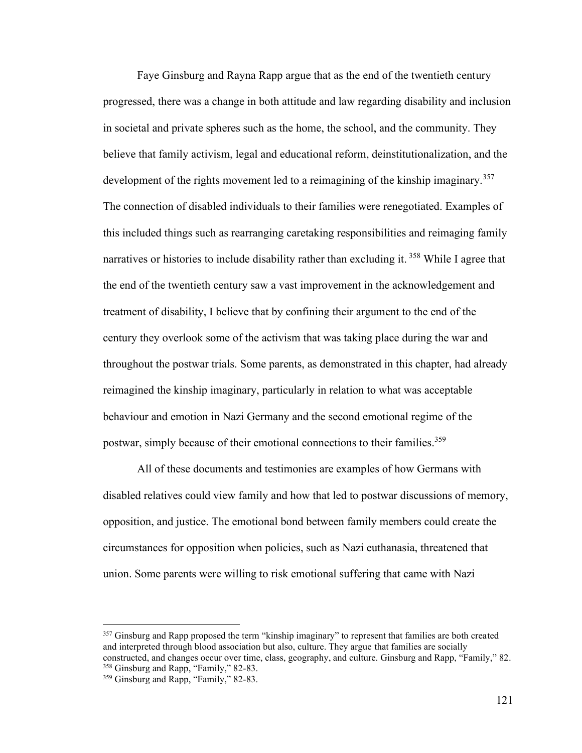Faye Ginsburg and Rayna Rapp argue that as the end of the twentieth century progressed, there was a change in both attitude and law regarding disability and inclusion in societal and private spheres such as the home, the school, and the community. They believe that family activism, legal and educational reform, deinstitutionalization, and the development of the rights movement led to a reimagining of the kinship imaginary.<sup>357</sup> The connection of disabled individuals to their families were renegotiated. Examples of this included things such as rearranging caretaking responsibilities and reimaging family narratives or histories to include disability rather than excluding it. <sup>358</sup> While I agree that the end of the twentieth century saw a vast improvement in the acknowledgement and treatment of disability, I believe that by confining their argument to the end of the century they overlook some of the activism that was taking place during the war and throughout the postwar trials. Some parents, as demonstrated in this chapter, had already reimagined the kinship imaginary, particularly in relation to what was acceptable behaviour and emotion in Nazi Germany and the second emotional regime of the postwar, simply because of their emotional connections to their families.<sup>359</sup>

All of these documents and testimonies are examples of how Germans with disabled relatives could view family and how that led to postwar discussions of memory, opposition, and justice. The emotional bond between family members could create the circumstances for opposition when policies, such as Nazi euthanasia, threatened that union. Some parents were willing to risk emotional suffering that came with Nazi

<sup>&</sup>lt;sup>357</sup> Ginsburg and Rapp proposed the term "kinship imaginary" to represent that families are both created and interpreted through blood association but also, culture. They argue that families are socially constructed, and changes occur over time, class, geography, and culture. Ginsburg and Rapp, "Family," 82. <sup>358</sup> Ginsburg and Rapp, "Family," 82-83.

<sup>&</sup>lt;sup>359</sup> Ginsburg and Rapp, "Family," 82-83.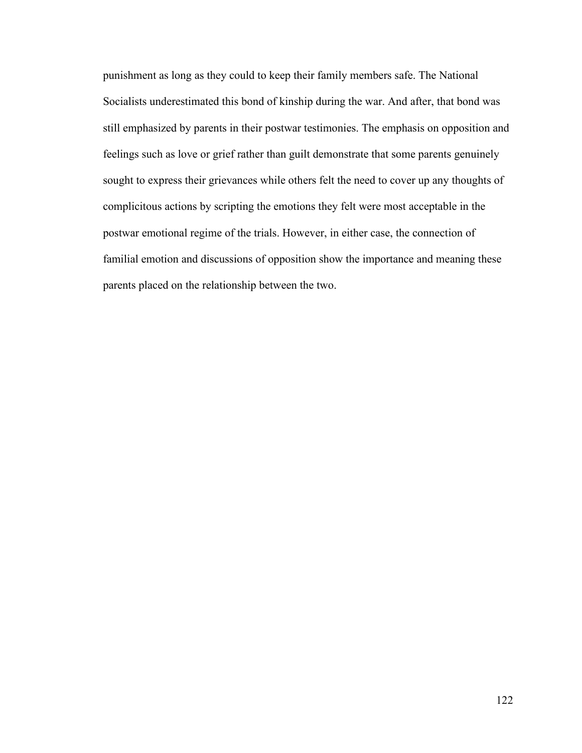punishment as long as they could to keep their family members safe. The National Socialists underestimated this bond of kinship during the war. And after, that bond was still emphasized by parents in their postwar testimonies. The emphasis on opposition and feelings such as love or grief rather than guilt demonstrate that some parents genuinely sought to express their grievances while others felt the need to cover up any thoughts of complicitous actions by scripting the emotions they felt were most acceptable in the postwar emotional regime of the trials. However, in either case, the connection of familial emotion and discussions of opposition show the importance and meaning these parents placed on the relationship between the two.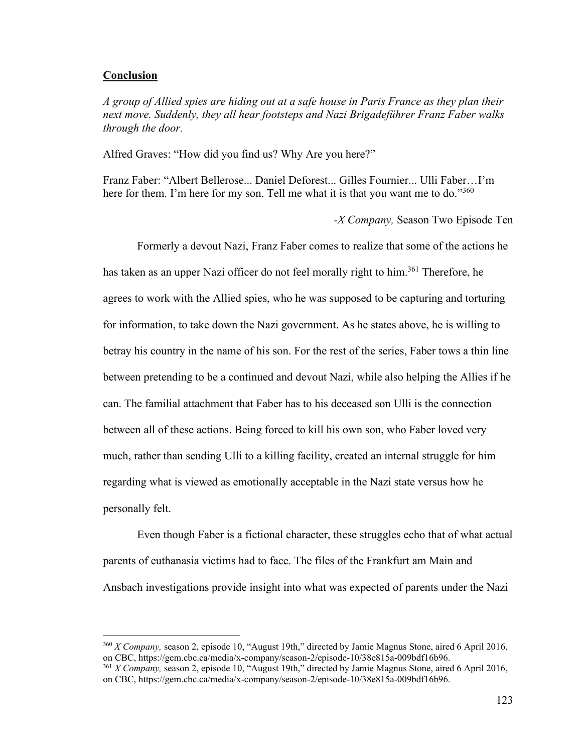## **Conclusion**

*A group of Allied spies are hiding out at a safe house in Paris France as they plan their next move. Suddenly, they all hear footsteps and Nazi Brigadeführer Franz Faber walks through the door.* 

Alfred Graves: "How did you find us? Why Are you here?"

Franz Faber: "Albert Bellerose... Daniel Deforest... Gilles Fournier... Ulli Faber…I'm here for them. I'm here for my son. Tell me what it is that you want me to do."360

*-X Company,* Season Two Episode Ten

Formerly a devout Nazi, Franz Faber comes to realize that some of the actions he has taken as an upper Nazi officer do not feel morally right to him.<sup>361</sup> Therefore, he agrees to work with the Allied spies, who he was supposed to be capturing and torturing for information, to take down the Nazi government. As he states above, he is willing to betray his country in the name of his son. For the rest of the series, Faber tows a thin line between pretending to be a continued and devout Nazi, while also helping the Allies if he can. The familial attachment that Faber has to his deceased son Ulli is the connection between all of these actions. Being forced to kill his own son, who Faber loved very much, rather than sending Ulli to a killing facility, created an internal struggle for him regarding what is viewed as emotionally acceptable in the Nazi state versus how he personally felt.

Even though Faber is a fictional character, these struggles echo that of what actual parents of euthanasia victims had to face. The files of the Frankfurt am Main and Ansbach investigations provide insight into what was expected of parents under the Nazi

<sup>360</sup> *X Company,* season 2, episode 10, "August 19th," directed by Jamie Magnus Stone, aired 6 April 2016, on CBC, https://gem.cbc.ca/media/x-company/season-2/episode-10/38e815a-009bdf16b96.

<sup>361</sup> *X Company,* season 2, episode 10, "August 19th," directed by Jamie Magnus Stone, aired 6 April 2016, on CBC, https://gem.cbc.ca/media/x-company/season-2/episode-10/38e815a-009bdf16b96.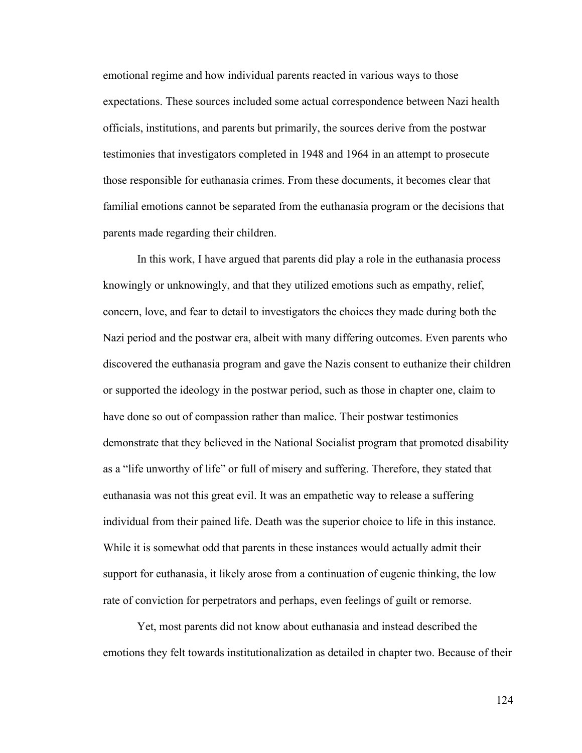emotional regime and how individual parents reacted in various ways to those expectations. These sources included some actual correspondence between Nazi health officials, institutions, and parents but primarily, the sources derive from the postwar testimonies that investigators completed in 1948 and 1964 in an attempt to prosecute those responsible for euthanasia crimes. From these documents, it becomes clear that familial emotions cannot be separated from the euthanasia program or the decisions that parents made regarding their children.

In this work, I have argued that parents did play a role in the euthanasia process knowingly or unknowingly, and that they utilized emotions such as empathy, relief, concern, love, and fear to detail to investigators the choices they made during both the Nazi period and the postwar era, albeit with many differing outcomes. Even parents who discovered the euthanasia program and gave the Nazis consent to euthanize their children or supported the ideology in the postwar period, such as those in chapter one, claim to have done so out of compassion rather than malice. Their postwar testimonies demonstrate that they believed in the National Socialist program that promoted disability as a "life unworthy of life" or full of misery and suffering. Therefore, they stated that euthanasia was not this great evil. It was an empathetic way to release a suffering individual from their pained life. Death was the superior choice to life in this instance. While it is somewhat odd that parents in these instances would actually admit their support for euthanasia, it likely arose from a continuation of eugenic thinking, the low rate of conviction for perpetrators and perhaps, even feelings of guilt or remorse.

Yet, most parents did not know about euthanasia and instead described the emotions they felt towards institutionalization as detailed in chapter two. Because of their

124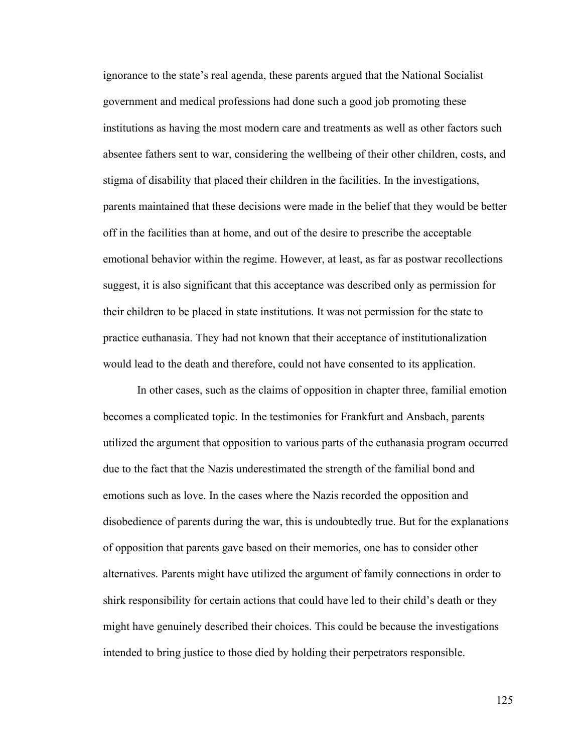ignorance to the state's real agenda, these parents argued that the National Socialist government and medical professions had done such a good job promoting these institutions as having the most modern care and treatments as well as other factors such absentee fathers sent to war, considering the wellbeing of their other children, costs, and stigma of disability that placed their children in the facilities. In the investigations, parents maintained that these decisions were made in the belief that they would be better off in the facilities than at home, and out of the desire to prescribe the acceptable emotional behavior within the regime. However, at least, as far as postwar recollections suggest, it is also significant that this acceptance was described only as permission for their children to be placed in state institutions. It was not permission for the state to practice euthanasia. They had not known that their acceptance of institutionalization would lead to the death and therefore, could not have consented to its application.

In other cases, such as the claims of opposition in chapter three, familial emotion becomes a complicated topic. In the testimonies for Frankfurt and Ansbach, parents utilized the argument that opposition to various parts of the euthanasia program occurred due to the fact that the Nazis underestimated the strength of the familial bond and emotions such as love. In the cases where the Nazis recorded the opposition and disobedience of parents during the war, this is undoubtedly true. But for the explanations of opposition that parents gave based on their memories, one has to consider other alternatives. Parents might have utilized the argument of family connections in order to shirk responsibility for certain actions that could have led to their child's death or they might have genuinely described their choices. This could be because the investigations intended to bring justice to those died by holding their perpetrators responsible.

125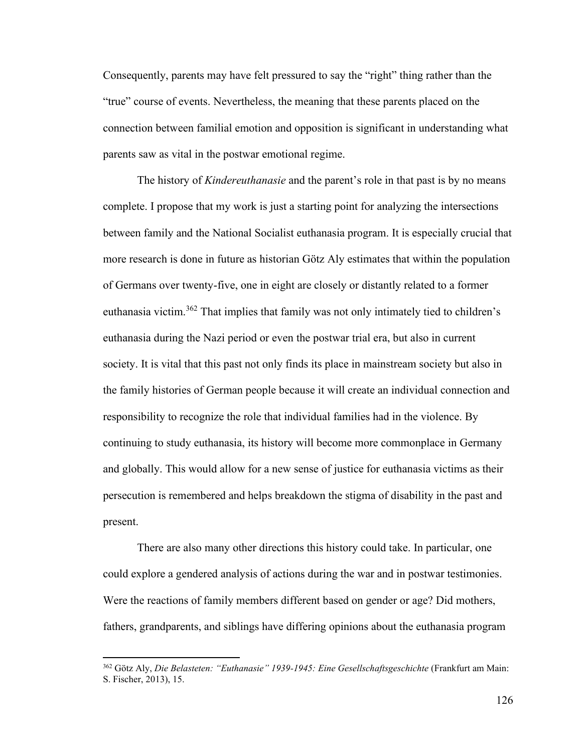Consequently, parents may have felt pressured to say the "right" thing rather than the "true" course of events. Nevertheless, the meaning that these parents placed on the connection between familial emotion and opposition is significant in understanding what parents saw as vital in the postwar emotional regime.

The history of *Kindereuthanasie* and the parent's role in that past is by no means complete. I propose that my work is just a starting point for analyzing the intersections between family and the National Socialist euthanasia program. It is especially crucial that more research is done in future as historian Götz Aly estimates that within the population of Germans over twenty-five, one in eight are closely or distantly related to a former euthanasia victim.<sup>362</sup> That implies that family was not only intimately tied to children's euthanasia during the Nazi period or even the postwar trial era, but also in current society. It is vital that this past not only finds its place in mainstream society but also in the family histories of German people because it will create an individual connection and responsibility to recognize the role that individual families had in the violence. By continuing to study euthanasia, its history will become more commonplace in Germany and globally. This would allow for a new sense of justice for euthanasia victims as their persecution is remembered and helps breakdown the stigma of disability in the past and present.

There are also many other directions this history could take. In particular, one could explore a gendered analysis of actions during the war and in postwar testimonies. Were the reactions of family members different based on gender or age? Did mothers, fathers, grandparents, and siblings have differing opinions about the euthanasia program

<sup>362</sup> Götz Aly, *Die Belasteten: "Euthanasie" 1939-1945: Eine Gesellschaftsgeschichte* (Frankfurt am Main: S. Fischer, 2013), 15.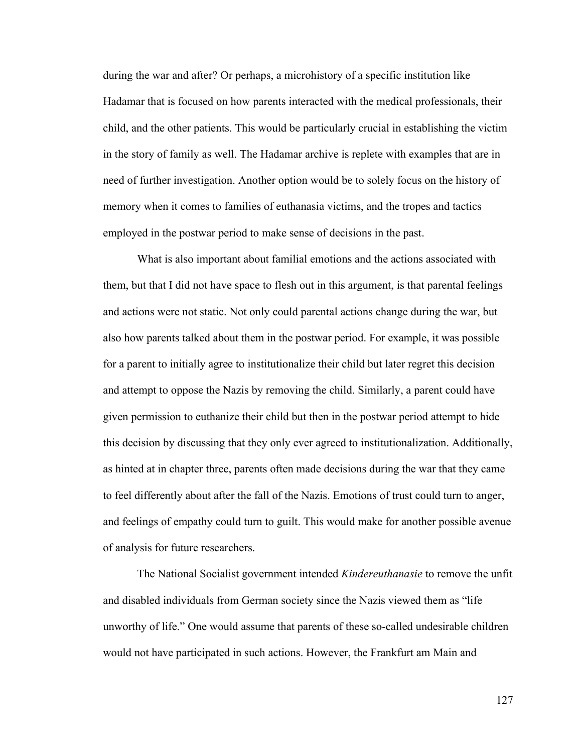during the war and after? Or perhaps, a microhistory of a specific institution like Hadamar that is focused on how parents interacted with the medical professionals, their child, and the other patients. This would be particularly crucial in establishing the victim in the story of family as well. The Hadamar archive is replete with examples that are in need of further investigation. Another option would be to solely focus on the history of memory when it comes to families of euthanasia victims, and the tropes and tactics employed in the postwar period to make sense of decisions in the past.

What is also important about familial emotions and the actions associated with them, but that I did not have space to flesh out in this argument, is that parental feelings and actions were not static. Not only could parental actions change during the war, but also how parents talked about them in the postwar period. For example, it was possible for a parent to initially agree to institutionalize their child but later regret this decision and attempt to oppose the Nazis by removing the child. Similarly, a parent could have given permission to euthanize their child but then in the postwar period attempt to hide this decision by discussing that they only ever agreed to institutionalization. Additionally, as hinted at in chapter three, parents often made decisions during the war that they came to feel differently about after the fall of the Nazis. Emotions of trust could turn to anger, and feelings of empathy could turn to guilt. This would make for another possible avenue of analysis for future researchers.

The National Socialist government intended *Kindereuthanasie* to remove the unfit and disabled individuals from German society since the Nazis viewed them as "life unworthy of life." One would assume that parents of these so-called undesirable children would not have participated in such actions. However, the Frankfurt am Main and

127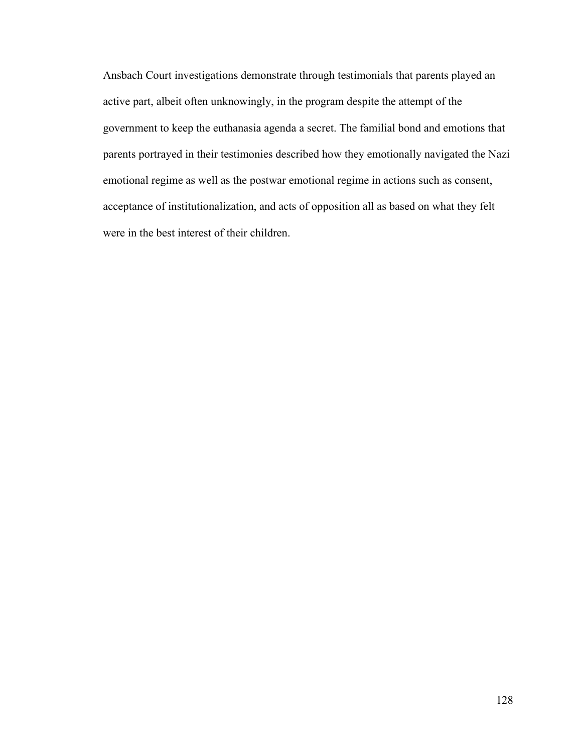Ansbach Court investigations demonstrate through testimonials that parents played an active part, albeit often unknowingly, in the program despite the attempt of the government to keep the euthanasia agenda a secret. The familial bond and emotions that parents portrayed in their testimonies described how they emotionally navigated the Nazi emotional regime as well as the postwar emotional regime in actions such as consent, acceptance of institutionalization, and acts of opposition all as based on what they felt were in the best interest of their children.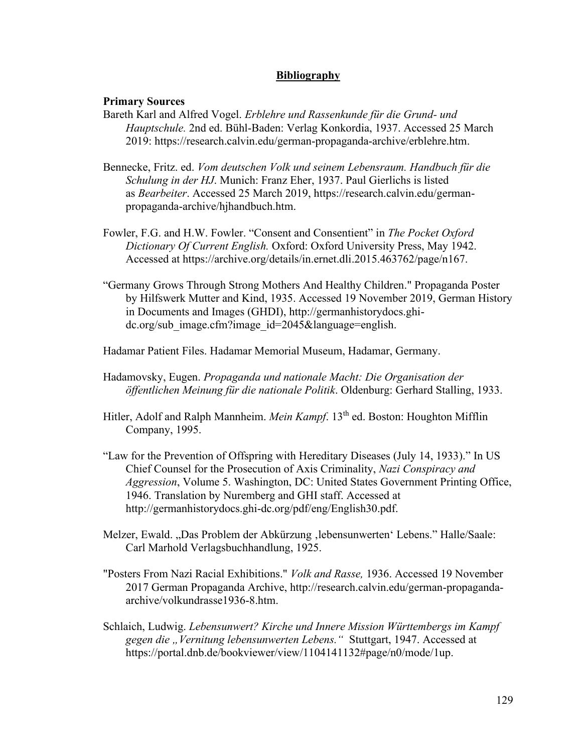# **Bibliography**

## **Primary Sources**

- Bareth Karl and Alfred Vogel. *Erblehre und Rassenkunde für die Grund- und Hauptschule.* 2nd ed. Bühl-Baden: Verlag Konkordia, 1937. Accessed 25 March 2019: https://research.calvin.edu/german-propaganda-archive/erblehre.htm.
- Bennecke, Fritz. ed. *Vom deutschen Volk und seinem Lebensraum. Handbuch für die Schulung in der HJ*. Munich: Franz Eher, 1937. Paul Gierlichs is listed as *Bearbeiter*. Accessed 25 March 2019, https://research.calvin.edu/germanpropaganda-archive/hjhandbuch.htm.
- Fowler, F.G. and H.W. Fowler. "Consent and Consentient" in *The Pocket Oxford Dictionary Of Current English.* Oxford: Oxford University Press, May 1942. Accessed at https://archive.org/details/in.ernet.dli.2015.463762/page/n167.
- "Germany Grows Through Strong Mothers And Healthy Children." Propaganda Poster by Hilfswerk Mutter and Kind, 1935. Accessed 19 November 2019, German History in Documents and Images (GHDI), http://germanhistorydocs.ghidc.org/sub\_image.cfm?image\_id=2045&language=english.
- Hadamar Patient Files. Hadamar Memorial Museum, Hadamar, Germany.
- Hadamovsky, Eugen. *Propaganda und nationale Macht: Die Organisation der öffentlichen Meinung für die nationale Politik*. Oldenburg: Gerhard Stalling, 1933.
- Hitler, Adolf and Ralph Mannheim. *Mein Kampf*. 13<sup>th</sup> ed. Boston: Houghton Mifflin Company, 1995.
- "Law for the Prevention of Offspring with Hereditary Diseases (July 14, 1933)." In US Chief Counsel for the Prosecution of Axis Criminality, *Nazi Conspiracy and Aggression*, Volume 5. Washington, DC: United States Government Printing Office, 1946. Translation by Nuremberg and GHI staff. Accessed at [http://germanhistorydocs.ghi-dc.org/pdf/eng/English30.pdf.](about:blank)
- Melzer, Ewald. "Das Problem der Abkürzung 'lebensunwerten' Lebens." Halle/Saale: Carl Marhold Verlagsbuchhandlung, 1925.
- "Posters From Nazi Racial Exhibitions." *Volk and Rasse,* 1936. Accessed 19 November 2017 German Propaganda Archive, http://research.calvin.edu/german-propagandaarchive/volkundrasse1936-8.htm.
- Schlaich, Ludwig. *Lebensunwert? Kirche und Innere Mission Württembergs im Kampf gegen die "Vernitung lebensunwerten Lebens."* Stuttgart, 1947. Accessed at https://portal.dnb.de/bookviewer/view/1104141132#page/n0/mode/1up.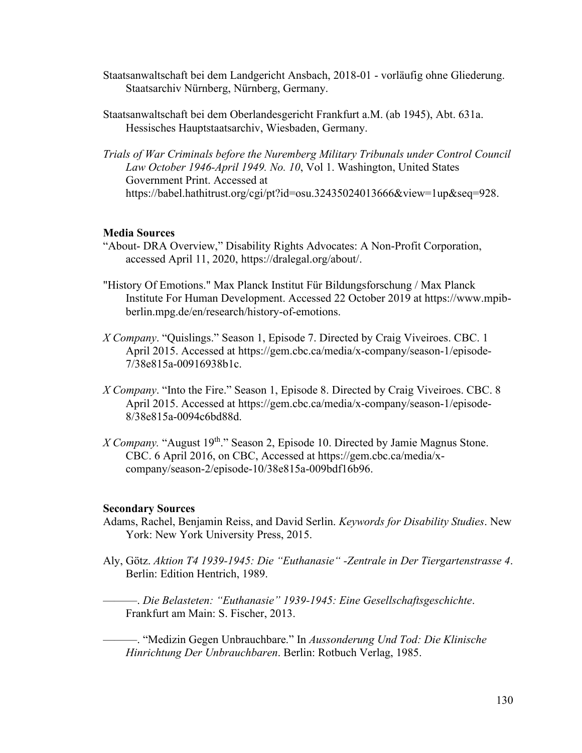- Staatsanwaltschaft bei dem Landgericht Ansbach, 2018-01 vorläufig ohne Gliederung. Staatsarchiv Nürnberg, Nürnberg, Germany.
- Staatsanwaltschaft bei dem Oberlandesgericht Frankfurt a.M. (ab 1945), Abt. 631a. Hessisches Hauptstaatsarchiv, Wiesbaden, Germany.
- *Trials of War Criminals before the Nuremberg Military Tribunals under Control Council Law October 1946-April 1949. No. 10*, Vol 1. Washington, United States Government Print. Accessed at https://babel.hathitrust.org/cgi/pt?id=osu.32435024013666&view=1up&seq=928.

# **Media Sources**

- "About- DRA Overview," Disability Rights Advocates: A Non-Profit Corporation, accessed April 11, 2020, https://dralegal.org/about/.
- "History Of Emotions." Max Planck Institut Für Bildungsforschung / Max Planck Institute For Human Development. Accessed 22 October 2019 at https://www.mpibberlin.mpg.de/en/research/history-of-emotions.
- *X Company*. "Quislings." Season 1, Episode 7. Directed by Craig Viveiroes. CBC. 1 April 2015. Accessed at https://gem.cbc.ca/media/x-company/season-1/episode-7/38e815a-00916938b1c.
- *X Company*. "Into the Fire." Season 1, Episode 8. Directed by Craig Viveiroes. CBC. 8 April 2015. Accessed at https://gem.cbc.ca/media/x-company/season-1/episode-8/38e815a-0094c6bd88d.
- X Company. "August 19<sup>th</sup>." Season 2, Episode 10. Directed by Jamie Magnus Stone. CBC. 6 April 2016, on CBC, Accessed at https://gem.cbc.ca/media/xcompany/season-2/episode-10/38e815a-009bdf16b96.

### **Secondary Sources**

- Adams, Rachel, Benjamin Reiss, and David Serlin. *Keywords for Disability Studies*. New York: New York University Press, 2015.
- Aly, Götz. *Aktion T4 1939-1945: Die "Euthanasie" -Zentrale in Der Tiergartenstrasse 4*. Berlin: Edition Hentrich, 1989.

———. *Die Belasteten: "Euthanasie" 1939-1945: Eine Gesellschaftsgeschichte*. Frankfurt am Main: S. Fischer, 2013.

———. "Medizin Gegen Unbrauchbare." In *Aussonderung Und Tod: Die Klinische Hinrichtung Der Unbrauchbaren*. Berlin: Rotbuch Verlag, 1985.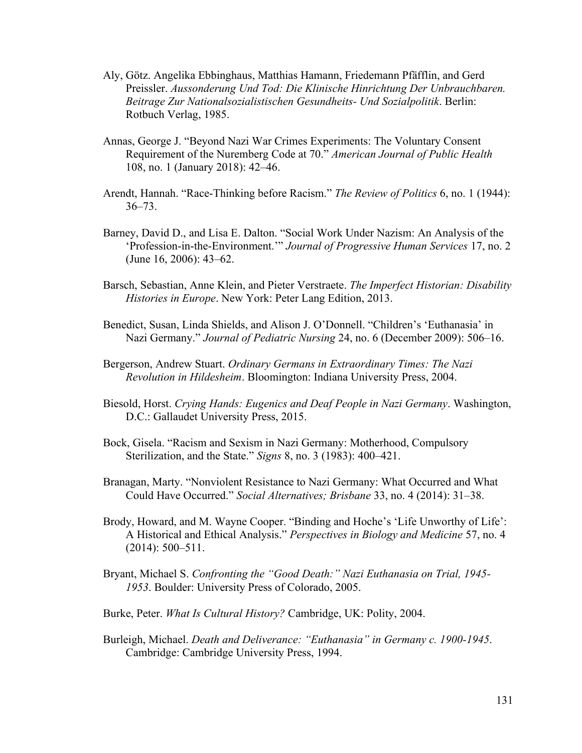- Aly, Götz. Angelika Ebbinghaus, Matthias Hamann, Friedemann Pfäfflin, and Gerd Preissler. *Aussonderung Und Tod: Die Klinische Hinrichtung Der Unbrauchbaren. Beitrage Zur Nationalsozialistischen Gesundheits- Und Sozialpolitik*. Berlin: Rotbuch Verlag, 1985.
- Annas, George J. "Beyond Nazi War Crimes Experiments: The Voluntary Consent Requirement of the Nuremberg Code at 70." *American Journal of Public Health* 108, no. 1 (January 2018): 42–46.
- Arendt, Hannah. "Race-Thinking before Racism." *The Review of Politics* 6, no. 1 (1944): 36–73.
- Barney, David D., and Lisa E. Dalton. "Social Work Under Nazism: An Analysis of the 'Profession-in-the-Environment.'" *Journal of Progressive Human Services* 17, no. 2 (June 16, 2006): 43–62.
- Barsch, Sebastian, Anne Klein, and Pieter Verstraete. *The Imperfect Historian: Disability Histories in Europe*. New York: Peter Lang Edition, 2013.
- Benedict, Susan, Linda Shields, and Alison J. O'Donnell. "Children's 'Euthanasia' in Nazi Germany." *Journal of Pediatric Nursing* 24, no. 6 (December 2009): 506–16.
- Bergerson, Andrew Stuart. *Ordinary Germans in Extraordinary Times: The Nazi Revolution in Hildesheim*. Bloomington: Indiana University Press, 2004.
- Biesold, Horst. *Crying Hands: Eugenics and Deaf People in Nazi Germany*. Washington, D.C.: Gallaudet University Press, 2015.
- Bock, Gisela. "Racism and Sexism in Nazi Germany: Motherhood, Compulsory Sterilization, and the State." *Signs* 8, no. 3 (1983): 400–421.
- Branagan, Marty. "Nonviolent Resistance to Nazi Germany: What Occurred and What Could Have Occurred." *Social Alternatives; Brisbane* 33, no. 4 (2014): 31–38.
- Brody, Howard, and M. Wayne Cooper. "Binding and Hoche's 'Life Unworthy of Life': A Historical and Ethical Analysis." *Perspectives in Biology and Medicine* 57, no. 4 (2014): 500–511.
- Bryant, Michael S. *Confronting the "Good Death:" Nazi Euthanasia on Trial, 1945- 1953*. Boulder: University Press of Colorado, 2005.
- Burke, Peter. *What Is Cultural History?* Cambridge, UK: Polity, 2004.
- Burleigh, Michael. *Death and Deliverance: "Euthanasia" in Germany c. 1900-1945*. Cambridge: Cambridge University Press, 1994.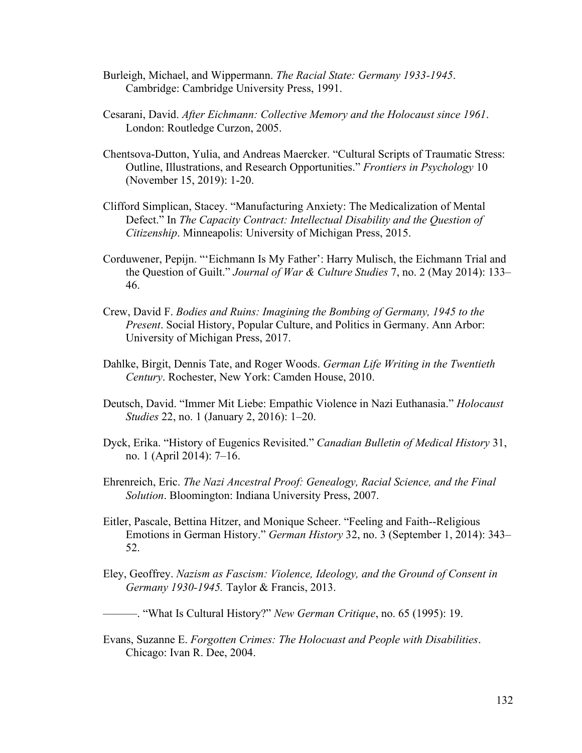- Burleigh, Michael, and Wippermann. *The Racial State: Germany 1933-1945*. Cambridge: Cambridge University Press, 1991.
- Cesarani, David. *After Eichmann: Collective Memory and the Holocaust since 1961*. London: Routledge Curzon, 2005.
- Chentsova-Dutton, Yulia, and Andreas Maercker. "Cultural Scripts of Traumatic Stress: Outline, Illustrations, and Research Opportunities." *Frontiers in Psychology* 10 (November 15, 2019): 1-20.
- Clifford Simplican, Stacey. "Manufacturing Anxiety: The Medicalization of Mental Defect." In *The Capacity Contract: Intellectual Disability and the Question of Citizenship*. Minneapolis: University of Michigan Press, 2015.
- Corduwener, Pepijn. "'Eichmann Is My Father': Harry Mulisch, the Eichmann Trial and the Question of Guilt." *Journal of War & Culture Studies* 7, no. 2 (May 2014): 133– 46.
- Crew, David F. *Bodies and Ruins: Imagining the Bombing of Germany, 1945 to the Present*. Social History, Popular Culture, and Politics in Germany. Ann Arbor: University of Michigan Press, 2017.
- Dahlke, Birgit, Dennis Tate, and Roger Woods. *German Life Writing in the Twentieth Century*. Rochester, New York: Camden House, 2010.
- Deutsch, David. "Immer Mit Liebe: Empathic Violence in Nazi Euthanasia." *Holocaust Studies* 22, no. 1 (January 2, 2016): 1–20.
- Dyck, Erika. "History of Eugenics Revisited." *Canadian Bulletin of Medical History* 31, no. 1 (April 2014): 7–16.
- Ehrenreich, Eric. *The Nazi Ancestral Proof: Genealogy, Racial Science, and the Final Solution*. Bloomington: Indiana University Press, 2007.
- Eitler, Pascale, Bettina Hitzer, and Monique Scheer. "Feeling and Faith--Religious Emotions in German History." *German History* 32, no. 3 (September 1, 2014): 343– 52.
- Eley, Geoffrey. *Nazism as Fascism: Violence, Ideology, and the Ground of Consent in Germany 1930-1945.* Taylor & Francis, 2013.
- ———. "What Is Cultural History?" *New German Critique*, no. 65 (1995): 19.
- Evans, Suzanne E. *Forgotten Crimes: The Holocuast and People with Disabilities*. Chicago: Ivan R. Dee, 2004.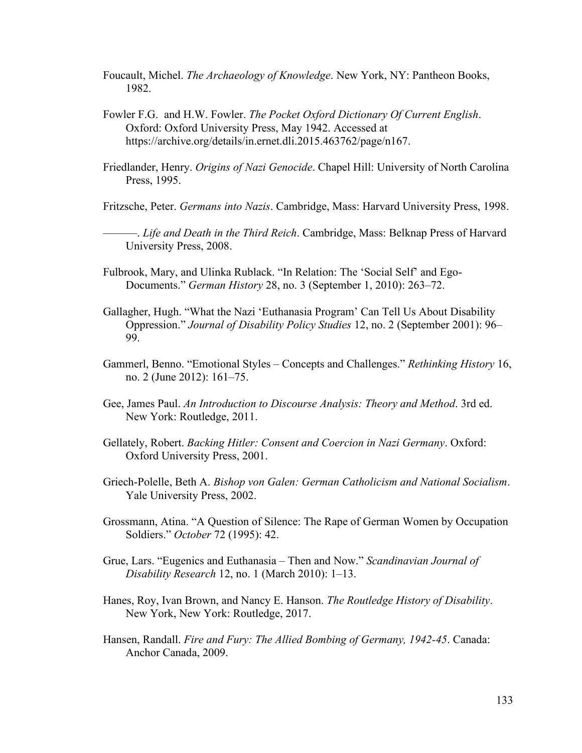- Foucault, Michel. *The Archaeology of Knowledge*. New York, NY: Pantheon Books, 1982.
- Fowler F.G. and H.W. Fowler. *The Pocket Oxford Dictionary Of Current English*. Oxford: Oxford University Press, May 1942. Accessed at https://archive.org/details/in.ernet.dli.2015.463762/page/n167.
- Friedlander, Henry. *Origins of Nazi Genocide*. Chapel Hill: University of North Carolina Press, 1995.

Fritzsche, Peter. *Germans into Nazis*. Cambridge, Mass: Harvard University Press, 1998.

———. *Life and Death in the Third Reich*. Cambridge, Mass: Belknap Press of Harvard University Press, 2008.

- Fulbrook, Mary, and Ulinka Rublack. "In Relation: The 'Social Self' and Ego-Documents." *German History* 28, no. 3 (September 1, 2010): 263–72.
- Gallagher, Hugh. "What the Nazi 'Euthanasia Program' Can Tell Us About Disability Oppression." *Journal of Disability Policy Studies* 12, no. 2 (September 2001): 96– 99.
- Gammerl, Benno. "Emotional Styles Concepts and Challenges." *Rethinking History* 16, no. 2 (June 2012): 161–75.
- Gee, James Paul. *An Introduction to Discourse Analysis: Theory and Method*. 3rd ed. New York: Routledge, 2011.
- Gellately, Robert. *Backing Hitler: Consent and Coercion in Nazi Germany*. Oxford: Oxford University Press, 2001.
- Griech-Polelle, Beth A. *Bishop von Galen: German Catholicism and National Socialism*. Yale University Press, 2002.
- Grossmann, Atina. "A Question of Silence: The Rape of German Women by Occupation Soldiers." *October* 72 (1995): 42.
- Grue, Lars. "Eugenics and Euthanasia Then and Now." *Scandinavian Journal of Disability Research* 12, no. 1 (March 2010): 1–13.
- Hanes, Roy, Ivan Brown, and Nancy E. Hanson. *The Routledge History of Disability*. New York, New York: Routledge, 2017.
- Hansen, Randall. *Fire and Fury: The Allied Bombing of Germany, 1942-45*. Canada: Anchor Canada, 2009.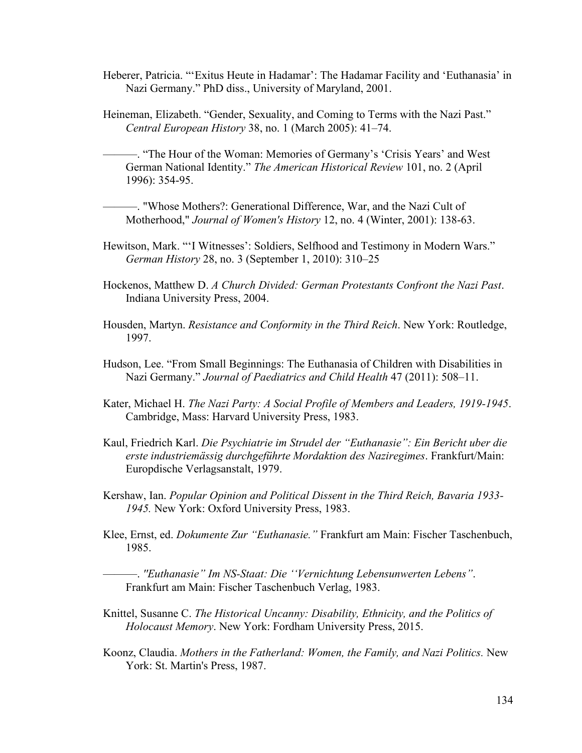- Heberer, Patricia. "'Exitus Heute in Hadamar': The Hadamar Facility and 'Euthanasia' in Nazi Germany." PhD diss., University of Maryland, 2001.
- Heineman, Elizabeth. "Gender, Sexuality, and Coming to Terms with the Nazi Past." *Central European History* 38, no. 1 (March 2005): 41–74.

———. "The Hour of the Woman: Memories of Germany's 'Crisis Years' and West German National Identity." *The American Historical Review* 101, no. 2 (April 1996): 354-95.

———. "Whose Mothers?: Generational Difference, War, and the Nazi Cult of Motherhood," *Journal of Women's History* 12, no. 4 (Winter, 2001): 138-63.

- Hewitson, Mark. "'I Witnesses': Soldiers, Selfhood and Testimony in Modern Wars." *German History* 28, no. 3 (September 1, 2010): 310–25
- Hockenos, Matthew D. *A Church Divided: German Protestants Confront the Nazi Past*. Indiana University Press, 2004.
- Housden, Martyn. *Resistance and Conformity in the Third Reich*. New York: Routledge, 1997.
- Hudson, Lee. "From Small Beginnings: The Euthanasia of Children with Disabilities in Nazi Germany." *Journal of Paediatrics and Child Health* 47 (2011): 508–11.
- Kater, Michael H. *The Nazi Party: A Social Profile of Members and Leaders, 1919-1945*. Cambridge, Mass: Harvard University Press, 1983.
- Kaul, Friedrich Karl. *Die Psychiatrie im Strudel der "Euthanasie": Ein Bericht uber die erste industriemässig durchgeführte Mordaktion des Naziregimes*. Frankfurt/Main: Europdische Verlagsanstalt, 1979.
- Kershaw, Ian. *Popular Opinion and Political Dissent in the Third Reich, Bavaria 1933- 1945.* New York: Oxford University Press, 1983.
- Klee, Ernst, ed. *Dokumente Zur "Euthanasie."* Frankfurt am Main: Fischer Taschenbuch, 1985.

———. *''Euthanasie" Im NS-Staat: Die ''Vernichtung Lebensunwerten Lebens"*. Frankfurt am Main: Fischer Taschenbuch Verlag, 1983.

- Knittel, Susanne C. *The Historical Uncanny: Disability, Ethnicity, and the Politics of Holocaust Memory*. New York: Fordham University Press, 2015.
- Koonz, Claudia. *Mothers in the Fatherland: Women, the Family, and Nazi Politics.* New York: St. Martin's Press, 1987.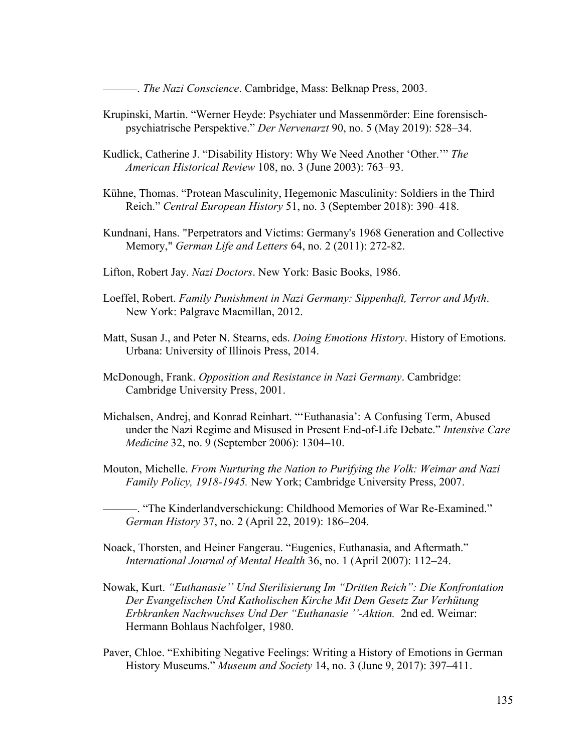———. *The Nazi Conscience*. Cambridge, Mass: Belknap Press, 2003.

- Krupinski, Martin. "Werner Heyde: Psychiater und Massenmörder: Eine forensischpsychiatrische Perspektive." *Der Nervenarzt* 90, no. 5 (May 2019): 528–34.
- Kudlick, Catherine J. "Disability History: Why We Need Another 'Other.'" *The American Historical Review* 108, no. 3 (June 2003): 763–93.
- Kühne, Thomas. "Protean Masculinity, Hegemonic Masculinity: Soldiers in the Third Reich." *Central European History* 51, no. 3 (September 2018): 390–418.
- Kundnani, Hans. "Perpetrators and Victims: Germany's 1968 Generation and Collective Memory," *German Life and Letters* 64, no. 2 (2011): 272-82.
- Lifton, Robert Jay. *Nazi Doctors*. New York: Basic Books, 1986.
- Loeffel, Robert. *Family Punishment in Nazi Germany: Sippenhaft, Terror and Myth*. New York: Palgrave Macmillan, 2012.
- Matt, Susan J., and Peter N. Stearns, eds. *Doing Emotions History*. History of Emotions. Urbana: University of Illinois Press, 2014.
- McDonough, Frank. *Opposition and Resistance in Nazi Germany*. Cambridge: Cambridge University Press, 2001.
- Michalsen, Andrej, and Konrad Reinhart. "'Euthanasia': A Confusing Term, Abused under the Nazi Regime and Misused in Present End-of-Life Debate." *Intensive Care Medicine* 32, no. 9 (September 2006): 1304–10.
- Mouton, Michelle. *From Nurturing the Nation to Purifying the Volk: Weimar and Nazi Family Policy, 1918-1945.* New York; Cambridge University Press, 2007.

———. "The Kinderlandverschickung: Childhood Memories of War Re-Examined." *German History* 37, no. 2 (April 22, 2019): 186–204.

- Noack, Thorsten, and Heiner Fangerau. "Eugenics, Euthanasia, and Aftermath." *International Journal of Mental Health* 36, no. 1 (April 2007): 112–24.
- Nowak, Kurt. *"Euthanasie'' Und Sterilisierung Im "Dritten Reich": Die Konfrontation Der Evangelischen Und Katholischen Kirche Mit Dem Gesetz Zur Verhütung Erbkranken Nachwuchses Und Der "Euthanasie ''-Aktion.* 2nd ed. Weimar: Hermann Bohlaus Nachfolger, 1980.
- Paver, Chloe. "Exhibiting Negative Feelings: Writing a History of Emotions in German History Museums." *Museum and Society* 14, no. 3 (June 9, 2017): 397–411.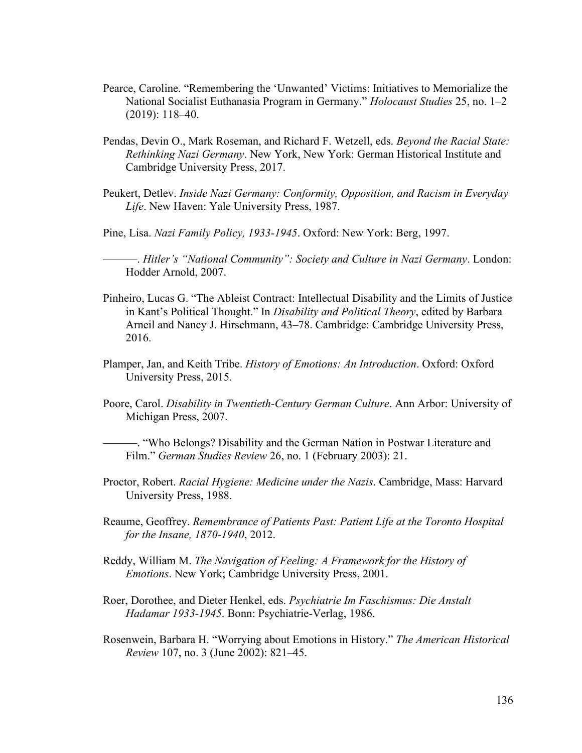- Pearce, Caroline. "Remembering the 'Unwanted' Victims: Initiatives to Memorialize the National Socialist Euthanasia Program in Germany." *Holocaust Studies* 25, no. 1–2 (2019): 118–40.
- Pendas, Devin O., Mark Roseman, and Richard F. Wetzell, eds. *Beyond the Racial State: Rethinking Nazi Germany*. New York, New York: German Historical Institute and Cambridge University Press, 2017.
- Peukert, Detlev. *Inside Nazi Germany: Conformity, Opposition, and Racism in Everyday Life*. New Haven: Yale University Press, 1987.
- Pine, Lisa. *Nazi Family Policy, 1933-1945*. Oxford: New York: Berg, 1997.

———. *Hitler's "National Community": Society and Culture in Nazi Germany*. London: Hodder Arnold, 2007.

- Pinheiro, Lucas G. "The Ableist Contract: Intellectual Disability and the Limits of Justice in Kant's Political Thought." In *Disability and Political Theory*, edited by Barbara Arneil and Nancy J. Hirschmann, 43–78. Cambridge: Cambridge University Press, 2016.
- Plamper, Jan, and Keith Tribe. *History of Emotions: An Introduction*. Oxford: Oxford University Press, 2015.
- Poore, Carol. *Disability in Twentieth-Century German Culture*. Ann Arbor: University of Michigan Press, 2007.

———. "Who Belongs? Disability and the German Nation in Postwar Literature and Film." *German Studies Review* 26, no. 1 (February 2003): 21.

- Proctor, Robert. *Racial Hygiene: Medicine under the Nazis*. Cambridge, Mass: Harvard University Press, 1988.
- Reaume, Geoffrey. *Remembrance of Patients Past: Patient Life at the Toronto Hospital for the Insane, 1870-1940*, 2012.
- Reddy, William M. *The Navigation of Feeling: A Framework for the History of Emotions*. New York; Cambridge University Press, 2001.
- Roer, Dorothee, and Dieter Henkel, eds. *Psychiatrie Im Faschismus: Die Anstalt Hadamar 1933-1945*. Bonn: Psychiatrie-Verlag, 1986.
- Rosenwein, Barbara H. "Worrying about Emotions in History." *The American Historical Review* 107, no. 3 (June 2002): 821–45.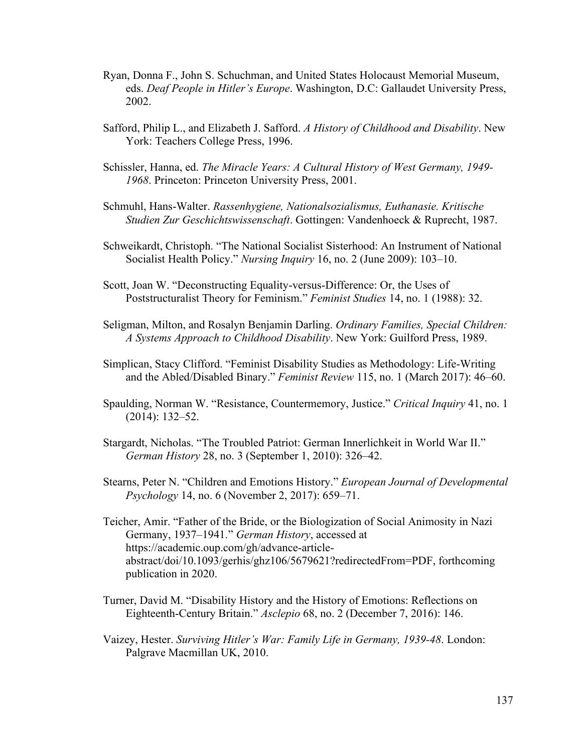- Ryan, Donna F., John S. Schuchman, and United States Holocaust Memorial Museum, eds. *Deaf People in Hitler's Europe*. Washington, D.C: Gallaudet University Press, 2002.
- Safford, Philip L., and Elizabeth J. Safford. *A History of Childhood and Disability*. New York: Teachers College Press, 1996.
- Schissler, Hanna, ed. *The Miracle Years: A Cultural History of West Germany, 1949- 1968*. Princeton: Princeton University Press, 2001.
- Schmuhl, Hans-Walter. *Rassenhygiene, Nationalsozialismus, Euthanasie. Kritische Studien Zur Geschichtswissenschaft*. Gottingen: Vandenhoeck & Ruprecht, 1987.
- Schweikardt, Christoph. "The National Socialist Sisterhood: An Instrument of National Socialist Health Policy." *Nursing Inquiry* 16, no. 2 (June 2009): 103–10.
- Scott, Joan W. "Deconstructing Equality-versus-Difference: Or, the Uses of Poststructuralist Theory for Feminism." *Feminist Studies* 14, no. 1 (1988): 32.
- Seligman, Milton, and Rosalyn Benjamin Darling. *Ordinary Families, Special Children: A Systems Approach to Childhood Disability*. New York: Guilford Press, 1989.
- Simplican, Stacy Clifford. "Feminist Disability Studies as Methodology: Life-Writing and the Abled/Disabled Binary." *Feminist Review* 115, no. 1 (March 2017): 46–60.
- Spaulding, Norman W. "Resistance, Countermemory, Justice." *Critical Inquiry* 41, no. 1 (2014): 132–52.
- Stargardt, Nicholas. "The Troubled Patriot: German Innerlichkeit in World War II." *German History* 28, no. 3 (September 1, 2010): 326–42.
- Stearns, Peter N. "Children and Emotions History." *European Journal of Developmental Psychology* 14, no. 6 (November 2, 2017): 659–71.
- Teicher, Amir. "Father of the Bride, or the Biologization of Social Animosity in Nazi Germany, 1937–1941." *German History*, accessed at https://academic.oup.com/gh/advance-articleabstract/doi/10.1093/gerhis/ghz106/5679621?redirectedFrom=PDF, forthcoming publication in 2020.
- Turner, David M. "Disability History and the History of Emotions: Reflections on Eighteenth-Century Britain." *Asclepio* 68, no. 2 (December 7, 2016): 146.
- Vaizey, Hester. *Surviving Hitler's War: Family Life in Germany, 1939-48*. London: Palgrave Macmillan UK, 2010.